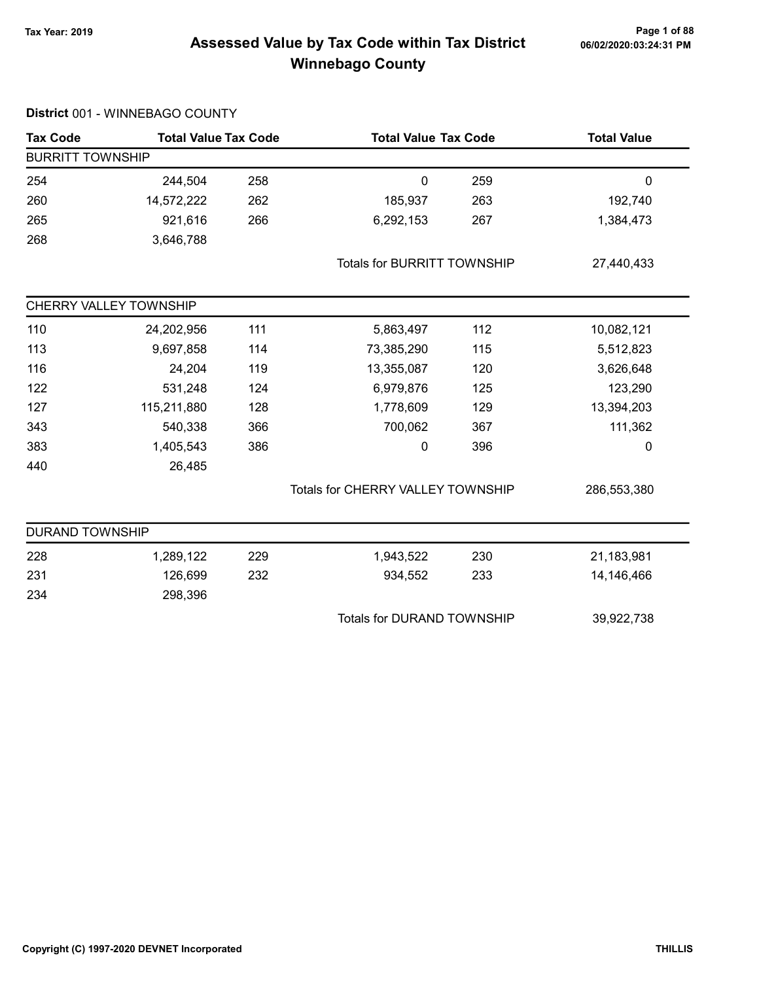# Page 1 of 88<br>Assessed Value by Tax Code within Tax District <sub>06/02/2020:03:24:31</sub> pm Winnebago County

| <b>Tax Code</b>         | <b>Total Value Tax Code</b> |     | <b>Total Value Tax Code</b>              |     | <b>Total Value</b> |
|-------------------------|-----------------------------|-----|------------------------------------------|-----|--------------------|
| <b>BURRITT TOWNSHIP</b> |                             |     |                                          |     |                    |
| 254                     | 244,504                     | 258 | $\mathbf 0$                              | 259 | $\mathbf 0$        |
| 260                     | 14,572,222                  | 262 | 185,937                                  | 263 | 192,740            |
| 265                     | 921,616                     | 266 | 6,292,153                                | 267 | 1,384,473          |
| 268                     | 3,646,788                   |     |                                          |     |                    |
|                         |                             |     | <b>Totals for BURRITT TOWNSHIP</b>       |     | 27,440,433         |
|                         | CHERRY VALLEY TOWNSHIP      |     |                                          |     |                    |
| 110                     | 24,202,956                  | 111 | 5,863,497                                | 112 | 10,082,121         |
| 113                     | 9,697,858                   | 114 | 73,385,290                               | 115 | 5,512,823          |
| 116                     | 24,204                      | 119 | 13,355,087                               | 120 | 3,626,648          |
| 122                     | 531,248                     | 124 | 6,979,876                                | 125 | 123,290            |
| 127                     | 115,211,880                 | 128 | 1,778,609                                | 129 | 13,394,203         |
| 343                     | 540,338                     | 366 | 700,062                                  | 367 | 111,362            |
| 383                     | 1,405,543                   | 386 | 0                                        | 396 | 0                  |
| 440                     | 26,485                      |     |                                          |     |                    |
|                         |                             |     | <b>Totals for CHERRY VALLEY TOWNSHIP</b> |     | 286,553,380        |
| <b>DURAND TOWNSHIP</b>  |                             |     |                                          |     |                    |
| 228                     | 1,289,122                   | 229 | 1,943,522                                | 230 | 21,183,981         |
| 231                     | 126,699                     | 232 | 934,552                                  | 233 | 14,146,466         |
| 234                     | 298,396                     |     |                                          |     |                    |
|                         |                             |     | <b>Totals for DURAND TOWNSHIP</b>        |     | 39,922,738         |
|                         |                             |     |                                          |     |                    |

#### District 001 - WINNEBAGO COUNTY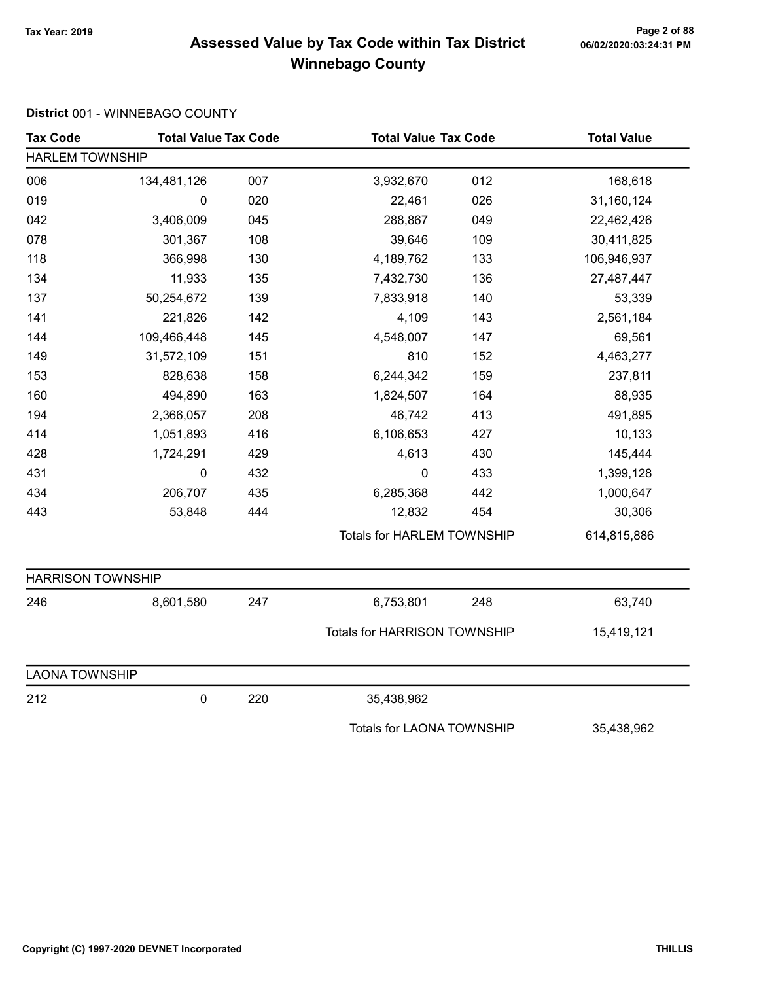# Page 2 of 88<br>Assessed Value by Tax Code within Tax District <sub>06/02/2020:03:24:31</sub> pm Winnebago County

#### District 001 - WINNEBAGO COUNTY

| <b>Tax Code</b>          | <b>Total Value Tax Code</b> |     | <b>Total Value Tax Code</b>       |     | <b>Total Value</b> |
|--------------------------|-----------------------------|-----|-----------------------------------|-----|--------------------|
| <b>HARLEM TOWNSHIP</b>   |                             |     |                                   |     |                    |
| 006                      | 134,481,126                 | 007 | 3,932,670                         | 012 | 168,618            |
| 019                      | 0                           | 020 | 22,461                            | 026 | 31,160,124         |
| 042                      | 3,406,009                   | 045 | 288,867                           | 049 | 22,462,426         |
| 078                      | 301,367                     | 108 | 39,646                            | 109 | 30,411,825         |
| 118                      | 366,998                     | 130 | 4,189,762                         | 133 | 106,946,937        |
| 134                      | 11,933                      | 135 | 7,432,730                         | 136 | 27,487,447         |
| 137                      | 50,254,672                  | 139 | 7,833,918                         | 140 | 53,339             |
| 141                      | 221,826                     | 142 | 4,109                             | 143 | 2,561,184          |
| 144                      | 109,466,448                 | 145 | 4,548,007                         | 147 | 69,561             |
| 149                      | 31,572,109                  | 151 | 810                               | 152 | 4,463,277          |
| 153                      | 828,638                     | 158 | 6,244,342                         | 159 | 237,811            |
| 160                      | 494,890                     | 163 | 1,824,507                         | 164 | 88,935             |
| 194                      | 2,366,057                   | 208 | 46,742                            | 413 | 491,895            |
| 414                      | 1,051,893                   | 416 | 6,106,653                         | 427 | 10,133             |
| 428                      | 1,724,291                   | 429 | 4,613                             | 430 | 145,444            |
| 431                      | 0                           | 432 | $\mathbf 0$                       | 433 | 1,399,128          |
| 434                      | 206,707                     | 435 | 6,285,368                         | 442 | 1,000,647          |
| 443                      | 53,848                      | 444 | 12,832                            | 454 | 30,306             |
|                          |                             |     | <b>Totals for HARLEM TOWNSHIP</b> |     | 614,815,886        |
| <b>HARRISON TOWNSHIP</b> |                             |     |                                   |     |                    |
| 246                      | 8,601,580                   | 247 | 6,753,801                         | 248 | 63,740             |
|                          |                             |     | Totals for HARRISON TOWNSHIP      |     | 15,419,121         |
| <b>LAONA TOWNSHIP</b>    |                             |     |                                   |     |                    |
| 212                      | 0                           | 220 | 35,438,962                        |     |                    |
|                          |                             |     | <b>Totals for LAONA TOWNSHIP</b>  |     | 35,438,962         |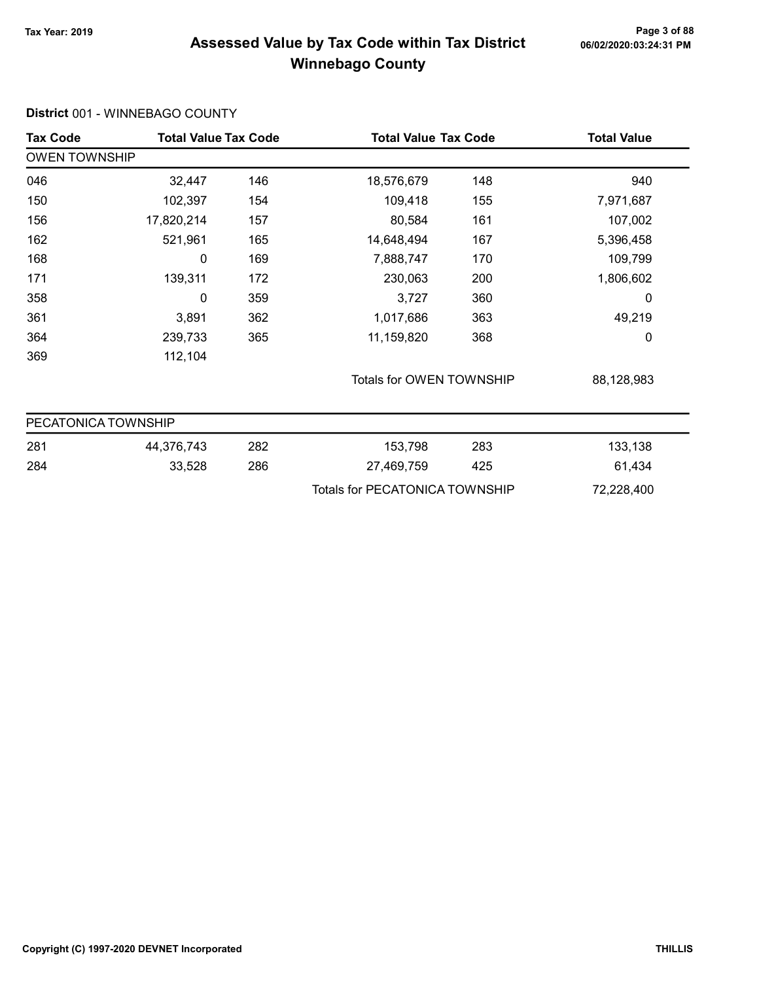District 001 - WINNEBAGO COUNTY

#### Page 3 of 88<br>Assessed Value by Tax Code within Tax District <sub>06/02/2020:03:24:31</sub> pm Winnebago County

#### Tax Code Total Value Tax Code Total Value Tax Code Total Value Tax Code OWEN TOWNSHIP 046 32,447 18,576,679 146 148 940 150 102,397 109,418 154 155 7,971,687 156 17,820,214 80,584 157 161 107,002 162 521,961 14,648,494 165 167 5,396,458 168 0 169 7,888,747 170 109,799 171 139,311 230,063 172 200 1,806,602 358 0 3,727 359 360 0 361 3,891 1,017,686 362 363 49,219 364 239,733 365 11,159,820 368 0 369 112,104 Totals for OWEN TOWNSHIP 88,128,983 PECATONICA TOWNSHIP 281 44,376,743 153,798 282 283 133,138 284 33,528 286 27,469,759 425 61,434 Totals for PECATONICA TOWNSHIP 72,228,400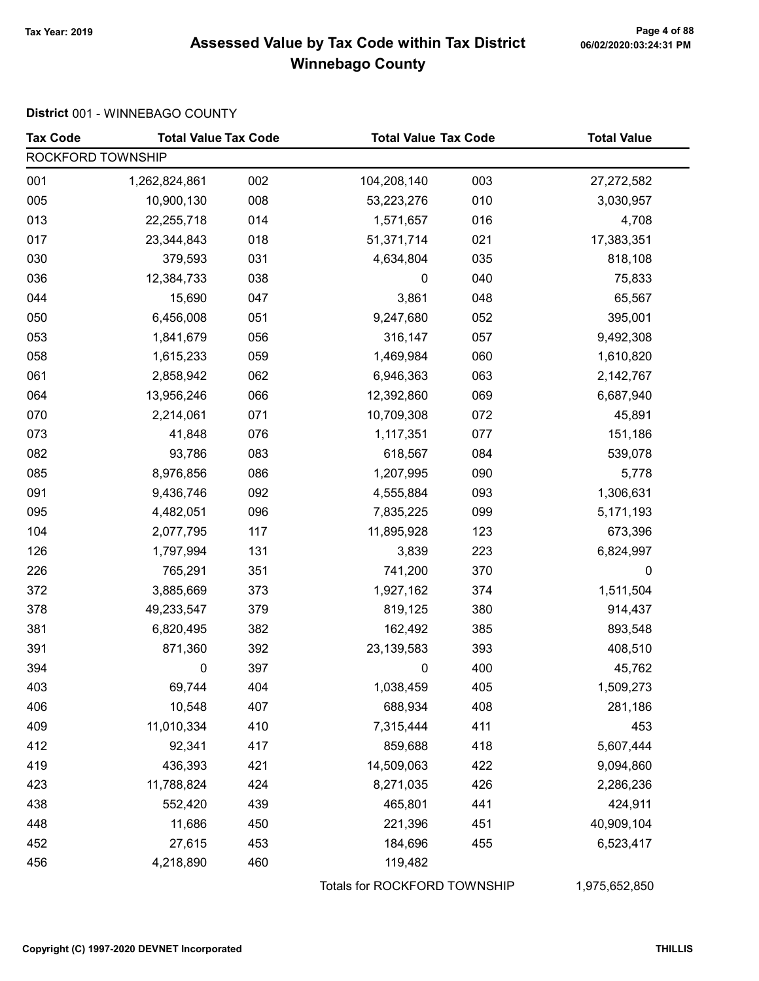# Page 4 of 88<br>Assessed Value by Tax Code within Tax District <sub>06/02/2020:03:24:31</sub> pm Winnebago County

#### District 001 - WINNEBAGO COUNTY

| <b>Tax Code</b>   | <b>Total Value Tax Code</b> |     | <b>Total Value Tax Code</b>  |     | <b>Total Value</b> |
|-------------------|-----------------------------|-----|------------------------------|-----|--------------------|
| ROCKFORD TOWNSHIP |                             |     |                              |     |                    |
| 001               | 1,262,824,861               | 002 | 104,208,140                  | 003 | 27,272,582         |
| 005               | 10,900,130                  | 008 | 53,223,276                   | 010 | 3,030,957          |
| 013               | 22,255,718                  | 014 | 1,571,657                    | 016 | 4,708              |
| 017               | 23,344,843                  | 018 | 51,371,714                   | 021 | 17,383,351         |
| 030               | 379,593                     | 031 | 4,634,804                    | 035 | 818,108            |
| 036               | 12,384,733                  | 038 | $\pmb{0}$                    | 040 | 75,833             |
| 044               | 15,690                      | 047 | 3,861                        | 048 | 65,567             |
| 050               | 6,456,008                   | 051 | 9,247,680                    | 052 | 395,001            |
| 053               | 1,841,679                   | 056 | 316,147                      | 057 | 9,492,308          |
| 058               | 1,615,233                   | 059 | 1,469,984                    | 060 | 1,610,820          |
| 061               | 2,858,942                   | 062 | 6,946,363                    | 063 | 2,142,767          |
| 064               | 13,956,246                  | 066 | 12,392,860                   | 069 | 6,687,940          |
| 070               | 2,214,061                   | 071 | 10,709,308                   | 072 | 45,891             |
| 073               | 41,848                      | 076 | 1,117,351                    | 077 | 151,186            |
| 082               | 93,786                      | 083 | 618,567                      | 084 | 539,078            |
| 085               | 8,976,856                   | 086 | 1,207,995                    | 090 | 5,778              |
| 091               | 9,436,746                   | 092 | 4,555,884                    | 093 | 1,306,631          |
| 095               | 4,482,051                   | 096 | 7,835,225                    | 099 | 5,171,193          |
| 104               | 2,077,795                   | 117 | 11,895,928                   | 123 | 673,396            |
| 126               | 1,797,994                   | 131 | 3,839                        | 223 | 6,824,997          |
| 226               | 765,291                     | 351 | 741,200                      | 370 | 0                  |
| 372               | 3,885,669                   | 373 | 1,927,162                    | 374 | 1,511,504          |
| 378               | 49,233,547                  | 379 | 819,125                      | 380 | 914,437            |
| 381               | 6,820,495                   | 382 | 162,492                      | 385 | 893,548            |
| 391               | 871,360                     | 392 | 23, 139, 583                 | 393 | 408,510            |
| 394               | 0                           | 397 | 0                            | 400 | 45,762             |
| 403               | 69,744                      | 404 | 1,038,459                    | 405 | 1,509,273          |
| 406               | 10,548                      | 407 | 688,934                      | 408 | 281,186            |
| 409               | 11,010,334                  | 410 | 7,315,444                    | 411 | 453                |
| 412               | 92,341                      | 417 | 859,688                      | 418 | 5,607,444          |
| 419               | 436,393                     | 421 | 14,509,063                   | 422 | 9,094,860          |
| 423               | 11,788,824                  | 424 | 8,271,035                    | 426 | 2,286,236          |
| 438               | 552,420                     | 439 | 465,801                      | 441 | 424,911            |
| 448               | 11,686                      | 450 | 221,396                      | 451 | 40,909,104         |
| 452               | 27,615                      | 453 | 184,696                      | 455 | 6,523,417          |
| 456               | 4,218,890                   | 460 | 119,482                      |     |                    |
|                   |                             |     | Totals for ROCKFORD TOWNSHIP |     | 1,975,652,850      |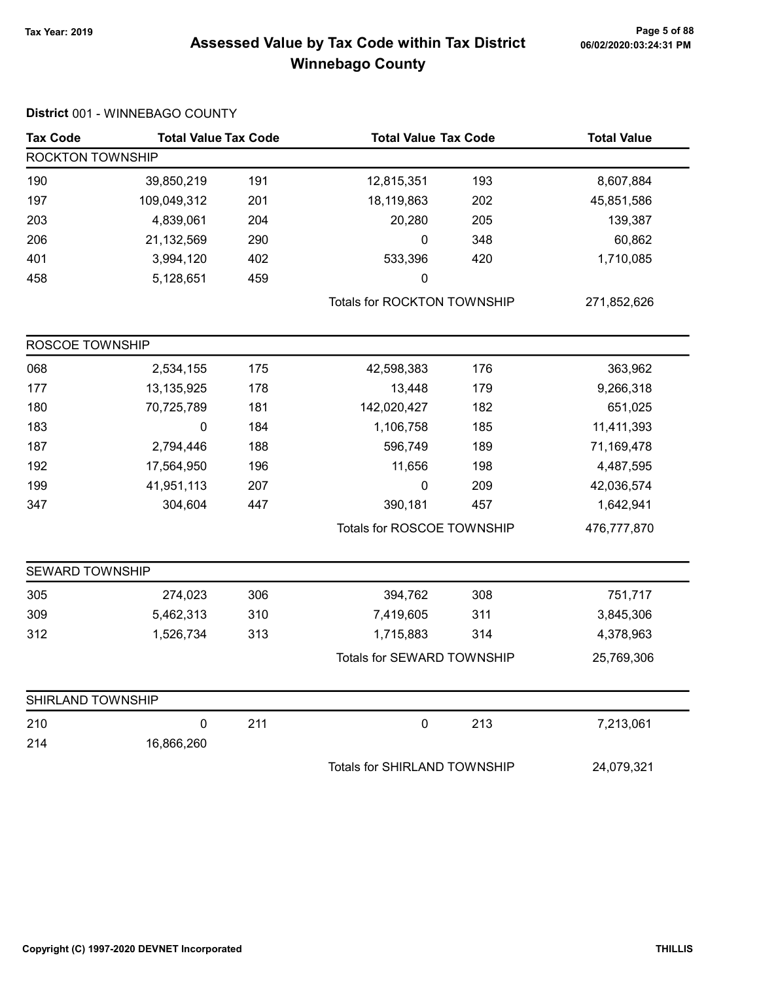# Page 5 of 88<br>Assessed Value by Tax Code within Tax District <sub>06/02/2020:03:24:31</sub> pm Winnebago County

|  |  | District 001 - WINNEBAGO COUNTY |  |
|--|--|---------------------------------|--|
|--|--|---------------------------------|--|

| <b>Tax Code</b>        | <b>Total Value Tax Code</b> |     | <b>Total Value Tax Code</b>  |     | <b>Total Value</b> |
|------------------------|-----------------------------|-----|------------------------------|-----|--------------------|
| ROCKTON TOWNSHIP       |                             |     |                              |     |                    |
| 190                    | 39,850,219                  | 191 | 12,815,351                   | 193 | 8,607,884          |
| 197                    | 109,049,312                 | 201 | 18,119,863                   | 202 | 45,851,586         |
| 203                    | 4,839,061                   | 204 | 20,280                       | 205 | 139,387            |
| 206                    | 21,132,569                  | 290 | 0                            | 348 | 60,862             |
| 401                    | 3,994,120                   | 402 | 533,396                      | 420 | 1,710,085          |
| 458                    | 5,128,651                   | 459 | 0                            |     |                    |
|                        |                             |     | Totals for ROCKTON TOWNSHIP  |     | 271,852,626        |
| ROSCOE TOWNSHIP        |                             |     |                              |     |                    |
| 068                    | 2,534,155                   | 175 | 42,598,383                   | 176 | 363,962            |
| 177                    | 13,135,925                  | 178 | 13,448                       | 179 | 9,266,318          |
| 180                    | 70,725,789                  | 181 | 142,020,427                  | 182 | 651,025            |
| 183                    | 0                           | 184 | 1,106,758                    | 185 | 11,411,393         |
| 187                    | 2,794,446                   | 188 | 596,749                      | 189 | 71,169,478         |
| 192                    | 17,564,950                  | 196 | 11,656                       | 198 | 4,487,595          |
| 199                    | 41,951,113                  | 207 | $\pmb{0}$                    | 209 | 42,036,574         |
| 347                    | 304,604                     | 447 | 390,181                      | 457 | 1,642,941          |
|                        |                             |     | Totals for ROSCOE TOWNSHIP   |     | 476,777,870        |
| <b>SEWARD TOWNSHIP</b> |                             |     |                              |     |                    |
| 305                    | 274,023                     | 306 | 394,762                      | 308 | 751,717            |
| 309                    | 5,462,313                   | 310 | 7,419,605                    | 311 | 3,845,306          |
| 312                    | 1,526,734                   | 313 | 1,715,883                    | 314 | 4,378,963          |
|                        |                             |     | Totals for SEWARD TOWNSHIP   |     | 25,769,306         |
| SHIRLAND TOWNSHIP      |                             |     |                              |     |                    |
| 210                    | 0                           | 211 | $\pmb{0}$                    | 213 | 7,213,061          |
| 214                    | 16,866,260                  |     |                              |     |                    |
|                        |                             |     | Totals for SHIRLAND TOWNSHIP |     | 24,079,321         |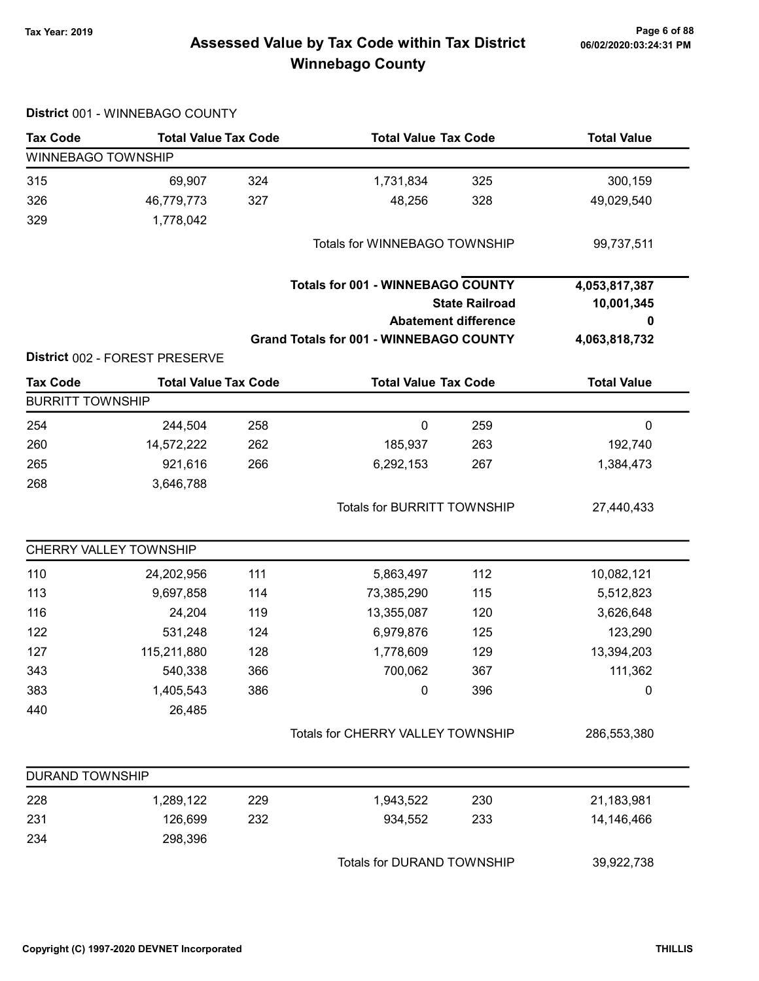# Page 6 of 88<br>Assessed Value by Tax Code within Tax District <sub>06/02/2020:03:24:31</sub> pm Winnebago County

|                           | District 001 - WINNEBAGO COUNTY |     |                                                |                             |                    |
|---------------------------|---------------------------------|-----|------------------------------------------------|-----------------------------|--------------------|
| <b>Tax Code</b>           | <b>Total Value Tax Code</b>     |     | <b>Total Value Tax Code</b>                    |                             | <b>Total Value</b> |
| <b>WINNEBAGO TOWNSHIP</b> |                                 |     |                                                |                             |                    |
| 315                       | 69,907                          | 324 | 1,731,834                                      | 325                         | 300,159            |
| 326                       | 46,779,773                      | 327 | 48,256                                         | 328                         | 49,029,540         |
| 329                       | 1,778,042                       |     |                                                |                             |                    |
|                           |                                 |     | Totals for WINNEBAGO TOWNSHIP                  |                             | 99,737,511         |
|                           |                                 |     | <b>Totals for 001 - WINNEBAGO COUNTY</b>       |                             | 4,053,817,387      |
|                           |                                 |     |                                                | <b>State Railroad</b>       | 10,001,345         |
|                           |                                 |     |                                                | <b>Abatement difference</b> | 0                  |
|                           |                                 |     | <b>Grand Totals for 001 - WINNEBAGO COUNTY</b> |                             | 4,063,818,732      |
|                           | District 002 - FOREST PRESERVE  |     |                                                |                             |                    |
| <b>Tax Code</b>           | <b>Total Value Tax Code</b>     |     | <b>Total Value Tax Code</b>                    |                             | <b>Total Value</b> |
| <b>BURRITT TOWNSHIP</b>   |                                 |     |                                                |                             |                    |
| 254                       | 244,504                         | 258 | $\pmb{0}$                                      | 259                         | $\mathbf 0$        |
| 260                       | 14,572,222                      | 262 | 185,937                                        | 263                         | 192,740            |
| 265                       | 921,616                         | 266 | 6,292,153                                      | 267                         | 1,384,473          |
| 268                       | 3,646,788                       |     |                                                |                             |                    |
|                           |                                 |     | <b>Totals for BURRITT TOWNSHIP</b>             |                             | 27,440,433         |
|                           | CHERRY VALLEY TOWNSHIP          |     |                                                |                             |                    |
| 110                       | 24,202,956                      | 111 | 5,863,497                                      | 112                         | 10,082,121         |
| 113                       | 9,697,858                       | 114 | 73,385,290                                     | 115                         | 5,512,823          |
| 116                       | 24,204                          | 119 | 13,355,087                                     | 120                         | 3,626,648          |
| 122                       | 531,248                         | 124 | 6,979,876                                      | 125                         | 123,290            |
| 127                       | 115,211,880                     | 128 | 1,778,609                                      | 129                         | 13,394,203         |
| 343                       | 540,338                         | 366 | 700,062                                        | 367                         | 111,362            |
| 383                       | 1,405,543                       | 386 | 0                                              | 396                         | 0                  |
| 440                       | 26,485                          |     |                                                |                             |                    |
|                           |                                 |     | Totals for CHERRY VALLEY TOWNSHIP              |                             | 286,553,380        |
| <b>DURAND TOWNSHIP</b>    |                                 |     |                                                |                             |                    |
| 228                       | 1,289,122                       | 229 | 1,943,522                                      | 230                         | 21,183,981         |
| 231                       | 126,699                         | 232 | 934,552                                        | 233                         | 14,146,466         |
| 234                       | 298,396                         |     |                                                |                             |                    |
|                           |                                 |     | Totals for DURAND TOWNSHIP                     |                             | 39,922,738         |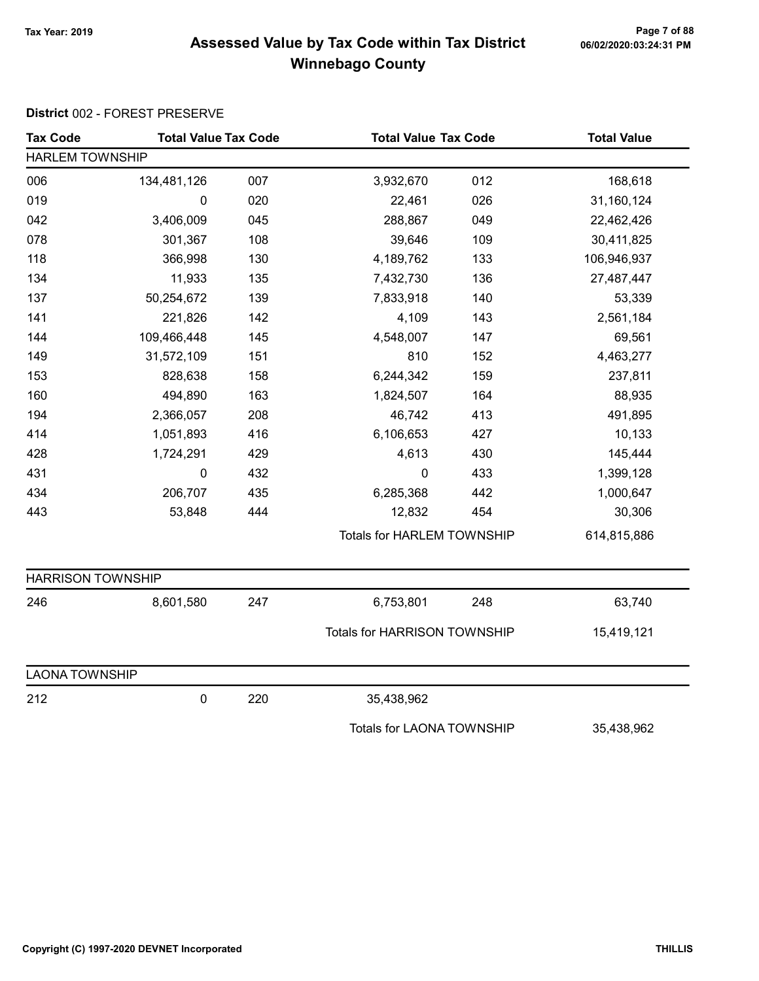# Page 7 of 88<br>Assessed Value by Tax Code within Tax District <sub>06/02/2020:03:24:31</sub> pm Winnebago County

| <b>Tax Code</b>          | <b>Total Value Tax Code</b> |     | <b>Total Value Tax Code</b>         |     | <b>Total Value</b> |
|--------------------------|-----------------------------|-----|-------------------------------------|-----|--------------------|
| <b>HARLEM TOWNSHIP</b>   |                             |     |                                     |     |                    |
| 006                      | 134,481,126                 | 007 | 3,932,670                           | 012 | 168,618            |
| 019                      | 0                           | 020 | 22,461                              | 026 | 31,160,124         |
| 042                      | 3,406,009                   | 045 | 288,867                             | 049 | 22,462,426         |
| 078                      | 301,367                     | 108 | 39,646                              | 109 | 30,411,825         |
| 118                      | 366,998                     | 130 | 4,189,762                           | 133 | 106,946,937        |
| 134                      | 11,933                      | 135 | 7,432,730                           | 136 | 27,487,447         |
| 137                      | 50,254,672                  | 139 | 7,833,918                           | 140 | 53,339             |
| 141                      | 221,826                     | 142 | 4,109                               | 143 | 2,561,184          |
| 144                      | 109,466,448                 | 145 | 4,548,007                           | 147 | 69,561             |
| 149                      | 31,572,109                  | 151 | 810                                 | 152 | 4,463,277          |
| 153                      | 828,638                     | 158 | 6,244,342                           | 159 | 237,811            |
| 160                      | 494,890                     | 163 | 1,824,507                           | 164 | 88,935             |
| 194                      | 2,366,057                   | 208 | 46,742                              | 413 | 491,895            |
| 414                      | 1,051,893                   | 416 | 6,106,653                           | 427 | 10,133             |
| 428                      | 1,724,291                   | 429 | 4,613                               | 430 | 145,444            |
| 431                      | 0                           | 432 | $\pmb{0}$                           | 433 | 1,399,128          |
| 434                      | 206,707                     | 435 | 6,285,368                           | 442 | 1,000,647          |
| 443                      | 53,848                      | 444 | 12,832                              | 454 | 30,306             |
|                          |                             |     | <b>Totals for HARLEM TOWNSHIP</b>   |     | 614,815,886        |
| <b>HARRISON TOWNSHIP</b> |                             |     |                                     |     |                    |
| 246                      | 8,601,580                   | 247 | 6,753,801                           | 248 | 63,740             |
|                          |                             |     | <b>Totals for HARRISON TOWNSHIP</b> |     | 15,419,121         |
| <b>LAONA TOWNSHIP</b>    |                             |     |                                     |     |                    |
| 212                      | 0                           | 220 | 35,438,962                          |     |                    |
|                          |                             |     | <b>Totals for LAONA TOWNSHIP</b>    |     | 35,438,962         |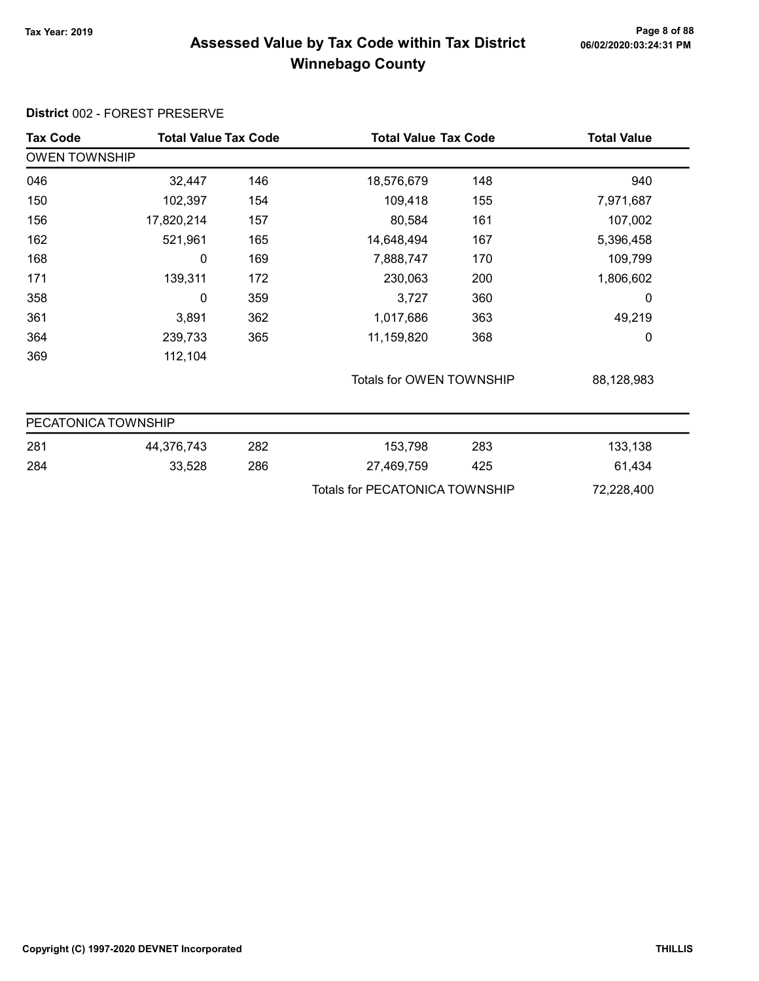# Page 8 of 88<br>Assessed Value by Tax Code within Tax District <sub>06/02/2020:03:24:31</sub> pm Winnebago County

| <b>Tax Code</b>      | <b>Total Value Tax Code</b> |     | <b>Total Value Tax Code</b>           |     | <b>Total Value</b> |
|----------------------|-----------------------------|-----|---------------------------------------|-----|--------------------|
| <b>OWEN TOWNSHIP</b> |                             |     |                                       |     |                    |
| 046                  | 32,447                      | 146 | 18,576,679                            | 148 | 940                |
| 150                  | 102,397                     | 154 | 109,418                               | 155 | 7,971,687          |
| 156                  | 17,820,214                  | 157 | 80,584                                | 161 | 107,002            |
| 162                  | 521,961                     | 165 | 14,648,494                            | 167 | 5,396,458          |
| 168                  | 0                           | 169 | 7,888,747                             | 170 | 109,799            |
| 171                  | 139,311                     | 172 | 230,063                               | 200 | 1,806,602          |
| 358                  | 0                           | 359 | 3,727                                 | 360 | 0                  |
| 361                  | 3,891                       | 362 | 1,017,686                             | 363 | 49,219             |
| 364                  | 239,733                     | 365 | 11,159,820                            | 368 | 0                  |
| 369                  | 112,104                     |     |                                       |     |                    |
|                      |                             |     | Totals for OWEN TOWNSHIP              |     | 88,128,983         |
| PECATONICA TOWNSHIP  |                             |     |                                       |     |                    |
| 281                  | 44,376,743                  | 282 | 153,798                               | 283 | 133,138            |
| 284                  | 33,528                      | 286 | 27,469,759                            | 425 | 61,434             |
|                      |                             |     | <b>Totals for PECATONICA TOWNSHIP</b> |     | 72,228,400         |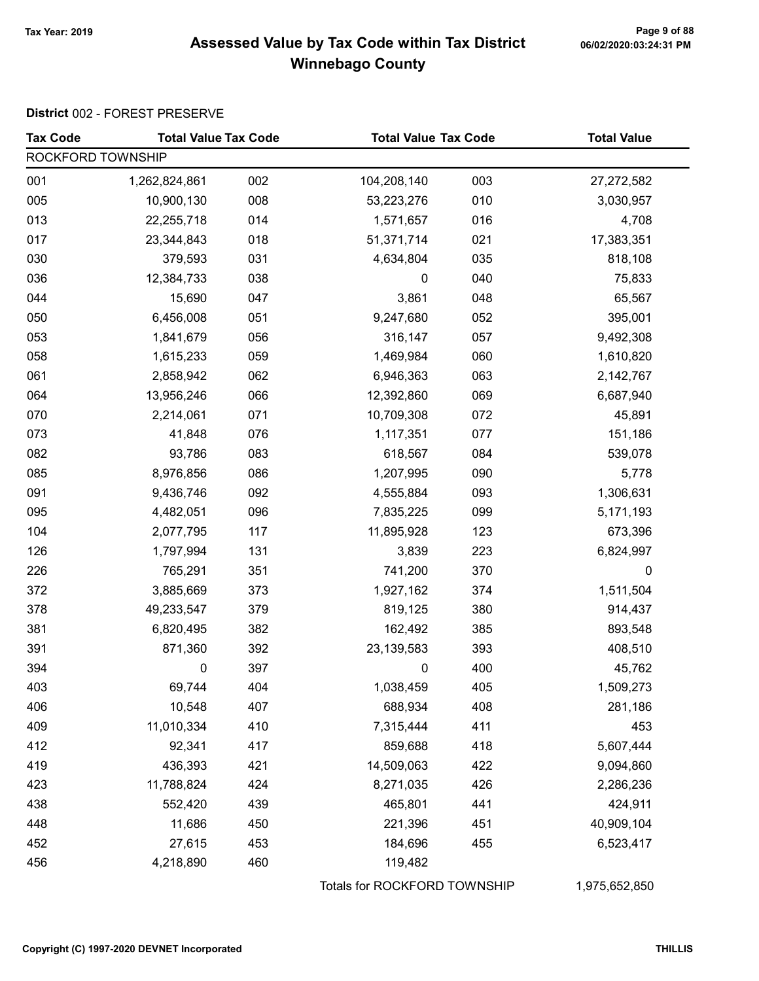# Page 9 of 88<br>Assessed Value by Tax Code within Tax District <sub>06/02/2020:03:24:31</sub> pm Winnebago County

| <b>Tax Code</b>   | <b>Total Value Tax Code</b> |     | <b>Total Value Tax Code</b>  |     | <b>Total Value</b> |
|-------------------|-----------------------------|-----|------------------------------|-----|--------------------|
| ROCKFORD TOWNSHIP |                             |     |                              |     |                    |
| 001               | 1,262,824,861               | 002 | 104,208,140                  | 003 | 27,272,582         |
| 005               | 10,900,130                  | 008 | 53,223,276                   | 010 | 3,030,957          |
| 013               | 22,255,718                  | 014 | 1,571,657                    | 016 | 4,708              |
| 017               | 23,344,843                  | 018 | 51,371,714                   | 021 | 17,383,351         |
| 030               | 379,593                     | 031 | 4,634,804                    | 035 | 818,108            |
| 036               | 12,384,733                  | 038 | $\pmb{0}$                    | 040 | 75,833             |
| 044               | 15,690                      | 047 | 3,861                        | 048 | 65,567             |
| 050               | 6,456,008                   | 051 | 9,247,680                    | 052 | 395,001            |
| 053               | 1,841,679                   | 056 | 316,147                      | 057 | 9,492,308          |
| 058               | 1,615,233                   | 059 | 1,469,984                    | 060 | 1,610,820          |
| 061               | 2,858,942                   | 062 | 6,946,363                    | 063 | 2,142,767          |
| 064               | 13,956,246                  | 066 | 12,392,860                   | 069 | 6,687,940          |
| 070               | 2,214,061                   | 071 | 10,709,308                   | 072 | 45,891             |
| 073               | 41,848                      | 076 | 1,117,351                    | 077 | 151,186            |
| 082               | 93,786                      | 083 | 618,567                      | 084 | 539,078            |
| 085               | 8,976,856                   | 086 | 1,207,995                    | 090 | 5,778              |
| 091               | 9,436,746                   | 092 | 4,555,884                    | 093 | 1,306,631          |
| 095               | 4,482,051                   | 096 | 7,835,225                    | 099 | 5,171,193          |
| 104               | 2,077,795                   | 117 | 11,895,928                   | 123 | 673,396            |
| 126               | 1,797,994                   | 131 | 3,839                        | 223 | 6,824,997          |
| 226               | 765,291                     | 351 | 741,200                      | 370 | 0                  |
| 372               | 3,885,669                   | 373 | 1,927,162                    | 374 | 1,511,504          |
| 378               | 49,233,547                  | 379 | 819,125                      | 380 | 914,437            |
| 381               | 6,820,495                   | 382 | 162,492                      | 385 | 893,548            |
| 391               | 871,360                     | 392 | 23, 139, 583                 | 393 | 408,510            |
| 394               | 0                           | 397 | 0                            | 400 | 45,762             |
| 403               | 69,744                      | 404 | 1,038,459                    | 405 | 1,509,273          |
| 406               | 10,548                      | 407 | 688,934                      | 408 | 281,186            |
| 409               | 11,010,334                  | 410 | 7,315,444                    | 411 | 453                |
| 412               | 92,341                      | 417 | 859,688                      | 418 | 5,607,444          |
| 419               | 436,393                     | 421 | 14,509,063                   | 422 | 9,094,860          |
| 423               | 11,788,824                  | 424 | 8,271,035                    | 426 | 2,286,236          |
| 438               | 552,420                     | 439 | 465,801                      | 441 | 424,911            |
| 448               | 11,686                      | 450 | 221,396                      | 451 | 40,909,104         |
| 452               | 27,615                      | 453 | 184,696                      | 455 | 6,523,417          |
| 456               | 4,218,890                   | 460 | 119,482                      |     |                    |
|                   |                             |     | Totals for ROCKFORD TOWNSHIP |     | 1,975,652,850      |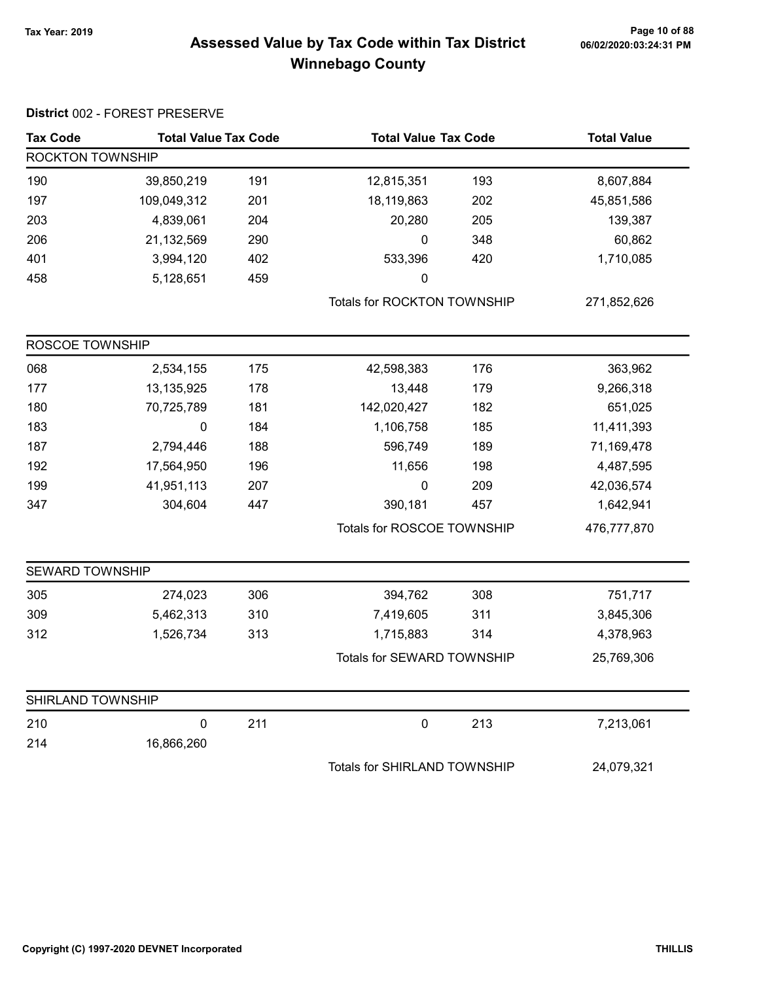#### Tax Year: 2019 Page 10 of 88 Assessed Value by Tax Code within Tax District **composites 10002/2020:03:24:31 PM** Winnebago County

| <b>Tax Code</b>   | <b>Total Value Tax Code</b> |     | <b>Total Value Tax Code</b>        |     | <b>Total Value</b> |
|-------------------|-----------------------------|-----|------------------------------------|-----|--------------------|
| ROCKTON TOWNSHIP  |                             |     |                                    |     |                    |
| 190               | 39,850,219                  | 191 | 12,815,351                         | 193 | 8,607,884          |
| 197               | 109,049,312                 | 201 | 18,119,863                         | 202 | 45,851,586         |
| 203               | 4,839,061                   | 204 | 20,280                             | 205 | 139,387            |
| 206               | 21,132,569                  | 290 | 0                                  | 348 | 60,862             |
| 401               | 3,994,120                   | 402 | 533,396                            | 420 | 1,710,085          |
| 458               | 5,128,651                   | 459 | 0                                  |     |                    |
|                   |                             |     | <b>Totals for ROCKTON TOWNSHIP</b> |     | 271,852,626        |
| ROSCOE TOWNSHIP   |                             |     |                                    |     |                    |
| 068               | 2,534,155                   | 175 | 42,598,383                         | 176 | 363,962            |
| 177               | 13,135,925                  | 178 | 13,448                             | 179 | 9,266,318          |
| 180               | 70,725,789                  | 181 | 142,020,427                        | 182 | 651,025            |
| 183               | 0                           | 184 | 1,106,758                          | 185 | 11,411,393         |
| 187               | 2,794,446                   | 188 | 596,749                            | 189 | 71,169,478         |
| 192               | 17,564,950                  | 196 | 11,656                             | 198 | 4,487,595          |
| 199               | 41,951,113                  | 207 | 0                                  | 209 | 42,036,574         |
| 347               | 304,604                     | 447 | 390,181                            | 457 | 1,642,941          |
|                   |                             |     | Totals for ROSCOE TOWNSHIP         |     | 476,777,870        |
| SEWARD TOWNSHIP   |                             |     |                                    |     |                    |
| 305               | 274,023                     | 306 | 394,762                            | 308 | 751,717            |
| 309               | 5,462,313                   | 310 | 7,419,605                          | 311 | 3,845,306          |
| 312               | 1,526,734                   | 313 | 1,715,883                          | 314 | 4,378,963          |
|                   |                             |     | Totals for SEWARD TOWNSHIP         |     | 25,769,306         |
| SHIRLAND TOWNSHIP |                             |     |                                    |     |                    |
| 210               | 0                           | 211 | $\mathbf 0$                        | 213 | 7,213,061          |
| 214               | 16,866,260                  |     |                                    |     |                    |
|                   |                             |     | Totals for SHIRLAND TOWNSHIP       |     | 24,079,321         |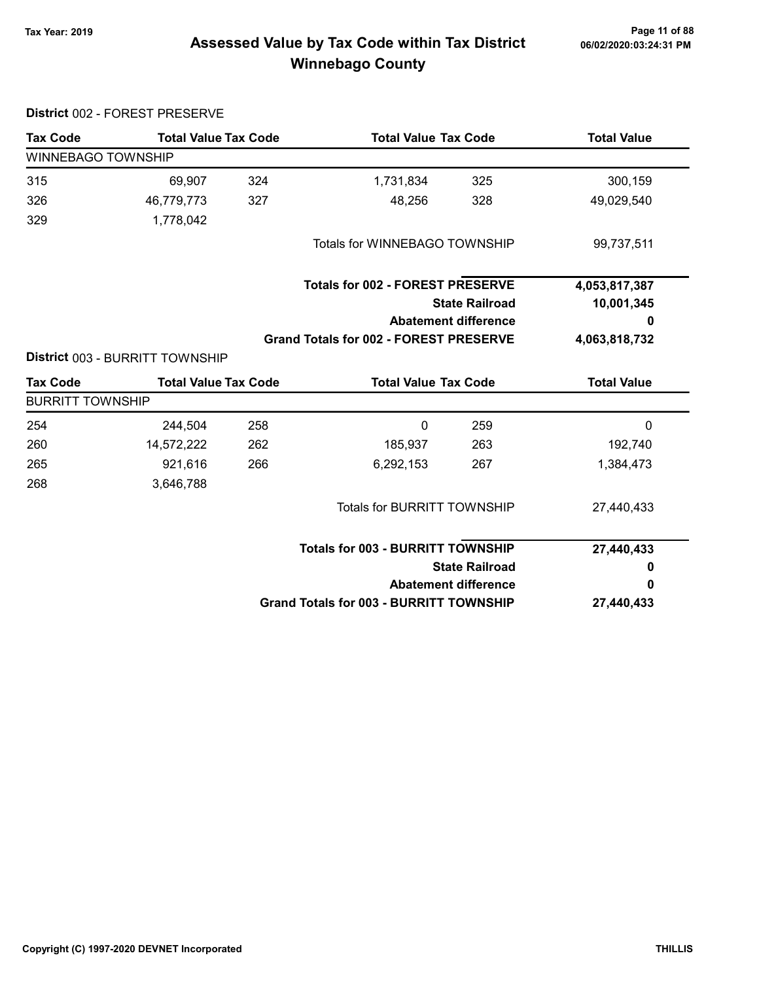District 002 - FOREST PRESERVE

# Page 11 of 88 مسلم Page 11 of 88<br>Assessed Value by Tax Code within Tax District مسلم Assessed Value by Tax Code within Tax District Winnebago County

| <b>Tax Code</b>           | <b>Total Value Tax Code</b>            |     | <b>Total Value Tax Code</b>                    |                             | <b>Total Value</b> |
|---------------------------|----------------------------------------|-----|------------------------------------------------|-----------------------------|--------------------|
| <b>WINNEBAGO TOWNSHIP</b> |                                        |     |                                                |                             |                    |
| 315                       | 69,907                                 | 324 | 1,731,834                                      | 325                         | 300,159            |
| 326                       | 46,779,773                             | 327 | 48,256                                         | 328                         | 49,029,540         |
| 329                       | 1,778,042                              |     |                                                |                             |                    |
|                           |                                        |     | Totals for WINNEBAGO TOWNSHIP                  |                             | 99,737,511         |
|                           |                                        |     | <b>Totals for 002 - FOREST PRESERVE</b>        |                             | 4,053,817,387      |
|                           |                                        |     |                                                | <b>State Railroad</b>       | 10,001,345         |
|                           |                                        |     |                                                | <b>Abatement difference</b> | 0                  |
|                           |                                        |     | <b>Grand Totals for 002 - FOREST PRESERVE</b>  |                             | 4,063,818,732      |
|                           | <b>District 003 - BURRITT TOWNSHIP</b> |     |                                                |                             |                    |
| <b>Tax Code</b>           | <b>Total Value Tax Code</b>            |     | <b>Total Value Tax Code</b>                    |                             | <b>Total Value</b> |
| <b>BURRITT TOWNSHIP</b>   |                                        |     |                                                |                             |                    |
| 254                       | 244,504                                | 258 | 0                                              | 259                         | 0                  |
| 260                       | 14,572,222                             | 262 | 185,937                                        | 263                         | 192,740            |
| 265                       | 921,616                                | 266 | 6,292,153                                      | 267                         | 1,384,473          |
| 268                       | 3,646,788                              |     |                                                |                             |                    |
|                           |                                        |     | <b>Totals for BURRITT TOWNSHIP</b>             |                             | 27,440,433         |
|                           |                                        |     | <b>Totals for 003 - BURRITT TOWNSHIP</b>       |                             | 27,440,433         |
|                           |                                        |     |                                                | <b>State Railroad</b>       | 0                  |
|                           |                                        |     |                                                | <b>Abatement difference</b> | 0                  |
|                           |                                        |     | <b>Grand Totals for 003 - BURRITT TOWNSHIP</b> |                             | 27,440,433         |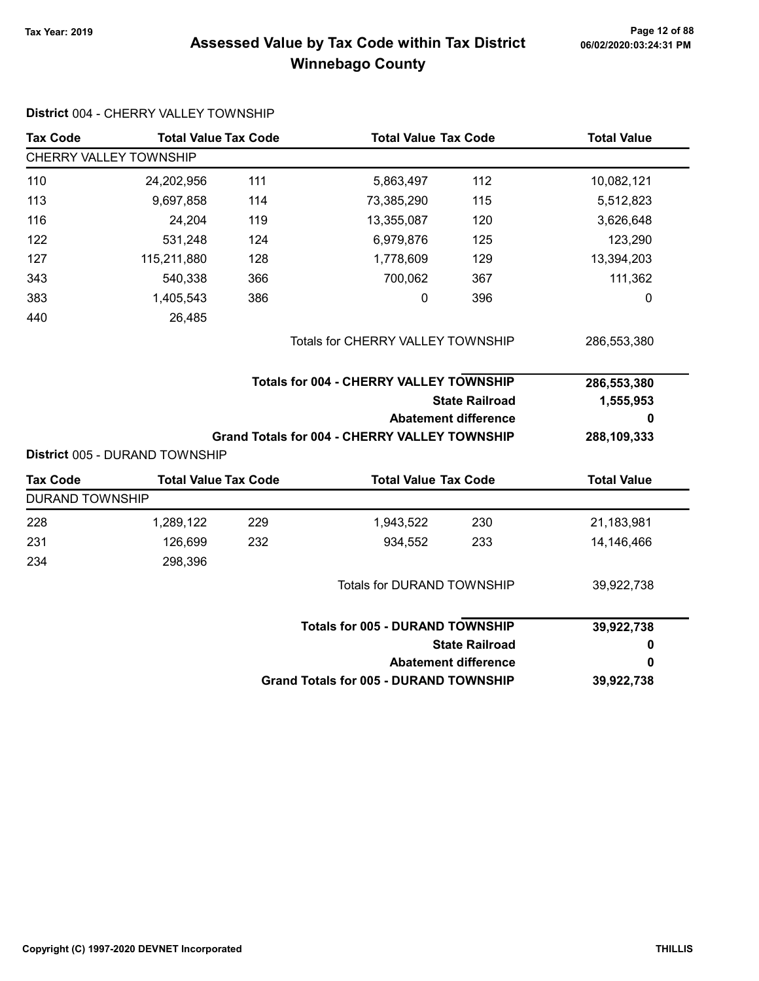# Page 12 of 88 مع Page 12 of 88<br>Assessed Value by Tax Code within Tax District مستر 16/02/2020:03:24:31 PM Winnebago County

| <b>Tax Code</b>        | <b>Total Value Tax Code</b>    |     | <b>Total Value Tax Code</b>                          |                             | <b>Total Value</b> |
|------------------------|--------------------------------|-----|------------------------------------------------------|-----------------------------|--------------------|
|                        | CHERRY VALLEY TOWNSHIP         |     |                                                      |                             |                    |
| 110                    | 24,202,956                     | 111 | 5,863,497                                            | 112                         | 10,082,121         |
| 113                    | 9,697,858                      | 114 | 73,385,290                                           | 115                         | 5,512,823          |
| 116                    | 24,204                         | 119 | 13,355,087                                           | 120                         | 3,626,648          |
| 122                    | 531,248                        | 124 | 6,979,876                                            | 125                         | 123,290            |
| 127                    | 115,211,880                    | 128 | 1,778,609                                            | 129                         | 13,394,203         |
| 343                    | 540,338                        | 366 | 700,062                                              | 367                         | 111,362            |
| 383                    | 1,405,543                      | 386 | 0                                                    | 396                         | 0                  |
| 440                    | 26,485                         |     |                                                      |                             |                    |
|                        |                                |     | Totals for CHERRY VALLEY TOWNSHIP                    |                             | 286,553,380        |
|                        |                                |     | <b>Totals for 004 - CHERRY VALLEY TOWNSHIP</b>       |                             | 286,553,380        |
|                        |                                |     |                                                      |                             |                    |
|                        |                                |     |                                                      | <b>State Railroad</b>       | 1,555,953          |
|                        |                                |     |                                                      | <b>Abatement difference</b> | 0                  |
|                        |                                |     | <b>Grand Totals for 004 - CHERRY VALLEY TOWNSHIP</b> |                             | 288,109,333        |
|                        | District 005 - DURAND TOWNSHIP |     |                                                      |                             |                    |
| <b>Tax Code</b>        | <b>Total Value Tax Code</b>    |     | <b>Total Value Tax Code</b>                          |                             | <b>Total Value</b> |
| <b>DURAND TOWNSHIP</b> |                                |     |                                                      |                             |                    |
| 228                    | 1,289,122                      | 229 | 1,943,522                                            | 230                         | 21,183,981         |
| 231                    | 126,699                        | 232 | 934,552                                              | 233                         | 14,146,466         |
| 234                    | 298,396                        |     |                                                      |                             |                    |
|                        |                                |     | Totals for DURAND TOWNSHIP                           |                             | 39,922,738         |
|                        |                                |     | <b>Totals for 005 - DURAND TOWNSHIP</b>              |                             |                    |
|                        |                                |     |                                                      | <b>State Railroad</b>       | 39,922,738<br>0    |
|                        |                                |     |                                                      | <b>Abatement difference</b> | 0                  |

#### District 004 - CHERRY VALLEY TOWNSHIP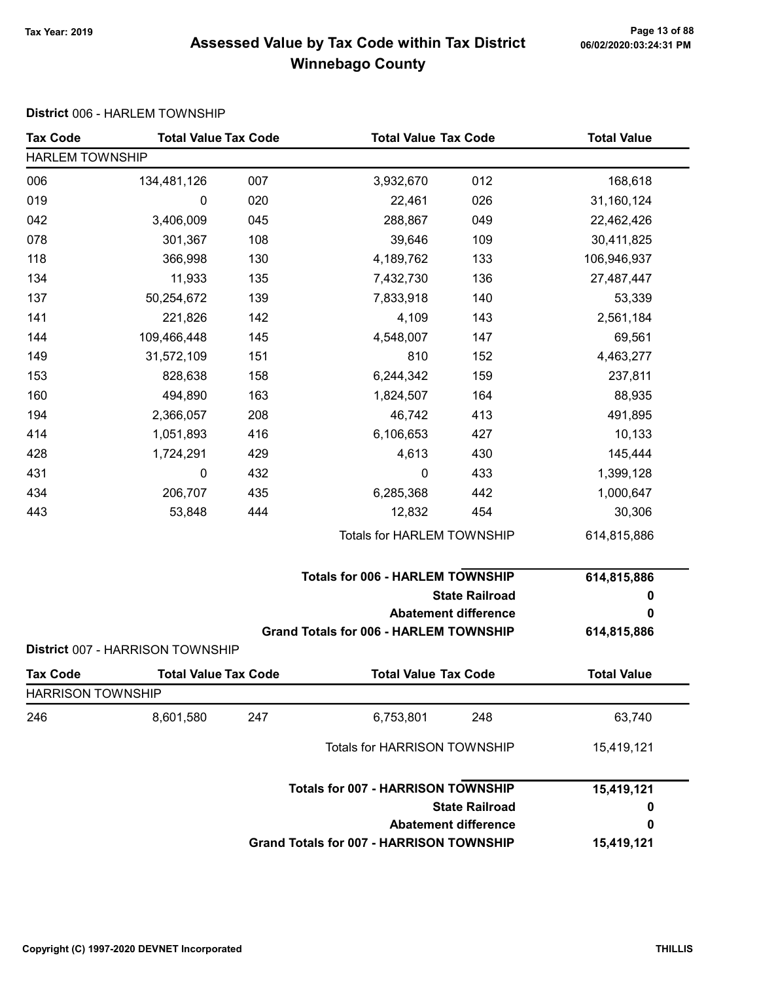# Page 13 of 88 وPage 13 of 88<br>Assessed Value by Tax Code within Tax District هو Assessed Value by Tax Code Winnebago County

#### District 006 - HARLEM TOWNSHIP

| <b>Tax Code</b>          | <b>Total Value Tax Code</b>      |     | <b>Total Value Tax Code</b>                     |                             | <b>Total Value</b> |  |  |
|--------------------------|----------------------------------|-----|-------------------------------------------------|-----------------------------|--------------------|--|--|
| <b>HARLEM TOWNSHIP</b>   |                                  |     |                                                 |                             |                    |  |  |
| 006                      | 134,481,126                      | 007 | 3,932,670                                       | 012                         | 168,618            |  |  |
| 019                      | 0                                | 020 | 22,461                                          | 026                         | 31,160,124         |  |  |
| 042                      | 3,406,009                        | 045 | 288,867                                         | 049                         | 22,462,426         |  |  |
| 078                      | 301,367                          | 108 | 39,646                                          | 109                         | 30,411,825         |  |  |
| 118                      | 366,998                          | 130 | 4,189,762                                       | 133                         | 106,946,937        |  |  |
| 134                      | 11,933                           | 135 | 7,432,730                                       | 136                         | 27,487,447         |  |  |
| 137                      | 50,254,672                       | 139 | 7,833,918                                       | 140                         | 53,339             |  |  |
| 141                      | 221,826                          | 142 | 4,109                                           | 143                         | 2,561,184          |  |  |
| 144                      | 109,466,448                      | 145 | 4,548,007                                       | 147                         | 69,561             |  |  |
| 149                      | 31,572,109                       | 151 | 810                                             | 152                         | 4,463,277          |  |  |
| 153                      | 828,638                          | 158 | 6,244,342                                       | 159                         | 237,811            |  |  |
| 160                      | 494,890                          | 163 | 1,824,507                                       | 164                         | 88,935             |  |  |
| 194                      | 2,366,057                        | 208 | 46,742                                          | 413                         | 491,895            |  |  |
| 414                      | 1,051,893                        | 416 | 6,106,653                                       | 427                         | 10,133             |  |  |
| 428                      | 1,724,291                        | 429 | 4,613                                           | 430                         | 145,444            |  |  |
| 431                      | 0                                | 432 | $\boldsymbol{0}$                                | 433                         | 1,399,128          |  |  |
| 434                      | 206,707                          | 435 | 6,285,368                                       | 442                         | 1,000,647          |  |  |
| 443                      | 53,848                           | 444 | 12,832                                          | 454                         | 30,306             |  |  |
|                          |                                  |     | Totals for HARLEM TOWNSHIP                      |                             | 614,815,886        |  |  |
|                          |                                  |     | <b>Totals for 006 - HARLEM TOWNSHIP</b>         |                             | 614,815,886        |  |  |
|                          |                                  |     |                                                 | <b>State Railroad</b>       | 0                  |  |  |
|                          |                                  |     |                                                 | <b>Abatement difference</b> | 0                  |  |  |
|                          | District 007 - HARRISON TOWNSHIP |     | <b>Grand Totals for 006 - HARLEM TOWNSHIP</b>   |                             | 614,815,886        |  |  |
| <b>Tax Code</b>          | <b>Total Value Tax Code</b>      |     | <b>Total Value Tax Code</b>                     |                             | <b>Total Value</b> |  |  |
| <b>HARRISON TOWNSHIP</b> |                                  |     |                                                 |                             |                    |  |  |
| 246                      | 8,601,580                        | 247 | 6,753,801                                       | 248                         | 63,740             |  |  |
|                          |                                  |     | Totals for HARRISON TOWNSHIP                    |                             | 15,419,121         |  |  |
|                          |                                  |     | <b>Totals for 007 - HARRISON TOWNSHIP</b>       |                             | 15,419,121         |  |  |
|                          |                                  |     |                                                 | <b>State Railroad</b>       | 0                  |  |  |
|                          |                                  |     |                                                 | <b>Abatement difference</b> | 0                  |  |  |
|                          |                                  |     | <b>Grand Totals for 007 - HARRISON TOWNSHIP</b> |                             | 15,419,121         |  |  |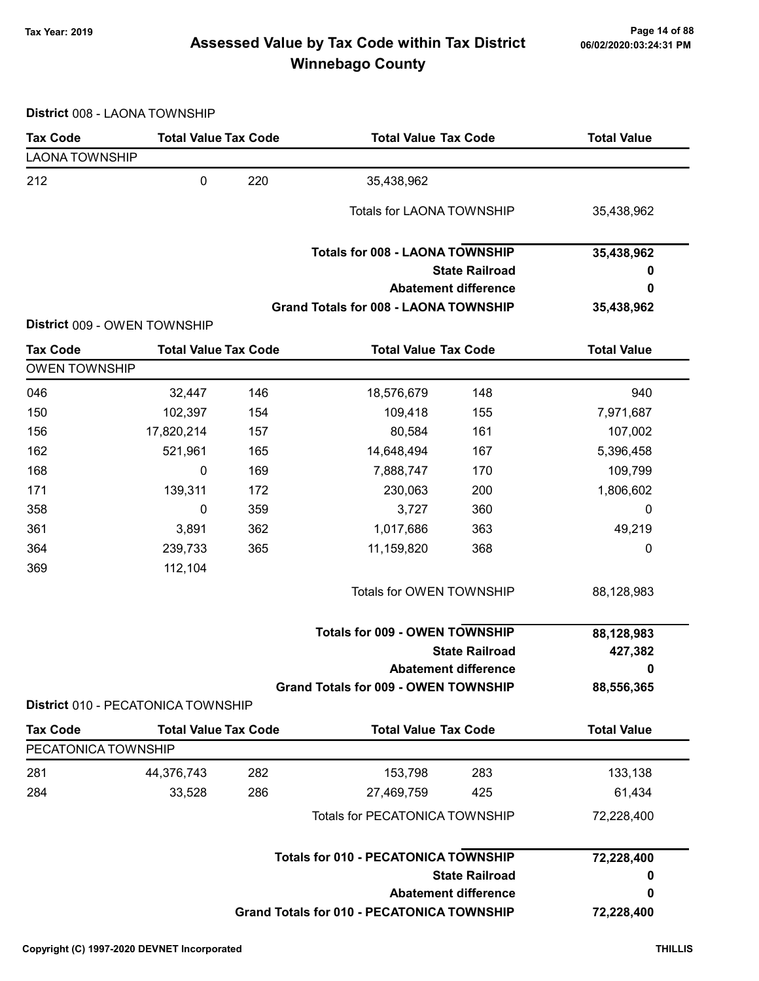# Page 14 of 88 مع Page 14 of 88<br>Assessed Value by Tax Code within Tax District مof/22020:03:24:31 PM Winnebago County

District 008 - LAONA TOWNSHIP

| <b>Tax Code</b>                        | <b>Total Value Tax Code</b>        |     | <b>Total Value Tax Code</b>                       |                             | <b>Total Value</b> |
|----------------------------------------|------------------------------------|-----|---------------------------------------------------|-----------------------------|--------------------|
| <b>LAONA TOWNSHIP</b>                  |                                    |     |                                                   |                             |                    |
| 212                                    | $\pmb{0}$                          | 220 | 35,438,962                                        |                             |                    |
|                                        |                                    |     | <b>Totals for LAONA TOWNSHIP</b>                  |                             | 35,438,962         |
|                                        |                                    |     | <b>Totals for 008 - LAONA TOWNSHIP</b>            |                             | 35,438,962         |
|                                        |                                    |     |                                                   | <b>State Railroad</b>       | 0                  |
|                                        |                                    |     |                                                   | <b>Abatement difference</b> | 0                  |
|                                        | District 009 - OWEN TOWNSHIP       |     | <b>Grand Totals for 008 - LAONA TOWNSHIP</b>      |                             | 35,438,962         |
| <b>Tax Code</b>                        | <b>Total Value Tax Code</b>        |     | <b>Total Value Tax Code</b>                       |                             | <b>Total Value</b> |
| <b>OWEN TOWNSHIP</b>                   |                                    |     |                                                   |                             |                    |
| 046                                    | 32,447                             | 146 | 18,576,679                                        | 148                         | 940                |
| 150                                    | 102,397                            | 154 | 109,418                                           | 155                         | 7,971,687          |
| 156                                    | 17,820,214                         | 157 | 80,584                                            | 161                         | 107,002            |
| 162                                    | 521,961                            | 165 | 14,648,494                                        | 167                         | 5,396,458          |
| 168                                    | 0                                  | 169 | 7,888,747                                         | 170                         | 109,799            |
| 171                                    | 139,311                            | 172 | 230,063                                           | 200                         | 1,806,602          |
| 358                                    | 0                                  | 359 | 3,727                                             | 360                         | 0                  |
| 361                                    | 3,891                              | 362 | 1,017,686                                         | 363                         | 49,219             |
| 364                                    | 239,733                            | 365 | 11,159,820                                        | 368                         | 0                  |
| 369                                    | 112,104                            |     |                                                   |                             |                    |
|                                        |                                    |     | Totals for OWEN TOWNSHIP                          |                             | 88,128,983         |
|                                        |                                    |     | <b>Totals for 009 - OWEN TOWNSHIP</b>             |                             | 88,128,983         |
|                                        |                                    |     |                                                   | <b>State Railroad</b>       | 427,382            |
|                                        |                                    |     |                                                   | <b>Abatement difference</b> | 0                  |
|                                        |                                    |     | <b>Grand Totals for 009 - OWEN TOWNSHIP</b>       |                             | 88,556,365         |
|                                        | District 010 - PECATONICA TOWNSHIP |     |                                                   |                             |                    |
| <b>Tax Code</b><br>PECATONICA TOWNSHIP | <b>Total Value Tax Code</b>        |     | <b>Total Value Tax Code</b>                       |                             | <b>Total Value</b> |
|                                        |                                    |     |                                                   |                             |                    |
| 281                                    | 44,376,743                         | 282 | 153,798                                           | 283                         | 133,138            |
| 284                                    | 33,528                             | 286 | 27,469,759                                        | 425                         | 61,434             |
|                                        |                                    |     | <b>Totals for PECATONICA TOWNSHIP</b>             |                             | 72,228,400         |
|                                        |                                    |     | <b>Totals for 010 - PECATONICA TOWNSHIP</b>       |                             | 72,228,400         |
|                                        |                                    |     |                                                   | <b>State Railroad</b>       | 0                  |
|                                        |                                    |     |                                                   | <b>Abatement difference</b> | 0                  |
|                                        |                                    |     | <b>Grand Totals for 010 - PECATONICA TOWNSHIP</b> |                             | 72,228,400         |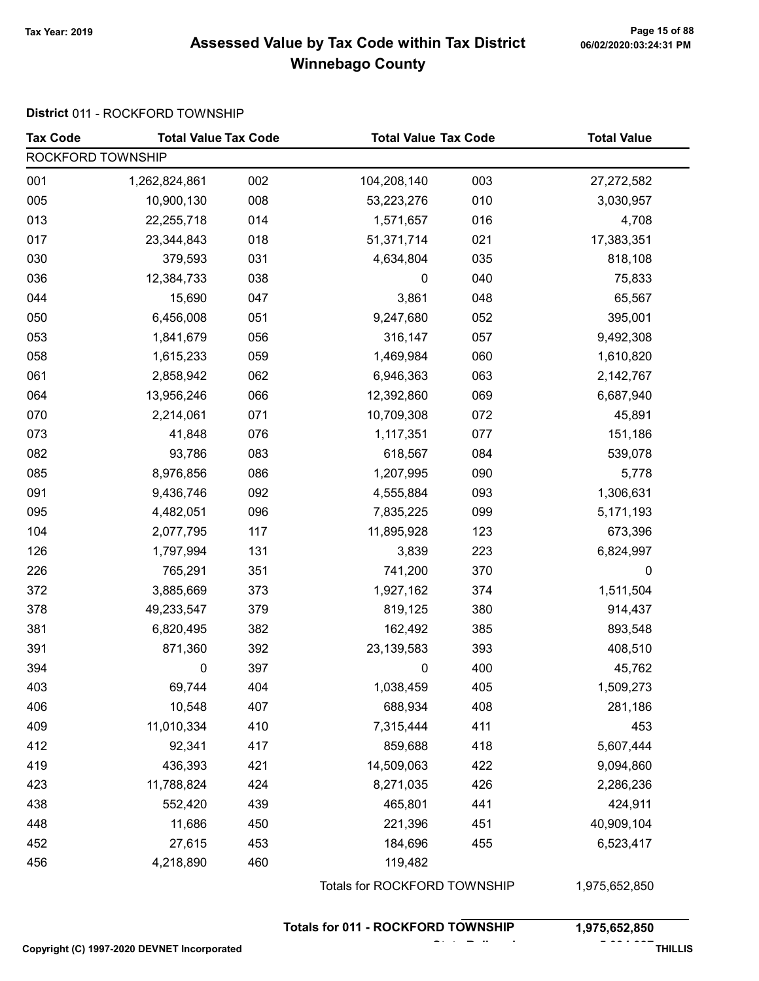#### Page 15 of 88 وPage 15 of 88<br>Assessed Value by Tax Code within Tax District هو Assessed Value by Tax Code Winnebago County

#### District 011 - ROCKFORD TOWNSHIP

| <b>Tax Code</b>   | <b>Total Value Tax Code</b> |     | <b>Total Value Tax Code</b>               |     | <b>Total Value</b> |
|-------------------|-----------------------------|-----|-------------------------------------------|-----|--------------------|
| ROCKFORD TOWNSHIP |                             |     |                                           |     |                    |
| 001               | 1,262,824,861               | 002 | 104,208,140                               | 003 | 27,272,582         |
| 005               | 10,900,130                  | 008 | 53,223,276                                | 010 | 3,030,957          |
| 013               | 22,255,718                  | 014 | 1,571,657                                 | 016 | 4,708              |
| 017               | 23,344,843                  | 018 | 51,371,714                                | 021 | 17,383,351         |
| 030               | 379,593                     | 031 | 4,634,804                                 | 035 | 818,108            |
| 036               | 12,384,733                  | 038 | $\pmb{0}$                                 | 040 | 75,833             |
| 044               | 15,690                      | 047 | 3,861                                     | 048 | 65,567             |
| 050               | 6,456,008                   | 051 | 9,247,680                                 | 052 | 395,001            |
| 053               | 1,841,679                   | 056 | 316,147                                   | 057 | 9,492,308          |
| 058               | 1,615,233                   | 059 | 1,469,984                                 | 060 | 1,610,820          |
| 061               | 2,858,942                   | 062 | 6,946,363                                 | 063 | 2,142,767          |
| 064               | 13,956,246                  | 066 | 12,392,860                                | 069 | 6,687,940          |
| 070               | 2,214,061                   | 071 | 10,709,308                                | 072 | 45,891             |
| 073               | 41,848                      | 076 | 1,117,351                                 | 077 | 151,186            |
| 082               | 93,786                      | 083 | 618,567                                   | 084 | 539,078            |
| 085               | 8,976,856                   | 086 | 1,207,995                                 | 090 | 5,778              |
| 091               | 9,436,746                   | 092 | 4,555,884                                 | 093 | 1,306,631          |
| 095               | 4,482,051                   | 096 | 7,835,225                                 | 099 | 5,171,193          |
| 104               | 2,077,795                   | 117 | 11,895,928                                | 123 | 673,396            |
| 126               | 1,797,994                   | 131 | 3,839                                     | 223 | 6,824,997          |
| 226               | 765,291                     | 351 | 741,200                                   | 370 | 0                  |
| 372               | 3,885,669                   | 373 | 1,927,162                                 | 374 | 1,511,504          |
| 378               | 49,233,547                  | 379 | 819,125                                   | 380 | 914,437            |
| 381               | 6,820,495                   | 382 | 162,492                                   | 385 | 893,548            |
| 391               | 871,360                     | 392 | 23, 139, 583                              | 393 | 408,510            |
| 394               | 0                           | 397 | 0                                         | 400 | 45,762             |
| 403               | 69,744                      | 404 | 1,038,459                                 | 405 | 1,509,273          |
| 406               | 10,548                      | 407 | 688,934                                   | 408 | 281,186            |
| 409               | 11,010,334                  | 410 | 7,315,444                                 | 411 | 453                |
| 412               | 92,341                      | 417 | 859,688                                   | 418 | 5,607,444          |
| 419               | 436,393                     | 421 | 14,509,063                                | 422 | 9,094,860          |
| 423               | 11,788,824                  | 424 | 8,271,035                                 | 426 | 2,286,236          |
| 438               | 552,420                     | 439 | 465,801                                   | 441 | 424,911            |
| 448               | 11,686                      | 450 | 221,396                                   | 451 | 40,909,104         |
| 452               | 27,615                      | 453 | 184,696                                   | 455 | 6,523,417          |
| 456               | 4,218,890                   | 460 | 119,482                                   |     |                    |
|                   |                             |     | Totals for ROCKFORD TOWNSHIP              |     | 1,975,652,850      |
|                   |                             |     | <b>Totals for 011 - ROCKFORD TOWNSHIP</b> |     | 1,975,652,850      |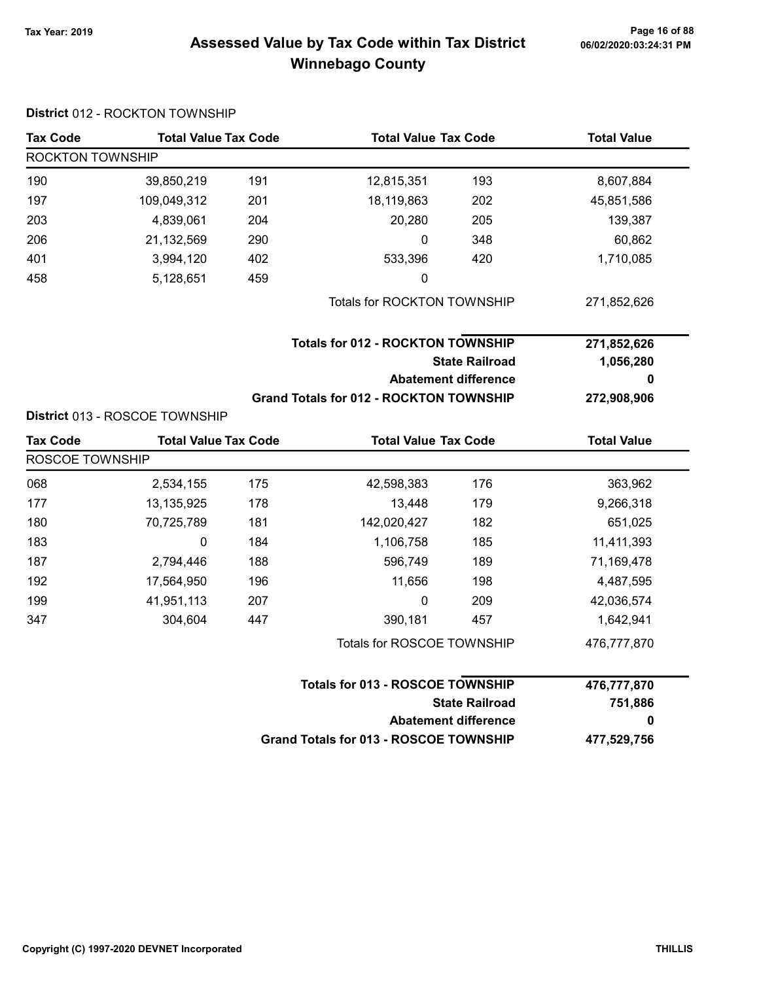# Page 16 of 88 مع Page 16 of 88<br>Assessed Value by Tax Code within Tax District مof/22020:03:24:31 PM Winnebago County

| <b>Tax Code</b>  | <b>Total Value Tax Code</b>    |     |                                                | <b>Total Value Tax Code</b> |                    |  |  |
|------------------|--------------------------------|-----|------------------------------------------------|-----------------------------|--------------------|--|--|
| ROCKTON TOWNSHIP |                                |     |                                                |                             |                    |  |  |
| 190              | 39,850,219                     | 191 | 12,815,351                                     | 193                         | 8,607,884          |  |  |
| 197              | 109,049,312                    | 201 | 18,119,863                                     | 202                         | 45,851,586         |  |  |
| 203              | 4,839,061                      | 204 | 20,280                                         | 205                         | 139,387            |  |  |
| 206              | 21,132,569                     | 290 | 0                                              | 348                         | 60,862             |  |  |
| 401              | 3,994,120                      | 402 | 533,396                                        | 420                         | 1,710,085          |  |  |
| 458              | 5,128,651                      | 459 | 0                                              |                             |                    |  |  |
|                  |                                |     | Totals for ROCKTON TOWNSHIP                    |                             | 271,852,626        |  |  |
|                  |                                |     | <b>Totals for 012 - ROCKTON TOWNSHIP</b>       |                             | 271,852,626        |  |  |
|                  |                                |     | <b>State Railroad</b>                          |                             | 1,056,280          |  |  |
|                  |                                |     |                                                | <b>Abatement difference</b> | 0                  |  |  |
|                  |                                |     | <b>Grand Totals for 012 - ROCKTON TOWNSHIP</b> |                             | 272,908,906        |  |  |
|                  | District 013 - ROSCOE TOWNSHIP |     |                                                |                             |                    |  |  |
| <b>Tax Code</b>  | <b>Total Value Tax Code</b>    |     | <b>Total Value Tax Code</b>                    |                             | <b>Total Value</b> |  |  |
| ROSCOE TOWNSHIP  |                                |     |                                                |                             |                    |  |  |
| 068              | 2,534,155                      | 175 | 42,598,383                                     | 176                         | 363,962            |  |  |
| 177              | 13,135,925                     | 178 | 13,448                                         | 179                         | 9,266,318          |  |  |
| 180              | 70,725,789                     | 181 | 142,020,427                                    | 182                         | 651,025            |  |  |
| 183              | 0                              | 184 | 1,106,758                                      | 185                         | 11,411,393         |  |  |
| 187              | 2,794,446                      | 188 | 596,749                                        | 189                         | 71,169,478         |  |  |
| 192              | 17,564,950                     | 196 | 11,656                                         | 198                         | 4,487,595          |  |  |
| 199              | 41,951,113                     | 207 | 0                                              | 209                         | 42,036,574         |  |  |
| 347              | 304,604                        | 447 | 390,181                                        | 457                         | 1,642,941          |  |  |
|                  |                                |     | Totals for ROSCOE TOWNSHIP                     |                             | 476,777,870        |  |  |
|                  |                                |     | Totals for 013 - ROSCOE TOWNSHIP               |                             | 476,777,870        |  |  |
|                  |                                |     |                                                | <b>State Railroad</b>       | 751,886            |  |  |
|                  |                                |     |                                                | <b>Abatement difference</b> | 0                  |  |  |
|                  |                                |     | <b>Grand Totals for 013 - ROSCOE TOWNSHIP</b>  |                             | 477,529,756        |  |  |

#### District 012 - ROCKTON TOWNSHIP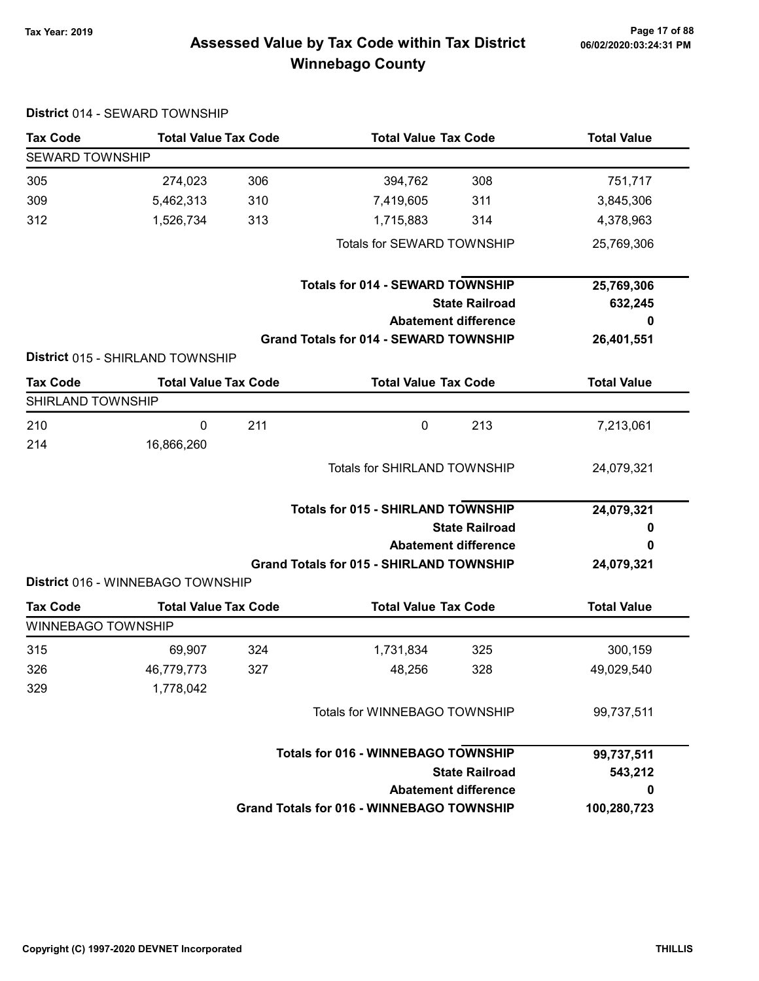District 014 - SEWARD TOWNSHIP

# Page 17 of 88 مسلم Page 17 of 88<br>Assessed Value by Tax Code within Tax District مسلم Assessed Value by Tax Code within Tax District Winnebago County

| <b>Tax Code</b>           | <b>Total Value Tax Code</b>       |     | <b>Total Value Tax Code</b>                      | <b>Total Value</b> |
|---------------------------|-----------------------------------|-----|--------------------------------------------------|--------------------|
| <b>SEWARD TOWNSHIP</b>    |                                   |     |                                                  |                    |
| 305                       | 274,023                           | 306 | 308<br>394,762                                   | 751,717            |
| 309                       | 5,462,313                         | 310 | 311<br>7,419,605                                 | 3,845,306          |
| 312                       | 1,526,734                         | 313 | 1,715,883<br>314                                 | 4,378,963          |
|                           |                                   |     | Totals for SEWARD TOWNSHIP                       | 25,769,306         |
|                           |                                   |     | <b>Totals for 014 - SEWARD TOWNSHIP</b>          | 25,769,306         |
|                           |                                   |     | <b>State Railroad</b>                            | 632,245            |
|                           |                                   |     | <b>Abatement difference</b>                      | 0                  |
|                           | District 015 - SHIRLAND TOWNSHIP  |     | <b>Grand Totals for 014 - SEWARD TOWNSHIP</b>    | 26,401,551         |
| <b>Tax Code</b>           | <b>Total Value Tax Code</b>       |     | <b>Total Value Tax Code</b>                      | <b>Total Value</b> |
| SHIRLAND TOWNSHIP         |                                   |     |                                                  |                    |
| 210                       | 0                                 | 211 | $\mathbf 0$<br>213                               | 7,213,061          |
| 214                       | 16,866,260                        |     |                                                  |                    |
|                           |                                   |     | <b>Totals for SHIRLAND TOWNSHIP</b>              | 24,079,321         |
|                           |                                   |     | <b>Totals for 015 - SHIRLAND TOWNSHIP</b>        | 24,079,321         |
|                           |                                   |     | <b>State Railroad</b>                            | o                  |
|                           |                                   |     | <b>Abatement difference</b>                      | 0                  |
|                           |                                   |     | <b>Grand Totals for 015 - SHIRLAND TOWNSHIP</b>  | 24,079,321         |
|                           | District 016 - WINNEBAGO TOWNSHIP |     |                                                  |                    |
| <b>Tax Code</b>           | <b>Total Value Tax Code</b>       |     | <b>Total Value Tax Code</b>                      | <b>Total Value</b> |
| <b>WINNEBAGO TOWNSHIP</b> |                                   |     |                                                  |                    |
| 315                       | 69,907                            | 324 | 1,731,834<br>325                                 | 300,159            |
| 326                       | 46,779,773                        | 327 | 328<br>48,256                                    | 49,029,540         |
| 329                       | 1,778,042                         |     |                                                  |                    |
|                           |                                   |     | Totals for WINNEBAGO TOWNSHIP                    | 99,737,511         |
|                           |                                   |     | <b>Totals for 016 - WINNEBAGO TOWNSHIP</b>       | 99,737,511         |
|                           |                                   |     | <b>State Railroad</b>                            | 543,212            |
|                           |                                   |     | <b>Abatement difference</b>                      | 0                  |
|                           |                                   |     | <b>Grand Totals for 016 - WINNEBAGO TOWNSHIP</b> | 100,280,723        |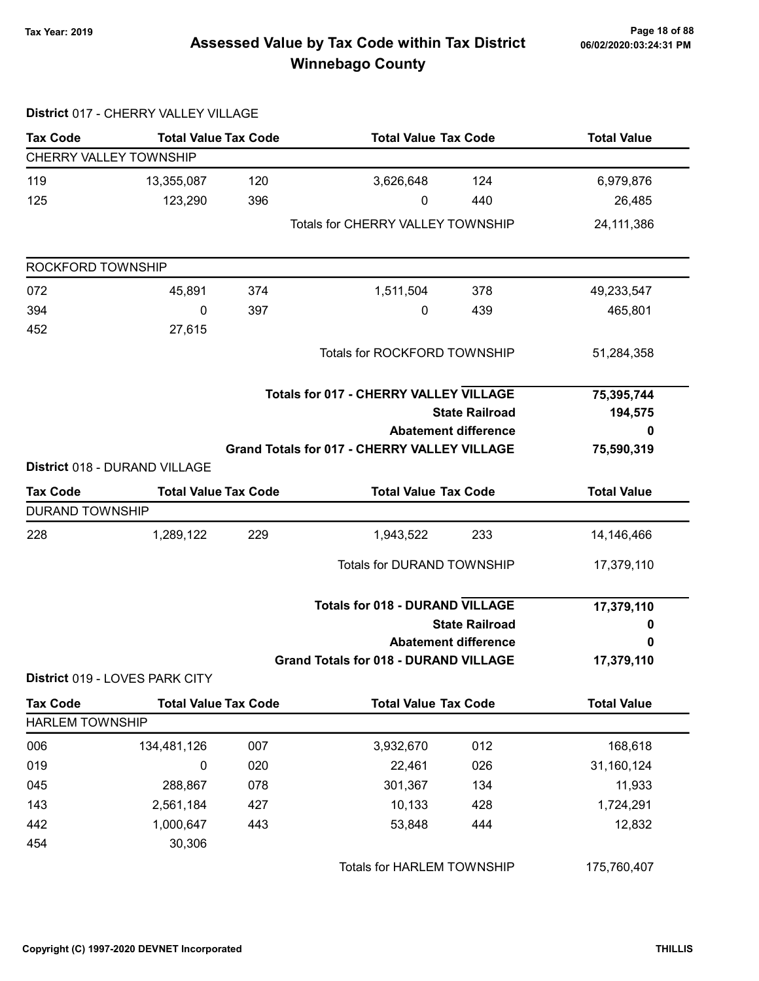District 017 - CHERRY VALLEY VILLAGE

# Page 18 of 88 وPage 18 of 88<br>Assessed Value by Tax Code within Tax District هو Assessed Value by Tax Code within Tax District Winnebago County

| <b>Tax Code</b>               | <b>Total Value Tax Code</b>    |     | <b>Total Value Tax Code</b>                         |                             | <b>Total Value</b> |  |
|-------------------------------|--------------------------------|-----|-----------------------------------------------------|-----------------------------|--------------------|--|
| <b>CHERRY VALLEY TOWNSHIP</b> |                                |     |                                                     |                             |                    |  |
| 119                           | 13,355,087                     | 120 | 3,626,648                                           | 124                         | 6,979,876          |  |
| 125                           | 123,290                        | 396 | 0                                                   | 440                         | 26,485             |  |
|                               |                                |     | <b>Totals for CHERRY VALLEY TOWNSHIP</b>            |                             | 24, 111, 386       |  |
| ROCKFORD TOWNSHIP             |                                |     |                                                     |                             |                    |  |
| 072                           | 45,891                         | 374 | 1,511,504                                           | 378                         | 49,233,547         |  |
| 394                           | 0                              | 397 | 0                                                   | 439                         | 465,801            |  |
| 452                           | 27,615                         |     |                                                     |                             |                    |  |
|                               |                                |     | Totals for ROCKFORD TOWNSHIP                        |                             | 51,284,358         |  |
|                               |                                |     | <b>Totals for 017 - CHERRY VALLEY VILLAGE</b>       |                             | 75,395,744         |  |
|                               |                                |     |                                                     | <b>State Railroad</b>       | 194,575            |  |
|                               |                                |     |                                                     | <b>Abatement difference</b> | 0                  |  |
|                               |                                |     | <b>Grand Totals for 017 - CHERRY VALLEY VILLAGE</b> |                             | 75,590,319         |  |
|                               | District 018 - DURAND VILLAGE  |     |                                                     |                             |                    |  |
| <b>Tax Code</b>               | <b>Total Value Tax Code</b>    |     | <b>Total Value Tax Code</b>                         |                             | <b>Total Value</b> |  |
| <b>DURAND TOWNSHIP</b>        |                                |     |                                                     |                             |                    |  |
| 228                           | 1,289,122                      | 229 | 1,943,522                                           | 233                         | 14,146,466         |  |
|                               |                                |     | <b>Totals for DURAND TOWNSHIP</b>                   |                             | 17,379,110         |  |
|                               |                                |     | <b>Totals for 018 - DURAND VILLAGE</b>              |                             | 17,379,110         |  |
|                               |                                |     |                                                     | <b>State Railroad</b>       | 0                  |  |
|                               |                                |     |                                                     | <b>Abatement difference</b> | 0                  |  |
|                               | District 019 - LOVES PARK CITY |     | <b>Grand Totals for 018 - DURAND VILLAGE</b>        |                             | 17,379,110         |  |
| <b>Tax Code</b>               | <b>Total Value Tax Code</b>    |     | <b>Total Value Tax Code</b>                         |                             | <b>Total Value</b> |  |
| <b>HARLEM TOWNSHIP</b>        |                                |     |                                                     |                             |                    |  |
| 006                           | 134,481,126                    | 007 | 3,932,670                                           | 012                         | 168,618            |  |
| 019                           | 0                              | 020 | 22,461                                              | 026                         | 31,160,124         |  |
|                               |                                |     | 301,367                                             | 134                         | 11,933             |  |
| 045                           | 288,867                        | 078 |                                                     |                             |                    |  |
| 143                           | 2,561,184                      | 427 | 10,133                                              | 428                         | 1,724,291          |  |
| 442                           | 1,000,647                      | 443 | 53,848                                              | 444                         | 12,832             |  |

Totals for HARLEM TOWNSHIP 175,760,407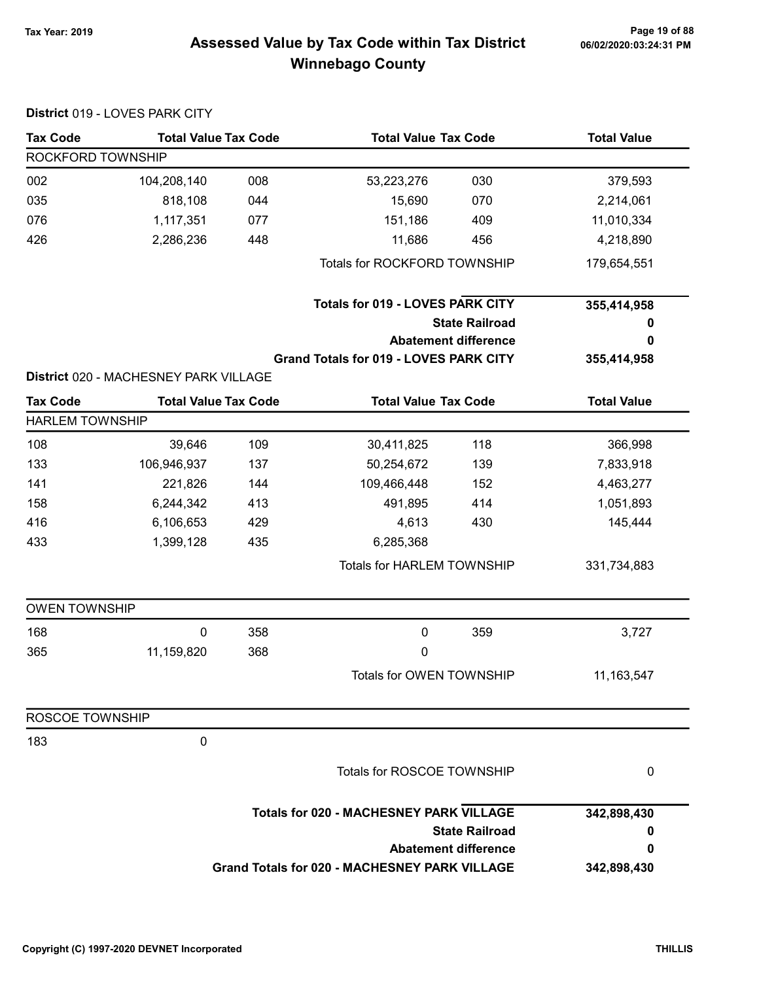# 06/02/2020:03:24:31 PM

# Page 19 of 88 وPage 19 of 88<br>Assessed Value by Tax Code within Tax District هو Assessed Value by Tax Code Winnebago County

|                        | District 019 - LOVES PARK CITY        |     |                                                      |                             |                    |
|------------------------|---------------------------------------|-----|------------------------------------------------------|-----------------------------|--------------------|
| <b>Tax Code</b>        | <b>Total Value Tax Code</b>           |     | <b>Total Value Tax Code</b>                          |                             | <b>Total Value</b> |
| ROCKFORD TOWNSHIP      |                                       |     |                                                      |                             |                    |
| 002                    | 104,208,140                           | 008 | 53,223,276                                           | 030                         | 379,593            |
| 035                    | 818,108                               | 044 | 15,690                                               | 070                         | 2,214,061          |
| 076                    | 1,117,351                             | 077 | 151,186                                              | 409                         | 11,010,334         |
| 426                    | 2,286,236                             | 448 | 11,686                                               | 456                         | 4,218,890          |
|                        |                                       |     | Totals for ROCKFORD TOWNSHIP                         |                             | 179,654,551        |
|                        |                                       |     | <b>Totals for 019 - LOVES PARK CITY</b>              |                             | 355,414,958        |
|                        |                                       |     |                                                      | <b>State Railroad</b>       | 0                  |
|                        |                                       |     |                                                      | <b>Abatement difference</b> | 0                  |
|                        |                                       |     | <b>Grand Totals for 019 - LOVES PARK CITY</b>        |                             | 355,414,958        |
|                        | District 020 - MACHESNEY PARK VILLAGE |     |                                                      |                             |                    |
| <b>Tax Code</b>        | <b>Total Value Tax Code</b>           |     | <b>Total Value Tax Code</b>                          |                             | <b>Total Value</b> |
| <b>HARLEM TOWNSHIP</b> |                                       |     |                                                      |                             |                    |
| 108                    | 39,646                                | 109 | 30,411,825                                           | 118                         | 366,998            |
| 133                    | 106,946,937                           | 137 | 50,254,672                                           | 139                         | 7,833,918          |
| 141                    | 221,826                               | 144 | 109,466,448                                          | 152                         | 4,463,277          |
| 158                    | 6,244,342                             | 413 | 491,895                                              | 414                         | 1,051,893          |
| 416                    | 6,106,653                             | 429 | 4,613                                                | 430                         | 145,444            |
| 433                    | 1,399,128                             | 435 | 6,285,368                                            |                             |                    |
|                        |                                       |     | Totals for HARLEM TOWNSHIP                           |                             | 331,734,883        |
| <b>OWEN TOWNSHIP</b>   |                                       |     |                                                      |                             |                    |
| 168                    | $\mathbf 0$                           | 358 | $\mathbf 0$                                          | 359                         | 3,727              |
| 365                    | 11,159,820                            | 368 | 0                                                    |                             |                    |
|                        |                                       |     | Totals for OWEN TOWNSHIP                             |                             | 11, 163, 547       |
| ROSCOE TOWNSHIP        |                                       |     |                                                      |                             |                    |
| 183                    | 0                                     |     |                                                      |                             |                    |
|                        |                                       |     | Totals for ROSCOE TOWNSHIP                           |                             | 0                  |
|                        |                                       |     | <b>Totals for 020 - MACHESNEY PARK VILLAGE</b>       |                             | 342,898,430        |
|                        |                                       |     |                                                      | <b>State Railroad</b>       | 0                  |
|                        |                                       |     |                                                      | <b>Abatement difference</b> | 0                  |
|                        |                                       |     | <b>Grand Totals for 020 - MACHESNEY PARK VILLAGE</b> |                             | 342,898,430        |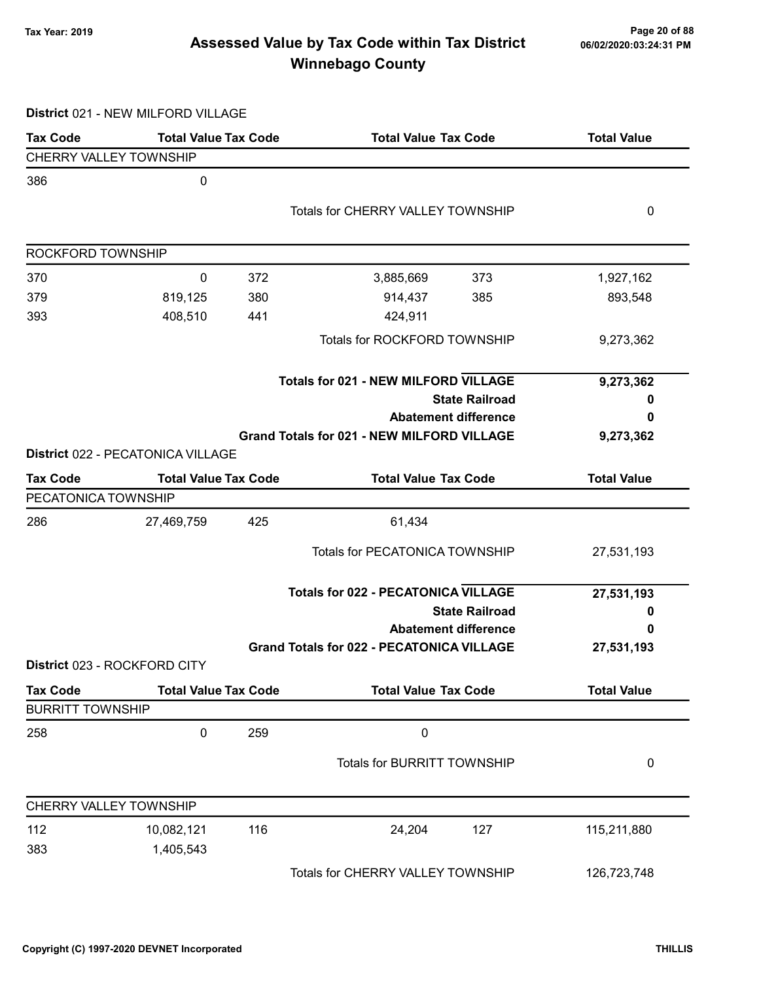# Page 20 of 88 و Tax Year: 2019 Page 20 of 88<br>Assessed Value by Tax Code within Tax District هو Assessed Value by Tax Code Winnebago County

District 021 - NEW MILFORD VILLAGE

| <b>Tax Code</b>         | <b>Total Value Tax Code</b>       |     | <b>Total Value Tax Code</b>                       |                       | <b>Total Value</b> |
|-------------------------|-----------------------------------|-----|---------------------------------------------------|-----------------------|--------------------|
| CHERRY VALLEY TOWNSHIP  |                                   |     |                                                   |                       |                    |
| 386                     | 0                                 |     |                                                   |                       |                    |
|                         |                                   |     | <b>Totals for CHERRY VALLEY TOWNSHIP</b>          |                       | 0                  |
|                         |                                   |     |                                                   |                       |                    |
| ROCKFORD TOWNSHIP       |                                   |     |                                                   |                       |                    |
| 370                     | 0                                 | 372 | 3,885,669                                         | 373                   | 1,927,162          |
| 379                     | 819,125                           | 380 | 914,437                                           | 385                   | 893,548            |
| 393                     | 408,510                           | 441 | 424,911                                           |                       |                    |
|                         |                                   |     | Totals for ROCKFORD TOWNSHIP                      |                       | 9,273,362          |
|                         |                                   |     | <b>Totals for 021 - NEW MILFORD VILLAGE</b>       |                       | 9,273,362          |
|                         |                                   |     |                                                   | <b>State Railroad</b> | o                  |
|                         |                                   |     | <b>Abatement difference</b>                       |                       | 0                  |
|                         |                                   |     | <b>Grand Totals for 021 - NEW MILFORD VILLAGE</b> |                       | 9,273,362          |
|                         | District 022 - PECATONICA VILLAGE |     |                                                   |                       |                    |
| <b>Tax Code</b>         | <b>Total Value Tax Code</b>       |     | <b>Total Value Tax Code</b>                       |                       | <b>Total Value</b> |
| PECATONICA TOWNSHIP     |                                   |     |                                                   |                       |                    |
| 286                     | 27,469,759                        | 425 | 61,434                                            |                       |                    |
|                         |                                   |     | <b>Totals for PECATONICA TOWNSHIP</b>             |                       | 27,531,193         |
|                         |                                   |     | <b>Totals for 022 - PECATONICA VILLAGE</b>        |                       | 27,531,193         |
|                         |                                   |     |                                                   | <b>State Railroad</b> | 0                  |
|                         |                                   |     | <b>Abatement difference</b>                       |                       | 0                  |
|                         |                                   |     | <b>Grand Totals for 022 - PECATONICA VILLAGE</b>  |                       | 27,531,193         |
|                         | District 023 - ROCKFORD CITY      |     |                                                   |                       |                    |
| <b>Tax Code</b>         | <b>Total Value Tax Code</b>       |     | <b>Total Value Tax Code</b>                       |                       | <b>Total Value</b> |
| <b>BURRITT TOWNSHIP</b> |                                   |     |                                                   |                       |                    |
| 258                     | 0                                 | 259 | $\pmb{0}$                                         |                       |                    |
|                         |                                   |     | Totals for BURRITT TOWNSHIP                       |                       | 0                  |
| CHERRY VALLEY TOWNSHIP  |                                   |     |                                                   |                       |                    |
| 112                     | 10,082,121                        | 116 | 24,204                                            | 127                   | 115,211,880        |
| 383                     | 1,405,543                         |     |                                                   |                       |                    |
|                         |                                   |     | Totals for CHERRY VALLEY TOWNSHIP                 |                       | 126,723,748        |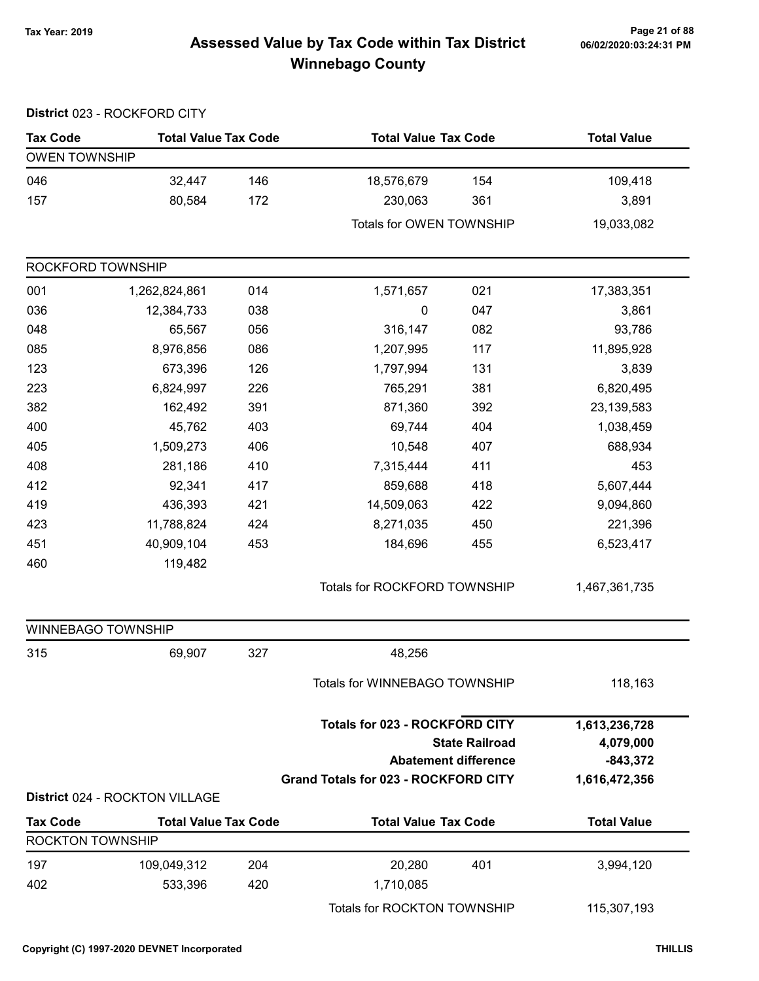# Page 21 of 88 مسلم Page 21 of 88<br>Assessed Value by Tax Code within Tax District مسلم Assessed Value by Tax Code within Tax District Winnebago County

|                         | District 023 - ROCKFORD CITY   |     |                                                                                      |                                                      |                                                           |
|-------------------------|--------------------------------|-----|--------------------------------------------------------------------------------------|------------------------------------------------------|-----------------------------------------------------------|
| <b>Tax Code</b>         | <b>Total Value Tax Code</b>    |     | <b>Total Value Tax Code</b>                                                          |                                                      | <b>Total Value</b>                                        |
| <b>OWEN TOWNSHIP</b>    |                                |     |                                                                                      |                                                      |                                                           |
| 046                     | 32,447                         | 146 | 18,576,679                                                                           | 154                                                  | 109,418                                                   |
| 157                     | 80,584                         | 172 | 230,063                                                                              | 361                                                  | 3,891                                                     |
|                         |                                |     | Totals for OWEN TOWNSHIP                                                             |                                                      | 19,033,082                                                |
| ROCKFORD TOWNSHIP       |                                |     |                                                                                      |                                                      |                                                           |
| 001                     | 1,262,824,861                  | 014 | 1,571,657                                                                            | 021                                                  | 17,383,351                                                |
| 036                     | 12,384,733                     | 038 | $\pmb{0}$                                                                            | 047                                                  | 3,861                                                     |
| 048                     | 65,567                         | 056 | 316,147                                                                              | 082                                                  | 93,786                                                    |
| 085                     | 8,976,856                      | 086 | 1,207,995                                                                            | 117                                                  | 11,895,928                                                |
| 123                     | 673,396                        | 126 | 1,797,994                                                                            | 131                                                  | 3,839                                                     |
| 223                     | 6,824,997                      | 226 | 765,291                                                                              | 381                                                  | 6,820,495                                                 |
| 382                     | 162,492                        | 391 | 871,360                                                                              | 392                                                  | 23,139,583                                                |
| 400                     | 45,762                         | 403 | 69,744                                                                               | 404                                                  | 1,038,459                                                 |
| 405                     | 1,509,273                      | 406 | 10,548                                                                               | 407                                                  | 688,934                                                   |
| 408                     | 281,186                        | 410 | 7,315,444                                                                            | 411                                                  | 453                                                       |
| 412                     | 92,341                         | 417 | 859,688                                                                              | 418                                                  | 5,607,444                                                 |
| 419                     | 436,393                        | 421 | 14,509,063                                                                           | 422                                                  | 9,094,860                                                 |
| 423                     | 11,788,824                     | 424 | 8,271,035                                                                            | 450                                                  | 221,396                                                   |
| 451                     | 40,909,104                     | 453 | 184,696                                                                              | 455                                                  | 6,523,417                                                 |
| 460                     | 119,482                        |     |                                                                                      |                                                      |                                                           |
|                         |                                |     | Totals for ROCKFORD TOWNSHIP                                                         |                                                      | 1,467,361,735                                             |
| WINNEBAGO TOWNSHIP      |                                |     |                                                                                      |                                                      |                                                           |
| 315                     | 69,907                         | 327 | 48,256                                                                               |                                                      |                                                           |
|                         |                                |     | Totals for WINNEBAGO TOWNSHIP                                                        |                                                      | 118,163                                                   |
|                         |                                |     | <b>Totals for 023 - ROCKFORD CITY</b><br><b>Grand Totals for 023 - ROCKFORD CITY</b> | <b>State Railroad</b><br><b>Abatement difference</b> | 1,613,236,728<br>4,079,000<br>$-843,372$<br>1,616,472,356 |
|                         | District 024 - ROCKTON VILLAGE |     |                                                                                      |                                                      |                                                           |
| <b>Tax Code</b>         | <b>Total Value Tax Code</b>    |     | <b>Total Value Tax Code</b>                                                          |                                                      | <b>Total Value</b>                                        |
| <b>ROCKTON TOWNSHIP</b> |                                |     |                                                                                      |                                                      |                                                           |
| 197                     | 109,049,312                    | 204 | 20,280                                                                               | 401                                                  | 3,994,120                                                 |
| 402                     | 533,396                        | 420 | 1,710,085                                                                            |                                                      |                                                           |
|                         |                                |     | Totals for ROCKTON TOWNSHIP                                                          |                                                      | 115,307,193                                               |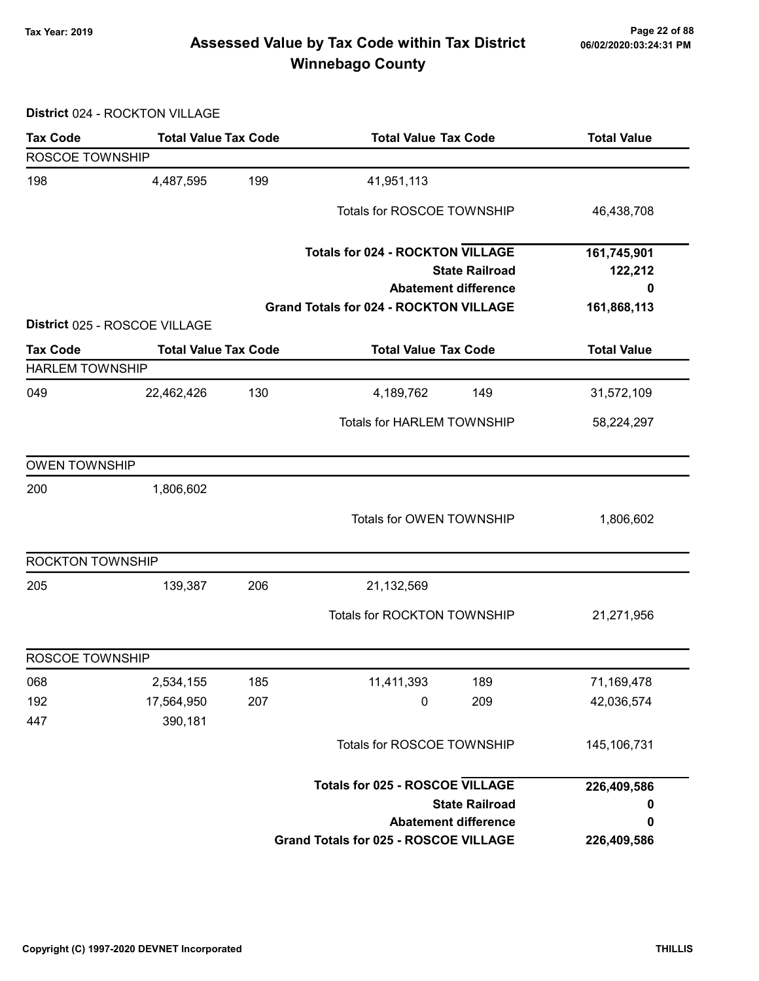# Page 22 of 88 مسمح Page 22 of 88<br>Assessed Value by Tax Code within Tax District مسموع Assessed Value by Tax Code within Tax District Winnebago County

District 024 - ROCKTON VILLAGE

| <b>Tax Code</b>        | <b>Total Value Tax Code</b>   |     | <b>Total Value Tax Code</b>                                                  |                       | <b>Total Value</b> |  |
|------------------------|-------------------------------|-----|------------------------------------------------------------------------------|-----------------------|--------------------|--|
| ROSCOE TOWNSHIP        |                               |     |                                                                              |                       |                    |  |
| 198                    | 4,487,595                     | 199 | 41,951,113                                                                   |                       |                    |  |
|                        |                               |     | Totals for ROSCOE TOWNSHIP                                                   |                       | 46,438,708         |  |
|                        |                               |     | <b>Totals for 024 - ROCKTON VILLAGE</b>                                      |                       | 161,745,901        |  |
|                        |                               |     |                                                                              | <b>State Railroad</b> | 122,212            |  |
|                        |                               |     | <b>Abatement difference</b><br><b>Grand Totals for 024 - ROCKTON VILLAGE</b> |                       | 0<br>161,868,113   |  |
|                        | District 025 - ROSCOE VILLAGE |     |                                                                              |                       |                    |  |
| <b>Tax Code</b>        | <b>Total Value Tax Code</b>   |     | <b>Total Value Tax Code</b>                                                  |                       | <b>Total Value</b> |  |
| <b>HARLEM TOWNSHIP</b> |                               |     |                                                                              |                       |                    |  |
| 049                    | 22,462,426                    | 130 | 4,189,762                                                                    | 149                   | 31,572,109         |  |
|                        |                               |     | <b>Totals for HARLEM TOWNSHIP</b>                                            |                       | 58,224,297         |  |
| <b>OWEN TOWNSHIP</b>   |                               |     |                                                                              |                       |                    |  |
| 200                    | 1,806,602                     |     |                                                                              |                       |                    |  |
|                        |                               |     | Totals for OWEN TOWNSHIP                                                     |                       | 1,806,602          |  |
| ROCKTON TOWNSHIP       |                               |     |                                                                              |                       |                    |  |
| 205                    | 139,387                       | 206 | 21,132,569                                                                   |                       |                    |  |
|                        |                               |     | Totals for ROCKTON TOWNSHIP                                                  |                       | 21,271,956         |  |
| ROSCOE TOWNSHIP        |                               |     |                                                                              |                       |                    |  |
| 068                    | 2,534,155                     | 185 | 11,411,393                                                                   | 189                   | 71,169,478         |  |
| 192                    | 17,564,950                    | 207 | 0                                                                            | 209                   | 42,036,574         |  |
| 447                    | 390,181                       |     |                                                                              |                       |                    |  |
|                        |                               |     | Totals for ROSCOE TOWNSHIP                                                   |                       | 145,106,731        |  |
|                        |                               |     | <b>Totals for 025 - ROSCOE VILLAGE</b>                                       |                       | 226,409,586        |  |
|                        |                               |     |                                                                              | <b>State Railroad</b> | 0                  |  |
|                        |                               |     | <b>Abatement difference</b>                                                  |                       | 0                  |  |
|                        |                               |     | <b>Grand Totals for 025 - ROSCOE VILLAGE</b>                                 |                       | 226,409,586        |  |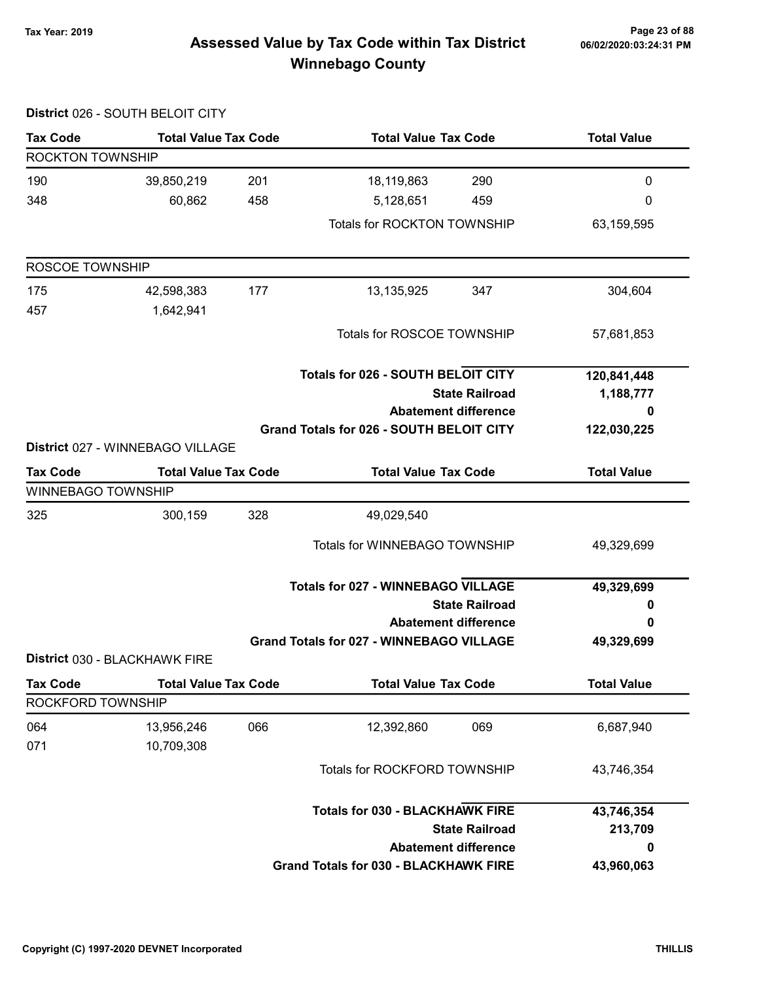# Page 23 of 88 مسلم Page 23 of 88<br>Assessed Value by Tax Code within Tax District مسلم Assessed Value by Tax Code within Tax District Winnebago County

|                    | District 026 - SOUTH BELOIT CITY |     |                                                      |                             |                    |
|--------------------|----------------------------------|-----|------------------------------------------------------|-----------------------------|--------------------|
| <b>Tax Code</b>    | <b>Total Value Tax Code</b>      |     | <b>Total Value Tax Code</b>                          |                             | <b>Total Value</b> |
| ROCKTON TOWNSHIP   |                                  |     |                                                      |                             |                    |
| 190                | 39,850,219                       | 201 | 18,119,863                                           | 290                         | 0                  |
| 348                | 60,862                           | 458 | 5,128,651                                            | 459                         | 0                  |
|                    |                                  |     | Totals for ROCKTON TOWNSHIP                          |                             | 63,159,595         |
| ROSCOE TOWNSHIP    |                                  |     |                                                      |                             |                    |
| 175                | 42,598,383                       | 177 | 13,135,925                                           | 347                         | 304,604            |
| 457                | 1,642,941                        |     |                                                      |                             |                    |
|                    |                                  |     | Totals for ROSCOE TOWNSHIP                           |                             | 57,681,853         |
|                    |                                  |     | <b>Totals for 026 - SOUTH BELOIT CITY</b>            |                             | 120,841,448        |
|                    |                                  |     | <b>State Railroad</b><br><b>Abatement difference</b> |                             | 1,188,777          |
|                    |                                  |     |                                                      |                             | 0                  |
|                    | District 027 - WINNEBAGO VILLAGE |     | Grand Totals for 026 - SOUTH BELOIT CITY             |                             | 122,030,225        |
| <b>Tax Code</b>    | <b>Total Value Tax Code</b>      |     | <b>Total Value Tax Code</b>                          |                             | <b>Total Value</b> |
| WINNEBAGO TOWNSHIP |                                  |     |                                                      |                             |                    |
| 325                | 300,159                          | 328 | 49,029,540                                           |                             |                    |
|                    |                                  |     | Totals for WINNEBAGO TOWNSHIP                        |                             | 49,329,699         |
|                    |                                  |     | <b>Totals for 027 - WINNEBAGO VILLAGE</b>            |                             | 49,329,699         |
|                    |                                  |     |                                                      | <b>State Railroad</b>       | 0                  |
|                    |                                  |     |                                                      | <b>Abatement difference</b> | 0                  |
|                    | District 030 - BLACKHAWK FIRE    |     | <b>Grand Totals for 027 - WINNEBAGO VILLAGE</b>      |                             | 49,329,699         |
| <b>Tax Code</b>    | <b>Total Value Tax Code</b>      |     | <b>Total Value Tax Code</b>                          |                             | <b>Total Value</b> |
| ROCKFORD TOWNSHIP  |                                  |     |                                                      |                             |                    |
| 064                | 13,956,246                       | 066 | 12,392,860                                           | 069                         | 6,687,940          |
| 071                | 10,709,308                       |     |                                                      |                             |                    |
|                    |                                  |     | Totals for ROCKFORD TOWNSHIP                         |                             | 43,746,354         |
|                    |                                  |     | <b>Totals for 030 - BLACKHAWK FIRE</b>               |                             | 43,746,354         |
|                    |                                  |     |                                                      | <b>State Railroad</b>       | 213,709            |
|                    |                                  |     |                                                      | <b>Abatement difference</b> | 0                  |
|                    |                                  |     | <b>Grand Totals for 030 - BLACKHAWK FIRE</b>         |                             | 43,960,063         |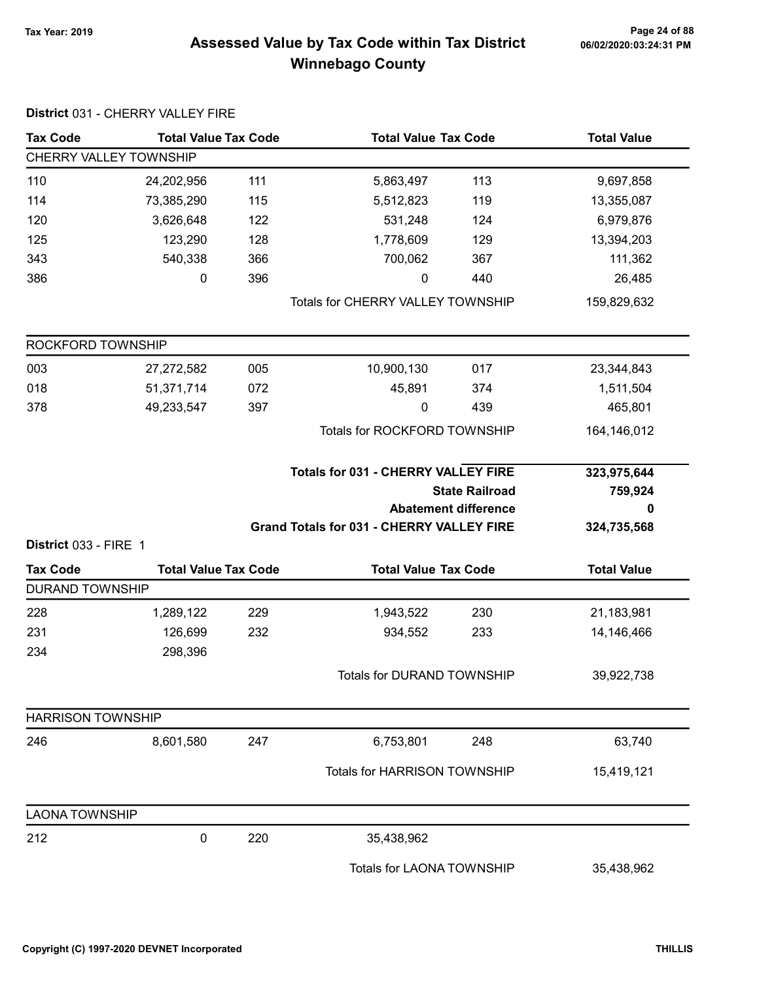# Page 24 of 88 مع Page 24 of 88<br>Assessed Value by Tax Code within Tax District مof/22020:03:24:31 PM Winnebago County

| <b>Tax Code</b>          | <b>Total Value Tax Code</b> |     | <b>Total Value Tax Code</b>                      |                             | <b>Total Value</b>     |  |
|--------------------------|-----------------------------|-----|--------------------------------------------------|-----------------------------|------------------------|--|
|                          | CHERRY VALLEY TOWNSHIP      |     |                                                  |                             |                        |  |
| 110                      | 24,202,956                  | 111 | 5,863,497                                        | 113                         | 9,697,858              |  |
| 114                      | 73,385,290                  | 115 | 5,512,823                                        | 119                         | 13,355,087             |  |
| 120                      | 3,626,648                   | 122 | 531,248                                          | 124                         | 6,979,876              |  |
| 125                      | 123,290                     | 128 | 1,778,609                                        | 129                         | 13,394,203             |  |
| 343                      | 540,338                     | 366 | 700,062                                          | 367                         | 111,362                |  |
| 386                      | 0                           | 396 | $\pmb{0}$                                        | 440                         | 26,485                 |  |
|                          |                             |     | Totals for CHERRY VALLEY TOWNSHIP                |                             | 159,829,632            |  |
| ROCKFORD TOWNSHIP        |                             |     |                                                  |                             |                        |  |
| 003                      | 27,272,582                  | 005 | 10,900,130                                       | 017                         | 23,344,843             |  |
| 018                      | 51,371,714                  | 072 | 45,891                                           | 374                         | 1,511,504              |  |
| 378                      | 49,233,547                  | 397 | 0                                                | 439                         | 465,801                |  |
|                          |                             |     | Totals for ROCKFORD TOWNSHIP                     | 164,146,012                 |                        |  |
|                          |                             |     | <b>Totals for 031 - CHERRY VALLEY FIRE</b>       | <b>State Railroad</b>       | 323,975,644<br>759,924 |  |
|                          |                             |     |                                                  | <b>Abatement difference</b> | 0                      |  |
| District 033 - FIRE 1    |                             |     | <b>Grand Totals for 031 - CHERRY VALLEY FIRE</b> |                             | 324,735,568            |  |
| <b>Tax Code</b>          | <b>Total Value Tax Code</b> |     | <b>Total Value Tax Code</b>                      |                             | <b>Total Value</b>     |  |
| <b>DURAND TOWNSHIP</b>   |                             |     |                                                  |                             |                        |  |
| 228                      | 1,289,122                   | 229 | 1,943,522                                        | 230                         | 21,183,981             |  |
| 231                      | 126,699                     | 232 | 934,552                                          | 233                         | 14,146,466             |  |
| 234                      | 298,396                     |     |                                                  |                             |                        |  |
|                          |                             |     | Totals for DURAND TOWNSHIP                       |                             | 39,922,738             |  |
| <b>HARRISON TOWNSHIP</b> |                             |     |                                                  |                             |                        |  |
| 246                      | 8,601,580                   | 247 | 6,753,801                                        | 248                         | 63,740                 |  |
|                          |                             |     | Totals for HARRISON TOWNSHIP                     |                             | 15,419,121             |  |
| <b>LAONA TOWNSHIP</b>    |                             |     |                                                  |                             |                        |  |
| 212                      | $\pmb{0}$                   | 220 | 35,438,962                                       |                             |                        |  |
|                          |                             |     | Totals for LAONA TOWNSHIP                        |                             | 35,438,962             |  |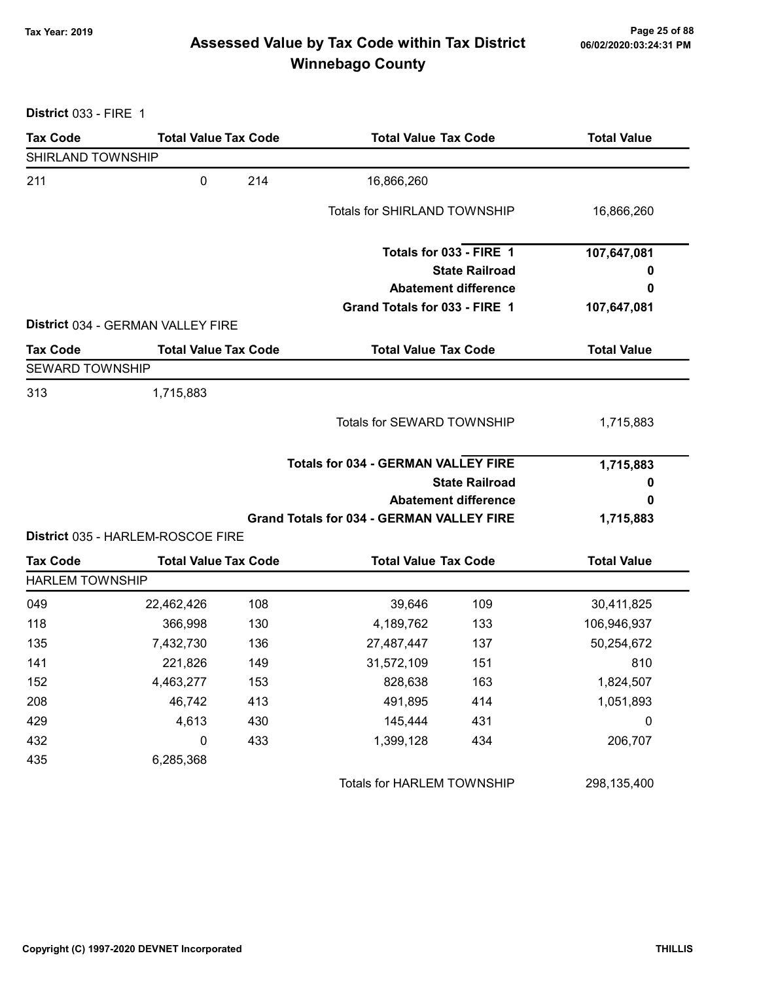# Page 25 of 88 مع Page 25 of 88<br>Assessed Value by Tax Code within Tax District مof/22020:03:24:31 PM Winnebago County

District 033 - FIRE 1

| <b>Tax Code</b>        | <b>Total Value Tax Code</b>       |     | <b>Total Value Tax Code</b>                          |                             | <b>Total Value</b> |  |
|------------------------|-----------------------------------|-----|------------------------------------------------------|-----------------------------|--------------------|--|
| SHIRLAND TOWNSHIP      |                                   |     |                                                      |                             |                    |  |
| 211                    | $\mathbf 0$                       | 214 | 16,866,260                                           |                             |                    |  |
|                        |                                   |     | <b>Totals for SHIRLAND TOWNSHIP</b>                  |                             | 16,866,260         |  |
|                        |                                   |     | Totals for 033 - FIRE 1                              |                             | 107,647,081        |  |
|                        |                                   |     |                                                      | <b>State Railroad</b>       | o                  |  |
|                        |                                   |     |                                                      | <b>Abatement difference</b> | 0                  |  |
|                        |                                   |     | Grand Totals for 033 - FIRE 1                        |                             | 107,647,081        |  |
|                        | District 034 - GERMAN VALLEY FIRE |     |                                                      |                             |                    |  |
| <b>Tax Code</b>        | <b>Total Value Tax Code</b>       |     | <b>Total Value Tax Code</b>                          |                             | <b>Total Value</b> |  |
| <b>SEWARD TOWNSHIP</b> |                                   |     |                                                      |                             |                    |  |
| 313                    | 1,715,883                         |     |                                                      |                             |                    |  |
|                        |                                   |     | Totals for SEWARD TOWNSHIP                           |                             | 1,715,883          |  |
|                        |                                   |     | <b>Totals for 034 - GERMAN VALLEY FIRE</b>           |                             | 1,715,883          |  |
|                        |                                   |     | <b>State Railroad</b><br><b>Abatement difference</b> |                             | 0                  |  |
|                        |                                   |     |                                                      |                             | 0                  |  |
|                        |                                   |     | <b>Grand Totals for 034 - GERMAN VALLEY FIRE</b>     |                             | 1,715,883          |  |
|                        | District 035 - HARLEM-ROSCOE FIRE |     |                                                      |                             |                    |  |
| <b>Tax Code</b>        | <b>Total Value Tax Code</b>       |     | <b>Total Value Tax Code</b>                          |                             | <b>Total Value</b> |  |
| <b>HARLEM TOWNSHIP</b> |                                   |     |                                                      |                             |                    |  |
| 049                    | 22,462,426                        | 108 | 39,646                                               | 109                         | 30,411,825         |  |
| 118                    | 366,998                           | 130 | 4,189,762                                            | 133                         | 106,946,937        |  |
| 135                    | 7,432,730                         | 136 | 27,487,447                                           | 137                         | 50,254,672         |  |
| 141                    | 221,826                           | 149 | 31,572,109                                           | 151                         | 810                |  |
| 152                    | 4,463,277                         | 153 | 828,638                                              | 163                         | 1,824,507          |  |
| 208                    | 46,742                            | 413 | 491,895                                              | 414                         | 1,051,893          |  |
| 429                    | 4,613                             | 430 | 145,444                                              | 431                         | $\boldsymbol{0}$   |  |
| 432                    | $\pmb{0}$                         | 433 | 1,399,128                                            | 434                         | 206,707            |  |
| 435                    | 6,285,368                         |     |                                                      |                             |                    |  |
|                        |                                   |     | Totals for HARLEM TOWNSHIP                           |                             | 298,135,400        |  |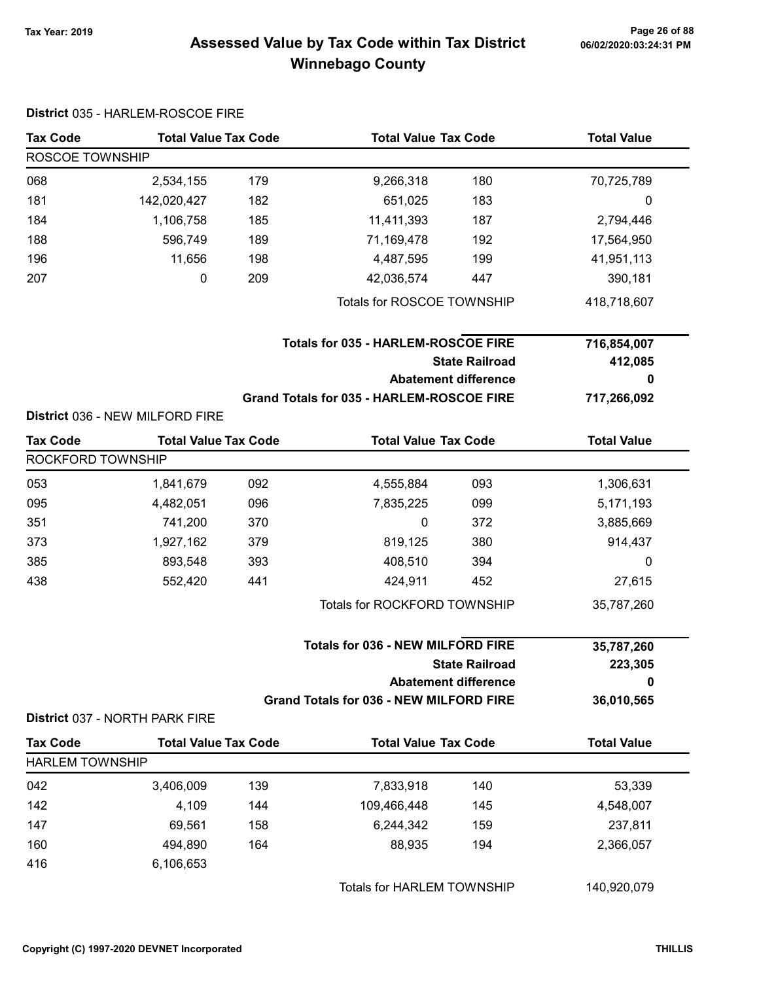# Page 26 of 88 مع Page 26 of 88<br>Assessed Value by Tax Code within Tax District مof/22020:03:24:31 PM Winnebago County

|                        | District 035 - HARLEM-ROSCOE FIRE                                 |     |                                                |                             |                    |
|------------------------|-------------------------------------------------------------------|-----|------------------------------------------------|-----------------------------|--------------------|
| <b>Tax Code</b>        | <b>Total Value Tax Code</b>                                       |     | <b>Total Value Tax Code</b>                    |                             | <b>Total Value</b> |
| ROSCOE TOWNSHIP        |                                                                   |     |                                                |                             |                    |
| 068                    | 2,534,155                                                         | 179 | 9,266,318                                      | 180                         | 70,725,789         |
| 181                    | 142,020,427                                                       | 182 | 651,025                                        | 183                         | 0                  |
| 184                    | 1,106,758                                                         | 185 | 11,411,393                                     | 187                         | 2,794,446          |
| 188                    | 596,749                                                           | 189 | 71,169,478                                     | 192                         | 17,564,950         |
| 196                    | 11,656                                                            | 198 | 4,487,595                                      | 199                         | 41,951,113         |
| 207                    | 0                                                                 | 209 | 42,036,574                                     | 447                         | 390,181            |
|                        |                                                                   |     | Totals for ROSCOE TOWNSHIP                     |                             | 418,718,607        |
|                        |                                                                   |     | <b>Totals for 035 - HARLEM-ROSCOE FIRE</b>     |                             | 716,854,007        |
|                        |                                                                   |     |                                                | <b>State Railroad</b>       | 412,085            |
|                        |                                                                   |     |                                                | <b>Abatement difference</b> | 0                  |
|                        |                                                                   |     | Grand Totals for 035 - HARLEM-ROSCOE FIRE      |                             | 717,266,092        |
|                        | District 036 - NEW MILFORD FIRE                                   |     |                                                |                             |                    |
| <b>Tax Code</b>        | <b>Total Value Tax Code</b>                                       |     | <b>Total Value Tax Code</b>                    |                             | <b>Total Value</b> |
| ROCKFORD TOWNSHIP      |                                                                   |     |                                                |                             |                    |
| 053                    | 1,841,679                                                         | 092 | 4,555,884                                      | 093                         | 1,306,631          |
| 095                    | 4,482,051                                                         | 096 | 7,835,225                                      | 099                         | 5,171,193          |
| 351                    | 741,200                                                           | 370 | $\pmb{0}$                                      | 372                         | 3,885,669          |
| 373                    | 1,927,162                                                         | 379 | 819,125                                        | 380                         | 914,437            |
| 385                    | 893,548                                                           | 393 | 408,510                                        | 394                         | 0                  |
| 438                    | 552,420                                                           | 441 | 424,911                                        | 452                         | 27,615             |
|                        |                                                                   |     | Totals for ROCKFORD TOWNSHIP                   |                             | 35,787,260         |
|                        | <b>Totals for 036 - NEW MILFORD FIRE</b><br><b>State Railroad</b> |     |                                                | 35,787,260<br>223,305       |                    |
|                        |                                                                   |     | <b>Abatement difference</b>                    |                             | 0                  |
|                        | District 037 - NORTH PARK FIRE                                    |     | <b>Grand Totals for 036 - NEW MILFORD FIRE</b> |                             | 36,010,565         |
| <b>Tax Code</b>        | <b>Total Value Tax Code</b>                                       |     | <b>Total Value Tax Code</b>                    |                             | <b>Total Value</b> |
| <b>HARLEM TOWNSHIP</b> |                                                                   |     |                                                |                             |                    |
| 042                    | 3,406,009                                                         | 139 | 7,833,918                                      | 140                         | 53,339             |
| 142                    | 4,109                                                             | 144 | 109,466,448                                    | 145                         | 4,548,007          |
| 147                    | 69,561                                                            | 158 | 6,244,342                                      | 159                         | 237,811            |
| 160                    | 494,890                                                           | 164 | 88,935                                         | 194                         | 2,366,057          |
| 416                    | 6,106,653                                                         |     |                                                |                             |                    |
|                        |                                                                   |     | Totals for HARLEM TOWNSHIP                     |                             | 140,920,079        |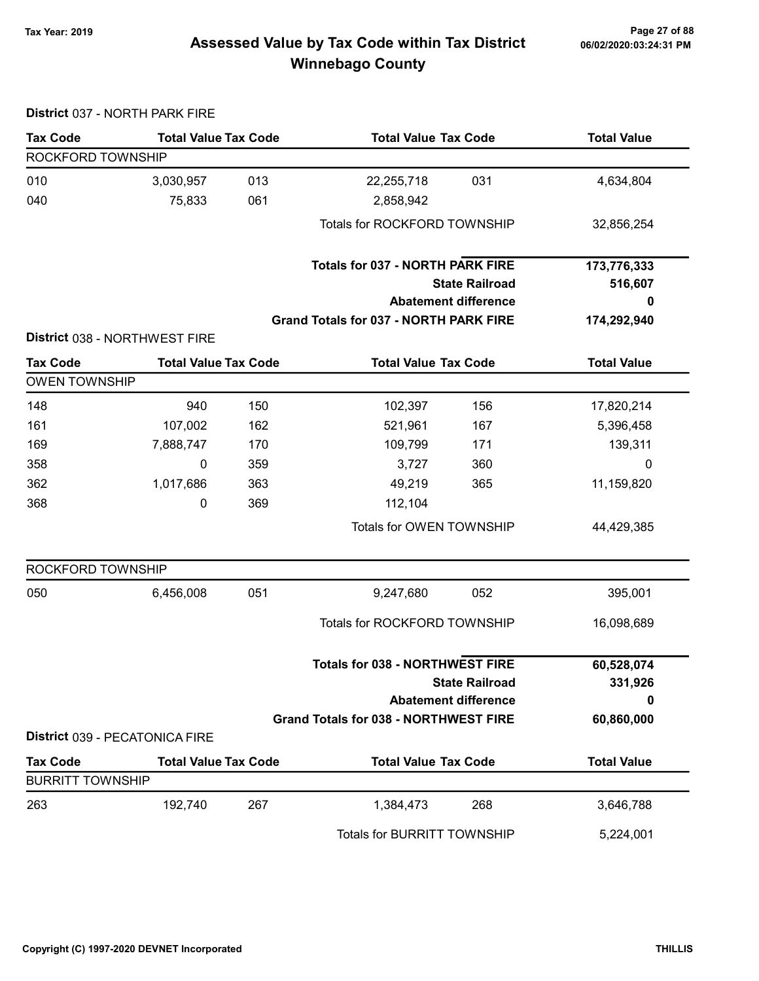#### Page 27 of 88 مسلم Page 27 of 88<br>Assessed Value by Tax Code within Tax District مسلم Assessed Value by Tax Code within Tax District Winnebago County

#### District 037 - NORTH PARK FIRE Tax Code Total Value Tax Code Total Value Tax Code Total Value ROCKFORD TOWNSHIP 010 3,030,957 22,255,718 013 031 4,634,804 040 75,833 2,858,942 061 Totals for ROCKFORD TOWNSHIP 32,856,254 State Railroad Totals for 037 - NORTH PARK FIRE Abatement difference Grand Totals for 037 - NORTH PARK FIRE 173,776,333 516,607 0 174,292,940 District 038 - NORTHWEST FIRE Tax Code Total Value Tax Code Total Value Tax Code Total Value Tax Code OWEN TOWNSHIP 148 148 940 150 102,397 156 17,820,214 161 107,002 162 521,961 167 5,396,458 169 7,888,747 170 109,799 171 170 358 0 3,727 359 360 0 362 1,017,686 49,219 363 365 11,159,820 368 0 112,104 369 Totals for OWEN TOWNSHIP 44,429,385 ROCKFORD TOWNSHIP 050 6,456,008 051 9,247,680 052 395,001 Totals for ROCKFORD TOWNSHIP 16,098,689 State Railroad Totals for 038 - NORTHWEST FIRE Abatement difference Grand Totals for 038 - NORTHWEST FIRE 60,528,074 331,926 0 60,860,000 District 039 - PECATONICA FIRE Tax Code Total Value Tax Code Total Value Tax Code Total Value Tax Code BURRITT TOWNSHIP 263 192,740 1,384,473 267 268 3,646,788 Totals for BURRITT TOWNSHIP 5,224,001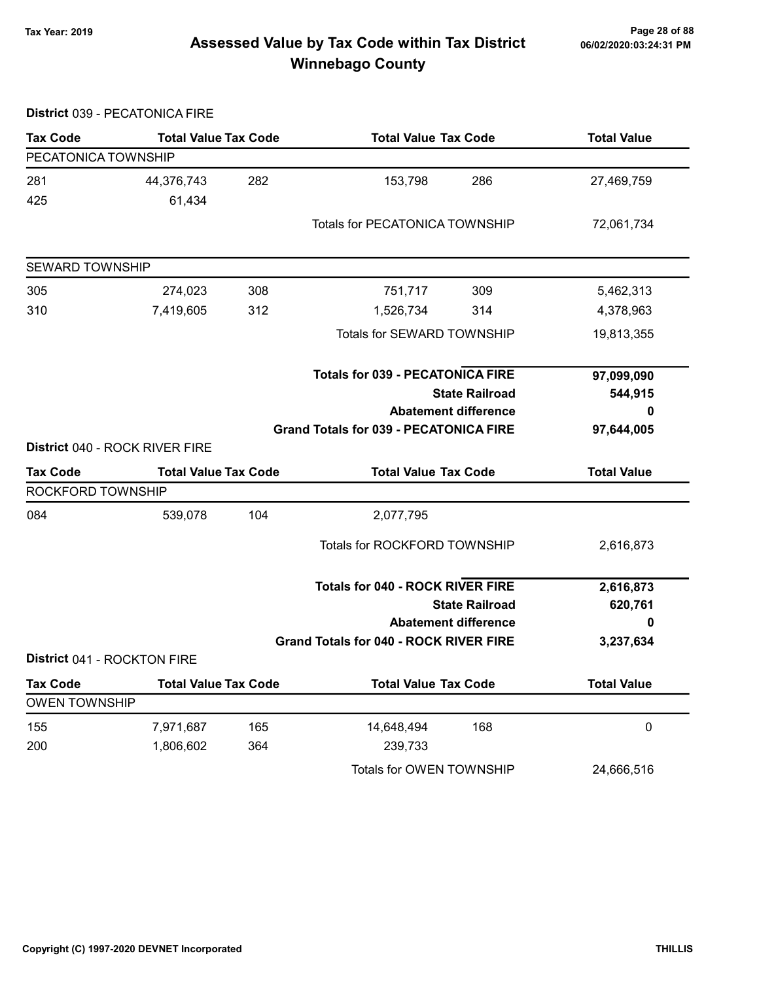District 039 - PECATONICA FIRE

# Page 28 of 88 مع Page 28 of 88<br>Assessed Value by Tax Code within Tax District مof/22020:03:24:31 PM Winnebago County

| <b>Tax Code</b>                | <b>Total Value Tax Code</b> |     | <b>Total Value Tax Code</b>                   |                             | <b>Total Value</b> |
|--------------------------------|-----------------------------|-----|-----------------------------------------------|-----------------------------|--------------------|
| PECATONICA TOWNSHIP            |                             |     |                                               |                             |                    |
| 281                            | 44,376,743                  | 282 | 153,798                                       | 286                         | 27,469,759         |
| 425                            | 61,434                      |     |                                               |                             |                    |
|                                |                             |     | <b>Totals for PECATONICA TOWNSHIP</b>         |                             | 72,061,734         |
| <b>SEWARD TOWNSHIP</b>         |                             |     |                                               |                             |                    |
| 305                            | 274,023                     | 308 | 309<br>751,717                                |                             | 5,462,313          |
| 310                            | 7,419,605                   | 312 | 1,526,734                                     | 314                         | 4,378,963          |
|                                |                             |     | Totals for SEWARD TOWNSHIP                    |                             | 19,813,355         |
|                                |                             |     | <b>Totals for 039 - PECATONICA FIRE</b>       |                             | 97,099,090         |
|                                |                             |     | <b>State Railroad</b>                         |                             | 544,915            |
|                                | <b>Abatement difference</b> |     |                                               | 0                           |                    |
|                                |                             |     | <b>Grand Totals for 039 - PECATONICA FIRE</b> |                             | 97,644,005         |
| District 040 - ROCK RIVER FIRE |                             |     |                                               |                             |                    |
| <b>Tax Code</b>                | <b>Total Value Tax Code</b> |     | <b>Total Value Tax Code</b>                   |                             | <b>Total Value</b> |
| ROCKFORD TOWNSHIP              |                             |     |                                               |                             |                    |
| 084                            | 539,078                     | 104 | 2,077,795                                     |                             |                    |
|                                |                             |     | Totals for ROCKFORD TOWNSHIP                  |                             | 2,616,873          |
|                                |                             |     | <b>Totals for 040 - ROCK RIVER FIRE</b>       |                             | 2,616,873          |
|                                |                             |     | <b>State Railroad</b>                         |                             | 620,761            |
|                                |                             |     |                                               | <b>Abatement difference</b> | 0                  |
|                                |                             |     | <b>Grand Totals for 040 - ROCK RIVER FIRE</b> |                             | 3,237,634          |
| District 041 - ROCKTON FIRE    |                             |     |                                               |                             |                    |
| <b>Tax Code</b>                | <b>Total Value Tax Code</b> |     | <b>Total Value Tax Code</b>                   |                             | <b>Total Value</b> |
| <b>OWEN TOWNSHIP</b>           |                             |     |                                               |                             |                    |
| 155                            | 7,971,687                   | 165 | 14,648,494                                    | 168                         | $\pmb{0}$          |
| 200                            | 1,806,602                   | 364 | 239,733                                       |                             |                    |
|                                |                             |     | Totals for OWEN TOWNSHIP                      |                             | 24,666,516         |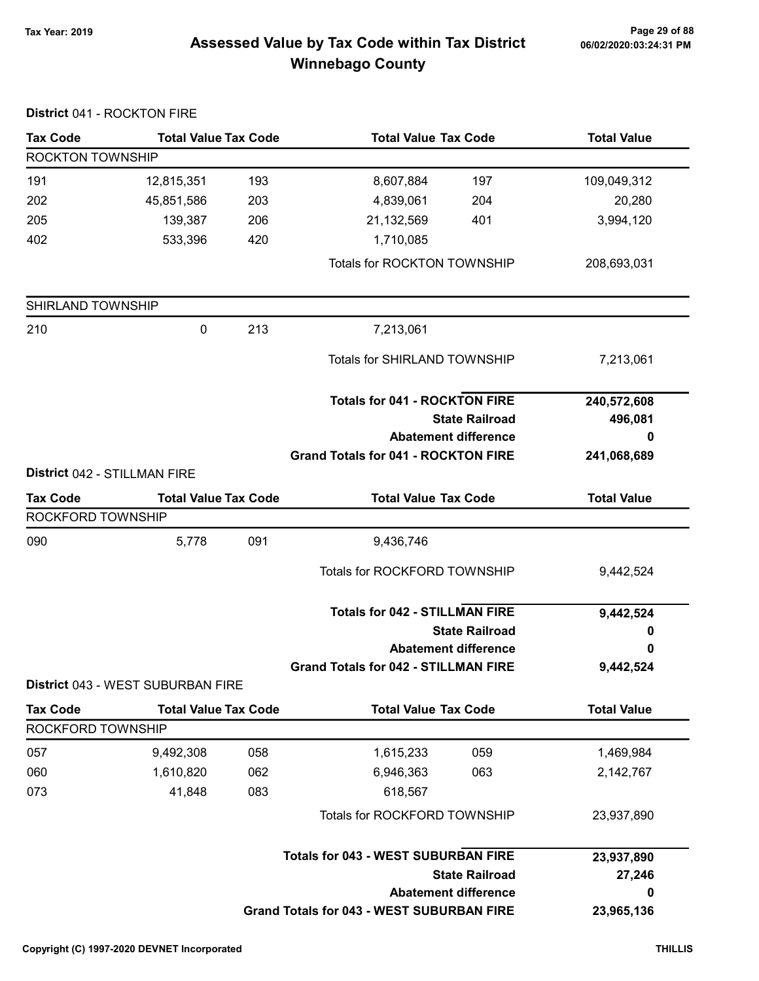#### Page 29 of 88 مع Page 29 of 88<br>Assessed Value by Tax Code within Tax District مof/22020:03:24:31 PM Winnebago County

#### District 041 - ROCKTON FIRE Tax Code Total Value Tax Code Total Value Tax Code Total Value ROCKTON TOWNSHIP 191 12,815,351 8,607,884 193 197 109,049,312 202 45,851,586 4,839,061 203 204 20,280 205 139,387 206 21,132,569 401 3,994,120 402 533,396 420 1,710,085 Totals for ROCKTON TOWNSHIP 208,693,031 SHIRLAND TOWNSHIP 210 0 7,213,061 213 Totals for SHIRLAND TOWNSHIP 7,213,061 State Railroad Totals for 041 - ROCKTON FIRE Abatement difference Grand Totals for 041 - ROCKTON FIRE 240,572,608 496,081 0 241,068,689 District 042 - STILLMAN FIRE Tax Code Total Value Tax Code Total Value Tax Code Total Value Tax Code ROCKFORD TOWNSHIP 090 5,778 091 9,436,746 Totals for ROCKFORD TOWNSHIP 9,442,524 State Railroad Totals for 042 - STILLMAN FIRE Abatement difference Grand Totals for 042 - STILLMAN FIRE 9,442,524 0 0 9,442,524 District 043 - WEST SUBURBAN FIRE Tax Code Total Value Tax Code Total Value Tax Code Total Value Tax Code ROCKFORD TOWNSHIP 057 9,492,308 1,615,233 058 059 1,469,984 060 1,610,820 062 6,946,363 063 2,142,767 073 **41,848** 083 618,567 Totals for ROCKFORD TOWNSHIP 23,937,890 State Railroad Totals for 043 - WEST SUBURBAN FIRE Abatement difference Grand Totals for 043 - WEST SUBURBAN FIRE 23,937,890 27,246 0 23,965,136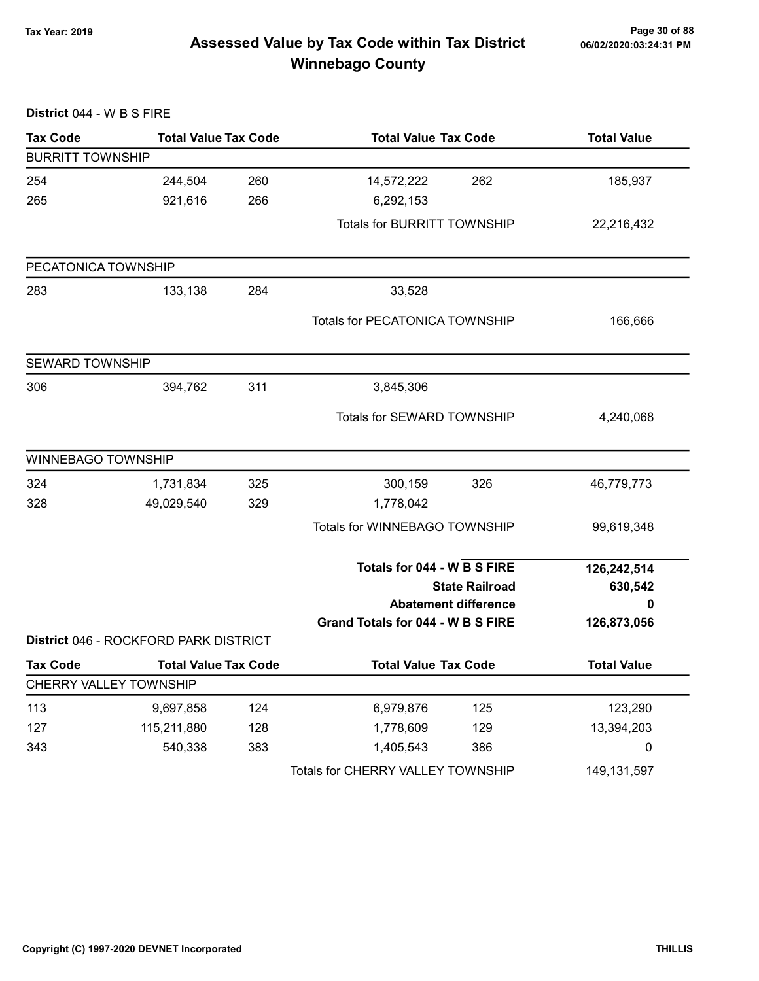# Page 30 of 88 وTax Year: 2019 Page 30 of 88<br>Assessed Value by Tax Code within Tax District هو Assessed Value by Tax Code Winnebago County

| District 044 - W B S FIRE |                                       |     |                                    |                             |                    |
|---------------------------|---------------------------------------|-----|------------------------------------|-----------------------------|--------------------|
| <b>Tax Code</b>           | <b>Total Value Tax Code</b>           |     | <b>Total Value Tax Code</b>        |                             | <b>Total Value</b> |
| <b>BURRITT TOWNSHIP</b>   |                                       |     |                                    |                             |                    |
| 254                       | 244,504                               | 260 | 14,572,222                         | 262                         | 185,937            |
| 265                       | 921,616                               | 266 | 6,292,153                          |                             |                    |
|                           |                                       |     | <b>Totals for BURRITT TOWNSHIP</b> |                             | 22,216,432         |
| PECATONICA TOWNSHIP       |                                       |     |                                    |                             |                    |
| 283                       | 133,138                               | 284 | 33,528                             |                             |                    |
|                           |                                       |     | Totals for PECATONICA TOWNSHIP     |                             | 166,666            |
| <b>SEWARD TOWNSHIP</b>    |                                       |     |                                    |                             |                    |
| 306                       | 394,762                               | 311 | 3,845,306                          |                             |                    |
|                           |                                       |     | Totals for SEWARD TOWNSHIP         |                             | 4,240,068          |
| <b>WINNEBAGO TOWNSHIP</b> |                                       |     |                                    |                             |                    |
| 324                       | 1,731,834                             | 325 | 300,159                            | 326                         | 46,779,773         |
| 328                       | 49,029,540                            | 329 | 1,778,042                          |                             |                    |
|                           |                                       |     | Totals for WINNEBAGO TOWNSHIP      |                             | 99,619,348         |
|                           |                                       |     | Totals for 044 - W B S FIRE        |                             | 126,242,514        |
|                           |                                       |     | <b>State Railroad</b>              |                             | 630,542            |
|                           |                                       |     |                                    | <b>Abatement difference</b> | Ω                  |
|                           | District 046 - ROCKFORD PARK DISTRICT |     | Grand Totals for 044 - W B S FIRE  |                             | 126,873,056        |
| <b>Tax Code</b>           | <b>Total Value Tax Code</b>           |     | <b>Total Value Tax Code</b>        |                             | <b>Total Value</b> |
|                           | CHERRY VALLEY TOWNSHIP                |     |                                    |                             |                    |
| 113                       | 9,697,858                             | 124 | 6,979,876                          | 125                         | 123,290            |
| 127                       | 115,211,880                           | 128 | 1,778,609                          | 129                         | 13,394,203         |
| 343                       | 540,338                               | 383 | 1,405,543                          | 386                         | 0                  |
|                           |                                       |     | Totals for CHERRY VALLEY TOWNSHIP  |                             | 149, 131, 597      |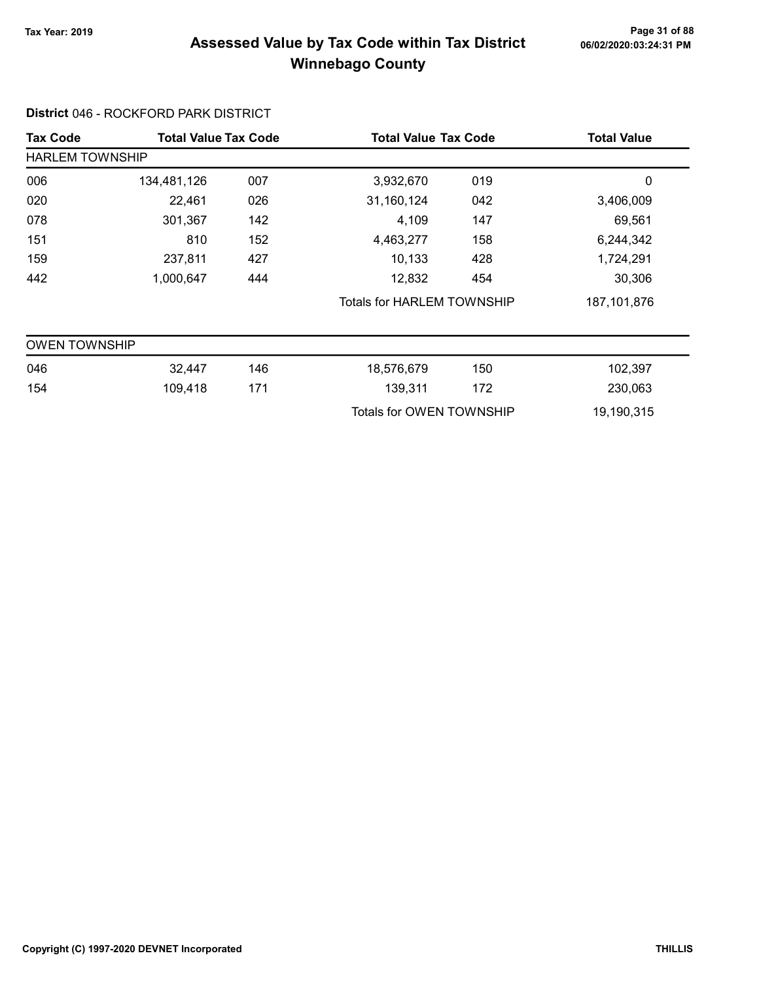# Page 31 of 88 وTax Year: 2019 Page 31 of 88<br>Assessed Value by Tax Code within Tax District هو Assessed Value by Tax Code Winnebago County

#### District 046 - ROCKFORD PARK DISTRICT

| <b>Tax Code</b>        | <b>Total Value Tax Code</b> |     | <b>Total Value Tax Code</b> |     | <b>Total Value</b> |
|------------------------|-----------------------------|-----|-----------------------------|-----|--------------------|
| <b>HARLEM TOWNSHIP</b> |                             |     |                             |     |                    |
| 006                    | 134,481,126                 | 007 | 3,932,670                   | 019 | 0                  |
| 020                    | 22,461                      | 026 | 31,160,124                  | 042 | 3,406,009          |
| 078                    | 301,367                     | 142 | 4,109                       | 147 | 69,561             |
| 151                    | 810                         | 152 | 4,463,277                   | 158 | 6,244,342          |
| 159                    | 237,811                     | 427 | 10,133                      | 428 | 1,724,291          |
| 442                    | 1,000,647                   | 444 | 12,832                      | 454 | 30,306             |
|                        |                             |     | Totals for HARLEM TOWNSHIP  |     | 187, 101, 876      |
| <b>OWEN TOWNSHIP</b>   |                             |     |                             |     |                    |
| 046                    | 32,447                      | 146 | 18,576,679                  | 150 | 102,397            |
| 154                    | 109,418                     | 171 | 139,311                     | 172 | 230,063            |
|                        |                             |     | Totals for OWEN TOWNSHIP    |     | 19,190,315         |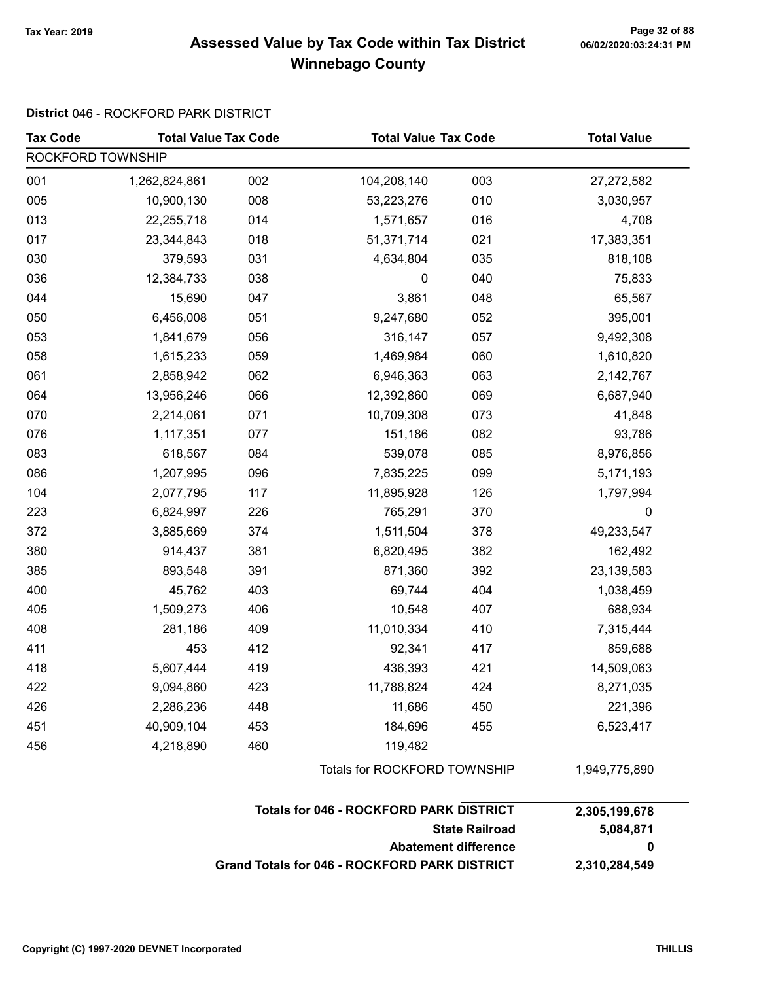# Page 32 of 88 وTax Year: 2019 Page 32 of 88<br>Assessed Value by Tax Code within Tax District هو Assessed Value by Tax Code Winnebago County

#### District 046 - ROCKFORD PARK DISTRICT

| <b>Tax Code</b>   | <b>Total Value Tax Code</b> |     | <b>Total Value Tax Code</b>                    |                                                      | <b>Total Value</b> |  |
|-------------------|-----------------------------|-----|------------------------------------------------|------------------------------------------------------|--------------------|--|
| ROCKFORD TOWNSHIP |                             |     |                                                |                                                      |                    |  |
| 001               | 1,262,824,861               | 002 | 104,208,140                                    | 003                                                  | 27,272,582         |  |
| 005               | 10,900,130                  | 008 | 53,223,276                                     | 010                                                  | 3,030,957          |  |
| 013               | 22,255,718                  | 014 | 1,571,657                                      | 016                                                  | 4,708              |  |
| 017               | 23,344,843                  | 018 | 51,371,714                                     | 021                                                  | 17,383,351         |  |
| 030               | 379,593                     | 031 | 4,634,804                                      | 035                                                  | 818,108            |  |
| 036               | 12,384,733                  | 038 | 0                                              | 040                                                  | 75,833             |  |
| 044               | 15,690                      | 047 | 3,861                                          | 048                                                  | 65,567             |  |
| 050               | 6,456,008                   | 051 | 9,247,680                                      | 052                                                  | 395,001            |  |
| 053               | 1,841,679                   | 056 | 316,147                                        | 057                                                  | 9,492,308          |  |
| 058               | 1,615,233                   | 059 | 1,469,984                                      | 060                                                  | 1,610,820          |  |
| 061               | 2,858,942                   | 062 | 6,946,363                                      | 063                                                  | 2,142,767          |  |
| 064               | 13,956,246                  | 066 | 12,392,860                                     | 069                                                  | 6,687,940          |  |
| 070               | 2,214,061                   | 071 | 10,709,308                                     | 073                                                  | 41,848             |  |
| 076               | 1,117,351                   | 077 | 151,186                                        | 082                                                  | 93,786             |  |
| 083               | 618,567                     | 084 | 539,078                                        | 085                                                  | 8,976,856          |  |
| 086               | 1,207,995                   | 096 | 7,835,225                                      | 099                                                  | 5,171,193          |  |
| 104               | 2,077,795                   | 117 | 11,895,928                                     | 126                                                  | 1,797,994          |  |
| 223               | 6,824,997                   | 226 | 765,291                                        | 370                                                  | $\pmb{0}$          |  |
| 372               | 3,885,669                   | 374 | 1,511,504                                      | 378                                                  | 49,233,547         |  |
| 380               | 914,437                     | 381 | 6,820,495                                      | 382                                                  | 162,492            |  |
| 385               | 893,548                     | 391 | 871,360                                        | 392                                                  | 23,139,583         |  |
| 400               | 45,762                      | 403 | 69,744                                         | 404                                                  | 1,038,459          |  |
| 405               | 1,509,273                   | 406 | 10,548                                         | 407                                                  | 688,934            |  |
| 408               | 281,186                     | 409 | 11,010,334                                     | 410                                                  | 7,315,444          |  |
| 411               | 453                         | 412 | 92,341                                         | 417                                                  | 859,688            |  |
| 418               | 5,607,444                   | 419 | 436,393                                        | 421                                                  | 14,509,063         |  |
| 422               | 9,094,860                   | 423 | 11,788,824                                     | 424                                                  | 8,271,035          |  |
| 426               | 2,286,236                   | 448 | 11,686                                         | 450                                                  | 221,396            |  |
| 451               | 40,909,104                  | 453 | 184,696                                        | 455                                                  | 6,523,417          |  |
| 456               | 4,218,890                   | 460 | 119,482                                        |                                                      |                    |  |
|                   |                             |     | Totals for ROCKFORD TOWNSHIP                   |                                                      | 1,949,775,890      |  |
|                   |                             |     | <b>Totals for 046 - ROCKFORD PARK DISTRICT</b> |                                                      | 2,305,199,678      |  |
|                   |                             |     |                                                | <b>State Railroad</b><br><b>Abatement difference</b> | 5,084,871<br>0     |  |

Grand Totals for 046 - ROCKFORD PARK DISTRICT 2,310,284,549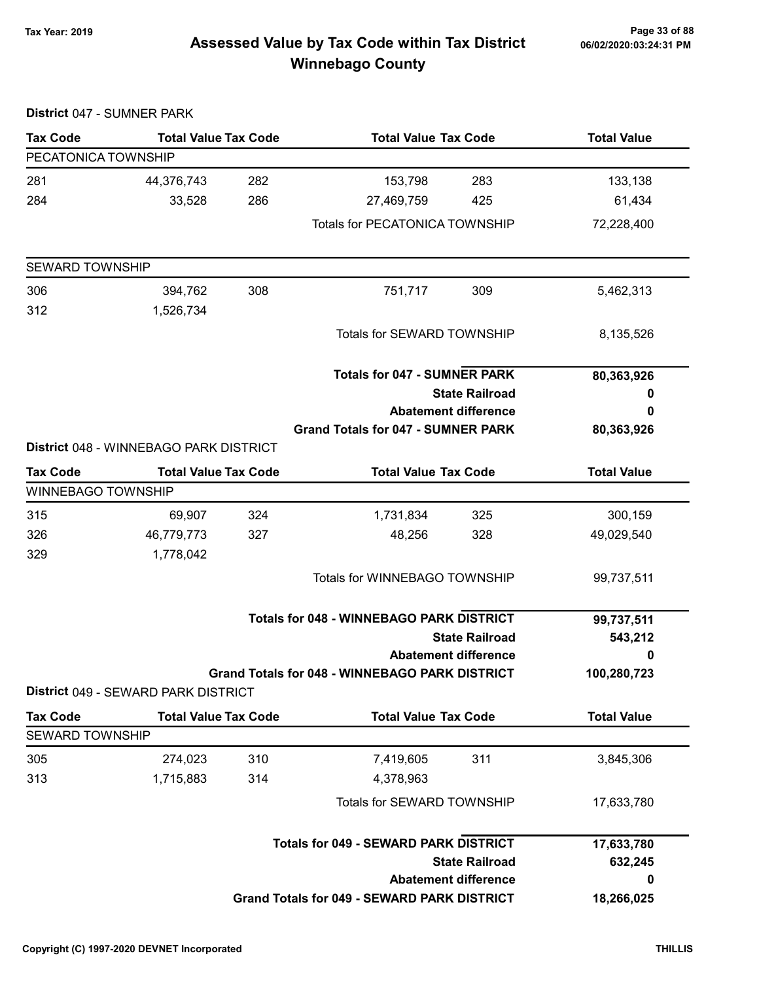# Page 33 of 88 وTax Year: 2019 Page 33 of 88<br>Assessed Value by Tax Code within Tax District هو Assessed Value by Tax Code Winnebago County

|                           | District 047 - SUMNER PARK             |     |                                                       |                             |                    |
|---------------------------|----------------------------------------|-----|-------------------------------------------------------|-----------------------------|--------------------|
| <b>Tax Code</b>           | <b>Total Value Tax Code</b>            |     | <b>Total Value Tax Code</b>                           |                             | <b>Total Value</b> |
| PECATONICA TOWNSHIP       |                                        |     |                                                       |                             |                    |
| 281                       | 44,376,743                             | 282 | 153,798                                               | 283                         | 133,138            |
| 284                       | 33,528                                 | 286 | 27,469,759                                            | 425                         | 61,434             |
|                           |                                        |     | <b>Totals for PECATONICA TOWNSHIP</b>                 |                             | 72,228,400         |
| <b>SEWARD TOWNSHIP</b>    |                                        |     |                                                       |                             |                    |
| 306                       | 394,762                                | 308 | 751,717                                               | 309                         | 5,462,313          |
| 312                       | 1,526,734                              |     |                                                       |                             |                    |
|                           |                                        |     | Totals for SEWARD TOWNSHIP                            |                             | 8,135,526          |
|                           |                                        |     | <b>Totals for 047 - SUMNER PARK</b>                   |                             | 80,363,926         |
|                           |                                        |     | <b>State Railroad</b>                                 |                             | 0                  |
|                           |                                        |     | <b>Abatement difference</b>                           |                             | 0                  |
|                           |                                        |     | <b>Grand Totals for 047 - SUMNER PARK</b>             |                             | 80,363,926         |
|                           | District 048 - WINNEBAGO PARK DISTRICT |     |                                                       |                             |                    |
| <b>Tax Code</b>           | <b>Total Value Tax Code</b>            |     | <b>Total Value Tax Code</b>                           |                             | <b>Total Value</b> |
| <b>WINNEBAGO TOWNSHIP</b> |                                        |     |                                                       |                             |                    |
| 315                       | 69,907                                 | 324 | 1,731,834                                             | 325                         | 300,159            |
| 326                       | 46,779,773                             | 327 | 48,256                                                | 328                         | 49,029,540         |
| 329                       | 1,778,042                              |     |                                                       |                             |                    |
|                           |                                        |     | Totals for WINNEBAGO TOWNSHIP                         |                             | 99,737,511         |
|                           |                                        |     | <b>Totals for 048 - WINNEBAGO PARK DISTRICT</b>       |                             | 99,737,511         |
|                           | <b>State Railroad</b>                  |     |                                                       | 543,212                     |                    |
|                           |                                        |     |                                                       | <b>Abatement difference</b> | 0                  |
|                           | District 049 - SEWARD PARK DISTRICT    |     | <b>Grand Totals for 048 - WINNEBAGO PARK DISTRICT</b> |                             | 100,280,723        |
| <b>Tax Code</b>           | <b>Total Value Tax Code</b>            |     | <b>Total Value Tax Code</b>                           |                             | <b>Total Value</b> |
| <b>SEWARD TOWNSHIP</b>    |                                        |     |                                                       |                             |                    |
| 305                       | 274,023                                | 310 | 7,419,605                                             | 311                         | 3,845,306          |
| 313                       | 1,715,883                              | 314 | 4,378,963                                             |                             |                    |
|                           |                                        |     | Totals for SEWARD TOWNSHIP                            |                             | 17,633,780         |
|                           |                                        |     | <b>Totals for 049 - SEWARD PARK DISTRICT</b>          |                             | 17,633,780         |
|                           |                                        |     |                                                       | <b>State Railroad</b>       | 632,245            |
|                           |                                        |     |                                                       | <b>Abatement difference</b> | 0                  |
|                           |                                        |     | <b>Grand Totals for 049 - SEWARD PARK DISTRICT</b>    |                             | 18,266,025         |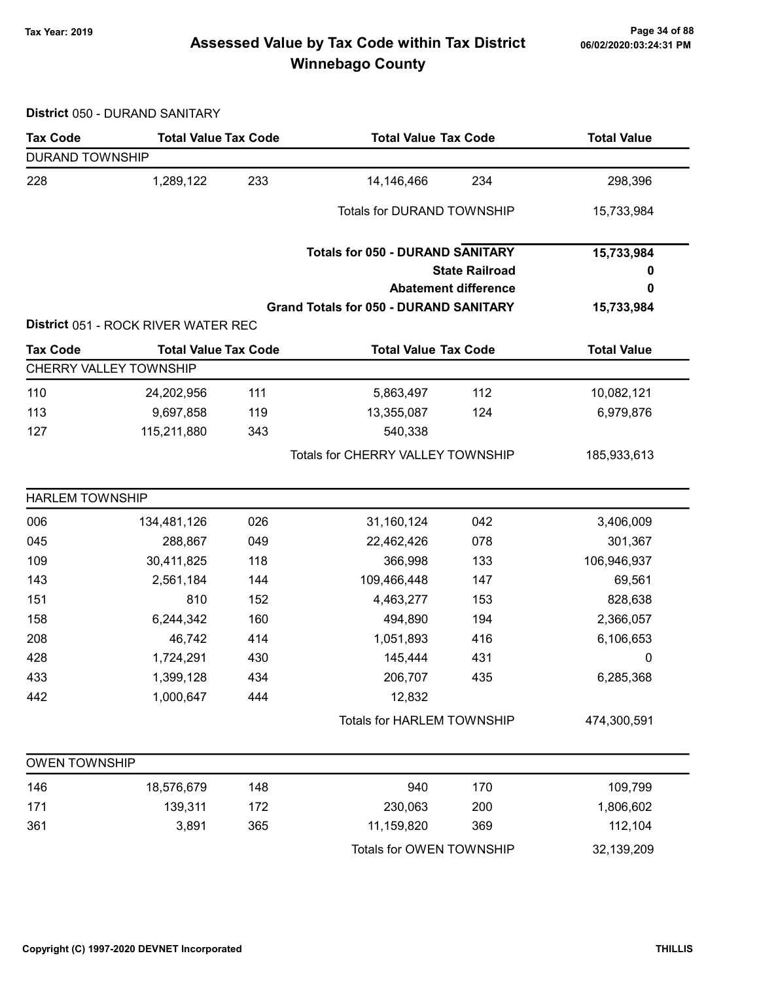# Page 34 of 88 مع Page 34 of 88<br>Assessed Value by Tax Code within Tax District مof/22020:03:24:31 PM Winnebago County

District 050 - DURAND SANITARY

| <b>Tax Code</b>        | <b>Total Value Tax Code</b>         |     | <b>Total Value Tax Code</b>                   |                             | <b>Total Value</b> |
|------------------------|-------------------------------------|-----|-----------------------------------------------|-----------------------------|--------------------|
| <b>DURAND TOWNSHIP</b> |                                     |     |                                               |                             |                    |
| 228                    | 1,289,122                           | 233 | 14,146,466                                    | 234                         | 298,396            |
|                        |                                     |     | <b>Totals for DURAND TOWNSHIP</b>             |                             | 15,733,984         |
|                        |                                     |     | <b>Totals for 050 - DURAND SANITARY</b>       |                             | 15,733,984         |
|                        |                                     |     |                                               | <b>State Railroad</b>       | 0                  |
|                        |                                     |     |                                               | <b>Abatement difference</b> | 0                  |
|                        |                                     |     | <b>Grand Totals for 050 - DURAND SANITARY</b> |                             | 15,733,984         |
|                        | District 051 - ROCK RIVER WATER REC |     |                                               |                             |                    |
| <b>Tax Code</b>        | <b>Total Value Tax Code</b>         |     | <b>Total Value Tax Code</b>                   |                             | <b>Total Value</b> |
|                        | <b>CHERRY VALLEY TOWNSHIP</b>       |     |                                               |                             |                    |
| 110                    | 24,202,956                          | 111 | 5,863,497                                     | 112                         | 10,082,121         |
| 113                    | 9,697,858                           | 119 | 13,355,087                                    | 124                         | 6,979,876          |
| 127                    | 115,211,880                         | 343 | 540,338                                       |                             |                    |
|                        |                                     |     | Totals for CHERRY VALLEY TOWNSHIP             |                             | 185,933,613        |
| <b>HARLEM TOWNSHIP</b> |                                     |     |                                               |                             |                    |
| 006                    | 134,481,126                         | 026 | 31,160,124                                    | 042                         | 3,406,009          |
| 045                    | 288,867                             | 049 | 22,462,426                                    | 078                         | 301,367            |
| 109                    | 30,411,825                          | 118 | 366,998                                       | 133                         | 106,946,937        |
| 143                    | 2,561,184                           | 144 | 109,466,448                                   | 147                         | 69,561             |
| 151                    | 810                                 | 152 | 4,463,277                                     | 153                         | 828,638            |
| 158                    | 6,244,342                           | 160 | 494,890                                       | 194                         | 2,366,057          |
| 208                    | 46,742                              | 414 | 1,051,893                                     | 416                         | 6,106,653          |
| 428                    | 1,724,291                           | 430 | 145,444                                       | 431                         | 0                  |
| 433                    | 1,399,128                           | 434 | 206,707                                       | 435                         | 6,285,368          |
| 442                    | 1,000,647                           | 444 | 12,832                                        |                             |                    |
|                        |                                     |     | <b>Totals for HARLEM TOWNSHIP</b>             |                             | 474,300,591        |
| <b>OWEN TOWNSHIP</b>   |                                     |     |                                               |                             |                    |
| 146                    | 18,576,679                          | 148 | 940                                           | 170                         | 109,799            |
| 171                    | 139,311                             | 172 | 230,063                                       | 200                         | 1,806,602          |
| 361                    | 3,891                               | 365 | 11,159,820                                    | 369                         | 112,104            |
|                        |                                     |     | Totals for OWEN TOWNSHIP                      |                             | 32,139,209         |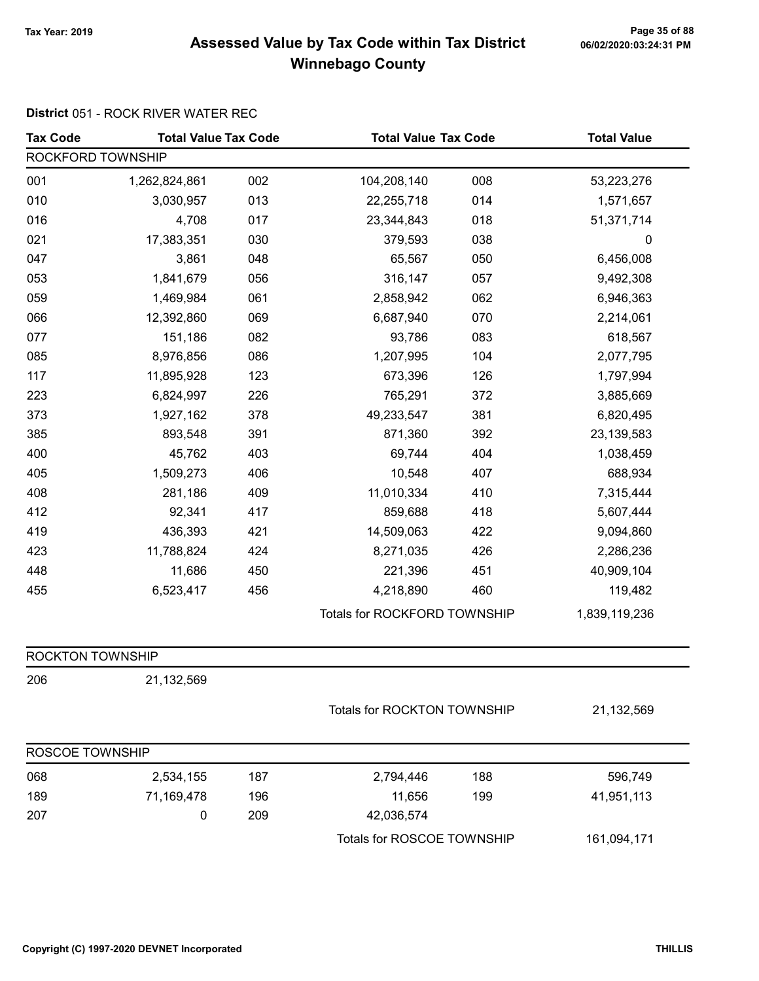# Page 35 of 88 وTax Year: 2019 Page 35 of 88<br>Assessed Value by Tax Code within Tax District هو Assessed Value by Tax Code Winnebago County

#### District 051 - ROCK RIVER WATER REC

| <b>Tax Code</b>         | <b>Total Value Tax Code</b> |     | <b>Total Value Tax Code</b>  |     | <b>Total Value</b> |
|-------------------------|-----------------------------|-----|------------------------------|-----|--------------------|
| ROCKFORD TOWNSHIP       |                             |     |                              |     |                    |
| 001                     | 1,262,824,861               | 002 | 104,208,140                  | 008 | 53,223,276         |
| 010                     | 3,030,957                   | 013 | 22,255,718                   | 014 | 1,571,657          |
| 016                     | 4,708                       | 017 | 23,344,843                   | 018 | 51,371,714         |
| 021                     | 17,383,351                  | 030 | 379,593                      | 038 | 0                  |
| 047                     | 3,861                       | 048 | 65,567                       | 050 | 6,456,008          |
| 053                     | 1,841,679                   | 056 | 316,147                      | 057 | 9,492,308          |
| 059                     | 1,469,984                   | 061 | 2,858,942                    | 062 | 6,946,363          |
| 066                     | 12,392,860                  | 069 | 6,687,940                    | 070 | 2,214,061          |
| 077                     | 151,186                     | 082 | 93,786                       | 083 | 618,567            |
| 085                     | 8,976,856                   | 086 | 1,207,995                    | 104 | 2,077,795          |
| 117                     | 11,895,928                  | 123 | 673,396                      | 126 | 1,797,994          |
| 223                     | 6,824,997                   | 226 | 765,291                      | 372 | 3,885,669          |
| 373                     | 1,927,162                   | 378 | 49,233,547                   | 381 | 6,820,495          |
| 385                     | 893,548                     | 391 | 871,360                      | 392 | 23,139,583         |
| 400                     | 45,762                      | 403 | 69,744                       | 404 | 1,038,459          |
| 405                     | 1,509,273                   | 406 | 10,548                       | 407 | 688,934            |
| 408                     | 281,186                     | 409 | 11,010,334                   | 410 | 7,315,444          |
| 412                     | 92,341                      | 417 | 859,688                      | 418 | 5,607,444          |
| 419                     | 436,393                     | 421 | 14,509,063                   | 422 | 9,094,860          |
| 423                     | 11,788,824                  | 424 | 8,271,035                    | 426 | 2,286,236          |
| 448                     | 11,686                      | 450 | 221,396                      | 451 | 40,909,104         |
| 455                     | 6,523,417                   | 456 | 4,218,890                    | 460 | 119,482            |
|                         |                             |     | Totals for ROCKFORD TOWNSHIP |     | 1,839,119,236      |
| <b>ROCKTON TOWNSHIP</b> |                             |     |                              |     |                    |
| 206                     | 21,132,569                  |     |                              |     |                    |
|                         |                             |     | Totals for ROCKTON TOWNSHIP  |     | 21,132,569         |
| ROSCOE TOWNSHIP         |                             |     |                              |     |                    |
| 068                     | 2,534,155                   | 187 | 2,794,446                    | 188 | 596,749            |
| 189                     | 71,169,478                  | 196 | 11,656                       | 199 | 41,951,113         |
| 207                     | $\pmb{0}$                   | 209 | 42,036,574                   |     |                    |
|                         |                             |     | Totals for ROSCOE TOWNSHIP   |     | 161,094,171        |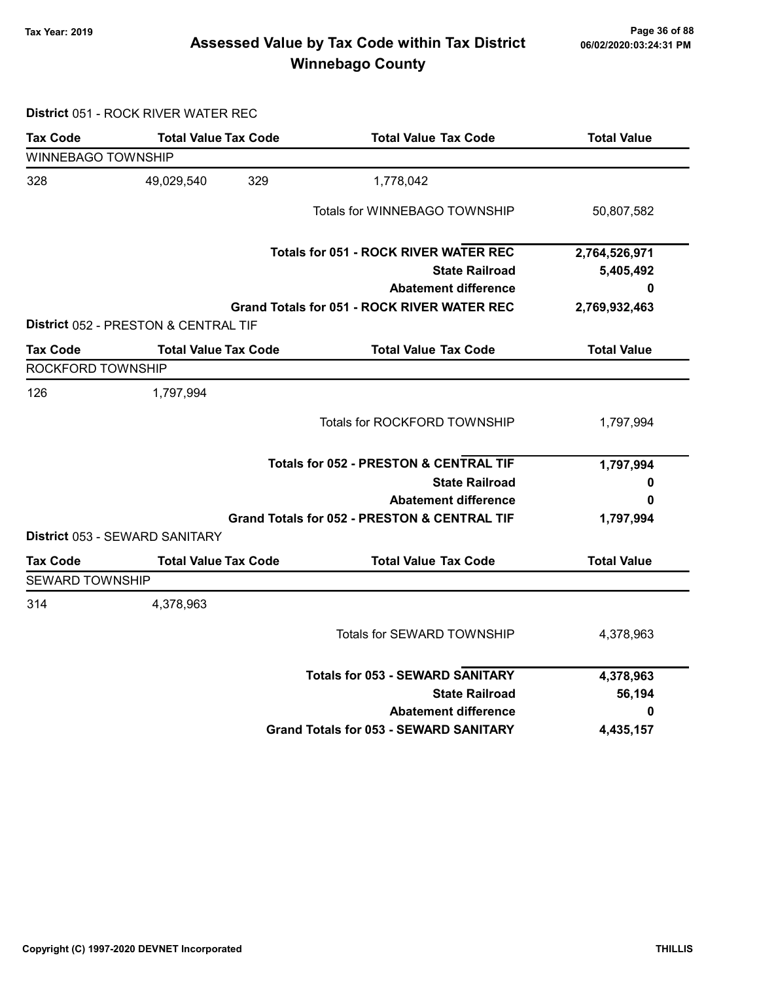# Page 36 of 88 وTax Year: 2019 Page 36 of 88<br>Assessed Value by Tax Code within Tax District of the 16/02/2020:03:24:31 PM Winnebago County

District 051 - ROCK RIVER WATER REC

| <b>Tax Code</b>           | <b>Total Value Tax Code</b>          | <b>Total Value Tax Code</b>                             | <b>Total Value</b> |
|---------------------------|--------------------------------------|---------------------------------------------------------|--------------------|
| <b>WINNEBAGO TOWNSHIP</b> |                                      |                                                         |                    |
| 328                       | 329<br>49,029,540                    | 1,778,042                                               |                    |
|                           |                                      | Totals for WINNEBAGO TOWNSHIP                           | 50,807,582         |
|                           |                                      | <b>Totals for 051 - ROCK RIVER WATER REC</b>            | 2,764,526,971      |
|                           |                                      | <b>State Railroad</b>                                   | 5,405,492          |
|                           |                                      | <b>Abatement difference</b>                             | 0                  |
|                           |                                      | <b>Grand Totals for 051 - ROCK RIVER WATER REC</b>      | 2,769,932,463      |
|                           | District 052 - PRESTON & CENTRAL TIF |                                                         |                    |
| <b>Tax Code</b>           | <b>Total Value Tax Code</b>          | <b>Total Value Tax Code</b>                             | <b>Total Value</b> |
| ROCKFORD TOWNSHIP         |                                      |                                                         |                    |
| 126                       | 1,797,994                            |                                                         |                    |
|                           |                                      | <b>Totals for ROCKFORD TOWNSHIP</b>                     | 1,797,994          |
|                           |                                      | <b>Totals for 052 - PRESTON &amp; CENTRAL TIF</b>       | 1,797,994          |
|                           |                                      | <b>State Railroad</b>                                   | 0                  |
|                           |                                      | <b>Abatement difference</b>                             | 0                  |
|                           |                                      | <b>Grand Totals for 052 - PRESTON &amp; CENTRAL TIF</b> | 1,797,994          |
|                           | District 053 - SEWARD SANITARY       |                                                         |                    |
| <b>Tax Code</b>           | <b>Total Value Tax Code</b>          | <b>Total Value Tax Code</b>                             | <b>Total Value</b> |
| <b>SEWARD TOWNSHIP</b>    |                                      |                                                         |                    |
| 314                       | 4,378,963                            |                                                         |                    |
|                           |                                      | <b>Totals for SEWARD TOWNSHIP</b>                       | 4,378,963          |
|                           |                                      | <b>Totals for 053 - SEWARD SANITARY</b>                 | 4,378,963          |
|                           |                                      | <b>State Railroad</b>                                   | 56,194             |
|                           |                                      | <b>Abatement difference</b>                             | 0                  |
|                           |                                      | <b>Grand Totals for 053 - SEWARD SANITARY</b>           | 4,435,157          |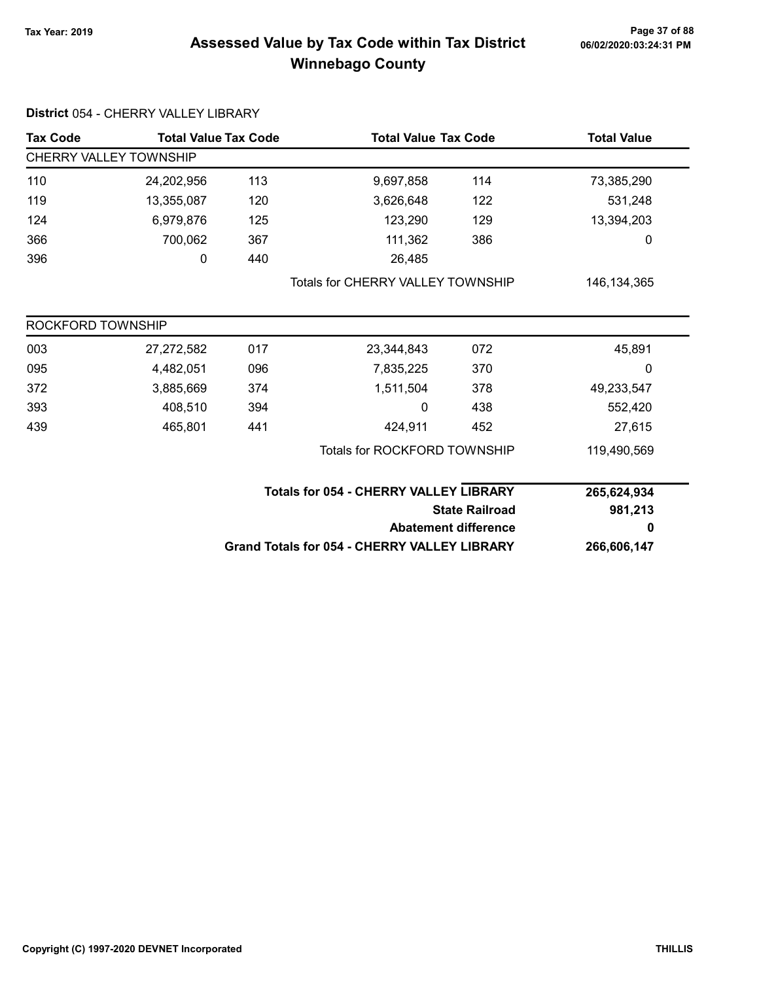# Page 37 of 88 وTax Year: 2019 Page 37 of 88<br>Assessed Value by Tax Code within Tax District هو Assessed Value by Tax Code Winnebago County

| <b>Tax Code</b>               | <b>Total Value Tax Code</b> |     | <b>Total Value Tax Code</b>                   |                                                     | <b>Total Value</b> |  |  |
|-------------------------------|-----------------------------|-----|-----------------------------------------------|-----------------------------------------------------|--------------------|--|--|
| <b>CHERRY VALLEY TOWNSHIP</b> |                             |     |                                               |                                                     |                    |  |  |
| 110                           | 24,202,956                  | 113 | 9,697,858                                     | 114                                                 | 73,385,290         |  |  |
| 119                           | 13,355,087                  | 120 | 3,626,648                                     | 122                                                 | 531,248            |  |  |
| 124                           | 6,979,876                   | 125 | 123,290                                       | 129                                                 | 13,394,203         |  |  |
| 366                           | 700,062                     | 367 | 111,362                                       | 386                                                 | 0                  |  |  |
| 396                           | 0                           | 440 | 26,485                                        |                                                     |                    |  |  |
|                               |                             |     | <b>Totals for CHERRY VALLEY TOWNSHIP</b>      |                                                     | 146, 134, 365      |  |  |
| ROCKFORD TOWNSHIP             |                             |     |                                               |                                                     |                    |  |  |
| 003                           | 27,272,582                  | 017 | 23,344,843                                    | 072                                                 | 45,891             |  |  |
| 095                           | 4,482,051                   | 096 | 7,835,225                                     | 370                                                 | 0                  |  |  |
| 372                           | 3,885,669                   | 374 | 1,511,504                                     | 378                                                 | 49,233,547         |  |  |
| 393                           | 408,510                     | 394 | 0                                             | 438                                                 | 552,420            |  |  |
| 439                           | 465,801                     | 441 | 424,911                                       | 452                                                 | 27,615             |  |  |
|                               |                             |     | <b>Totals for ROCKFORD TOWNSHIP</b>           |                                                     | 119,490,569        |  |  |
|                               |                             |     | <b>Totals for 054 - CHERRY VALLEY LIBRARY</b> |                                                     | 265,624,934        |  |  |
|                               |                             |     | <b>State Railroad</b>                         |                                                     | 981,213            |  |  |
|                               |                             |     |                                               | <b>Abatement difference</b>                         | 0                  |  |  |
|                               |                             |     |                                               | <b>Grand Totals for 054 - CHERRY VALLEY LIBRARY</b> |                    |  |  |

District 054 - CHERRY VALLEY LIBRARY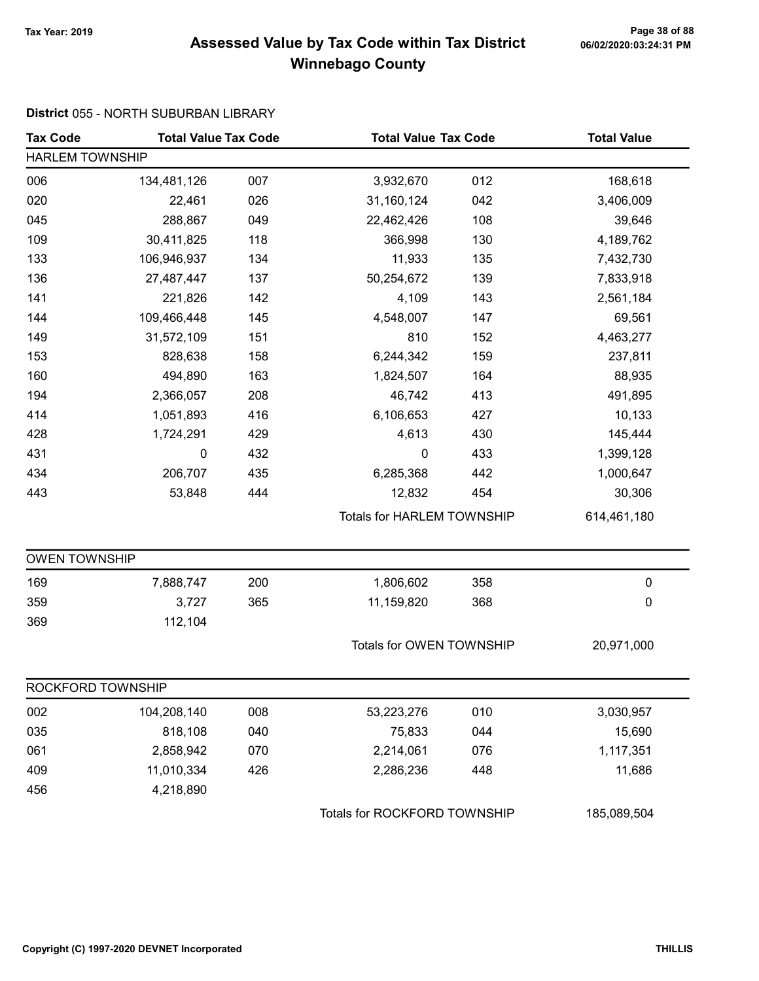# Page 38 of 88 وTax Year: 2019 Page 38 of 88<br>Assessed Value by Tax Code within Tax District هو Assessed Value by Tax Code Winnebago County

#### District 055 - NORTH SUBURBAN LIBRARY

| <b>Tax Code</b>        | <b>Total Value Tax Code</b> |     | <b>Total Value Tax Code</b>  |                                   | <b>Total Value</b> |  |  |
|------------------------|-----------------------------|-----|------------------------------|-----------------------------------|--------------------|--|--|
| <b>HARLEM TOWNSHIP</b> |                             |     |                              |                                   |                    |  |  |
| 006                    | 134,481,126                 | 007 | 3,932,670                    | 012                               | 168,618            |  |  |
| 020                    | 22,461                      | 026 | 31,160,124                   | 042                               | 3,406,009          |  |  |
| 045                    | 288,867                     | 049 | 22,462,426                   | 108                               | 39,646             |  |  |
| 109                    | 30,411,825                  | 118 | 366,998                      | 130                               | 4,189,762          |  |  |
| 133                    | 106,946,937                 | 134 | 11,933                       | 135                               | 7,432,730          |  |  |
| 136                    | 27,487,447                  | 137 | 50,254,672                   | 139                               | 7,833,918          |  |  |
| 141                    | 221,826                     | 142 | 4,109                        | 143                               | 2,561,184          |  |  |
| 144                    | 109,466,448                 | 145 | 4,548,007                    | 147                               | 69,561             |  |  |
| 149                    | 31,572,109                  | 151 | 810                          | 152                               | 4,463,277          |  |  |
| 153                    | 828,638                     | 158 | 6,244,342                    | 159                               | 237,811            |  |  |
| 160                    | 494,890                     | 163 | 1,824,507                    | 164                               | 88,935             |  |  |
| 194                    | 2,366,057                   | 208 | 46,742                       | 413                               | 491,895            |  |  |
| 414                    | 1,051,893                   | 416 | 6,106,653                    | 427                               | 10,133             |  |  |
| 428                    | 1,724,291                   | 429 | 4,613                        | 430                               | 145,444            |  |  |
| 431                    | 0                           | 432 | $\mathbf 0$                  | 433                               | 1,399,128          |  |  |
| 434                    | 206,707                     | 435 | 6,285,368                    | 442                               | 1,000,647          |  |  |
| 443                    | 53,848                      | 444 | 12,832                       | 454                               | 30,306             |  |  |
|                        |                             |     |                              | <b>Totals for HARLEM TOWNSHIP</b> |                    |  |  |
| <b>OWEN TOWNSHIP</b>   |                             |     |                              |                                   |                    |  |  |
| 169                    | 7,888,747                   | 200 | 1,806,602                    | 358                               | $\pmb{0}$          |  |  |
| 359                    | 3,727                       | 365 | 11,159,820                   | 368                               | $\pmb{0}$          |  |  |
| 369                    | 112,104                     |     |                              |                                   |                    |  |  |
|                        |                             |     | Totals for OWEN TOWNSHIP     |                                   | 20,971,000         |  |  |
| ROCKFORD TOWNSHIP      |                             |     |                              |                                   |                    |  |  |
| 002                    | 104,208,140                 | 008 | 53,223,276                   | 010                               | 3,030,957          |  |  |
| 035                    | 818,108                     | 040 | 75,833                       | 044                               | 15,690             |  |  |
| 061                    | 2,858,942                   | 070 | 2,214,061                    | 076                               | 1,117,351          |  |  |
| 409                    | 11,010,334                  | 426 | 2,286,236                    | 448                               | 11,686             |  |  |
| 456                    | 4,218,890                   |     |                              |                                   |                    |  |  |
|                        |                             |     | Totals for ROCKFORD TOWNSHIP |                                   | 185,089,504        |  |  |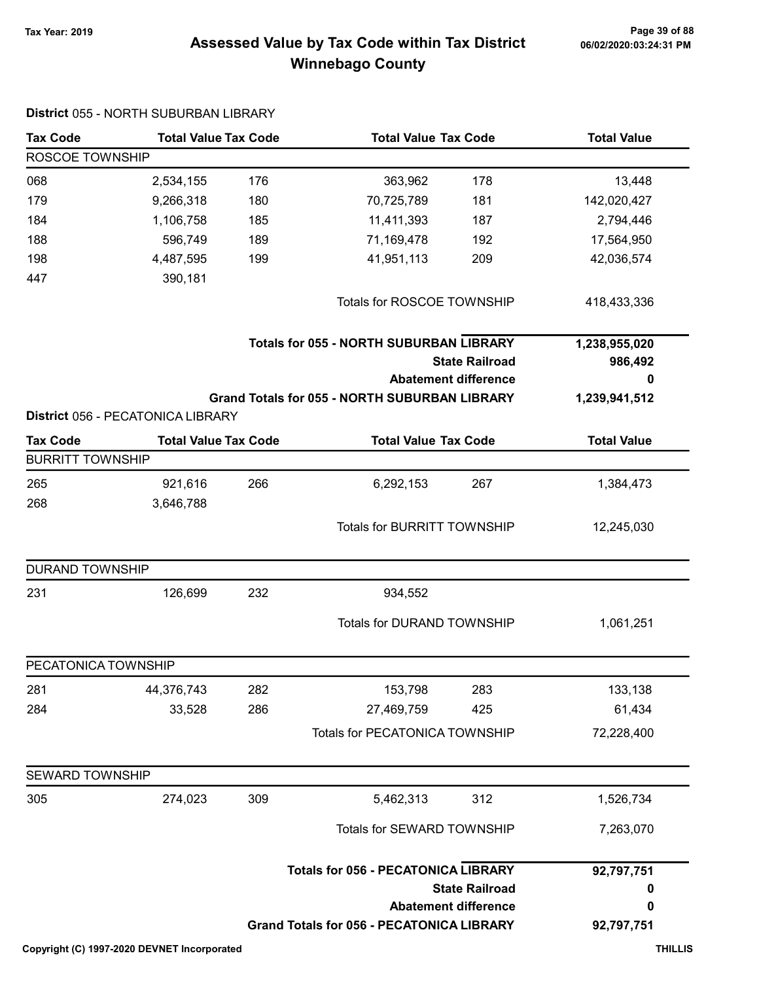# Page 39 of 88 وPage 39 of 88<br>Assessed Value by Tax Code within Tax District هو Assessed Value by Tax Code Winnebago County

| <b>Tax Code</b>         | <b>Total Value Tax Code</b>       |     |                                                                                                | <b>Total Value Tax Code</b>                          |                                    |
|-------------------------|-----------------------------------|-----|------------------------------------------------------------------------------------------------|------------------------------------------------------|------------------------------------|
| ROSCOE TOWNSHIP         |                                   |     |                                                                                                |                                                      |                                    |
| 068                     | 2,534,155                         | 176 | 363,962                                                                                        | 178                                                  | 13,448                             |
| 179                     | 9,266,318                         | 180 | 70,725,789                                                                                     | 181                                                  | 142,020,427                        |
| 184                     | 1,106,758                         | 185 | 11,411,393                                                                                     | 187                                                  | 2,794,446                          |
| 188                     | 596,749                           | 189 | 71,169,478                                                                                     | 192                                                  | 17,564,950                         |
| 198                     | 4,487,595                         | 199 | 41,951,113                                                                                     | 209                                                  | 42,036,574                         |
| 447                     | 390,181                           |     |                                                                                                |                                                      |                                    |
|                         |                                   |     | Totals for ROSCOE TOWNSHIP                                                                     |                                                      | 418,433,336                        |
|                         |                                   |     | <b>Totals for 055 - NORTH SUBURBAN LIBRARY</b><br><b>State Railroad</b>                        |                                                      | 1,238,955,020<br>986,492           |
|                         |                                   |     | <b>Grand Totals for 055 - NORTH SUBURBAN LIBRARY</b>                                           | <b>Abatement difference</b>                          | 0<br>1,239,941,512                 |
|                         | District 056 - PECATONICA LIBRARY |     |                                                                                                |                                                      |                                    |
| <b>Tax Code</b>         | <b>Total Value Tax Code</b>       |     | <b>Total Value Tax Code</b>                                                                    |                                                      | <b>Total Value</b>                 |
| <b>BURRITT TOWNSHIP</b> |                                   |     |                                                                                                |                                                      |                                    |
| 265                     | 921,616                           | 266 | 6,292,153                                                                                      | 267                                                  | 1,384,473                          |
| 268                     | 3,646,788                         |     |                                                                                                |                                                      |                                    |
|                         |                                   |     | <b>Totals for BURRITT TOWNSHIP</b>                                                             |                                                      | 12,245,030                         |
| <b>DURAND TOWNSHIP</b>  |                                   |     |                                                                                                |                                                      |                                    |
| 231                     | 126,699                           | 232 | 934,552                                                                                        |                                                      |                                    |
|                         |                                   |     |                                                                                                | Totals for DURAND TOWNSHIP                           |                                    |
| PECATONICA TOWNSHIP     |                                   |     |                                                                                                |                                                      |                                    |
| 281                     | 44,376,743                        | 282 | 153,798                                                                                        | 283                                                  | 133,138                            |
| 284                     | 33,528                            | 286 | 27,469,759                                                                                     | 425                                                  | 61,434                             |
|                         |                                   |     | Totals for PECATONICA TOWNSHIP                                                                 |                                                      | 72,228,400                         |
| <b>SEWARD TOWNSHIP</b>  |                                   |     |                                                                                                |                                                      |                                    |
| 305                     | 274,023                           | 309 | 5,462,313                                                                                      | 312                                                  | 1,526,734                          |
|                         |                                   |     |                                                                                                | Totals for SEWARD TOWNSHIP                           |                                    |
|                         |                                   |     | <b>Totals for 056 - PECATONICA LIBRARY</b><br><b>Grand Totals for 056 - PECATONICA LIBRARY</b> | <b>State Railroad</b><br><b>Abatement difference</b> | 92,797,751<br>0<br>0<br>92,797,751 |

#### District 055 - NORTH SUBURBAN LIBRARY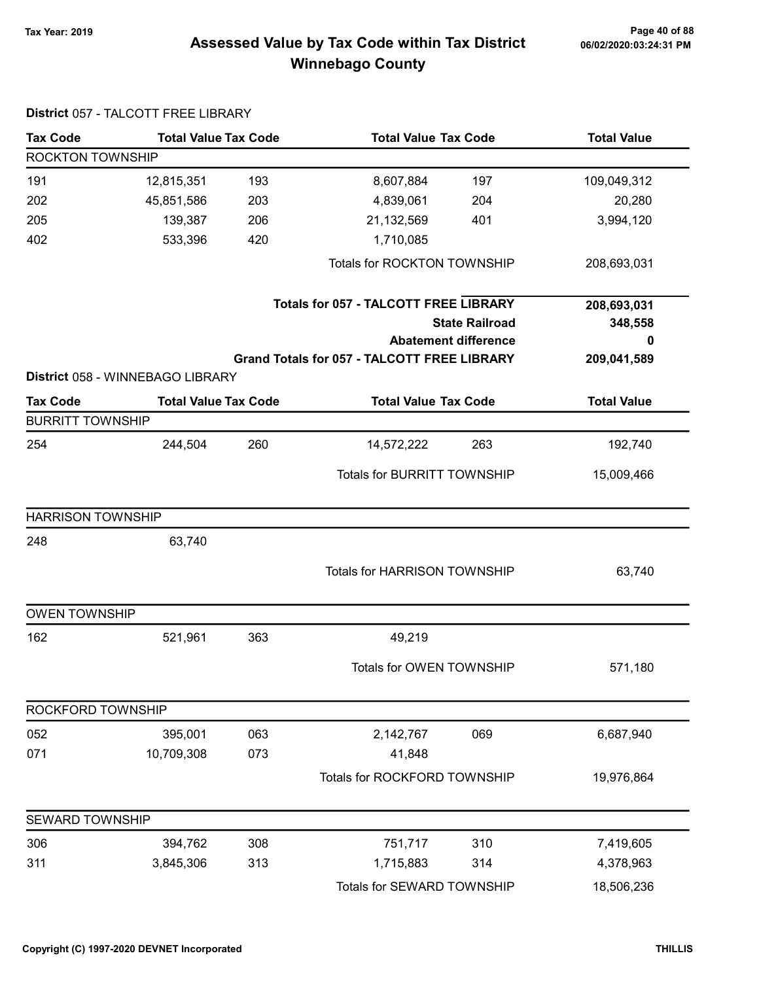# Page 40 of 88 وPage 40 of 88<br>Assessed Value by Tax Code within Tax District هو Assessed Value by Tax Code within Tax District Winnebago County

| <b>Tax Code</b>          | <b>Total Value Tax Code</b>      |     |                                                    | <b>Total Value Tax Code</b> |                    |
|--------------------------|----------------------------------|-----|----------------------------------------------------|-----------------------------|--------------------|
| ROCKTON TOWNSHIP         |                                  |     |                                                    |                             |                    |
| 191                      | 12,815,351                       | 193 | 8,607,884                                          | 197                         | 109,049,312        |
| 202                      | 45,851,586                       | 203 | 4,839,061                                          | 204                         | 20,280             |
| 205                      | 139,387                          | 206 | 21,132,569                                         | 401                         | 3,994,120          |
| 402                      | 533,396                          | 420 | 1,710,085                                          |                             |                    |
|                          |                                  |     | <b>Totals for ROCKTON TOWNSHIP</b>                 |                             | 208,693,031        |
|                          |                                  |     | <b>Totals for 057 - TALCOTT FREE LIBRARY</b>       |                             | 208,693,031        |
|                          |                                  |     |                                                    | <b>State Railroad</b>       | 348,558            |
|                          |                                  |     | <b>Abatement difference</b>                        |                             | 0                  |
|                          | District 058 - WINNEBAGO LIBRARY |     | <b>Grand Totals for 057 - TALCOTT FREE LIBRARY</b> |                             | 209,041,589        |
| <b>Tax Code</b>          | <b>Total Value Tax Code</b>      |     | <b>Total Value Tax Code</b>                        |                             | <b>Total Value</b> |
| <b>BURRITT TOWNSHIP</b>  |                                  |     |                                                    |                             |                    |
| 254                      | 244,504                          | 260 | 14,572,222                                         | 263                         | 192,740            |
|                          |                                  |     | <b>Totals for BURRITT TOWNSHIP</b>                 |                             | 15,009,466         |
| <b>HARRISON TOWNSHIP</b> |                                  |     |                                                    |                             |                    |
| 248                      | 63,740                           |     |                                                    |                             |                    |
|                          |                                  |     | <b>Totals for HARRISON TOWNSHIP</b>                |                             | 63,740             |
| <b>OWEN TOWNSHIP</b>     |                                  |     |                                                    |                             |                    |
| 162                      | 521,961                          | 363 | 49,219                                             |                             |                    |
|                          |                                  |     | Totals for OWEN TOWNSHIP                           |                             | 571,180            |
| ROCKFORD TOWNSHIP        |                                  |     |                                                    |                             |                    |
| 052                      | 395,001                          | 063 | 2,142,767                                          | 069                         | 6,687,940          |
| 071                      | 10,709,308                       | 073 | 41,848                                             |                             |                    |
|                          |                                  |     | Totals for ROCKFORD TOWNSHIP                       |                             | 19,976,864         |
| SEWARD TOWNSHIP          |                                  |     |                                                    |                             |                    |
| 306                      | 394,762                          | 308 | 751,717                                            | 310                         | 7,419,605          |
| 311                      | 3,845,306                        | 313 | 1,715,883                                          | 314                         | 4,378,963          |
|                          |                                  |     | Totals for SEWARD TOWNSHIP                         |                             | 18,506,236         |

#### District 057 - TALCOTT FREE LIBRARY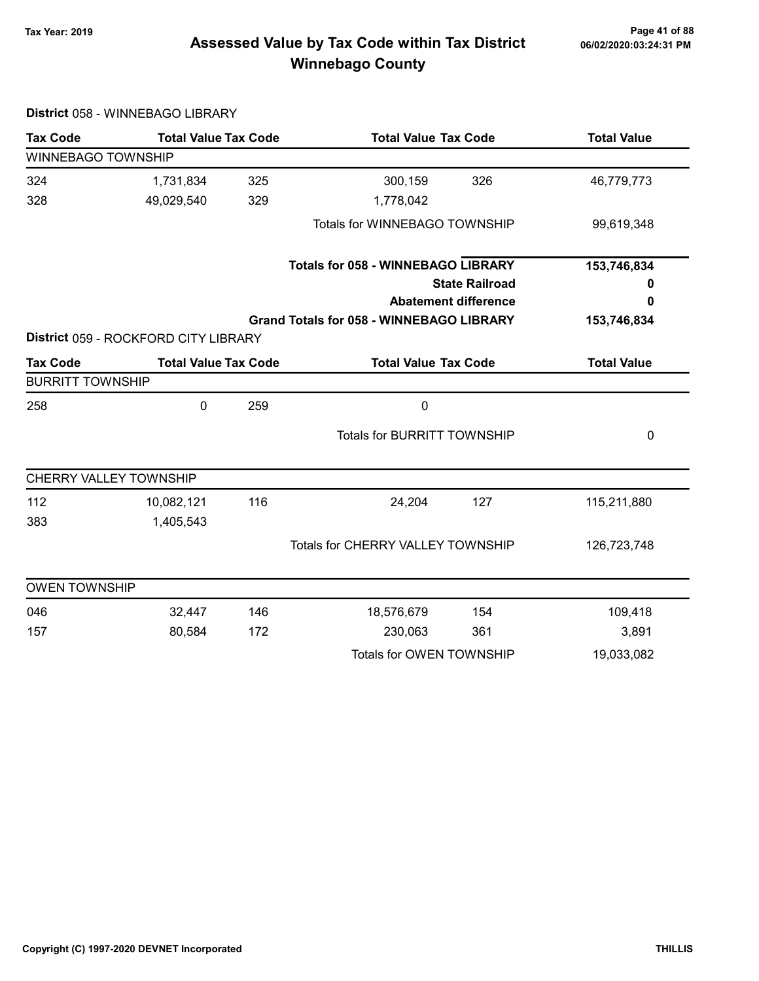# Page 41 of 88 مع Page 41 of 88<br>Assessed Value by Tax Code within Tax District مof/22020:03:24:31 PM Winnebago County

| <b>Tax Code</b>         | <b>Total Value Tax Code</b>          |     | <b>Total Value Tax Code</b>                     |                             | <b>Total Value</b> |
|-------------------------|--------------------------------------|-----|-------------------------------------------------|-----------------------------|--------------------|
| WINNEBAGO TOWNSHIP      |                                      |     |                                                 |                             |                    |
| 324                     | 1,731,834                            | 325 | 300,159                                         | 326                         | 46,779,773         |
| 328                     | 49,029,540                           | 329 | 1,778,042                                       |                             |                    |
|                         |                                      |     | Totals for WINNEBAGO TOWNSHIP                   |                             | 99,619,348         |
|                         |                                      |     | <b>Totals for 058 - WINNEBAGO LIBRARY</b>       |                             | 153,746,834        |
|                         |                                      |     |                                                 | <b>State Railroad</b>       | 0                  |
|                         |                                      |     |                                                 | <b>Abatement difference</b> | 0                  |
|                         |                                      |     | <b>Grand Totals for 058 - WINNEBAGO LIBRARY</b> |                             | 153,746,834        |
|                         | District 059 - ROCKFORD CITY LIBRARY |     |                                                 |                             |                    |
| <b>Tax Code</b>         | <b>Total Value Tax Code</b>          |     | <b>Total Value Tax Code</b>                     |                             | <b>Total Value</b> |
| <b>BURRITT TOWNSHIP</b> |                                      |     |                                                 |                             |                    |
| 258                     | 0                                    | 259 | $\mathbf 0$                                     |                             |                    |
|                         |                                      |     | <b>Totals for BURRITT TOWNSHIP</b>              |                             | 0                  |
| CHERRY VALLEY TOWNSHIP  |                                      |     |                                                 |                             |                    |
| 112                     | 10,082,121                           | 116 | 24,204                                          | 127                         | 115,211,880        |
| 383                     | 1,405,543                            |     |                                                 |                             |                    |
|                         |                                      |     | <b>Totals for CHERRY VALLEY TOWNSHIP</b>        |                             | 126,723,748        |
| <b>OWEN TOWNSHIP</b>    |                                      |     |                                                 |                             |                    |
| 046                     | 32,447                               | 146 | 18,576,679                                      | 154                         | 109,418            |
| 157                     | 80,584                               | 172 | 230,063                                         | 361                         | 3,891              |
|                         |                                      |     |                                                 |                             |                    |

#### District 058 - WINNEBAGO LIBRARY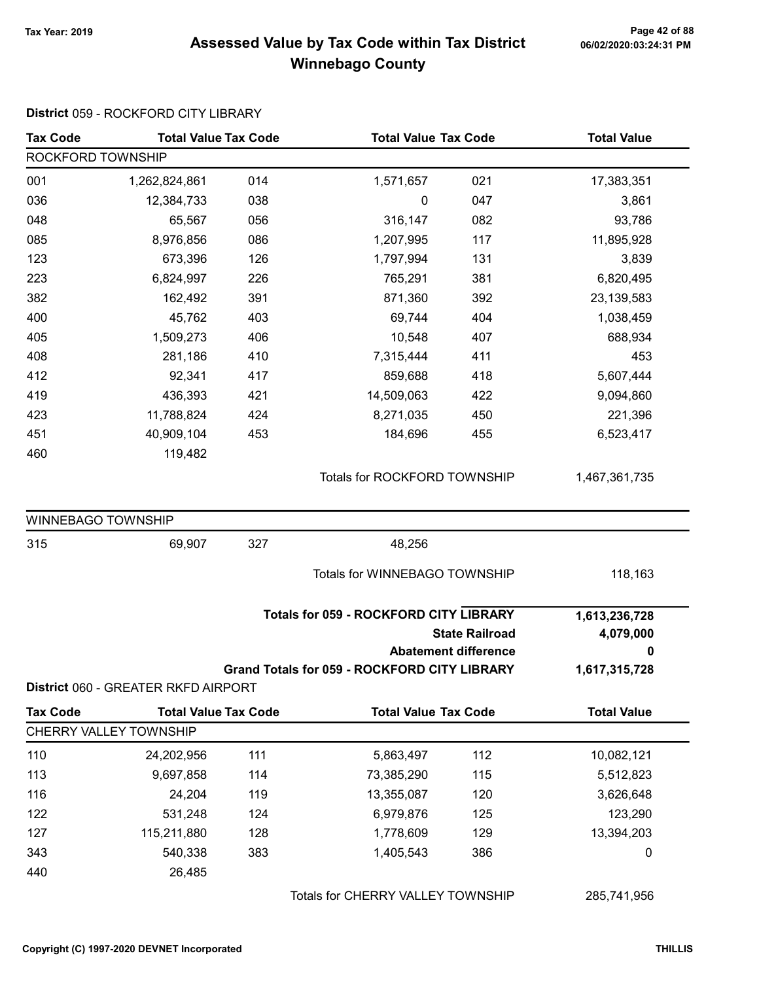#### Page 42 of 88 مع Page 42 of 88<br>Assessed Value by Tax Code within Tax District مof/22020:03:24:31 PM Winnebago County

#### Tax Code Total Value Tax Code Total Value Tax Code Total Value ROCKFORD TOWNSHIP 001 1,262,824,861 014 1,571,657 021 17,383,351 036 12,384,733 038 039 0 047 3,861 048 65,567 056 316,147 082 93,786 085 8,976,856 086 1,207,995 117 11,895,928 123 673,396 126 1,797,994 131 3,839 223 6,824,997 226 765,291 381 6,820,495 382 162,492 871,360 391 392 23,139,583 400 45,762 69,744 403 404 1,038,459 405 1,509,273 10,548 406 407 688,934 408 281,186 410 7,315,444 411 453 412 92,341 859,688 417 418 5,607,444 419 436,393 421 14,509,063 422 9,094,860 423 11,788,824 8,271,035 424 450 221,396 451 40,909,104 184,696 453 455 6,523,417 460 119,482 Totals for ROCKFORD TOWNSHIP 1,467,361,735 WINNEBAGO TOWNSHIP 315 69,907 48,256 327 Totals for WINNEBAGO TOWNSHIP 118,163 State Railroad Totals for 059 - ROCKFORD CITY LIBRARY Abatement difference Grand Totals for 059 - ROCKFORD CITY LIBRARY 1,613,236,728 4,079,000 0 1,617,315,728 District 060 - GREATER RKFD AIRPORT Tax Code Total Value Tax Code Total Value Tax Code Total Value Tax Code Total Value CHERRY VALLEY TOWNSHIP 110 24,202,956 111 5,863,497 112 10,082,121 113 9,697,858 114 73,385,290 115 5,512,823 116 24,204 13,355,087 119 120 3,626,648 122 531,248 6,979,876 124 125 123,290 127 115,211,880 128 1,778,609 129 13,394,203

343 540,338 383 1,405,543 386 386 0

District 059 - ROCKFORD CITY LIBRARY

Totals for CHERRY VALLEY TOWNSHIP 285,741,956

440 26,485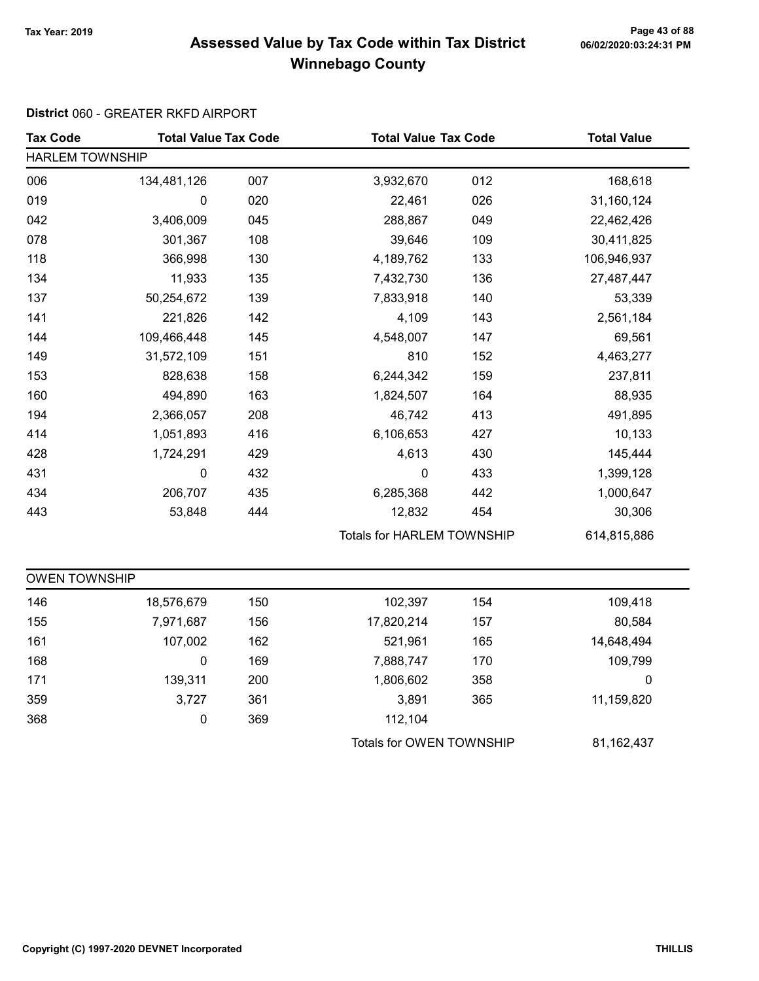# Page 43 of 88 مع Page 43 of 88<br>Assessed Value by Tax Code within Tax District مof/22020:03:24:31 PM Winnebago County

#### District 060 - GREATER RKFD AIRPORT

| <b>Tax Code</b>        | <b>Total Value Tax Code</b> |     |                                   | <b>Total Value Tax Code</b> |             |  |  |
|------------------------|-----------------------------|-----|-----------------------------------|-----------------------------|-------------|--|--|
| <b>HARLEM TOWNSHIP</b> |                             |     |                                   |                             |             |  |  |
| 006                    | 134,481,126                 | 007 | 3,932,670                         | 012                         | 168,618     |  |  |
| 019                    | 0                           | 020 | 22,461                            | 026                         | 31,160,124  |  |  |
| 042                    | 3,406,009                   | 045 | 288,867                           | 049                         | 22,462,426  |  |  |
| 078                    | 301,367                     | 108 | 39,646                            | 109                         | 30,411,825  |  |  |
| 118                    | 366,998                     | 130 | 4,189,762                         | 133                         | 106,946,937 |  |  |
| 134                    | 11,933                      | 135 | 7,432,730                         | 136                         | 27,487,447  |  |  |
| 137                    | 50,254,672                  | 139 | 7,833,918                         | 140                         | 53,339      |  |  |
| 141                    | 221,826                     | 142 | 4,109                             | 143                         | 2,561,184   |  |  |
| 144                    | 109,466,448                 | 145 | 4,548,007                         | 147                         | 69,561      |  |  |
| 149                    | 31,572,109                  | 151 | 810                               | 152                         | 4,463,277   |  |  |
| 153                    | 828,638                     | 158 | 6,244,342                         | 159                         | 237,811     |  |  |
| 160                    | 494,890                     | 163 | 1,824,507                         | 164                         | 88,935      |  |  |
| 194                    | 2,366,057                   | 208 | 46,742                            | 413                         | 491,895     |  |  |
| 414                    | 1,051,893                   | 416 | 6,106,653                         | 427                         | 10,133      |  |  |
| 428                    | 1,724,291                   | 429 | 4,613                             | 430                         | 145,444     |  |  |
| 431                    | 0                           | 432 | $\pmb{0}$                         | 433                         | 1,399,128   |  |  |
| 434                    | 206,707                     | 435 | 6,285,368                         | 442                         | 1,000,647   |  |  |
| 443                    | 53,848                      | 444 | 12,832                            | 454                         | 30,306      |  |  |
|                        |                             |     | <b>Totals for HARLEM TOWNSHIP</b> |                             | 614,815,886 |  |  |
| <b>OWEN TOWNSHIP</b>   |                             |     |                                   |                             |             |  |  |
| 146                    | 18,576,679                  | 150 | 102,397                           | 154                         | 109,418     |  |  |
| 155                    | 7,971,687                   | 156 | 17,820,214                        | 157                         | 80,584      |  |  |
| 161                    | 107,002                     | 162 | 521,961                           | 165                         | 14,648,494  |  |  |
| 168                    | $\pmb{0}$                   | 169 | 7,888,747                         | 170                         | 109,799     |  |  |
| 171                    | 139,311                     | 200 | 1,806,602                         | 358                         | $\mathbf 0$ |  |  |
| 359                    | 3,727                       | 361 | 3,891                             | 365                         | 11,159,820  |  |  |
| 368                    | 0                           | 369 | 112,104                           |                             |             |  |  |
|                        |                             |     | Totals for OWEN TOWNSHIP          |                             | 81,162,437  |  |  |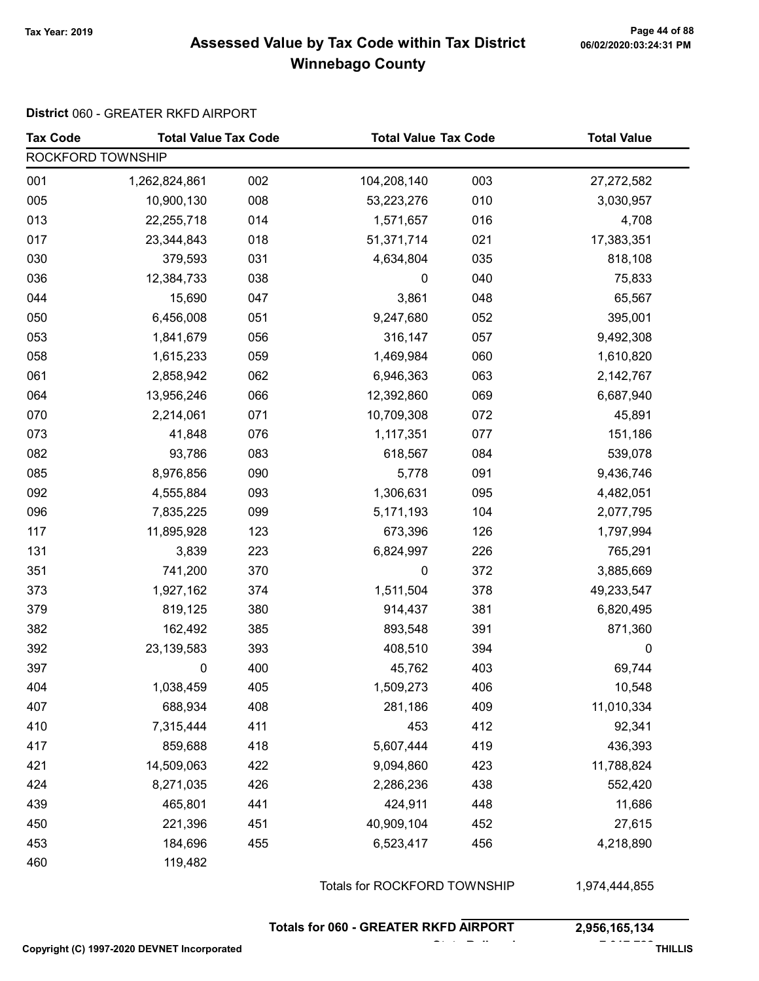#### Page 44 of 88 مع Page 44 of 88<br>Assessed Value by Tax Code within Tax District مof/22020:03:24:31 PM Winnebago County

#### District 060 - GREATER RKFD AIRPORT

| <b>Tax Code</b>   | <b>Total Value Tax Code</b> |     | <b>Total Value Tax Code</b>  |     | <b>Total Value</b> |  |  |
|-------------------|-----------------------------|-----|------------------------------|-----|--------------------|--|--|
| ROCKFORD TOWNSHIP |                             |     |                              |     |                    |  |  |
| 001               | 1,262,824,861               | 002 | 104,208,140                  | 003 | 27,272,582         |  |  |
| 005               | 10,900,130                  | 008 | 53,223,276                   | 010 | 3,030,957          |  |  |
| 013               | 22,255,718                  | 014 | 1,571,657                    | 016 | 4,708              |  |  |
| 017               | 23,344,843                  | 018 | 51,371,714                   | 021 | 17,383,351         |  |  |
| 030               | 379,593                     | 031 | 4,634,804                    | 035 | 818,108            |  |  |
| 036               | 12,384,733                  | 038 | 0                            | 040 | 75,833             |  |  |
| 044               | 15,690                      | 047 | 3,861                        | 048 | 65,567             |  |  |
| 050               | 6,456,008                   | 051 | 9,247,680                    | 052 | 395,001            |  |  |
| 053               | 1,841,679                   | 056 | 316,147                      | 057 | 9,492,308          |  |  |
| 058               | 1,615,233                   | 059 | 1,469,984                    | 060 | 1,610,820          |  |  |
| 061               | 2,858,942                   | 062 | 6,946,363                    | 063 | 2,142,767          |  |  |
| 064               | 13,956,246                  | 066 | 12,392,860                   | 069 | 6,687,940          |  |  |
| 070               | 2,214,061                   | 071 | 10,709,308                   | 072 | 45,891             |  |  |
| 073               | 41,848                      | 076 | 1,117,351                    | 077 | 151,186            |  |  |
| 082               | 93,786                      | 083 | 618,567                      | 084 | 539,078            |  |  |
| 085               | 8,976,856                   | 090 | 5,778                        | 091 | 9,436,746          |  |  |
| 092               | 4,555,884                   | 093 | 1,306,631                    | 095 | 4,482,051          |  |  |
| 096               | 7,835,225                   | 099 | 5,171,193                    | 104 | 2,077,795          |  |  |
| 117               | 11,895,928                  | 123 | 673,396                      | 126 | 1,797,994          |  |  |
| 131               | 3,839                       | 223 | 6,824,997                    | 226 | 765,291            |  |  |
| 351               | 741,200                     | 370 | 0                            | 372 | 3,885,669          |  |  |
| 373               | 1,927,162                   | 374 | 1,511,504                    | 378 | 49,233,547         |  |  |
| 379               | 819,125                     | 380 | 914,437                      | 381 | 6,820,495          |  |  |
| 382               | 162,492                     | 385 | 893,548                      | 391 | 871,360            |  |  |
| 392               | 23, 139, 583                | 393 | 408,510                      | 394 | 0                  |  |  |
| 397               | 0                           | 400 | 45,762                       | 403 | 69,744             |  |  |
| 404               | 1,038,459                   | 405 | 1,509,273                    | 406 | 10,548             |  |  |
| 407               | 688,934                     | 408 | 281,186                      | 409 | 11,010,334         |  |  |
| 410               | 7,315,444                   | 411 | 453                          | 412 | 92,341             |  |  |
| 417               | 859,688                     | 418 | 5,607,444                    | 419 | 436,393            |  |  |
| 421               | 14,509,063                  | 422 | 9,094,860                    | 423 | 11,788,824         |  |  |
| 424               | 8,271,035                   | 426 | 2,286,236                    | 438 | 552,420            |  |  |
| 439               | 465,801                     | 441 | 424,911                      | 448 | 11,686             |  |  |
| 450               | 221,396                     | 451 | 40,909,104                   | 452 | 27,615             |  |  |
| 453               | 184,696                     | 455 | 6,523,417                    | 456 | 4,218,890          |  |  |
| 460               | 119,482                     |     |                              |     |                    |  |  |
|                   |                             |     | Totals for ROCKFORD TOWNSHIP |     | 1,974,444,855      |  |  |

Totals for 060 - GREATER RKFD AIRPORT 2,956,165,134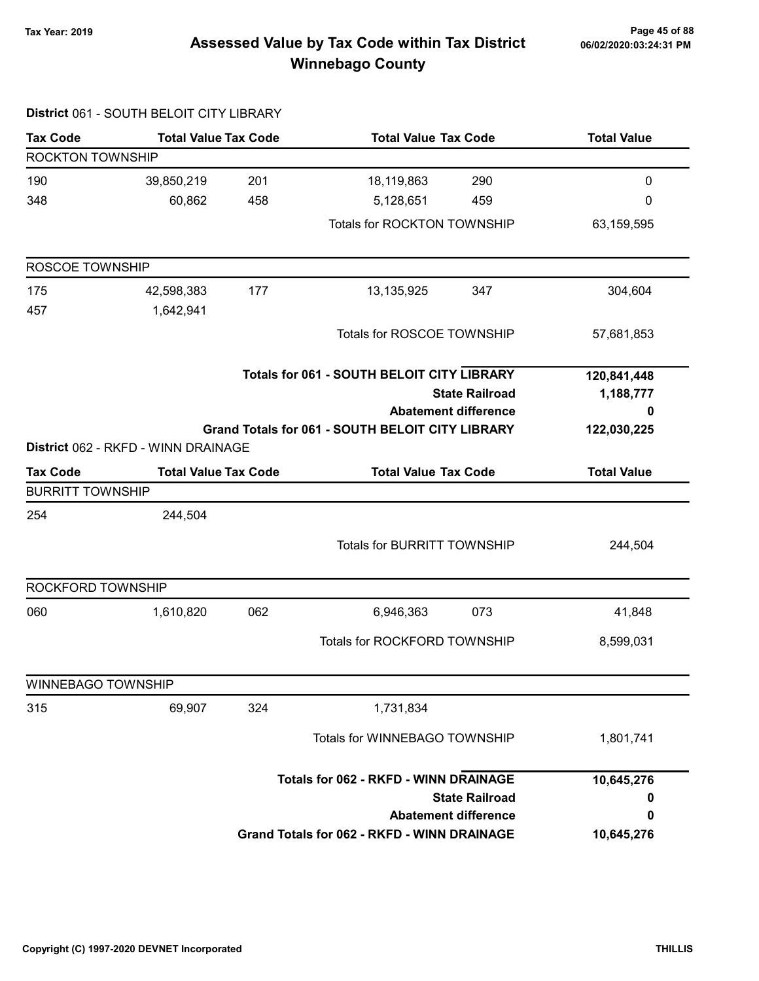# Page 45 of 88 Page 45 of 88<br>Assessed Value by Tax Code within Tax District of the hold of 124:31 PM Winnebago County

|                           | District 061 - SOUTH BELOIT CITY LIBRARY          |           |                                                         |                             |                    |
|---------------------------|---------------------------------------------------|-----------|---------------------------------------------------------|-----------------------------|--------------------|
| <b>Tax Code</b>           | <b>Total Value Tax Code</b>                       |           | <b>Total Value Tax Code</b>                             |                             | <b>Total Value</b> |
| ROCKTON TOWNSHIP          |                                                   |           |                                                         |                             |                    |
| 190                       | 39,850,219                                        | 201       | 18,119,863                                              | 290                         | $\pmb{0}$          |
| 348                       | 60,862                                            | 458       | 5,128,651                                               | 459                         | 0                  |
|                           |                                                   |           | Totals for ROCKTON TOWNSHIP                             |                             | 63,159,595         |
| ROSCOE TOWNSHIP           |                                                   |           |                                                         |                             |                    |
| 175                       | 42,598,383                                        | 177       | 13,135,925                                              | 347                         | 304,604            |
| 457                       | 1,642,941                                         |           |                                                         |                             |                    |
|                           |                                                   |           | Totals for ROSCOE TOWNSHIP                              |                             | 57,681,853         |
|                           | <b>Totals for 061 - SOUTH BELOIT CITY LIBRARY</b> |           |                                                         |                             | 120,841,448        |
|                           |                                                   | 1,188,777 |                                                         |                             |                    |
|                           |                                                   |           |                                                         | <b>Abatement difference</b> | 0                  |
|                           |                                                   |           | <b>Grand Totals for 061 - SOUTH BELOIT CITY LIBRARY</b> |                             | 122,030,225        |
|                           | District 062 - RKFD - WINN DRAINAGE               |           |                                                         |                             |                    |
| <b>Tax Code</b>           | <b>Total Value Tax Code</b>                       |           | <b>Total Value Tax Code</b>                             | <b>Total Value</b>          |                    |
| <b>BURRITT TOWNSHIP</b>   |                                                   |           |                                                         |                             |                    |
| 254                       | 244,504                                           |           |                                                         |                             |                    |
|                           |                                                   |           | <b>Totals for BURRITT TOWNSHIP</b>                      |                             | 244,504            |
|                           |                                                   |           |                                                         |                             |                    |
| ROCKFORD TOWNSHIP         |                                                   |           |                                                         |                             |                    |
| 060                       | 1,610,820                                         | 062       | 6,946,363                                               | 073                         | 41,848             |
|                           |                                                   |           | Totals for ROCKFORD TOWNSHIP                            |                             | 8,599,031          |
| <b>WINNEBAGO TOWNSHIP</b> |                                                   |           |                                                         |                             |                    |
| 315                       | 69,907                                            | 324       | 1,731,834                                               |                             |                    |
|                           |                                                   |           | Totals for WINNEBAGO TOWNSHIP                           |                             | 1,801,741          |
|                           |                                                   |           | <b>Totals for 062 - RKFD - WINN DRAINAGE</b>            |                             | 10,645,276         |
|                           |                                                   |           |                                                         | <b>State Railroad</b>       | 0                  |
|                           |                                                   |           |                                                         | <b>Abatement difference</b> | 0                  |
|                           |                                                   |           | <b>Grand Totals for 062 - RKFD - WINN DRAINAGE</b>      |                             | 10,645,276         |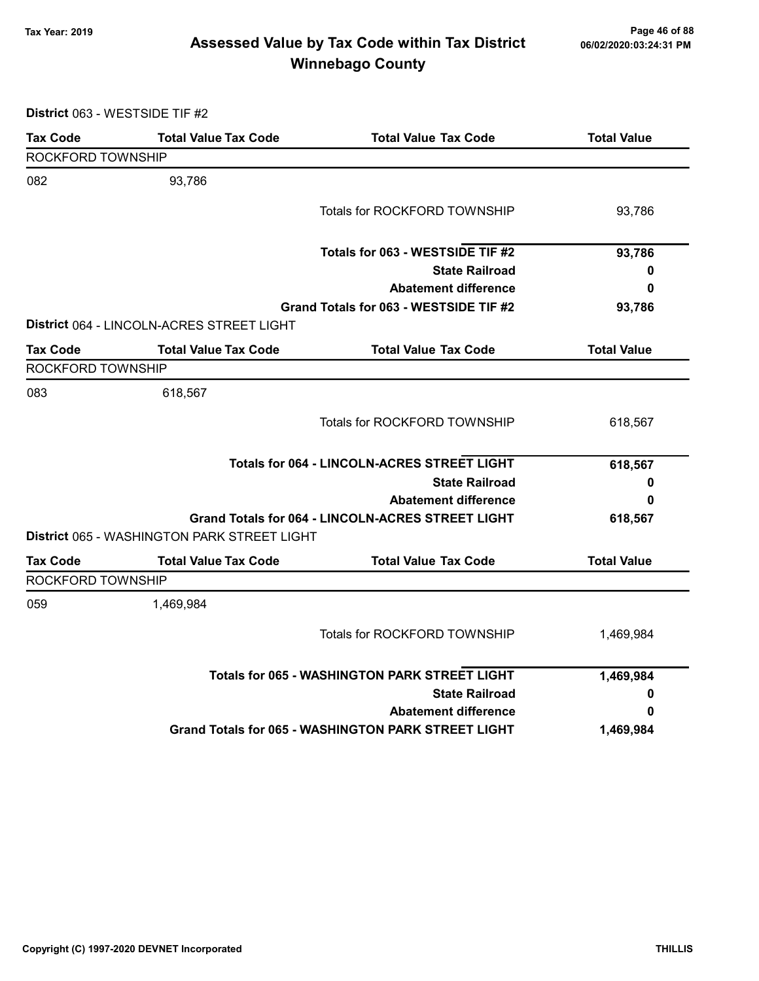# Page 46 of 88 مع Page 46 of 88<br>Assessed Value by Tax Code within Tax District مof 06/02/2020:03:24:31 PM Winnebago County

District 063 - WESTSIDE TIF #2

| <b>Tax Code</b>   | <b>Total Value Tax Code</b>                 | <b>Total Value Tax Code</b>                                | <b>Total Value</b> |
|-------------------|---------------------------------------------|------------------------------------------------------------|--------------------|
| ROCKFORD TOWNSHIP |                                             |                                                            |                    |
| 082               | 93,786                                      |                                                            |                    |
|                   |                                             | <b>Totals for ROCKFORD TOWNSHIP</b>                        | 93,786             |
|                   |                                             | Totals for 063 - WESTSIDE TIF #2                           | 93,786             |
|                   |                                             | <b>State Railroad</b>                                      | 0                  |
|                   |                                             | <b>Abatement difference</b>                                | 0                  |
|                   |                                             | Grand Totals for 063 - WESTSIDE TIF #2                     | 93,786             |
|                   | District 064 - LINCOLN-ACRES STREET LIGHT   |                                                            |                    |
| <b>Tax Code</b>   | <b>Total Value Tax Code</b>                 | <b>Total Value Tax Code</b>                                | <b>Total Value</b> |
| ROCKFORD TOWNSHIP |                                             |                                                            |                    |
| 083               | 618,567                                     |                                                            |                    |
|                   |                                             | Totals for ROCKFORD TOWNSHIP                               | 618,567            |
|                   |                                             | <b>Totals for 064 - LINCOLN-ACRES STREET LIGHT</b>         | 618,567            |
|                   |                                             | <b>State Railroad</b>                                      | 0                  |
|                   |                                             | <b>Abatement difference</b>                                | 0                  |
|                   |                                             | <b>Grand Totals for 064 - LINCOLN-ACRES STREET LIGHT</b>   | 618,567            |
|                   | District 065 - WASHINGTON PARK STREET LIGHT |                                                            |                    |
| <b>Tax Code</b>   | <b>Total Value Tax Code</b>                 | <b>Total Value Tax Code</b>                                | <b>Total Value</b> |
| ROCKFORD TOWNSHIP |                                             |                                                            |                    |
| 059               | 1,469,984                                   |                                                            |                    |
|                   |                                             | <b>Totals for ROCKFORD TOWNSHIP</b>                        | 1,469,984          |
|                   |                                             | <b>Totals for 065 - WASHINGTON PARK STREET LIGHT</b>       | 1,469,984          |
|                   |                                             | <b>State Railroad</b>                                      | 0                  |
|                   |                                             | <b>Abatement difference</b>                                | 0                  |
|                   |                                             | <b>Grand Totals for 065 - WASHINGTON PARK STREET LIGHT</b> | 1,469,984          |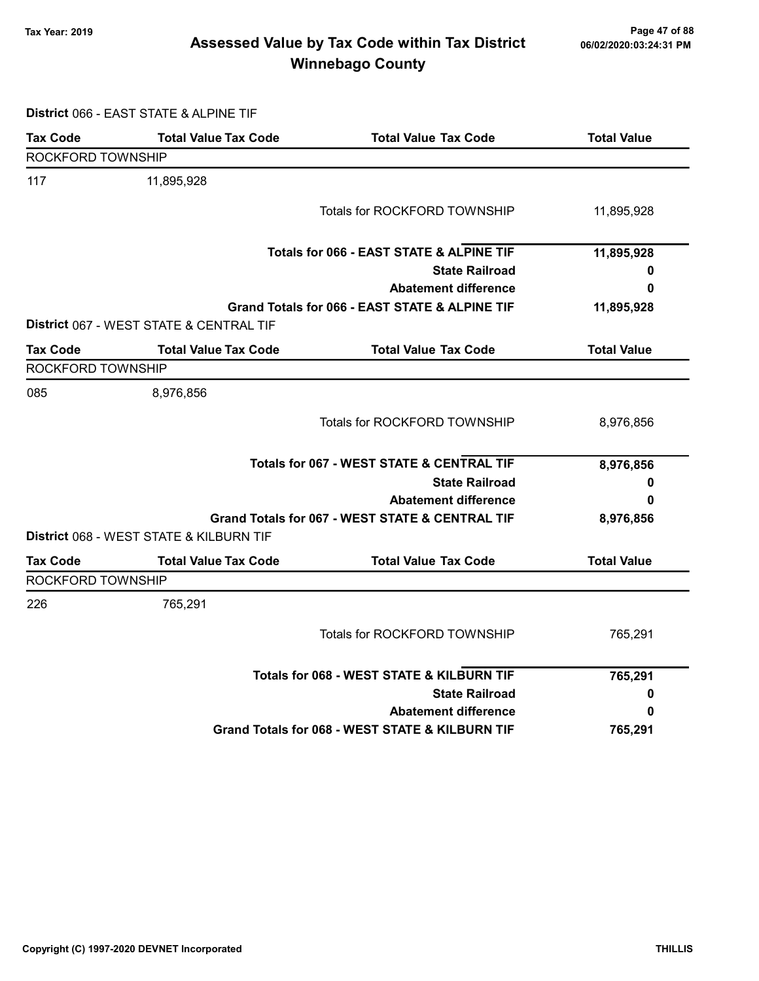# Page 47 of 88 مع Page 47 of 88<br>Assessed Value by Tax Code within Tax District مof/22020:03:24:31 PM Winnebago County

District 066 - EAST STATE & ALPINE TIF

| <b>Tax Code</b>   | <b>Total Value Tax Code</b>             | <b>Total Value Tax Code</b>                          | <b>Total Value</b> |
|-------------------|-----------------------------------------|------------------------------------------------------|--------------------|
| ROCKFORD TOWNSHIP |                                         |                                                      |                    |
| 117               | 11,895,928                              |                                                      |                    |
|                   |                                         | Totals for ROCKFORD TOWNSHIP                         | 11,895,928         |
|                   |                                         | Totals for 066 - EAST STATE & ALPINE TIF             | 11,895,928         |
|                   |                                         | <b>State Railroad</b>                                | 0                  |
|                   |                                         | <b>Abatement difference</b>                          | 0                  |
|                   | District 067 - WEST STATE & CENTRAL TIF | Grand Totals for 066 - EAST STATE & ALPINE TIF       | 11,895,928         |
| <b>Tax Code</b>   | <b>Total Value Tax Code</b>             | <b>Total Value Tax Code</b>                          | <b>Total Value</b> |
| ROCKFORD TOWNSHIP |                                         |                                                      |                    |
| 085               | 8,976,856                               |                                                      |                    |
|                   |                                         | <b>Totals for ROCKFORD TOWNSHIP</b>                  | 8,976,856          |
|                   |                                         | <b>Totals for 067 - WEST STATE &amp; CENTRAL TIF</b> | 8,976,856          |
|                   |                                         | <b>State Railroad</b>                                | 0                  |
|                   |                                         | <b>Abatement difference</b>                          | 0                  |
|                   |                                         | Grand Totals for 067 - WEST STATE & CENTRAL TIF      | 8,976,856          |
|                   | District 068 - WEST STATE & KILBURN TIF |                                                      |                    |
| <b>Tax Code</b>   | <b>Total Value Tax Code</b>             | <b>Total Value Tax Code</b>                          | <b>Total Value</b> |
| ROCKFORD TOWNSHIP |                                         |                                                      |                    |
| 226               | 765,291                                 |                                                      |                    |
|                   |                                         | Totals for ROCKFORD TOWNSHIP                         | 765,291            |
|                   |                                         | Totals for 068 - WEST STATE & KILBURN TIF            | 765,291            |
|                   |                                         | <b>State Railroad</b>                                | 0                  |
|                   |                                         | <b>Abatement difference</b>                          | 0                  |
|                   |                                         | Grand Totals for 068 - WEST STATE & KILBURN TIF      | 765,291            |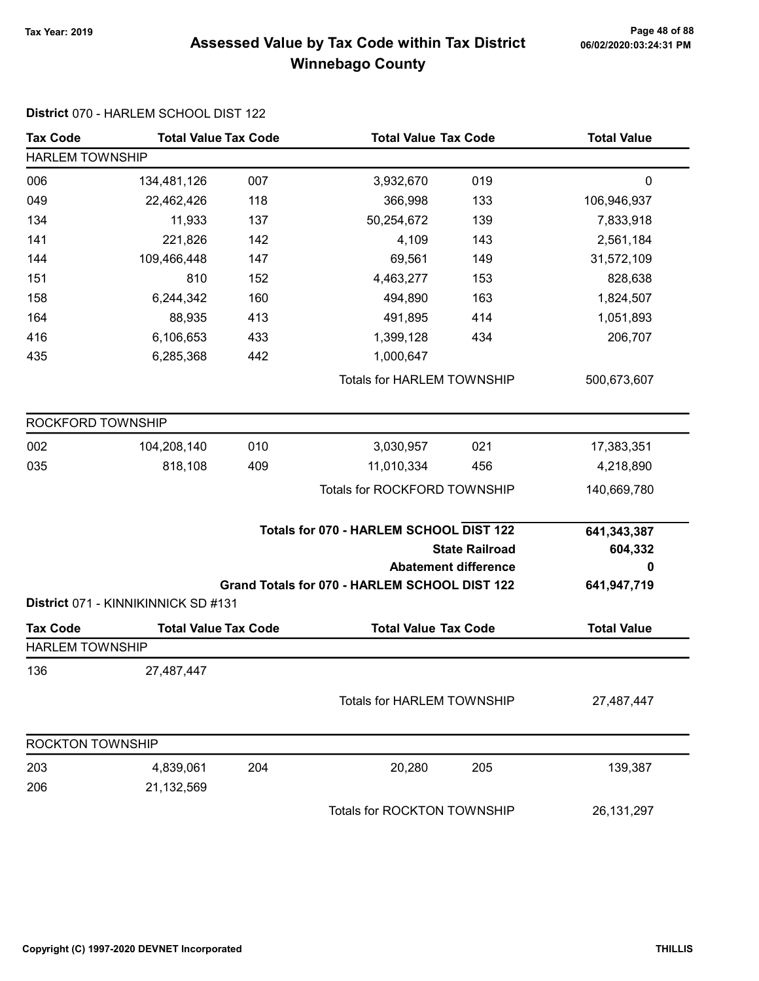# Page 48 of 88 مع Page 48 of 88<br>Assessed Value by Tax Code within Tax District مof/22020:03:24:31 PM Winnebago County

| <b>Tax Code</b>         | <b>Total Value Tax Code</b>         |     | <b>Total Value Tax Code</b>                   |                                                      | <b>Total Value</b>          |  |  |
|-------------------------|-------------------------------------|-----|-----------------------------------------------|------------------------------------------------------|-----------------------------|--|--|
| <b>HARLEM TOWNSHIP</b>  |                                     |     |                                               |                                                      |                             |  |  |
| 006                     | 134,481,126                         | 007 | 3,932,670                                     | 019                                                  | $\mathbf 0$                 |  |  |
| 049                     | 22,462,426                          | 118 | 366,998                                       | 133                                                  | 106,946,937                 |  |  |
| 134                     | 11,933                              | 137 | 50,254,672                                    | 139                                                  | 7,833,918                   |  |  |
| 141                     | 221,826                             | 142 | 4,109                                         | 143                                                  | 2,561,184                   |  |  |
| 144                     | 109,466,448                         | 147 | 69,561                                        | 149                                                  | 31,572,109                  |  |  |
| 151                     | 810                                 | 152 | 4,463,277                                     | 153                                                  | 828,638                     |  |  |
| 158                     | 6,244,342                           | 160 | 494,890                                       | 163                                                  | 1,824,507                   |  |  |
| 164                     | 88,935                              | 413 | 491,895                                       | 414                                                  | 1,051,893                   |  |  |
| 416                     | 6,106,653                           | 433 | 1,399,128                                     | 434                                                  | 206,707                     |  |  |
| 435                     | 6,285,368                           | 442 | 1,000,647                                     |                                                      |                             |  |  |
|                         |                                     |     | <b>Totals for HARLEM TOWNSHIP</b>             |                                                      | 500,673,607                 |  |  |
| ROCKFORD TOWNSHIP       |                                     |     |                                               |                                                      |                             |  |  |
| 002                     | 104,208,140                         | 010 | 3,030,957                                     | 021                                                  | 17,383,351                  |  |  |
| 035                     | 818,108                             | 409 | 11,010,334                                    | 456                                                  | 4,218,890                   |  |  |
|                         |                                     |     | Totals for ROCKFORD TOWNSHIP                  |                                                      | 140,669,780                 |  |  |
|                         |                                     |     | Totals for 070 - HARLEM SCHOOL DIST 122       | <b>State Railroad</b><br><b>Abatement difference</b> | 641,343,387<br>604,332<br>0 |  |  |
|                         | District 071 - KINNIKINNICK SD #131 |     | Grand Totals for 070 - HARLEM SCHOOL DIST 122 |                                                      | 641,947,719                 |  |  |
| <b>Tax Code</b>         | <b>Total Value Tax Code</b>         |     | <b>Total Value Tax Code</b>                   |                                                      | <b>Total Value</b>          |  |  |
| <b>HARLEM TOWNSHIP</b>  |                                     |     |                                               |                                                      |                             |  |  |
| 136                     | 27,487,447                          |     |                                               |                                                      |                             |  |  |
|                         |                                     |     | <b>Totals for HARLEM TOWNSHIP</b>             |                                                      | 27,487,447                  |  |  |
| <b>ROCKTON TOWNSHIP</b> |                                     |     |                                               |                                                      |                             |  |  |
| 203                     | 4,839,061                           | 204 | 20,280                                        | 205                                                  | 139,387                     |  |  |
| 206                     | 21,132,569                          |     |                                               |                                                      |                             |  |  |
|                         |                                     |     | Totals for ROCKTON TOWNSHIP                   |                                                      | 26, 131, 297                |  |  |

#### District 070 - HARLEM SCHOOL DIST 122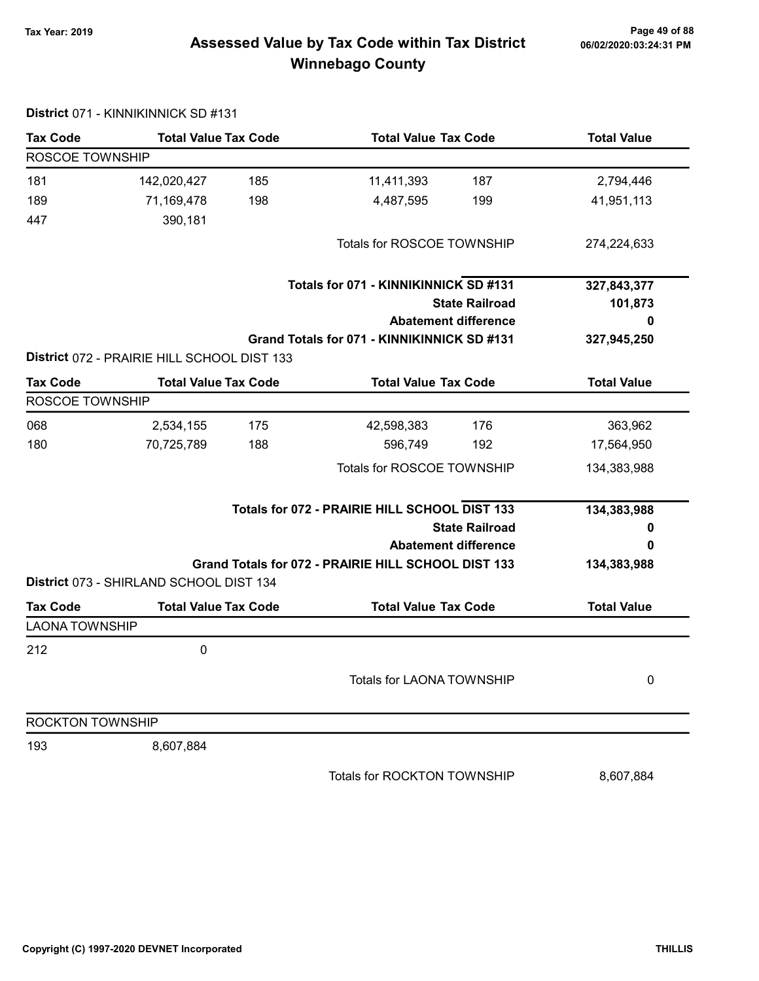# Page 49 of 88 مع Page 49 of 88<br>Assessed Value by Tax Code within Tax District مof/22020:03:24:31 PM Winnebago County

| <b>Tax Code</b>         | <b>Total Value Tax Code</b>                 |     | <b>Total Value Tax Code</b>                         |                             | <b>Total Value</b> |  |
|-------------------------|---------------------------------------------|-----|-----------------------------------------------------|-----------------------------|--------------------|--|
| ROSCOE TOWNSHIP         |                                             |     |                                                     |                             |                    |  |
| 181                     | 142,020,427                                 | 185 | 11,411,393                                          | 187                         | 2,794,446          |  |
| 189                     | 71,169,478                                  | 198 | 4,487,595                                           | 199                         | 41,951,113         |  |
| 447                     | 390,181                                     |     |                                                     |                             |                    |  |
|                         |                                             |     | Totals for ROSCOE TOWNSHIP                          |                             | 274,224,633        |  |
|                         |                                             |     | Totals for 071 - KINNIKINNICK SD #131               |                             | 327,843,377        |  |
|                         |                                             |     |                                                     | <b>State Railroad</b>       | 101,873            |  |
|                         |                                             |     |                                                     | <b>Abatement difference</b> | Ω                  |  |
|                         |                                             |     | Grand Totals for 071 - KINNIKINNICK SD #131         |                             | 327,945,250        |  |
|                         | District 072 - PRAIRIE HILL SCHOOL DIST 133 |     |                                                     |                             |                    |  |
| <b>Tax Code</b>         | <b>Total Value Tax Code</b>                 |     | <b>Total Value Tax Code</b>                         |                             | <b>Total Value</b> |  |
| ROSCOE TOWNSHIP         |                                             |     |                                                     |                             |                    |  |
| 068                     | 2,534,155                                   | 175 | 42,598,383                                          | 176                         | 363,962            |  |
| 180                     | 70,725,789                                  | 188 | 596,749                                             | 192                         | 17,564,950         |  |
|                         |                                             |     | Totals for ROSCOE TOWNSHIP                          |                             | 134,383,988        |  |
|                         |                                             |     | Totals for 072 - PRAIRIE HILL SCHOOL DIST 133       |                             | 134,383,988        |  |
|                         |                                             |     |                                                     | <b>State Railroad</b>       | o                  |  |
|                         |                                             |     |                                                     | <b>Abatement difference</b> | 0                  |  |
|                         |                                             |     | Grand Totals for 072 - PRAIRIE HILL SCHOOL DIST 133 |                             | 134,383,988        |  |
|                         | District 073 - SHIRLAND SCHOOL DIST 134     |     |                                                     |                             |                    |  |
| <b>Tax Code</b>         | <b>Total Value Tax Code</b>                 |     | <b>Total Value Tax Code</b>                         |                             | <b>Total Value</b> |  |
| <b>LAONA TOWNSHIP</b>   |                                             |     |                                                     |                             |                    |  |
| 212                     | $\pmb{0}$                                   |     |                                                     |                             |                    |  |
|                         |                                             |     | <b>Totals for LAONA TOWNSHIP</b>                    |                             | 0                  |  |
| <b>ROCKTON TOWNSHIP</b> |                                             |     |                                                     |                             |                    |  |
| 193                     | 8,607,884                                   |     |                                                     |                             |                    |  |
|                         |                                             |     | Totals for ROCKTON TOWNSHIP                         |                             | 8,607,884          |  |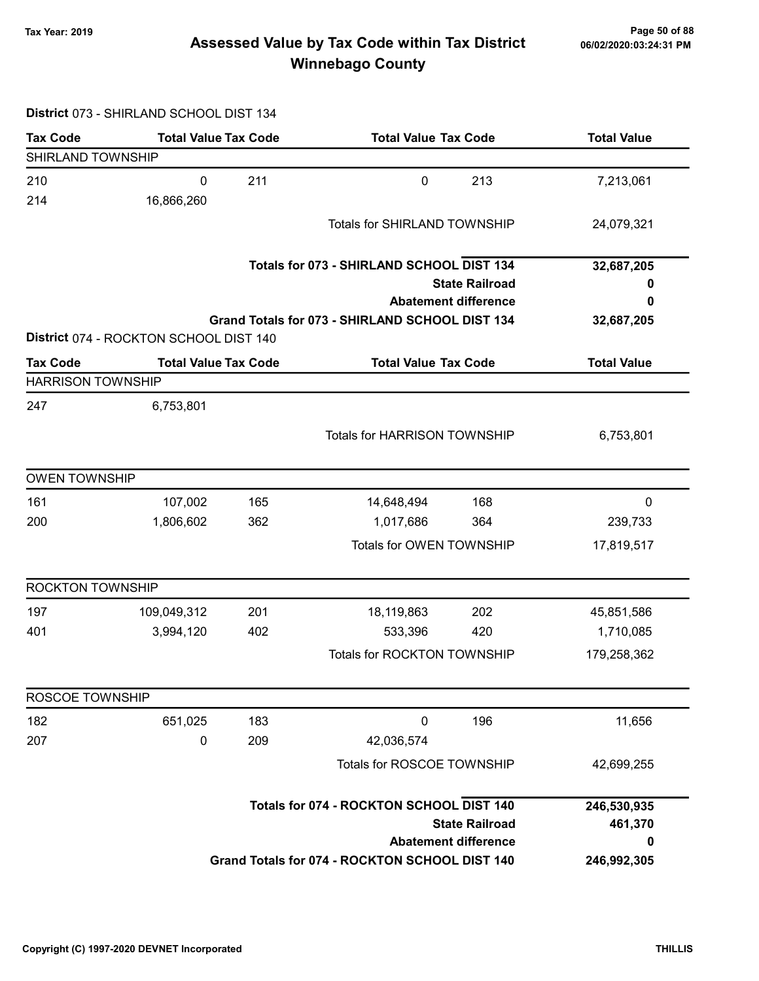# Page 50 of 88 وTax Year: 2019 Page 50 of 88<br>Assessed Value by Tax Code within Tax District هو Assessed Value by Tax Code Winnebago County

#### District 073 - SHIRLAND SCHOOL DIST 134

| <b>Tax Code</b>          | <b>Total Value Tax Code</b>            |     | <b>Total Value Tax Code</b>                     |                             | <b>Total Value</b> |
|--------------------------|----------------------------------------|-----|-------------------------------------------------|-----------------------------|--------------------|
| SHIRLAND TOWNSHIP        |                                        |     |                                                 |                             |                    |
| 210                      | 0                                      | 211 | $\mathbf 0$                                     | 213                         | 7,213,061          |
| 214                      | 16,866,260                             |     |                                                 |                             |                    |
|                          |                                        |     | <b>Totals for SHIRLAND TOWNSHIP</b>             |                             | 24,079,321         |
|                          |                                        |     | Totals for 073 - SHIRLAND SCHOOL DIST 134       |                             | 32,687,205         |
|                          |                                        |     |                                                 | <b>State Railroad</b>       | o                  |
|                          |                                        |     |                                                 | <b>Abatement difference</b> | 0                  |
|                          |                                        |     | Grand Totals for 073 - SHIRLAND SCHOOL DIST 134 |                             | 32,687,205         |
|                          | District 074 - ROCKTON SCHOOL DIST 140 |     |                                                 |                             |                    |
| <b>Tax Code</b>          | <b>Total Value Tax Code</b>            |     | <b>Total Value Tax Code</b>                     |                             | <b>Total Value</b> |
| <b>HARRISON TOWNSHIP</b> |                                        |     |                                                 |                             |                    |
| 247                      | 6,753,801                              |     |                                                 |                             |                    |
|                          |                                        |     | <b>Totals for HARRISON TOWNSHIP</b>             |                             | 6,753,801          |
|                          |                                        |     |                                                 |                             |                    |
| <b>OWEN TOWNSHIP</b>     |                                        |     |                                                 |                             |                    |
| 161                      | 107,002                                | 165 | 14,648,494                                      | 168                         | 0                  |
| 200                      | 1,806,602                              | 362 | 1,017,686                                       | 364                         | 239,733            |
|                          |                                        |     | Totals for OWEN TOWNSHIP                        |                             | 17,819,517         |
| <b>ROCKTON TOWNSHIP</b>  |                                        |     |                                                 |                             |                    |
| 197                      | 109,049,312                            | 201 | 18,119,863                                      | 202                         | 45,851,586         |
| 401                      | 3,994,120                              | 402 | 533,396                                         | 420                         | 1,710,085          |
|                          |                                        |     | <b>Totals for ROCKTON TOWNSHIP</b>              |                             | 179,258,362        |
| <b>ROSCOE TOWNSHIP</b>   |                                        |     |                                                 |                             |                    |
| 182                      | 651,025                                | 183 | $\boldsymbol{0}$                                | 196                         | 11,656             |
| 207                      | 0                                      | 209 | 42,036,574                                      |                             |                    |
|                          |                                        |     | Totals for ROSCOE TOWNSHIP                      |                             | 42,699,255         |
|                          |                                        |     | Totals for 074 - ROCKTON SCHOOL DIST 140        |                             | 246,530,935        |
|                          |                                        |     |                                                 | <b>State Railroad</b>       | 461,370            |
|                          |                                        |     |                                                 | <b>Abatement difference</b> | 0                  |
|                          |                                        |     | Grand Totals for 074 - ROCKTON SCHOOL DIST 140  |                             | 246,992,305        |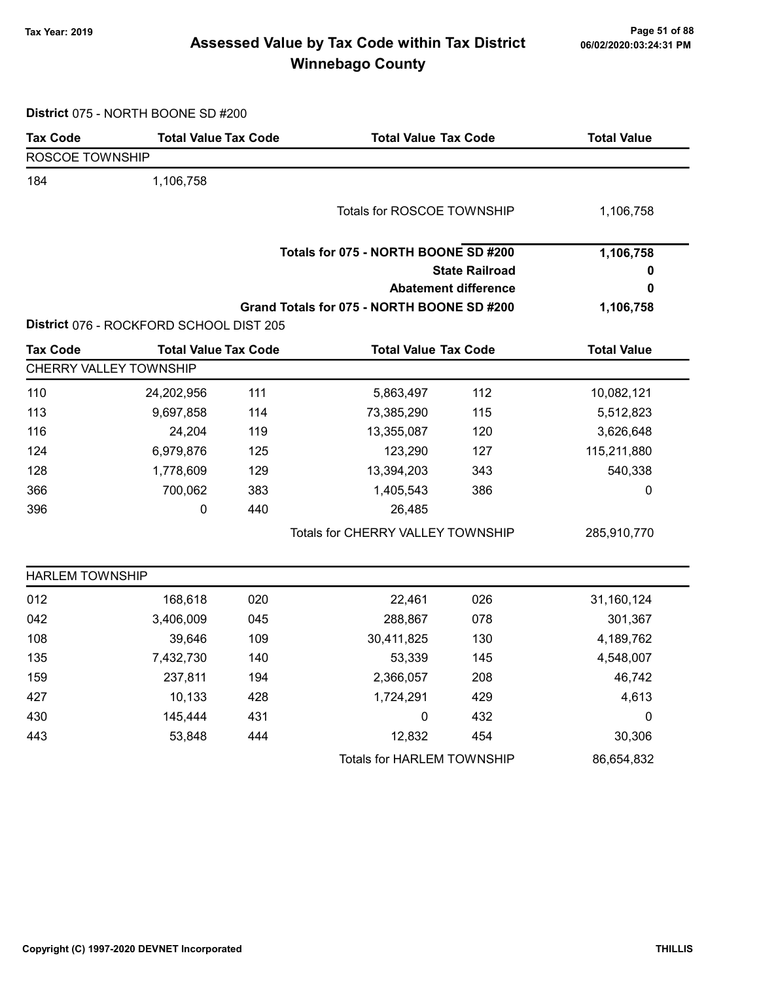# Page 51 of 88 وTax Year: 2019 Page 51 of 88<br>Assessed Value by Tax Code within Tax District هو Assessed Value by Tax Code Winnebago County

| District 075 - NORTH BOONE SD #200 |  |  |  |  |  |
|------------------------------------|--|--|--|--|--|
|------------------------------------|--|--|--|--|--|

| <b>Tax Code</b>        | <b>Total Value Tax Code</b>             |     | <b>Total Value Tax Code</b>                |                             | <b>Total Value</b> |
|------------------------|-----------------------------------------|-----|--------------------------------------------|-----------------------------|--------------------|
| <b>ROSCOE TOWNSHIP</b> |                                         |     |                                            |                             |                    |
| 184                    | 1,106,758                               |     |                                            |                             |                    |
|                        |                                         |     | Totals for ROSCOE TOWNSHIP                 |                             | 1,106,758          |
|                        |                                         |     | Totals for 075 - NORTH BOONE SD #200       |                             | 1,106,758          |
|                        |                                         |     |                                            | <b>State Railroad</b>       | 0                  |
|                        |                                         |     |                                            | <b>Abatement difference</b> | 0                  |
|                        |                                         |     | Grand Totals for 075 - NORTH BOONE SD #200 |                             | 1,106,758          |
|                        | District 076 - ROCKFORD SCHOOL DIST 205 |     |                                            |                             |                    |
| <b>Tax Code</b>        | <b>Total Value Tax Code</b>             |     | <b>Total Value Tax Code</b>                |                             | <b>Total Value</b> |
|                        | CHERRY VALLEY TOWNSHIP                  |     |                                            |                             |                    |
| 110                    | 24,202,956                              | 111 | 5,863,497                                  | 112                         | 10,082,121         |
| 113                    | 9,697,858                               | 114 | 73,385,290                                 | 115                         | 5,512,823          |
| 116                    | 24,204                                  | 119 | 13,355,087                                 | 120                         | 3,626,648          |
| 124                    | 6,979,876                               | 125 | 123,290                                    | 127                         | 115,211,880        |
| 128                    | 1,778,609                               | 129 | 13,394,203                                 | 343                         | 540,338            |
| 366                    | 700,062                                 | 383 | 1,405,543                                  | 386                         | 0                  |
| 396                    | 0                                       | 440 | 26,485                                     |                             |                    |
|                        |                                         |     | Totals for CHERRY VALLEY TOWNSHIP          |                             | 285,910,770        |
| <b>HARLEM TOWNSHIP</b> |                                         |     |                                            |                             |                    |
| 012                    | 168,618                                 | 020 | 22,461                                     | 026                         | 31,160,124         |
| 042                    | 3,406,009                               | 045 | 288,867                                    | 078                         | 301,367            |
| 108                    | 39,646                                  | 109 | 30,411,825                                 | 130                         | 4,189,762          |
| 135                    | 7,432,730                               | 140 | 53,339                                     | 145                         | 4,548,007          |
| 159                    | 237,811                                 | 194 | 2,366,057                                  | 208                         | 46,742             |
| 427                    | 10,133                                  | 428 | 1,724,291                                  | 429                         | 4,613              |
| 430                    | 145,444                                 | 431 | 0                                          | 432                         | 0                  |
| 443                    | 53,848                                  | 444 | 12,832                                     | 454                         | 30,306             |
|                        |                                         |     | <b>Totals for HARLEM TOWNSHIP</b>          |                             | 86,654,832         |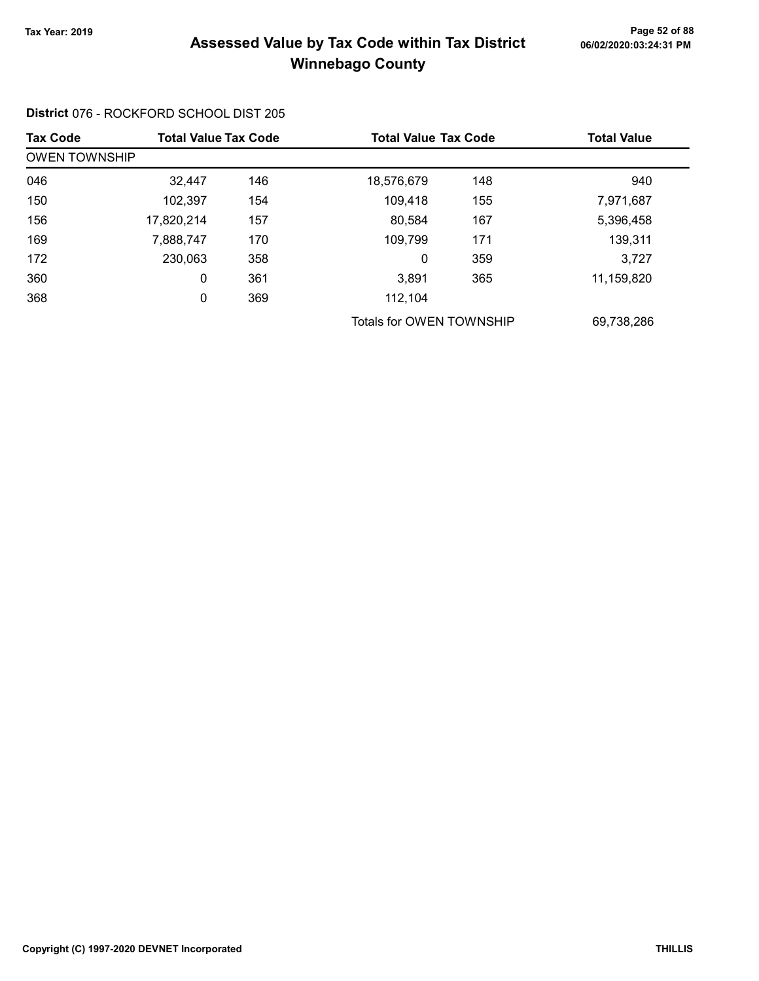#### Page 52 of 88 مسمع Page 52 of 88<br>Assessed Value by Tax Code within Tax District مسمع Assessed Value by Tax Code within Tax District Winnebago County

#### Tax Code Total Value Tax Code Total Value Tax Code Total Value Tax Code OWEN TOWNSHIP 046 32,447 18,576,679 146 148 940 150 102,397 109,418 154 155 7,971,687 156 17,820,214 80,584 157 167 5,396,458 169 7,888,747 170 109,799 171 170 172 230,063 0 358 359 3,727 360 0 3,891 361 365 11,159,820 368 0 112,104 369 Totals for OWEN TOWNSHIP 69,738,286

District 076 - ROCKFORD SCHOOL DIST 205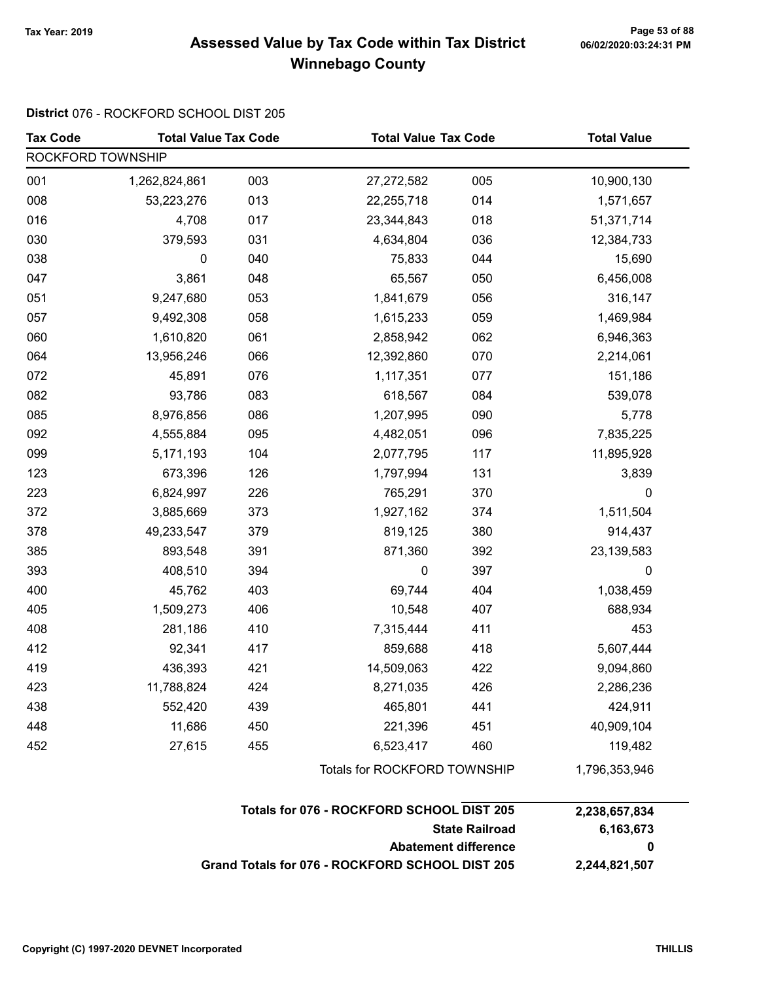# Page 53 of 88 مسمح Page 53 of 88<br>Assessed Value by Tax Code within Tax District مسموع Assessed Value by Tax Code within Tax District Winnebago County

#### District 076 - ROCKFORD SCHOOL DIST 205

| <b>Tax Code</b>   | <b>Total Value Tax Code</b> |                              | <b>Total Value Tax Code</b> |               | <b>Total Value</b> |  |
|-------------------|-----------------------------|------------------------------|-----------------------------|---------------|--------------------|--|
| ROCKFORD TOWNSHIP |                             |                              |                             |               |                    |  |
| 001               | 1,262,824,861               | 003                          | 27,272,582                  | 005           | 10,900,130         |  |
| 008               | 53,223,276                  | 013                          | 22,255,718                  | 014           | 1,571,657          |  |
| 016               | 4,708                       | 017                          | 23,344,843                  | 018           | 51,371,714         |  |
| 030               | 379,593                     | 031                          | 4,634,804                   | 036           | 12,384,733         |  |
| 038               | 0                           | 040                          | 75,833                      | 044           | 15,690             |  |
| 047               | 3,861                       | 048                          | 65,567                      | 050           | 6,456,008          |  |
| 051               | 9,247,680                   | 053                          | 1,841,679                   | 056           | 316,147            |  |
| 057               | 9,492,308                   | 058                          | 1,615,233                   | 059           | 1,469,984          |  |
| 060               | 1,610,820                   | 061                          | 2,858,942                   | 062           | 6,946,363          |  |
| 064               | 13,956,246                  | 066                          | 12,392,860                  | 070           | 2,214,061          |  |
| 072               | 45,891                      | 076                          | 1,117,351                   | 077           | 151,186            |  |
| 082               | 93,786                      | 083                          | 618,567                     | 084           | 539,078            |  |
| 085               | 8,976,856                   | 086                          | 1,207,995                   | 090           | 5,778              |  |
| 092               | 4,555,884                   | 095                          | 4,482,051                   | 096           | 7,835,225          |  |
| 099               | 5,171,193                   | 104                          | 2,077,795                   | 117           | 11,895,928         |  |
| 123               | 673,396                     | 126                          | 1,797,994                   | 131           | 3,839              |  |
| 223               | 6,824,997                   | 226                          | 765,291                     | 370           | 0                  |  |
| 372               | 3,885,669                   | 373                          | 1,927,162                   | 374           | 1,511,504          |  |
| 378               | 49,233,547                  | 379                          | 819,125                     | 380           | 914,437            |  |
| 385               | 893,548                     | 391                          | 871,360                     | 392           | 23,139,583         |  |
| 393               | 408,510                     | 394                          | 0                           | 397           | $\pmb{0}$          |  |
| 400               | 45,762                      | 403                          | 69,744                      | 404           | 1,038,459          |  |
| 405               | 1,509,273                   | 406                          | 10,548                      | 407           | 688,934            |  |
| 408               | 281,186                     | 410                          | 7,315,444                   | 411           | 453                |  |
| 412               | 92,341                      | 417                          | 859,688                     | 418           | 5,607,444          |  |
| 419               | 436,393                     | 421                          | 14,509,063                  | 422           | 9,094,860          |  |
| 423               | 11,788,824                  | 424                          | 8,271,035                   | 426           | 2,286,236          |  |
| 438               | 552,420                     | 439                          | 465,801                     | 441           | 424,911            |  |
| 448               | 11,686                      | 450                          | 221,396                     | 451           | 40,909,104         |  |
| 452               | 27,615                      | 455                          | 6,523,417                   | 460           | 119,482            |  |
|                   |                             | Totals for ROCKFORD TOWNSHIP |                             | 1,796,353,946 |                    |  |

| Totals for 076 - ROCKFORD SCHOOL DIST 205       | 2,238,657,834 |
|-------------------------------------------------|---------------|
| <b>State Railroad</b>                           | 6.163.673     |
| <b>Abatement difference</b>                     | 0             |
| Grand Totals for 076 - ROCKFORD SCHOOL DIST 205 | 2,244,821,507 |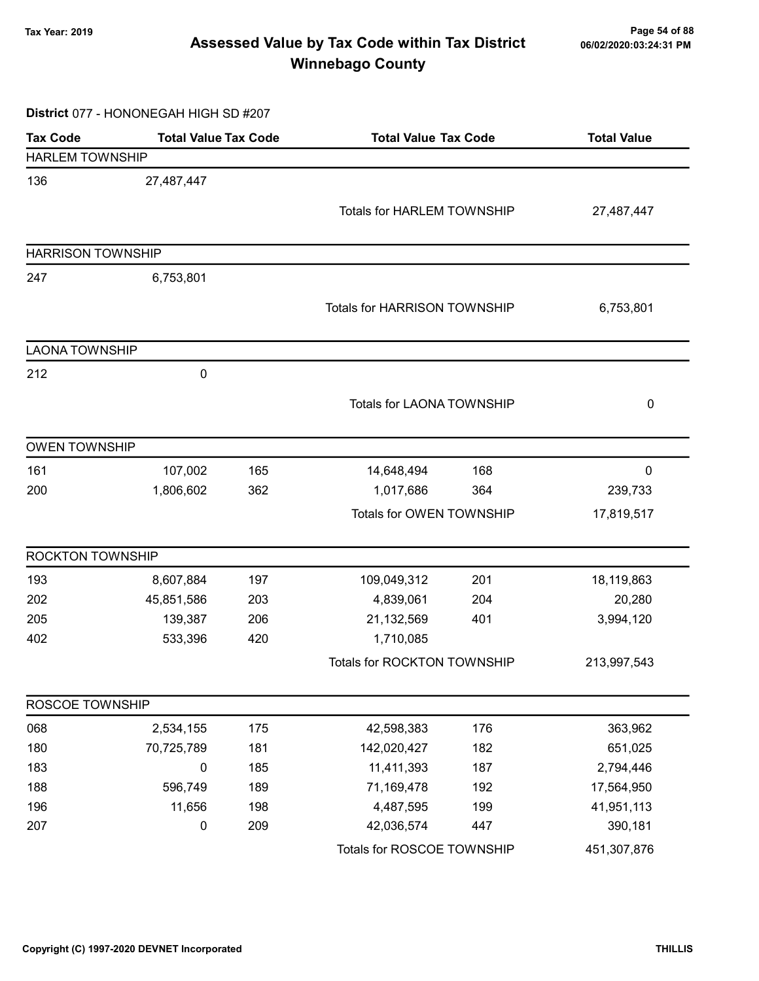# Page 54 of 88 مسمع Page 54 of 88<br>Assessed Value by Tax Code within Tax District مسمع Assessed Value by Tax Code within Tax District Winnebago County

District 077 - HONONEGAH HIGH SD #207

| <b>Tax Code</b>          | <b>Total Value Tax Code</b> |     | <b>Total Value Tax Code</b>         |     | <b>Total Value</b> |  |
|--------------------------|-----------------------------|-----|-------------------------------------|-----|--------------------|--|
| <b>HARLEM TOWNSHIP</b>   |                             |     |                                     |     |                    |  |
| 136                      | 27,487,447                  |     |                                     |     |                    |  |
|                          |                             |     | <b>Totals for HARLEM TOWNSHIP</b>   |     | 27,487,447         |  |
|                          |                             |     |                                     |     |                    |  |
| <b>HARRISON TOWNSHIP</b> |                             |     |                                     |     |                    |  |
| 247                      | 6,753,801                   |     |                                     |     |                    |  |
|                          |                             |     | <b>Totals for HARRISON TOWNSHIP</b> |     | 6,753,801          |  |
|                          |                             |     |                                     |     |                    |  |
| <b>LAONA TOWNSHIP</b>    |                             |     |                                     |     |                    |  |
| 212                      | $\pmb{0}$                   |     |                                     |     |                    |  |
|                          |                             |     | <b>Totals for LAONA TOWNSHIP</b>    |     | 0                  |  |
|                          |                             |     |                                     |     |                    |  |
| <b>OWEN TOWNSHIP</b>     |                             |     |                                     |     |                    |  |
| 161                      | 107,002                     | 165 | 14,648,494                          | 168 | $\mathbf 0$        |  |
| 200                      | 1,806,602                   | 362 | 1,017,686                           | 364 | 239,733            |  |
|                          |                             |     | Totals for OWEN TOWNSHIP            |     | 17,819,517         |  |
| <b>ROCKTON TOWNSHIP</b>  |                             |     |                                     |     |                    |  |
| 193                      | 8,607,884                   | 197 | 109,049,312                         | 201 | 18,119,863         |  |
| 202                      | 45,851,586                  | 203 | 4,839,061                           | 204 | 20,280             |  |
| 205                      | 139,387                     | 206 | 21,132,569                          | 401 | 3,994,120          |  |
| 402                      | 533,396                     | 420 | 1,710,085                           |     |                    |  |
|                          |                             |     | Totals for ROCKTON TOWNSHIP         |     | 213,997,543        |  |
| ROSCOE TOWNSHIP          |                             |     |                                     |     |                    |  |
| 068                      | 2,534,155                   | 175 | 42,598,383                          | 176 | 363,962            |  |
| 180                      | 70,725,789                  | 181 | 142,020,427                         | 182 | 651,025            |  |
| 183                      | $\pmb{0}$                   | 185 | 11,411,393                          | 187 | 2,794,446          |  |
| 188                      | 596,749                     | 189 | 71,169,478                          | 192 | 17,564,950         |  |
| 196                      | 11,656                      | 198 | 4,487,595                           | 199 | 41,951,113         |  |
| 207                      | $\pmb{0}$                   | 209 | 42,036,574                          | 447 | 390,181            |  |
|                          |                             |     | Totals for ROSCOE TOWNSHIP          |     | 451,307,876        |  |
|                          |                             |     |                                     |     |                    |  |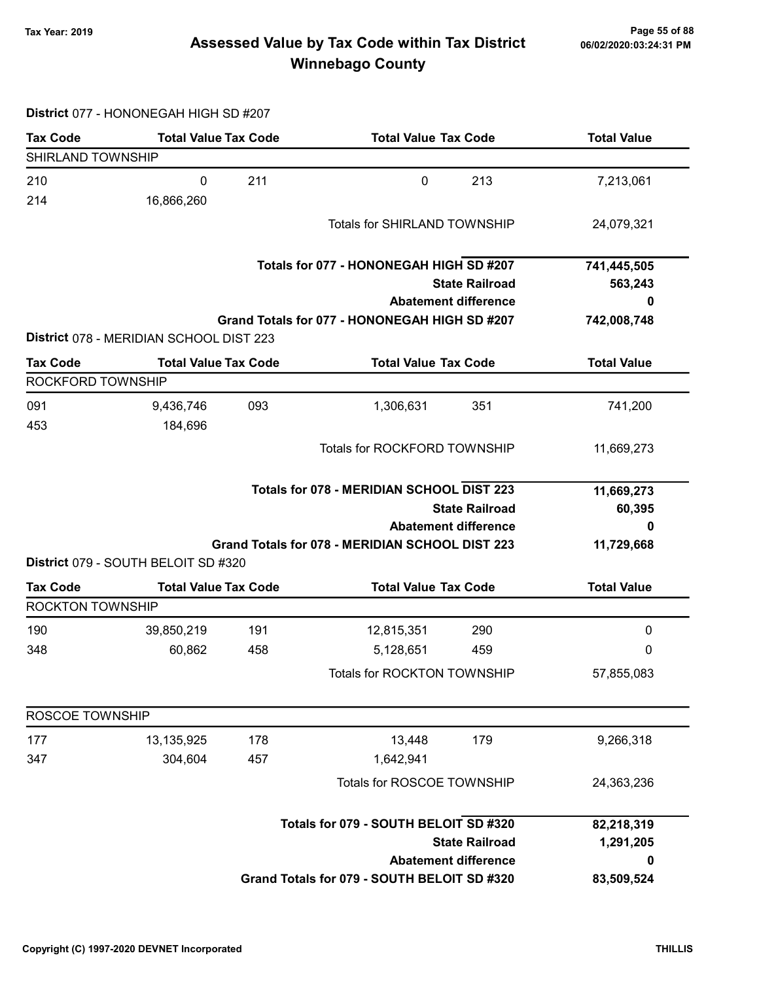# Page 55 of 88 وTax Year: 2019 Page 55 of 88<br>Assessed Value by Tax Code within Tax District هو Assessed Value by Tax Code Winnebago County

#### District 077 - HONONEGAH HIGH SD #207

| <b>Tax Code</b>         | <b>Total Value Tax Code</b>             |                             | <b>Total Value Tax Code</b>                      |                             | <b>Total Value</b> |  |
|-------------------------|-----------------------------------------|-----------------------------|--------------------------------------------------|-----------------------------|--------------------|--|
| SHIRLAND TOWNSHIP       |                                         |                             |                                                  |                             |                    |  |
| 210                     | $\pmb{0}$                               | 211                         | $\mathbf 0$                                      | 213                         | 7,213,061          |  |
| 214                     | 16,866,260                              |                             |                                                  |                             |                    |  |
|                         |                                         |                             | Totals for SHIRLAND TOWNSHIP                     |                             | 24,079,321         |  |
|                         |                                         |                             |                                                  |                             |                    |  |
|                         |                                         |                             | Totals for 077 - HONONEGAH HIGH SD #207          |                             | 741,445,505        |  |
|                         |                                         |                             |                                                  | <b>State Railroad</b>       | 563,243            |  |
|                         |                                         |                             |                                                  | <b>Abatement difference</b> | Ω                  |  |
|                         |                                         |                             | Grand Totals for 077 - HONONEGAH HIGH SD #207    |                             | 742,008,748        |  |
|                         | District 078 - MERIDIAN SCHOOL DIST 223 |                             |                                                  |                             |                    |  |
| <b>Tax Code</b>         | <b>Total Value Tax Code</b>             |                             | <b>Total Value Tax Code</b>                      |                             | <b>Total Value</b> |  |
| ROCKFORD TOWNSHIP       |                                         |                             |                                                  |                             |                    |  |
| 091                     | 9,436,746                               | 093                         | 1,306,631                                        | 351                         | 741,200            |  |
| 453                     | 184,696                                 |                             |                                                  |                             |                    |  |
|                         |                                         |                             | Totals for ROCKFORD TOWNSHIP                     |                             | 11,669,273         |  |
|                         |                                         |                             |                                                  |                             |                    |  |
|                         |                                         |                             | <b>Totals for 078 - MERIDIAN SCHOOL DIST 223</b> |                             | 11,669,273         |  |
| <b>State Railroad</b>   |                                         |                             |                                                  | 60,395                      |                    |  |
|                         |                                         | <b>Abatement difference</b> |                                                  |                             |                    |  |
|                         |                                         |                             | Grand Totals for 078 - MERIDIAN SCHOOL DIST 223  |                             | 11,729,668         |  |
|                         | District 079 - SOUTH BELOIT SD #320     |                             |                                                  |                             |                    |  |
| <b>Tax Code</b>         | <b>Total Value Tax Code</b>             |                             | <b>Total Value Tax Code</b>                      |                             | <b>Total Value</b> |  |
| <b>ROCKTON TOWNSHIP</b> |                                         |                             |                                                  |                             |                    |  |
| 190                     | 39,850,219                              | 191                         | 12,815,351                                       | 290                         | $\pmb{0}$          |  |
| 348                     | 60,862                                  | 458                         | 5,128,651                                        | 459                         | 0                  |  |
|                         |                                         |                             | <b>Totals for ROCKTON TOWNSHIP</b>               |                             | 57,855,083         |  |
|                         |                                         |                             |                                                  |                             |                    |  |
| ROSCOE TOWNSHIP         |                                         |                             |                                                  |                             |                    |  |
| 177                     | 13,135,925                              | 178                         | 13,448                                           | 179                         | 9,266,318          |  |
| 347                     | 304,604                                 | 457                         | 1,642,941                                        |                             |                    |  |
|                         |                                         |                             | Totals for ROSCOE TOWNSHIP                       |                             |                    |  |
|                         |                                         |                             | Totals for 079 - SOUTH BELOIT SD #320            |                             | 82,218,319         |  |
|                         |                                         |                             |                                                  | <b>State Railroad</b>       | 1,291,205          |  |
|                         |                                         |                             |                                                  | <b>Abatement difference</b> | 0                  |  |
|                         |                                         |                             |                                                  |                             |                    |  |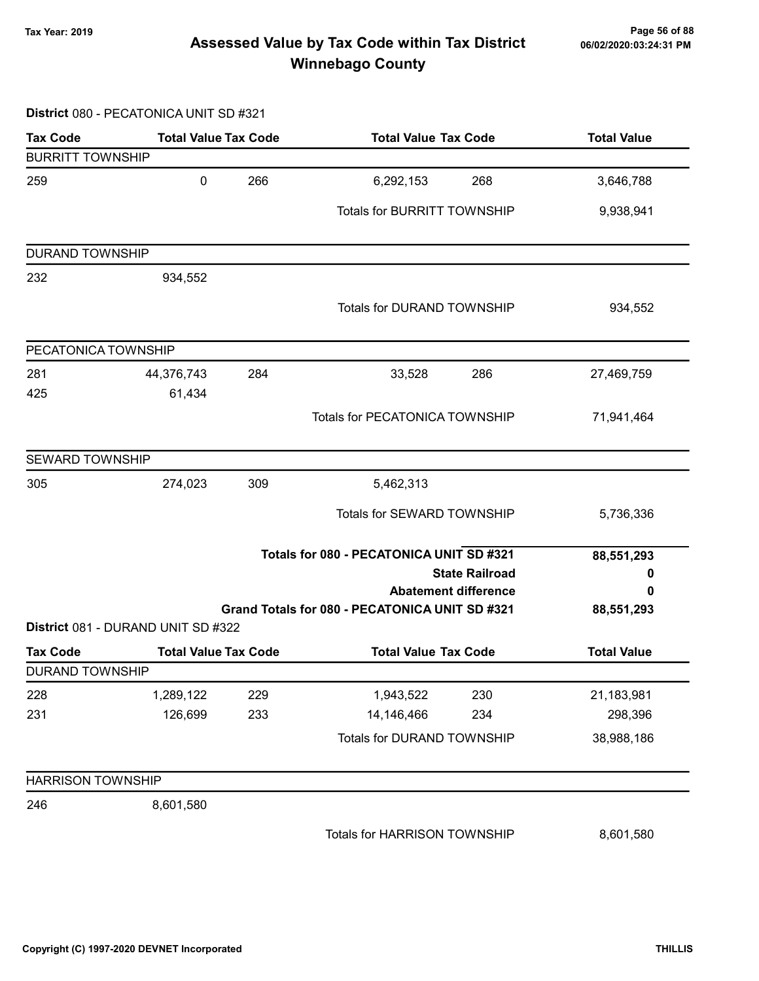# Page 56 of 88 وTax Year: 2019 Page 56 of 88<br>Assessed Value by Tax Code within Tax District of the 16/02/2020:03:24:31 PM Winnebago County

#### District 080 - PECATONICA UNIT SD #321

| <b>Tax Code</b>          | <b>Total Value Tax Code</b>        |     | <b>Total Value Tax Code</b>                                                   | <b>Total Value</b> |
|--------------------------|------------------------------------|-----|-------------------------------------------------------------------------------|--------------------|
| <b>BURRITT TOWNSHIP</b>  |                                    |     |                                                                               |                    |
| 259                      | 0                                  | 266 | 6,292,153<br>268                                                              | 3,646,788          |
|                          |                                    |     | <b>Totals for BURRITT TOWNSHIP</b>                                            | 9,938,941          |
| <b>DURAND TOWNSHIP</b>   |                                    |     |                                                                               |                    |
| 232                      | 934,552                            |     |                                                                               |                    |
|                          |                                    |     | <b>Totals for DURAND TOWNSHIP</b>                                             | 934,552            |
| PECATONICA TOWNSHIP      |                                    |     |                                                                               |                    |
| 281                      | 44,376,743                         | 284 | 33,528<br>286                                                                 | 27,469,759         |
| 425                      | 61,434                             |     |                                                                               |                    |
|                          |                                    |     | Totals for PECATONICA TOWNSHIP                                                | 71,941,464         |
| <b>SEWARD TOWNSHIP</b>   |                                    |     |                                                                               |                    |
| 305                      | 274,023                            | 309 | 5,462,313                                                                     |                    |
|                          |                                    |     | Totals for SEWARD TOWNSHIP                                                    | 5,736,336          |
|                          |                                    |     | Totals for 080 - PECATONICA UNIT SD #321                                      | 88,551,293         |
|                          |                                    |     | <b>State Railroad</b>                                                         | 0                  |
|                          |                                    |     | <b>Abatement difference</b><br>Grand Totals for 080 - PECATONICA UNIT SD #321 | 0<br>88,551,293    |
|                          | District 081 - DURAND UNIT SD #322 |     |                                                                               |                    |
| <b>Tax Code</b>          | <b>Total Value Tax Code</b>        |     | <b>Total Value Tax Code</b>                                                   | <b>Total Value</b> |
| <b>DURAND TOWNSHIP</b>   |                                    |     |                                                                               |                    |
| 228                      | 1,289,122                          | 229 | 1,943,522<br>230                                                              | 21,183,981         |
| 231                      | 126,699                            | 233 | 14,146,466<br>234                                                             | 298,396            |
|                          |                                    |     | Totals for DURAND TOWNSHIP                                                    | 38,988,186         |
| <b>HARRISON TOWNSHIP</b> |                                    |     |                                                                               |                    |
| 246                      | 8,601,580                          |     |                                                                               |                    |
|                          |                                    |     | Totals for HARRISON TOWNSHIP                                                  | 8,601,580          |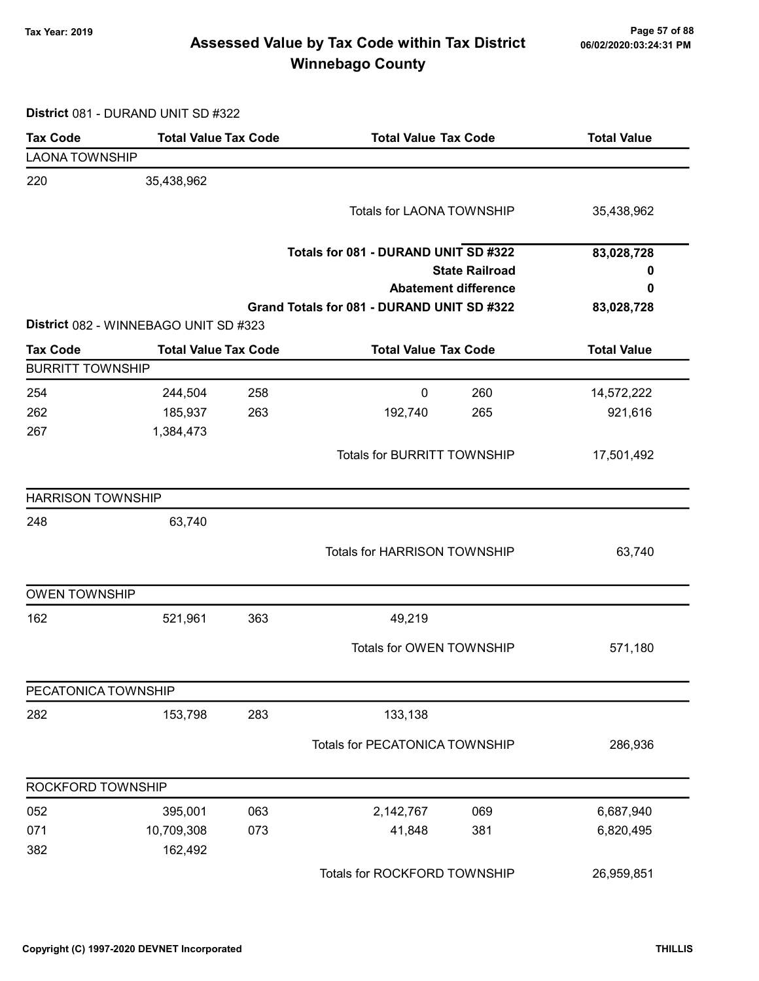# Page 57 of 88 وTax Year: 2019 Page 57 of 88<br>Assessed Value by Tax Code within Tax District هو Assessed Value by Tax Code Winnebago County

District 081 - DURAND UNIT SD #322

| <b>Tax Code</b>          | <b>Total Value Tax Code</b>           | <b>Total Value Tax Code</b>                | <b>Total Value</b> |
|--------------------------|---------------------------------------|--------------------------------------------|--------------------|
| <b>LAONA TOWNSHIP</b>    |                                       |                                            |                    |
| 220                      | 35,438,962                            |                                            |                    |
|                          |                                       | Totals for LAONA TOWNSHIP                  | 35,438,962         |
|                          |                                       |                                            |                    |
|                          |                                       | Totals for 081 - DURAND UNIT SD #322       | 83,028,728         |
|                          |                                       | <b>State Railroad</b>                      | 0                  |
|                          |                                       | <b>Abatement difference</b>                | 0                  |
|                          |                                       | Grand Totals for 081 - DURAND UNIT SD #322 | 83,028,728         |
|                          | District 082 - WINNEBAGO UNIT SD #323 |                                            |                    |
| <b>Tax Code</b>          | <b>Total Value Tax Code</b>           | <b>Total Value Tax Code</b>                | <b>Total Value</b> |
| <b>BURRITT TOWNSHIP</b>  |                                       |                                            |                    |
| 254                      | 244,504<br>258                        | 260<br>0                                   | 14,572,222         |
| 262                      | 185,937<br>263                        | 192,740<br>265                             | 921,616            |
| 267                      | 1,384,473                             |                                            |                    |
|                          |                                       | <b>Totals for BURRITT TOWNSHIP</b>         | 17,501,492         |
| <b>HARRISON TOWNSHIP</b> |                                       |                                            |                    |
| 248                      | 63,740                                |                                            |                    |
|                          |                                       | Totals for HARRISON TOWNSHIP               | 63,740             |
| <b>OWEN TOWNSHIP</b>     |                                       |                                            |                    |
| 162                      | 521,961<br>363                        | 49,219                                     |                    |
|                          |                                       | Totals for OWEN TOWNSHIP                   | 571,180            |
| PECATONICA TOWNSHIP      |                                       |                                            |                    |
| 282                      | 283<br>153,798                        | 133,138                                    |                    |
|                          |                                       | Totals for PECATONICA TOWNSHIP             | 286,936            |
| ROCKFORD TOWNSHIP        |                                       |                                            |                    |
| 052                      | 395,001<br>063                        | 2,142,767<br>069                           | 6,687,940          |
| 071                      | 10,709,308<br>073                     | 41,848<br>381                              | 6,820,495          |
| 382                      | 162,492                               |                                            |                    |
|                          |                                       | Totals for ROCKFORD TOWNSHIP               | 26,959,851         |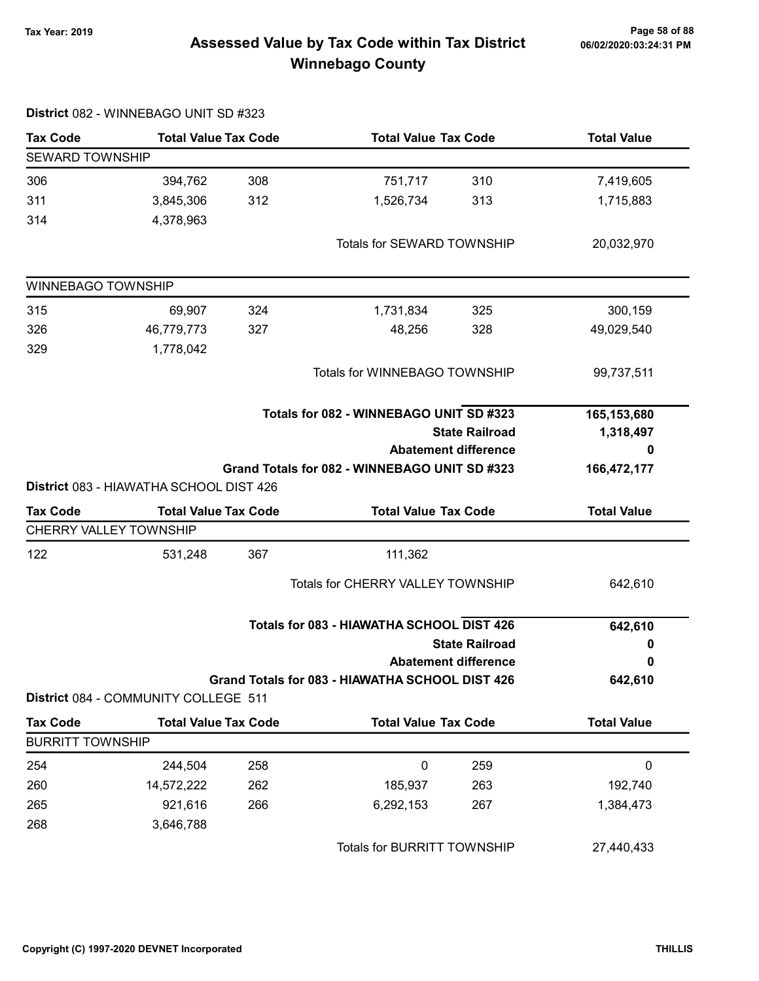# Page 58 of 88 مسمع Page 58 of 88<br>Assessed Value by Tax Code within Tax District مسمع Assessed Value by Tax Code within Tax District Winnebago County

|                         | District 082 - WINNEBAGO UNIT SD #323   |     |                                                 |                             |                    |
|-------------------------|-----------------------------------------|-----|-------------------------------------------------|-----------------------------|--------------------|
| <b>Tax Code</b>         | <b>Total Value Tax Code</b>             |     | <b>Total Value Tax Code</b>                     |                             | <b>Total Value</b> |
| <b>SEWARD TOWNSHIP</b>  |                                         |     |                                                 |                             |                    |
| 306                     | 394,762                                 | 308 | 751,717                                         | 310                         | 7,419,605          |
| 311                     | 3,845,306                               | 312 | 1,526,734                                       | 313                         | 1,715,883          |
| 314                     | 4,378,963                               |     |                                                 |                             |                    |
|                         |                                         |     | Totals for SEWARD TOWNSHIP                      |                             | 20,032,970         |
| WINNEBAGO TOWNSHIP      |                                         |     |                                                 |                             |                    |
| 315                     | 69,907                                  | 324 | 1,731,834                                       | 325                         | 300,159            |
| 326                     | 46,779,773                              | 327 | 48,256                                          | 328                         | 49,029,540         |
| 329                     | 1,778,042                               |     |                                                 |                             |                    |
|                         |                                         |     | Totals for WINNEBAGO TOWNSHIP                   |                             | 99,737,511         |
|                         |                                         |     | Totals for 082 - WINNEBAGO UNIT SD #323         |                             | 165,153,680        |
|                         |                                         |     |                                                 | <b>State Railroad</b>       | 1,318,497          |
|                         |                                         |     |                                                 | <b>Abatement difference</b> | 0                  |
|                         |                                         |     | Grand Totals for 082 - WINNEBAGO UNIT SD #323   |                             | 166,472,177        |
|                         | District 083 - HIAWATHA SCHOOL DIST 426 |     |                                                 |                             |                    |
| <b>Tax Code</b>         | <b>Total Value Tax Code</b>             |     | <b>Total Value Tax Code</b>                     |                             | <b>Total Value</b> |
| CHERRY VALLEY TOWNSHIP  |                                         |     |                                                 |                             |                    |
| 122                     | 531,248                                 | 367 | 111,362                                         |                             |                    |
|                         |                                         |     | <b>Totals for CHERRY VALLEY TOWNSHIP</b>        |                             | 642,610            |
|                         |                                         |     | Totals for 083 - HIAWATHA SCHOOL DIST 426       |                             | 642,610            |
|                         |                                         |     |                                                 | <b>State Railroad</b>       | 0                  |
|                         |                                         |     |                                                 | <b>Abatement difference</b> | 0                  |
|                         | District 084 - COMMUNITY COLLEGE 511    |     | Grand Totals for 083 - HIAWATHA SCHOOL DIST 426 |                             | 642,610            |
| <b>Tax Code</b>         | <b>Total Value Tax Code</b>             |     | <b>Total Value Tax Code</b>                     |                             | <b>Total Value</b> |
| <b>BURRITT TOWNSHIP</b> |                                         |     |                                                 |                             |                    |
| 254                     | 244,504                                 | 258 | $\mathbf 0$                                     | 259                         | 0                  |
| 260                     | 14,572,222                              | 262 | 185,937                                         | 263                         | 192,740            |
| 265                     | 921,616                                 | 266 | 6,292,153                                       | 267                         | 1,384,473          |
| 268                     | 3,646,788                               |     |                                                 |                             |                    |
|                         |                                         |     | Totals for BURRITT TOWNSHIP                     |                             | 27,440,433         |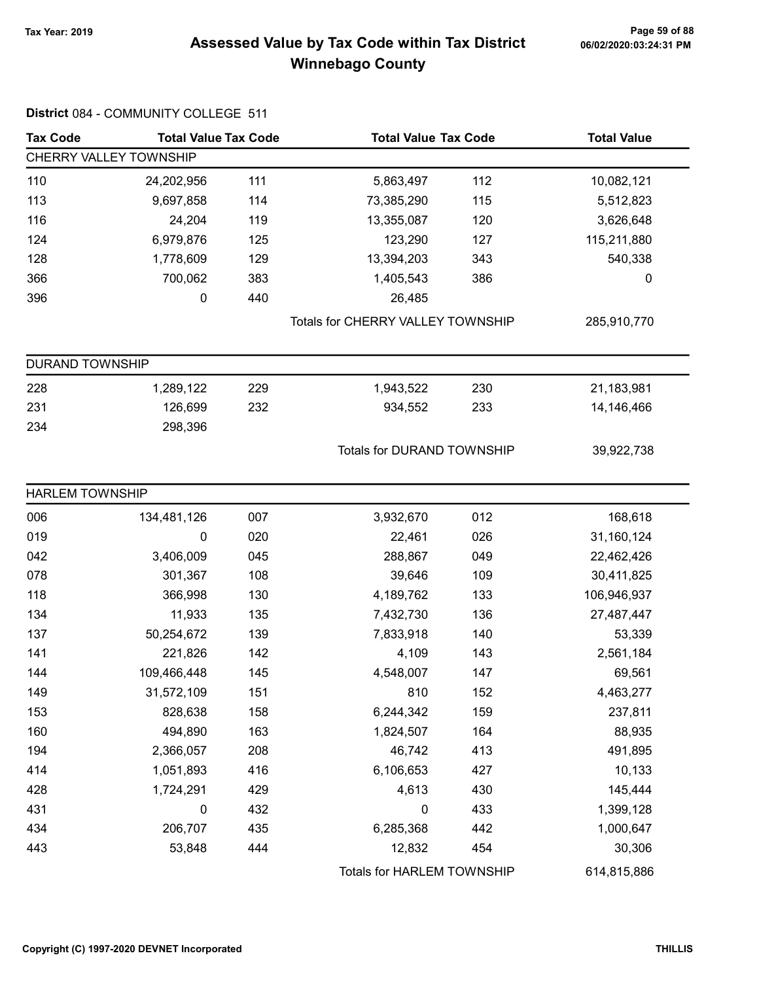# Page 59 of 88 وTax Year: 2019 Page 59 of 88<br>Assessed Value by Tax Code within Tax District هو Assessed Value by Tax Code Winnebago County

| <b>Tax Code</b>        | <b>Total Value Tax Code</b><br><b>Total Value Tax Code</b> |     |                                   | <b>Total Value</b> |             |
|------------------------|------------------------------------------------------------|-----|-----------------------------------|--------------------|-------------|
|                        | CHERRY VALLEY TOWNSHIP                                     |     |                                   |                    |             |
| 110                    | 24,202,956                                                 | 111 | 5,863,497                         | 112                | 10,082,121  |
| 113                    | 9,697,858                                                  | 114 | 73,385,290                        | 115                | 5,512,823   |
| 116                    | 24,204                                                     | 119 | 13,355,087                        | 120                | 3,626,648   |
| 124                    | 6,979,876                                                  | 125 | 123,290                           | 127                | 115,211,880 |
| 128                    | 1,778,609                                                  | 129 | 13,394,203                        | 343                | 540,338     |
| 366                    | 700,062                                                    | 383 | 1,405,543                         | 386                | 0           |
| 396                    | 0                                                          | 440 | 26,485                            |                    |             |
|                        |                                                            |     | Totals for CHERRY VALLEY TOWNSHIP |                    | 285,910,770 |
| <b>DURAND TOWNSHIP</b> |                                                            |     |                                   |                    |             |
| 228                    | 1,289,122                                                  | 229 | 1,943,522                         | 230                | 21,183,981  |
| 231                    | 126,699                                                    | 232 | 934,552                           | 233                | 14,146,466  |
| 234                    | 298,396                                                    |     |                                   |                    |             |
|                        |                                                            |     | <b>Totals for DURAND TOWNSHIP</b> |                    | 39,922,738  |
| <b>HARLEM TOWNSHIP</b> |                                                            |     |                                   |                    |             |
| 006                    | 134,481,126                                                | 007 | 3,932,670                         | 012                | 168,618     |
| 019                    | 0                                                          | 020 | 22,461                            | 026                | 31,160,124  |
| 042                    | 3,406,009                                                  | 045 | 288,867                           | 049                | 22,462,426  |
| 078                    | 301,367                                                    | 108 | 39,646                            | 109                | 30,411,825  |
| 118                    | 366,998                                                    | 130 | 4,189,762                         | 133                | 106,946,937 |
| 134                    | 11,933                                                     | 135 | 7,432,730                         | 136                | 27,487,447  |
| 137                    | 50,254,672                                                 | 139 | 7,833,918                         | 140                | 53,339      |
| 141                    | 221,826                                                    | 142 | 4,109                             | 143                | 2,561,184   |
| 144                    | 109,466,448                                                | 145 | 4,548,007                         | 147                | 69,561      |
| 149                    | 31,572,109                                                 | 151 | 810                               | 152                | 4,463,277   |
| 153                    | 828,638                                                    | 158 | 6,244,342                         | 159                | 237,811     |
| 160                    | 494,890                                                    | 163 | 1,824,507                         | 164                | 88,935      |
| 194                    | 2,366,057                                                  | 208 | 46,742                            | 413                | 491,895     |
| 414                    | 1,051,893                                                  | 416 | 6,106,653                         | 427                | 10,133      |
| 428                    | 1,724,291                                                  | 429 | 4,613                             | 430                | 145,444     |
| 431                    | 0                                                          | 432 | 0                                 | 433                | 1,399,128   |
| 434                    | 206,707                                                    | 435 | 6,285,368                         | 442                | 1,000,647   |
| 443                    | 53,848                                                     | 444 | 12,832                            | 454                | 30,306      |
|                        |                                                            |     | Totals for HARLEM TOWNSHIP        |                    | 614,815,886 |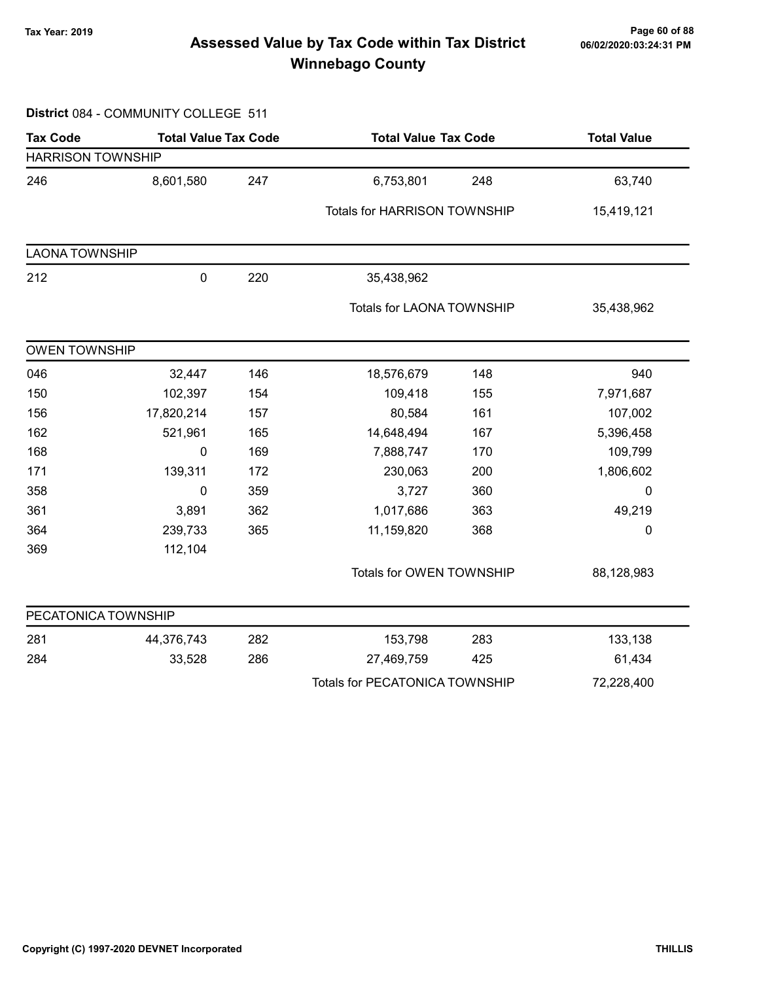# Page 60 of 88 وTax Year: 2019 Page 60 of 88<br>Assessed Value by Tax Code within Tax District of the 16/02/2020:03:24:31 PM Winnebago County

#### District 084 - COMMUNITY COLLEGE 511

| <b>Tax Code</b>          | <b>Total Value Tax Code</b> |     | <b>Total Value Tax Code</b>           |     | <b>Total Value</b> |  |
|--------------------------|-----------------------------|-----|---------------------------------------|-----|--------------------|--|
| <b>HARRISON TOWNSHIP</b> |                             |     |                                       |     |                    |  |
| 246                      | 8,601,580                   | 247 | 6,753,801                             | 248 | 63,740             |  |
|                          |                             |     | <b>Totals for HARRISON TOWNSHIP</b>   |     | 15,419,121         |  |
| <b>LAONA TOWNSHIP</b>    |                             |     |                                       |     |                    |  |
| 212                      | $\pmb{0}$                   | 220 | 35,438,962                            |     |                    |  |
|                          |                             |     | Totals for LAONA TOWNSHIP             |     | 35,438,962         |  |
| <b>OWEN TOWNSHIP</b>     |                             |     |                                       |     |                    |  |
| 046                      | 32,447                      | 146 | 18,576,679                            | 148 | 940                |  |
| 150                      | 102,397                     | 154 | 109,418                               | 155 | 7,971,687          |  |
| 156                      | 17,820,214                  | 157 | 80,584                                | 161 | 107,002            |  |
| 162                      | 521,961                     | 165 | 14,648,494                            | 167 | 5,396,458          |  |
| 168                      | 0                           | 169 | 7,888,747                             | 170 | 109,799            |  |
| 171                      | 139,311                     | 172 | 230,063                               | 200 | 1,806,602          |  |
| 358                      | 0                           | 359 | 3,727                                 | 360 | $\mathbf 0$        |  |
| 361                      | 3,891                       | 362 | 1,017,686                             | 363 | 49,219             |  |
| 364                      | 239,733                     | 365 | 11,159,820                            | 368 | $\mathbf 0$        |  |
| 369                      | 112,104                     |     |                                       |     |                    |  |
|                          |                             |     | Totals for OWEN TOWNSHIP              |     | 88,128,983         |  |
| PECATONICA TOWNSHIP      |                             |     |                                       |     |                    |  |
| 281                      | 44,376,743                  | 282 | 153,798                               | 283 | 133,138            |  |
| 284                      | 33,528                      | 286 | 27,469,759                            | 425 | 61,434             |  |
|                          |                             |     | <b>Totals for PECATONICA TOWNSHIP</b> |     | 72,228,400         |  |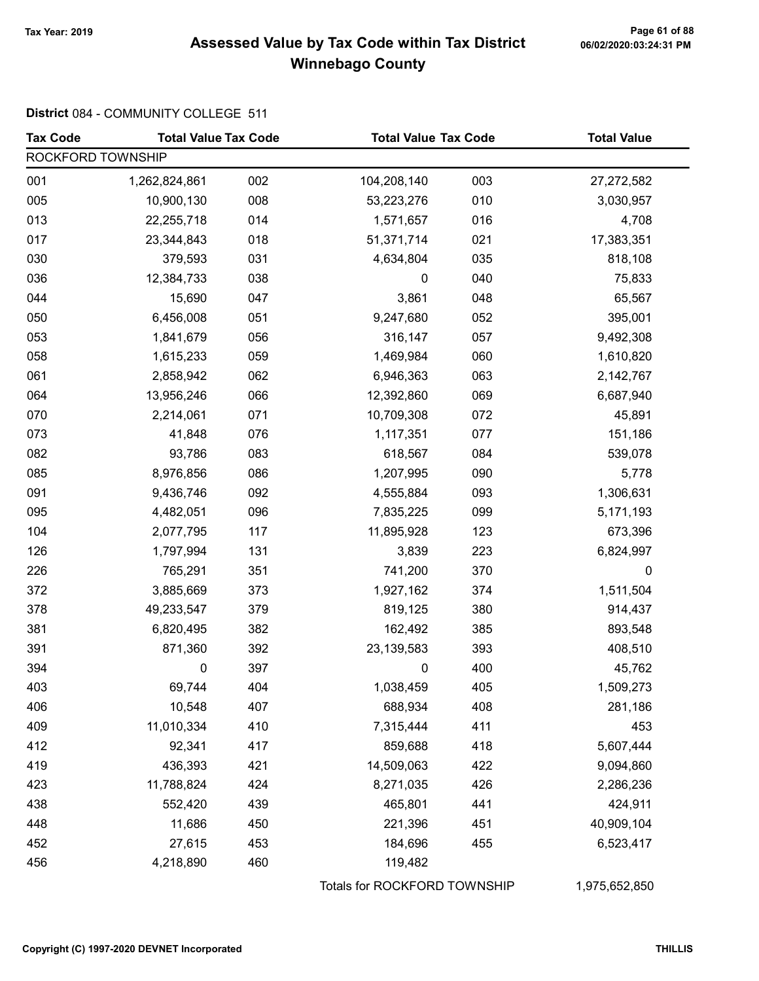# Page 61 of 88<br>Assessed Value by Tax Code within Tax District <sub>06/02/2020:03:24:31</sub> pm Winnebago County

#### District 084 - COMMUNITY COLLEGE 511

| <b>Tax Code</b>   | <b>Total Value Tax Code</b> |     |                              | <b>Total Value Tax Code</b> |               |
|-------------------|-----------------------------|-----|------------------------------|-----------------------------|---------------|
| ROCKFORD TOWNSHIP |                             |     |                              |                             |               |
| 001               | 1,262,824,861               | 002 | 104,208,140                  | 003                         | 27,272,582    |
| 005               | 10,900,130                  | 008 | 53,223,276                   | 010                         | 3,030,957     |
| 013               | 22,255,718                  | 014 | 1,571,657                    | 016                         | 4,708         |
| 017               | 23,344,843                  | 018 | 51,371,714                   | 021                         | 17,383,351    |
| 030               | 379,593                     | 031 | 4,634,804                    | 035                         | 818,108       |
| 036               | 12,384,733                  | 038 | $\pmb{0}$                    | 040                         | 75,833        |
| 044               | 15,690                      | 047 | 3,861                        | 048                         | 65,567        |
| 050               | 6,456,008                   | 051 | 9,247,680                    | 052                         | 395,001       |
| 053               | 1,841,679                   | 056 | 316,147                      | 057                         | 9,492,308     |
| 058               | 1,615,233                   | 059 | 1,469,984                    | 060                         | 1,610,820     |
| 061               | 2,858,942                   | 062 | 6,946,363                    | 063                         | 2,142,767     |
| 064               | 13,956,246                  | 066 | 12,392,860                   | 069                         | 6,687,940     |
| 070               | 2,214,061                   | 071 | 10,709,308                   | 072                         | 45,891        |
| 073               | 41,848                      | 076 | 1,117,351                    | 077                         | 151,186       |
| 082               | 93,786                      | 083 | 618,567                      | 084                         | 539,078       |
| 085               | 8,976,856                   | 086 | 1,207,995                    | 090                         | 5,778         |
| 091               | 9,436,746                   | 092 | 4,555,884                    | 093                         | 1,306,631     |
| 095               | 4,482,051                   | 096 | 7,835,225                    | 099                         | 5,171,193     |
| 104               | 2,077,795                   | 117 | 11,895,928                   | 123                         | 673,396       |
| 126               | 1,797,994                   | 131 | 3,839                        | 223                         | 6,824,997     |
| 226               | 765,291                     | 351 | 741,200                      | 370                         | 0             |
| 372               | 3,885,669                   | 373 | 1,927,162                    | 374                         | 1,511,504     |
| 378               | 49,233,547                  | 379 | 819,125                      | 380                         | 914,437       |
| 381               | 6,820,495                   | 382 | 162,492                      | 385                         | 893,548       |
| 391               | 871,360                     | 392 | 23, 139, 583                 | 393                         | 408,510       |
| 394               | 0                           | 397 | 0                            | 400                         | 45,762        |
| 403               | 69,744                      | 404 | 1,038,459                    | 405                         | 1,509,273     |
| 406               | 10,548                      | 407 | 688,934                      | 408                         | 281,186       |
| 409               | 11,010,334                  | 410 | 7,315,444                    | 411                         | 453           |
| 412               | 92,341                      | 417 | 859,688                      | 418                         | 5,607,444     |
| 419               | 436,393                     | 421 | 14,509,063                   | 422                         | 9,094,860     |
| 423               | 11,788,824                  | 424 | 8,271,035                    | 426                         | 2,286,236     |
| 438               | 552,420                     | 439 | 465,801                      | 441                         | 424,911       |
| 448               | 11,686                      | 450 | 221,396                      | 451                         | 40,909,104    |
| 452               | 27,615                      | 453 | 184,696                      | 455                         | 6,523,417     |
| 456               | 4,218,890                   | 460 | 119,482                      |                             |               |
|                   |                             |     | Totals for ROCKFORD TOWNSHIP |                             | 1,975,652,850 |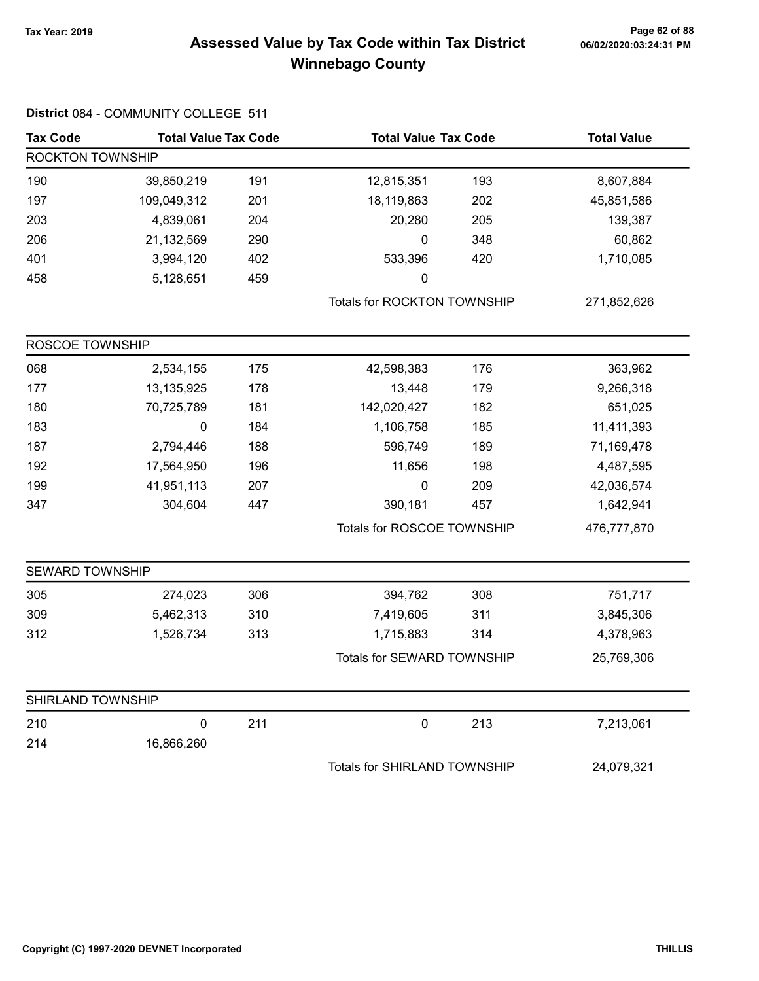# Page 62 of 88 مسمح Page 62 of 88<br>Assessed Value by Tax Code within Tax District مسموع Assessed Value by Tax Code within Tax District Winnebago County

| <b>Tax Code</b>        | <b>Total Value Tax Code</b> |     |                              | <b>Total Value Tax Code</b> |             |  |
|------------------------|-----------------------------|-----|------------------------------|-----------------------------|-------------|--|
| ROCKTON TOWNSHIP       |                             |     |                              |                             |             |  |
| 190                    | 39,850,219                  | 191 | 12,815,351                   | 193                         | 8,607,884   |  |
| 197                    | 109,049,312                 | 201 | 18,119,863                   | 202                         | 45,851,586  |  |
| 203                    | 4,839,061                   | 204 | 20,280                       | 205                         | 139,387     |  |
| 206                    | 21,132,569                  | 290 | $\mathbf 0$                  | 348                         | 60,862      |  |
| 401                    | 3,994,120                   | 402 | 533,396                      | 420                         | 1,710,085   |  |
| 458                    | 5,128,651                   | 459 | 0                            |                             |             |  |
|                        |                             |     | Totals for ROCKTON TOWNSHIP  |                             | 271,852,626 |  |
| ROSCOE TOWNSHIP        |                             |     |                              |                             |             |  |
| 068                    | 2,534,155                   | 175 | 42,598,383                   | 176                         | 363,962     |  |
| 177                    | 13,135,925                  | 178 | 13,448                       | 179                         | 9,266,318   |  |
| 180                    | 70,725,789                  | 181 | 142,020,427                  | 182                         | 651,025     |  |
| 183                    | $\pmb{0}$                   | 184 | 1,106,758                    | 185                         | 11,411,393  |  |
| 187                    | 2,794,446                   | 188 | 596,749                      | 189                         | 71,169,478  |  |
| 192                    | 17,564,950                  | 196 | 11,656                       | 198                         | 4,487,595   |  |
| 199                    | 41,951,113                  | 207 | $\mathbf 0$                  | 209                         | 42,036,574  |  |
| 347                    | 304,604                     | 447 | 390,181                      | 457                         | 1,642,941   |  |
|                        |                             |     | Totals for ROSCOE TOWNSHIP   |                             | 476,777,870 |  |
| <b>SEWARD TOWNSHIP</b> |                             |     |                              |                             |             |  |
| 305                    | 274,023                     | 306 | 394,762                      | 308                         | 751,717     |  |
| 309                    | 5,462,313                   | 310 | 7,419,605                    | 311                         | 3,845,306   |  |
| 312                    | 1,526,734                   | 313 | 1,715,883                    | 314                         | 4,378,963   |  |
|                        |                             |     | Totals for SEWARD TOWNSHIP   |                             | 25,769,306  |  |
| SHIRLAND TOWNSHIP      |                             |     |                              |                             |             |  |
| 210                    | $\pmb{0}$                   | 211 | $\pmb{0}$                    | 213                         | 7,213,061   |  |
| 214                    | 16,866,260                  |     |                              |                             |             |  |
|                        |                             |     | Totals for SHIRLAND TOWNSHIP |                             | 24,079,321  |  |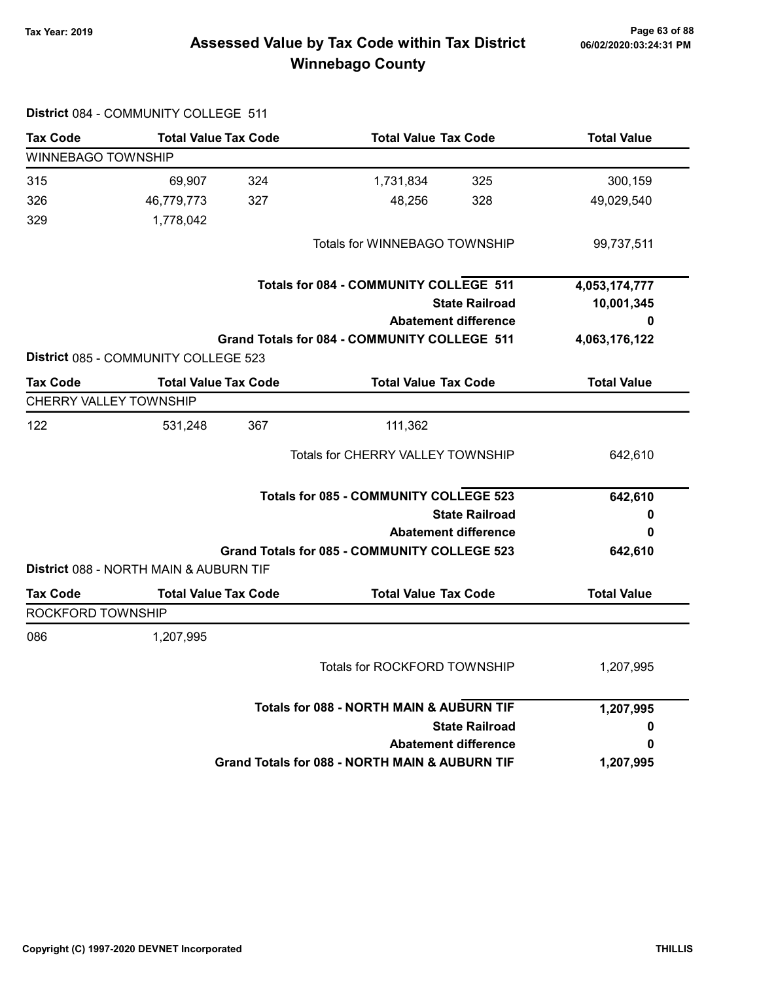# Page 63 of 88 مسمع Page 63 of 88<br>Assessed Value by Tax Code within Tax District مسمع Assessed Value by Tax Code within Tax District Winnebago County

|                           | District 084 - COMMUNITY COLLEGE 511   |     |                                                     |                       |                    |
|---------------------------|----------------------------------------|-----|-----------------------------------------------------|-----------------------|--------------------|
| <b>Tax Code</b>           | <b>Total Value Tax Code</b>            |     | <b>Total Value Tax Code</b>                         |                       | <b>Total Value</b> |
| <b>WINNEBAGO TOWNSHIP</b> |                                        |     |                                                     |                       |                    |
| 315                       | 69,907                                 | 324 | 1,731,834                                           | 325                   | 300,159            |
| 326                       | 46,779,773                             | 327 | 48,256                                              | 328                   | 49,029,540         |
| 329                       | 1,778,042                              |     |                                                     |                       |                    |
|                           |                                        |     | Totals for WINNEBAGO TOWNSHIP                       |                       | 99,737,511         |
|                           |                                        |     | <b>Totals for 084 - COMMUNITY COLLEGE 511</b>       |                       | 4,053,174,777      |
|                           |                                        |     |                                                     | <b>State Railroad</b> | 10,001,345         |
|                           |                                        |     | <b>Abatement difference</b>                         |                       | 0                  |
|                           | District 085 - COMMUNITY COLLEGE 523   |     | Grand Totals for 084 - COMMUNITY COLLEGE 511        |                       | 4,063,176,122      |
| <b>Tax Code</b>           | <b>Total Value Tax Code</b>            |     | <b>Total Value Tax Code</b>                         |                       | <b>Total Value</b> |
|                           | <b>CHERRY VALLEY TOWNSHIP</b>          |     |                                                     |                       |                    |
| 122                       | 531,248                                | 367 | 111,362                                             |                       |                    |
|                           |                                        |     | <b>Totals for CHERRY VALLEY TOWNSHIP</b>            |                       | 642,610            |
|                           |                                        |     | <b>Totals for 085 - COMMUNITY COLLEGE 523</b>       |                       | 642,610            |
|                           |                                        |     |                                                     | <b>State Railroad</b> | o                  |
|                           |                                        |     | <b>Abatement difference</b>                         |                       | 0                  |
|                           | District 088 - NORTH MAIN & AUBURN TIF |     | <b>Grand Totals for 085 - COMMUNITY COLLEGE 523</b> |                       | 642,610            |
| <b>Tax Code</b>           | <b>Total Value Tax Code</b>            |     | <b>Total Value Tax Code</b>                         |                       | <b>Total Value</b> |
| <b>ROCKFORD TOWNSHIP</b>  |                                        |     |                                                     |                       |                    |
| 086                       | 1,207,995                              |     |                                                     |                       |                    |
|                           |                                        |     | Totals for ROCKFORD TOWNSHIP                        |                       | 1,207,995          |
|                           |                                        |     | <b>Totals for 088 - NORTH MAIN &amp; AUBURN TIF</b> |                       | 1,207,995          |
|                           |                                        |     |                                                     | <b>State Railroad</b> | 0                  |
|                           |                                        |     | <b>Abatement difference</b>                         |                       | 0                  |
|                           |                                        |     | Grand Totals for 088 - NORTH MAIN & AUBURN TIF      |                       | 1,207,995          |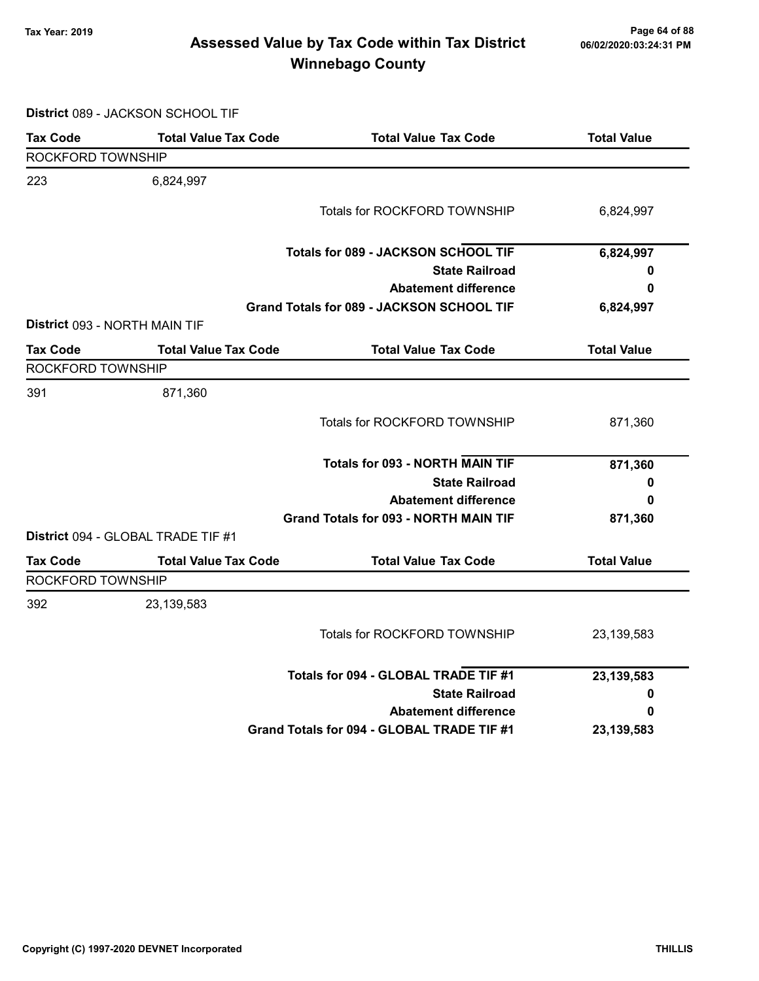# Page 64 of 88 مسمع Page 64 of 88<br>Assessed Value by Tax Code within Tax District مسمع Assessed Value by Tax Code within Tax District Winnebago County

District 089 - JACKSON SCHOOL TIF

| <b>Tax Code</b>               | <b>Total Value Tax Code</b>               | <b>Total Value Tax Code</b>                      | <b>Total Value</b> |
|-------------------------------|-------------------------------------------|--------------------------------------------------|--------------------|
| ROCKFORD TOWNSHIP             |                                           |                                                  |                    |
| 223                           | 6,824,997                                 |                                                  |                    |
|                               |                                           | <b>Totals for ROCKFORD TOWNSHIP</b>              | 6,824,997          |
|                               |                                           | Totals for 089 - JACKSON SCHOOL TIF              | 6,824,997          |
|                               |                                           | <b>State Railroad</b>                            | 0                  |
|                               |                                           | <b>Abatement difference</b>                      | 0                  |
|                               |                                           | <b>Grand Totals for 089 - JACKSON SCHOOL TIF</b> | 6,824,997          |
| District 093 - NORTH MAIN TIF |                                           |                                                  |                    |
| <b>Tax Code</b>               | <b>Total Value Tax Code</b>               | <b>Total Value Tax Code</b>                      | <b>Total Value</b> |
| ROCKFORD TOWNSHIP             |                                           |                                                  |                    |
| 391                           | 871,360                                   |                                                  |                    |
|                               |                                           | Totals for ROCKFORD TOWNSHIP                     | 871,360            |
|                               |                                           | <b>Totals for 093 - NORTH MAIN TIF</b>           | 871,360            |
|                               |                                           | <b>State Railroad</b>                            | 0                  |
|                               |                                           | <b>Abatement difference</b>                      | 0                  |
|                               |                                           | <b>Grand Totals for 093 - NORTH MAIN TIF</b>     | 871,360            |
|                               | <b>District</b> 094 - GLOBAL TRADE TIF #1 |                                                  |                    |
| <b>Tax Code</b>               | <b>Total Value Tax Code</b>               | <b>Total Value Tax Code</b>                      | <b>Total Value</b> |
| ROCKFORD TOWNSHIP             |                                           |                                                  |                    |
| 392                           | 23, 139, 583                              |                                                  |                    |
|                               |                                           | Totals for ROCKFORD TOWNSHIP                     | 23, 139, 583       |
|                               |                                           | Totals for 094 - GLOBAL TRADE TIF #1             | 23, 139, 583       |
|                               |                                           | <b>State Railroad</b>                            | 0                  |
|                               |                                           | <b>Abatement difference</b>                      | 0                  |
|                               |                                           | Grand Totals for 094 - GLOBAL TRADE TIF #1       | 23,139,583         |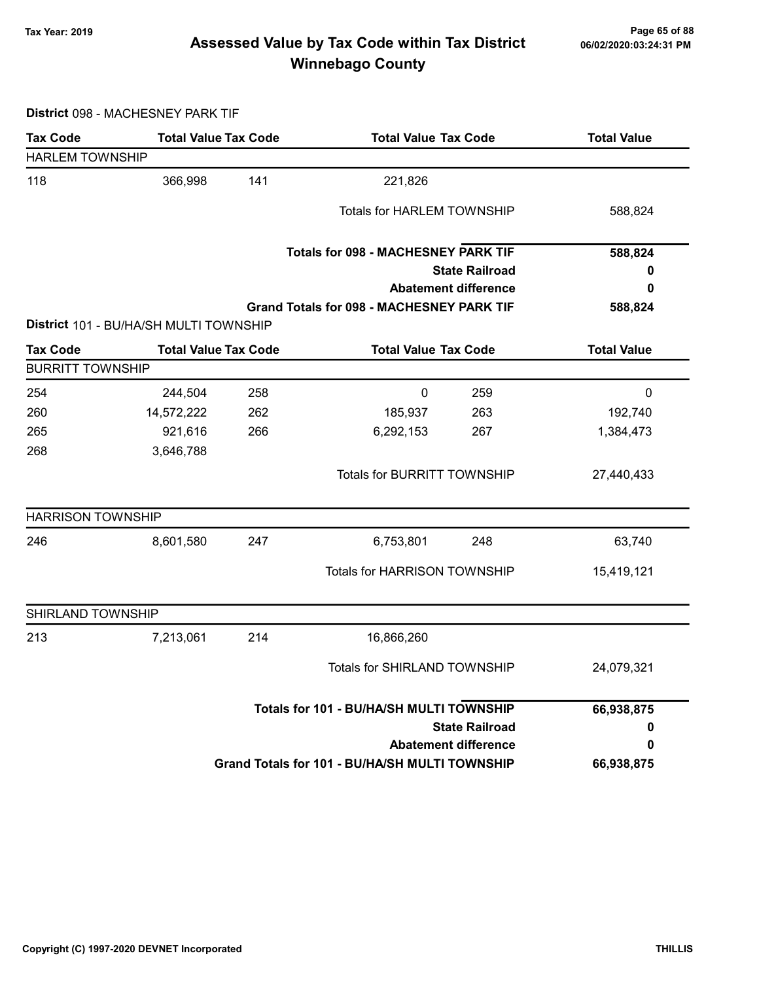# Page 65 of 88 وTax Year: 2019 Page 65 of 88<br>Assessed Value by Tax Code within Tax District هو Assessed Value by Tax Code Winnebago County

District 098 - MACHESNEY PARK TIF

| <b>Tax Code</b>          | <b>Total Value Tax Code</b>            |     |                                                  | <b>Total Value Tax Code</b> |                    |
|--------------------------|----------------------------------------|-----|--------------------------------------------------|-----------------------------|--------------------|
| <b>HARLEM TOWNSHIP</b>   |                                        |     |                                                  |                             |                    |
| 118                      | 366,998                                | 141 | 221,826                                          |                             |                    |
|                          |                                        |     | <b>Totals for HARLEM TOWNSHIP</b>                |                             | 588,824            |
|                          |                                        |     |                                                  |                             |                    |
|                          |                                        |     | <b>Totals for 098 - MACHESNEY PARK TIF</b>       |                             | 588,824            |
|                          |                                        |     |                                                  | <b>State Railroad</b>       | 0                  |
|                          |                                        |     |                                                  | <b>Abatement difference</b> | 0                  |
|                          |                                        |     | <b>Grand Totals for 098 - MACHESNEY PARK TIF</b> |                             | 588,824            |
|                          | District 101 - BU/HA/SH MULTI TOWNSHIP |     |                                                  |                             |                    |
| <b>Tax Code</b>          | <b>Total Value Tax Code</b>            |     | <b>Total Value Tax Code</b>                      |                             | <b>Total Value</b> |
| <b>BURRITT TOWNSHIP</b>  |                                        |     |                                                  |                             |                    |
| 254                      | 244,504                                | 258 | $\pmb{0}$                                        | 259                         | $\pmb{0}$          |
| 260                      | 14,572,222                             | 262 | 185,937                                          | 263                         | 192,740            |
| 265                      | 921,616                                | 266 | 6,292,153                                        | 267                         | 1,384,473          |
| 268                      | 3,646,788                              |     |                                                  |                             |                    |
|                          |                                        |     | Totals for BURRITT TOWNSHIP                      |                             | 27,440,433         |
| <b>HARRISON TOWNSHIP</b> |                                        |     |                                                  |                             |                    |
| 246                      | 8,601,580                              | 247 | 6,753,801                                        | 248                         | 63,740             |
|                          |                                        |     | Totals for HARRISON TOWNSHIP                     |                             | 15,419,121         |
| SHIRLAND TOWNSHIP        |                                        |     |                                                  |                             |                    |
| 213                      | 7,213,061                              | 214 | 16,866,260                                       |                             |                    |
|                          |                                        |     | <b>Totals for SHIRLAND TOWNSHIP</b>              |                             | 24,079,321         |
|                          |                                        |     | Totals for 101 - BU/HA/SH MULTI TOWNSHIP         |                             | 66,938,875         |
|                          |                                        |     |                                                  | <b>State Railroad</b>       | 0                  |
|                          |                                        |     |                                                  | <b>Abatement difference</b> | 0                  |
|                          |                                        |     | Grand Totals for 101 - BU/HA/SH MULTI TOWNSHIP   |                             | 66,938,875         |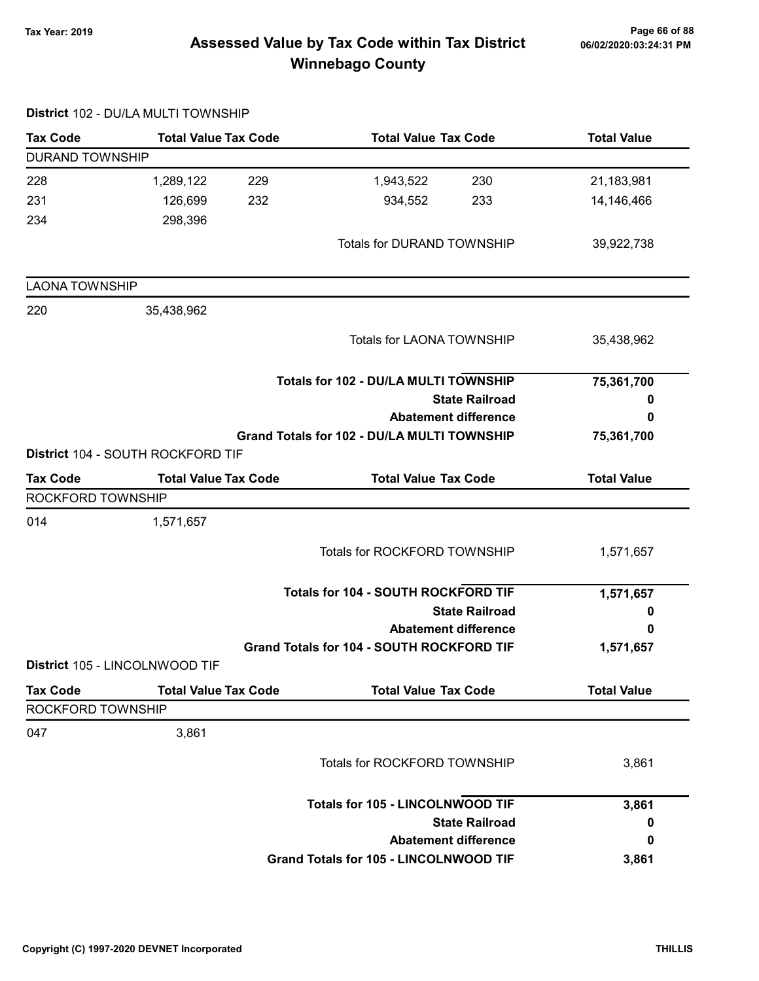# Page 66 of 88 مع Page 66 of 88<br>Assessed Value by Tax Code within Tax District مof/22020:03:24:31 PM Winnebago County

|                                      | District 102 - DU/LA MULTI TOWNSHIP |                                             |                    |
|--------------------------------------|-------------------------------------|---------------------------------------------|--------------------|
| <b>Tax Code</b>                      | <b>Total Value Tax Code</b>         | <b>Total Value Tax Code</b>                 | <b>Total Value</b> |
| <b>DURAND TOWNSHIP</b>               |                                     |                                             |                    |
| 228                                  | 1,289,122<br>229                    | 1,943,522<br>230                            | 21,183,981         |
| 231                                  | 232<br>126,699                      | 934,552<br>233                              | 14,146,466         |
| 234                                  | 298,396                             |                                             |                    |
|                                      |                                     | <b>Totals for DURAND TOWNSHIP</b>           | 39,922,738         |
| <b>LAONA TOWNSHIP</b>                |                                     |                                             |                    |
| 220                                  | 35,438,962                          |                                             |                    |
|                                      |                                     | <b>Totals for LAONA TOWNSHIP</b>            | 35,438,962         |
|                                      |                                     | Totals for 102 - DU/LA MULTI TOWNSHIP       | 75,361,700         |
|                                      |                                     | <b>State Railroad</b>                       | 0                  |
|                                      |                                     | <b>Abatement difference</b>                 | 0                  |
|                                      | District 104 - SOUTH ROCKFORD TIF   | Grand Totals for 102 - DU/LA MULTI TOWNSHIP | 75,361,700         |
| <b>Tax Code</b>                      | <b>Total Value Tax Code</b>         | <b>Total Value Tax Code</b>                 | <b>Total Value</b> |
| ROCKFORD TOWNSHIP                    |                                     |                                             |                    |
| 014                                  | 1,571,657                           |                                             |                    |
|                                      |                                     | <b>Totals for ROCKFORD TOWNSHIP</b>         | 1,571,657          |
|                                      |                                     | <b>Totals for 104 - SOUTH ROCKFORD TIF</b>  | 1,571,657          |
|                                      |                                     | <b>State Railroad</b>                       | 0                  |
|                                      |                                     | <b>Abatement difference</b>                 | 0                  |
|                                      |                                     | Grand Totals for 104 - SOUTH ROCKFORD TIF   | 1,571,657          |
|                                      | District 105 - LINCOLNWOOD TIF      |                                             |                    |
| <b>Tax Code</b><br>ROCKFORD TOWNSHIP | <b>Total Value Tax Code</b>         | <b>Total Value Tax Code</b>                 | <b>Total Value</b> |
|                                      |                                     |                                             |                    |
| 047                                  | 3,861                               |                                             |                    |
|                                      |                                     | <b>Totals for ROCKFORD TOWNSHIP</b>         | 3,861              |
|                                      |                                     | <b>Totals for 105 - LINCOLNWOOD TIF</b>     | 3,861              |
|                                      |                                     | <b>State Railroad</b>                       | 0                  |
|                                      |                                     | <b>Abatement difference</b>                 | 0                  |
|                                      |                                     | Grand Totals for 105 - LINCOLNWOOD TIF      | 3,861              |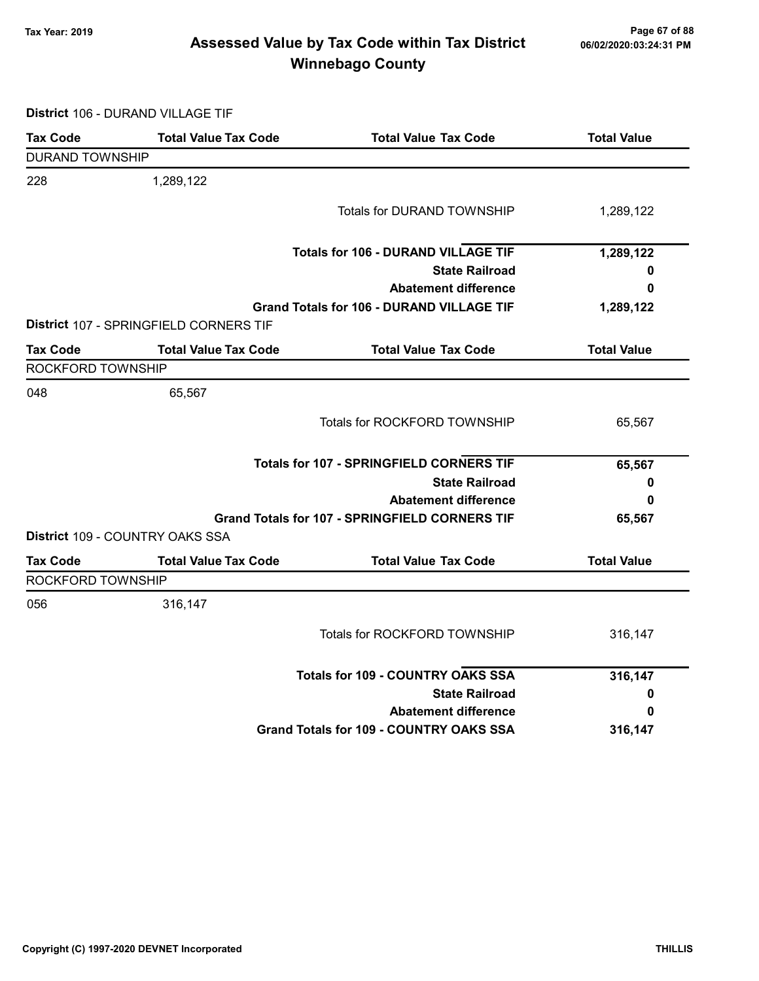# Page 67 of 88 وTax Year: 2019 Page 67 of 88<br>Assessed Value by Tax Code within Tax District هو Assessed Value by Tax Code Winnebago County

District 106 - DURAND VILLAGE TIF

| <b>Tax Code</b>        | <b>Total Value Tax Code</b>            | <b>Total Value Tax Code</b>                           | <b>Total Value</b> |
|------------------------|----------------------------------------|-------------------------------------------------------|--------------------|
| <b>DURAND TOWNSHIP</b> |                                        |                                                       |                    |
| 228                    | 1,289,122                              |                                                       |                    |
|                        |                                        | <b>Totals for DURAND TOWNSHIP</b>                     | 1,289,122          |
|                        |                                        | <b>Totals for 106 - DURAND VILLAGE TIF</b>            | 1,289,122          |
|                        |                                        | <b>State Railroad</b>                                 | 0                  |
|                        |                                        | <b>Abatement difference</b>                           | 0                  |
|                        |                                        | <b>Grand Totals for 106 - DURAND VILLAGE TIF</b>      | 1,289,122          |
|                        | District 107 - SPRINGFIELD CORNERS TIF |                                                       |                    |
| <b>Tax Code</b>        | <b>Total Value Tax Code</b>            | <b>Total Value Tax Code</b>                           | <b>Total Value</b> |
| ROCKFORD TOWNSHIP      |                                        |                                                       |                    |
| 048                    | 65,567                                 |                                                       |                    |
|                        |                                        | Totals for ROCKFORD TOWNSHIP                          | 65,567             |
|                        |                                        | <b>Totals for 107 - SPRINGFIELD CORNERS TIF</b>       | 65,567             |
|                        |                                        | <b>State Railroad</b>                                 | 0                  |
|                        |                                        | <b>Abatement difference</b>                           | 0                  |
|                        |                                        | <b>Grand Totals for 107 - SPRINGFIELD CORNERS TIF</b> | 65,567             |
|                        | District 109 - COUNTRY OAKS SSA        |                                                       |                    |
| <b>Tax Code</b>        | <b>Total Value Tax Code</b>            | <b>Total Value Tax Code</b>                           | <b>Total Value</b> |
| ROCKFORD TOWNSHIP      |                                        |                                                       |                    |
| 056                    | 316,147                                |                                                       |                    |
|                        |                                        | Totals for ROCKFORD TOWNSHIP                          | 316,147            |
|                        |                                        | <b>Totals for 109 - COUNTRY OAKS SSA</b>              | 316,147            |
|                        |                                        | <b>State Railroad</b>                                 | 0                  |
|                        |                                        | <b>Abatement difference</b>                           | 0                  |
|                        |                                        | <b>Grand Totals for 109 - COUNTRY OAKS SSA</b>        | 316,147            |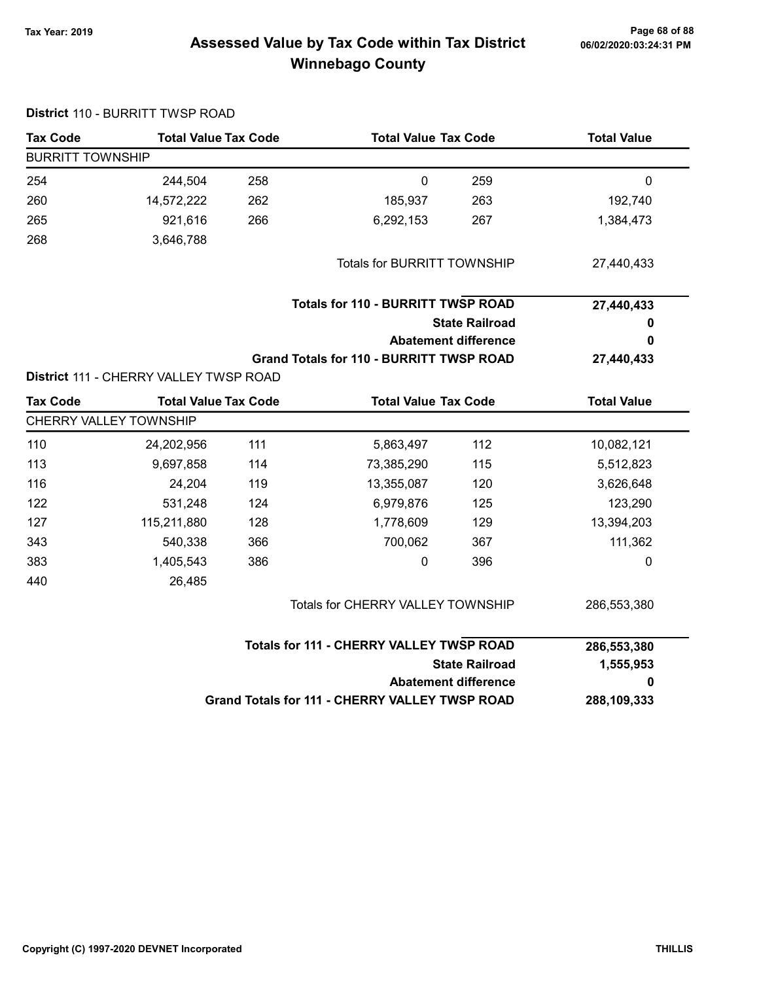District 110 - BURRITT TWSP ROAD

# Page 68 of 88 مع Page 68 of 88<br>Assessed Value by Tax Code within Tax District مof/22020:03:24:31 PM Winnebago County

| <b>Tax Code</b>         | <b>Total Value Tax Code</b>            |     |                                                 | <b>Total Value Tax Code</b> |                    |  |  |
|-------------------------|----------------------------------------|-----|-------------------------------------------------|-----------------------------|--------------------|--|--|
| <b>BURRITT TOWNSHIP</b> |                                        |     |                                                 |                             |                    |  |  |
| 254                     | 244,504                                | 258 | $\mathbf 0$                                     | 259                         | 0                  |  |  |
| 260                     | 14,572,222                             | 262 | 185,937                                         | 263                         | 192,740            |  |  |
| 265                     | 921,616                                | 266 | 6,292,153                                       | 267                         | 1,384,473          |  |  |
| 268                     | 3,646,788                              |     |                                                 |                             |                    |  |  |
|                         |                                        |     | <b>Totals for BURRITT TOWNSHIP</b>              |                             | 27,440,433         |  |  |
|                         |                                        |     | <b>Totals for 110 - BURRITT TWSP ROAD</b>       |                             | 27,440,433         |  |  |
|                         |                                        |     |                                                 | <b>State Railroad</b>       | 0                  |  |  |
|                         |                                        |     |                                                 | <b>Abatement difference</b> | 0                  |  |  |
|                         |                                        |     | <b>Grand Totals for 110 - BURRITT TWSP ROAD</b> |                             | 27,440,433         |  |  |
|                         | District 111 - CHERRY VALLEY TWSP ROAD |     |                                                 |                             |                    |  |  |
| <b>Tax Code</b>         | <b>Total Value Tax Code</b>            |     | <b>Total Value Tax Code</b>                     |                             | <b>Total Value</b> |  |  |
|                         | CHERRY VALLEY TOWNSHIP                 |     |                                                 |                             |                    |  |  |
| 110                     | 24,202,956                             | 111 | 5,863,497                                       | 112                         | 10,082,121         |  |  |
| 113                     | 9,697,858                              | 114 | 73,385,290                                      | 115                         | 5,512,823          |  |  |
| 116                     | 24,204                                 | 119 | 13,355,087                                      | 120                         | 3,626,648          |  |  |
| 122                     | 531,248                                | 124 | 6,979,876                                       | 125                         | 123,290            |  |  |
| 127                     | 115,211,880                            | 128 | 1,778,609                                       | 129                         | 13,394,203         |  |  |
| 343                     | 540,338                                | 366 | 700,062                                         | 367                         | 111,362            |  |  |
| 383                     | 1,405,543                              | 386 | $\pmb{0}$                                       | 396                         | 0                  |  |  |
| 440                     | 26,485                                 |     |                                                 |                             |                    |  |  |
|                         |                                        |     | Totals for CHERRY VALLEY TOWNSHIP               |                             | 286,553,380        |  |  |
|                         |                                        |     | <b>Totals for 111 - CHERRY VALLEY TWSP ROAD</b> |                             | 286,553,380        |  |  |
|                         |                                        |     |                                                 | <b>State Railroad</b>       | 1,555,953          |  |  |
|                         |                                        |     |                                                 | <b>Abatement difference</b> | 0                  |  |  |
|                         |                                        |     | Grand Totals for 111 - CHERRY VALLEY TWSP ROAD  |                             | 288,109,333        |  |  |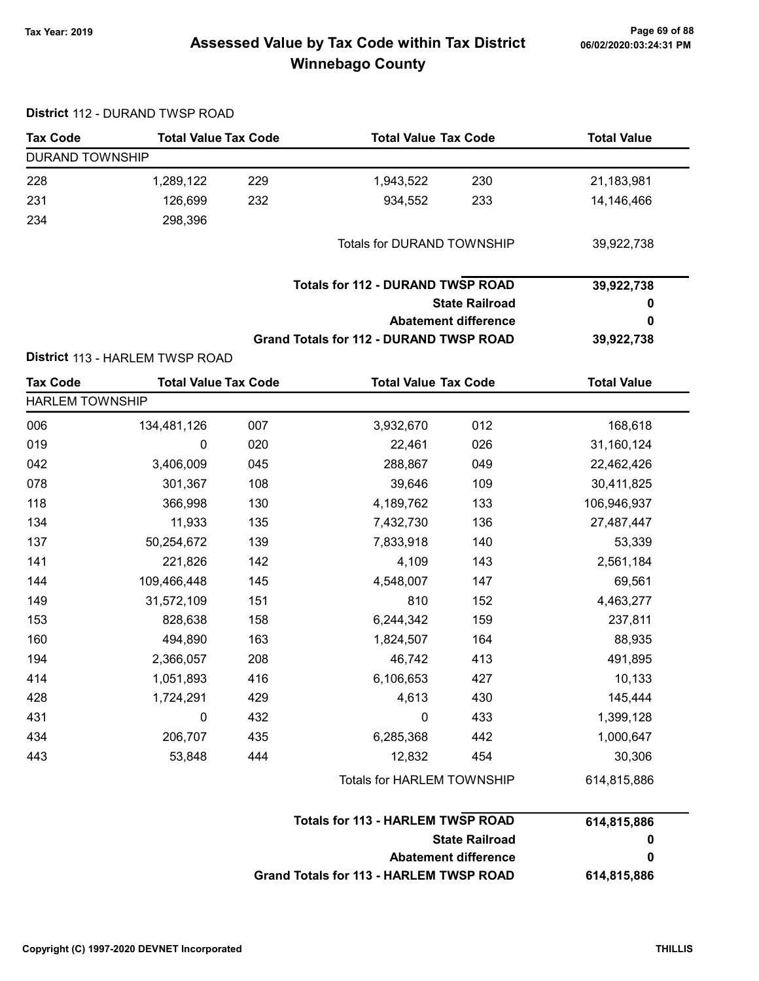# Page 69 of 88 وPage 69 of 88<br>Assessed Value by Tax Code within Tax District هو Assessed Value by Tax Code Winnebago County

| <b>Tax Code</b>        | <b>Total Value Tax Code</b>     |     | <b>Total Value Tax Code</b>                    |                             | <b>Total Value</b> |
|------------------------|---------------------------------|-----|------------------------------------------------|-----------------------------|--------------------|
| <b>DURAND TOWNSHIP</b> |                                 |     |                                                |                             |                    |
| 228                    | 1,289,122                       | 229 | 1,943,522                                      | 230                         | 21,183,981         |
| 231                    | 126,699                         | 232 | 934,552                                        | 233                         | 14,146,466         |
| 234                    | 298,396                         |     |                                                |                             |                    |
|                        |                                 |     | <b>Totals for DURAND TOWNSHIP</b>              |                             | 39,922,738         |
|                        |                                 |     | <b>Totals for 112 - DURAND TWSP ROAD</b>       |                             | 39,922,738         |
|                        |                                 |     |                                                | <b>State Railroad</b>       | 0                  |
|                        |                                 |     |                                                | <b>Abatement difference</b> | 0                  |
|                        |                                 |     | <b>Grand Totals for 112 - DURAND TWSP ROAD</b> |                             | 39,922,738         |
|                        | District 113 - HARLEM TWSP ROAD |     |                                                |                             |                    |
| <b>Tax Code</b>        | <b>Total Value Tax Code</b>     |     | <b>Total Value Tax Code</b>                    |                             | <b>Total Value</b> |
| <b>HARLEM TOWNSHIP</b> |                                 |     |                                                |                             |                    |
| 006                    | 134,481,126                     | 007 | 3,932,670                                      | 012                         | 168,618            |
| 019                    | 0                               | 020 | 22,461                                         | 026                         | 31,160,124         |
| 042                    | 3,406,009                       | 045 | 288,867                                        | 049                         | 22,462,426         |
| 078                    | 301,367                         | 108 | 39,646                                         | 109                         | 30,411,825         |
| 118                    | 366,998                         | 130 | 4,189,762                                      | 133                         | 106,946,937        |
| 134                    | 11,933                          | 135 | 7,432,730                                      | 136                         | 27,487,447         |
| 137                    | 50,254,672                      | 139 | 7,833,918                                      | 140                         | 53,339             |
| 141                    | 221,826                         | 142 | 4,109                                          | 143                         | 2,561,184          |
| 144                    | 109,466,448                     | 145 | 4,548,007                                      | 147                         | 69,561             |
| 149                    | 31,572,109                      | 151 | 810                                            | 152                         | 4,463,277          |
| 153                    | 828,638                         | 158 | 6,244,342                                      | 159                         | 237,811            |
| 160                    | 494,890                         | 163 | 1,824,507                                      | 164                         | 88,935             |
| 194                    | 2,366,057                       | 208 | 46,742                                         | 413                         | 491,895            |
| 414                    | 1,051,893                       | 416 | 6,106,653                                      | 427                         | 10,133             |
| 428                    | 1,724,291                       | 429 | 4,613                                          | 430                         | 145,444            |
| 431                    | 0                               | 432 | 0                                              | 433                         | 1,399,128          |
| 434                    | 206,707                         | 435 | 6,285,368                                      | 442                         | 1,000,647          |
| 443                    | 53,848                          | 444 | 12,832                                         | 454                         | 30,306             |
|                        |                                 |     | Totals for HARLEM TOWNSHIP                     |                             | 614,815,886        |
|                        |                                 |     | <b>Totals for 113 - HARLEM TWSP ROAD</b>       |                             | 614,815,886        |
|                        |                                 |     |                                                | <b>State Railroad</b>       | 0                  |
|                        |                                 |     |                                                | <b>Abatement difference</b> | 0                  |
|                        |                                 |     | <b>Grand Totals for 113 - HARLEM TWSP ROAD</b> |                             | 614,815,886        |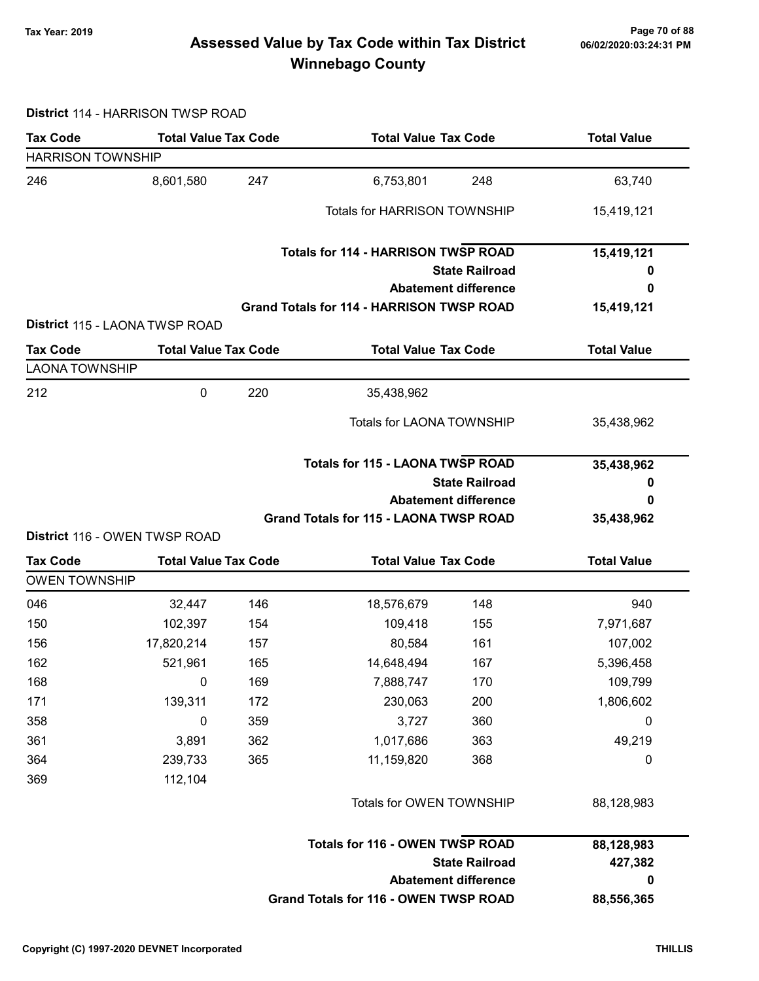# Page 70 of 88 مع Page 70 of 88<br>Assessed Value by Tax Code within Tax District مستر 16/02/2020:03:24:31 PM Winnebago County

#### District 114 - HARRISON TWSP ROAD

| <b>Tax Code</b>                                                       | <b>Total Value Tax Code</b>         |            | <b>Total Value Tax Code</b>                      |                             | <b>Total Value</b>   |  |
|-----------------------------------------------------------------------|-------------------------------------|------------|--------------------------------------------------|-----------------------------|----------------------|--|
| <b>HARRISON TOWNSHIP</b>                                              |                                     |            |                                                  |                             |                      |  |
| 246                                                                   | 8,601,580                           | 247        | 6,753,801                                        | 248                         | 63,740               |  |
|                                                                       |                                     |            | <b>Totals for HARRISON TOWNSHIP</b>              |                             | 15,419,121           |  |
|                                                                       |                                     |            | <b>Totals for 114 - HARRISON TWSP ROAD</b>       |                             | 15,419,121           |  |
|                                                                       |                                     |            |                                                  | <b>State Railroad</b>       | o                    |  |
|                                                                       |                                     |            |                                                  | <b>Abatement difference</b> | 0                    |  |
|                                                                       | District 115 - LAONA TWSP ROAD      |            | <b>Grand Totals for 114 - HARRISON TWSP ROAD</b> |                             | 15,419,121           |  |
| <b>Tax Code</b>                                                       | <b>Total Value Tax Code</b>         |            | <b>Total Value Tax Code</b>                      |                             | <b>Total Value</b>   |  |
| <b>LAONA TOWNSHIP</b>                                                 |                                     |            |                                                  |                             |                      |  |
| 212                                                                   | 0                                   | 220        | 35,438,962                                       |                             |                      |  |
|                                                                       |                                     |            | <b>Totals for LAONA TOWNSHIP</b>                 |                             | 35,438,962           |  |
|                                                                       |                                     |            | <b>Totals for 115 - LAONA TWSP ROAD</b>          |                             | 35,438,962           |  |
|                                                                       |                                     |            |                                                  | <b>State Railroad</b>       | 0                    |  |
|                                                                       |                                     |            |                                                  |                             |                      |  |
|                                                                       |                                     |            | <b>Abatement difference</b>                      |                             | 0                    |  |
|                                                                       |                                     |            | <b>Grand Totals for 115 - LAONA TWSP ROAD</b>    |                             | 35,438,962           |  |
|                                                                       | District 116 - OWEN TWSP ROAD       |            |                                                  |                             |                      |  |
| <b>Tax Code</b>                                                       | <b>Total Value Tax Code</b>         |            | <b>Total Value Tax Code</b>                      |                             | <b>Total Value</b>   |  |
|                                                                       |                                     |            |                                                  |                             |                      |  |
|                                                                       | 32,447                              | 146        | 18,576,679                                       | 148                         | 940                  |  |
|                                                                       | 102,397                             | 154        | 109,418                                          | 155                         | 7,971,687            |  |
|                                                                       | 17,820,214                          | 157        | 80,584                                           | 161<br>167                  | 107,002              |  |
|                                                                       | 521,961<br>$\overline{\phantom{0}}$ | 165<br>169 | 14,648,494<br>7,888,747                          | 170                         | 5,396,458<br>109,799 |  |
|                                                                       | 139,311                             | 172        | 230,063                                          | 200                         | 1,806,602            |  |
| <b>OWEN TOWNSHIP</b><br>046<br>150<br>156<br>162<br>168<br>171<br>358 | $\mathbf 0$                         | 359        | 3,727                                            | 360                         | 0                    |  |
| 361                                                                   | 3,891                               | 362        | 1,017,686                                        | 363                         | 49,219               |  |
|                                                                       | 239,733                             | 365        | 11,159,820                                       | 368                         | 0                    |  |
| 364<br>369                                                            | 112,104                             |            |                                                  |                             |                      |  |
|                                                                       |                                     |            | Totals for OWEN TOWNSHIP                         |                             | 88,128,983           |  |
|                                                                       |                                     |            | <b>Totals for 116 - OWEN TWSP ROAD</b>           |                             | 88,128,983           |  |
|                                                                       |                                     |            |                                                  | <b>State Railroad</b>       | 427,382              |  |
|                                                                       |                                     |            | Grand Totals for 116 - OWEN TWSP ROAD            | <b>Abatement difference</b> | 0                    |  |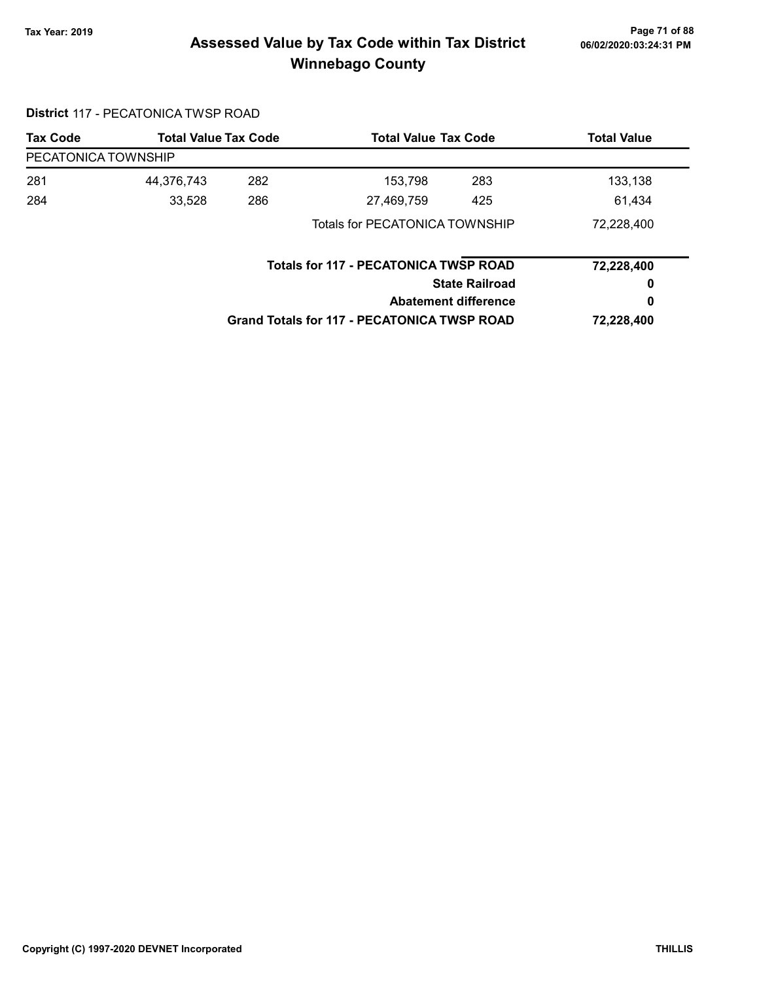# Page 71 of 88 مع Page 71 of 88<br>Assessed Value by Tax Code within Tax District مستر 16/02/2020:03:24:31 PM Winnebago County

#### District 117 - PECATONICA TWSP ROAD

| <b>Tax Code</b>     |            | <b>Total Value Tax Code</b><br><b>Total Value Tax Code</b><br><b>Total Value</b> |                                                    |                       |            |
|---------------------|------------|----------------------------------------------------------------------------------|----------------------------------------------------|-----------------------|------------|
| PECATONICA TOWNSHIP |            |                                                                                  |                                                    |                       |            |
| 281                 | 44,376,743 | 282                                                                              | 153,798                                            | 283                   | 133,138    |
| 284                 | 33,528     | 286                                                                              | 27,469,759                                         | 425                   | 61,434     |
|                     |            |                                                                                  | Totals for PECATONICA TOWNSHIP                     |                       | 72,228,400 |
|                     |            |                                                                                  | <b>Totals for 117 - PECATONICA TWSP ROAD</b>       |                       | 72,228,400 |
|                     |            |                                                                                  |                                                    | <b>State Railroad</b> | 0          |
|                     |            |                                                                                  | <b>Abatement difference</b>                        |                       | 0          |
|                     |            |                                                                                  | <b>Grand Totals for 117 - PECATONICA TWSP ROAD</b> |                       | 72,228,400 |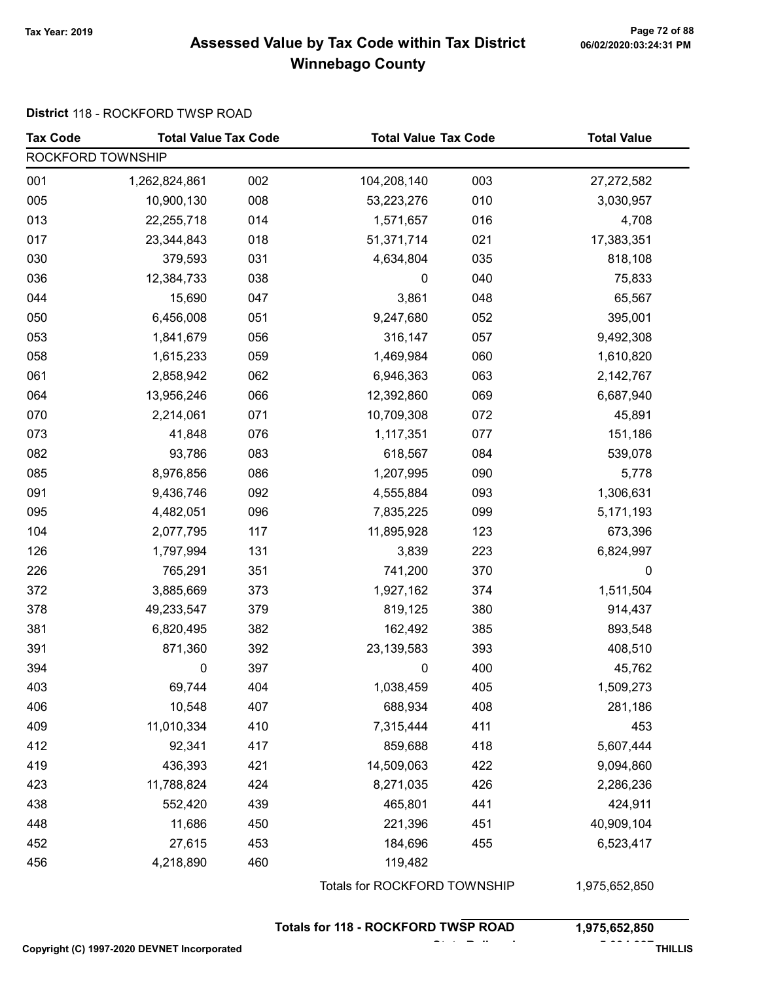# Page 72 of 88 مسمح Page 72 of 88<br>Assessed Value by Tax Code within Tax District مسموع Assessed Value by Tax Code within Tax District Winnebago County

#### District 118 - ROCKFORD TWSP ROAD

| <b>Tax Code</b>                             | <b>Total Value Tax Code</b> |     | <b>Total Value Tax Code</b>                |     | <b>Total Value</b> |  |
|---------------------------------------------|-----------------------------|-----|--------------------------------------------|-----|--------------------|--|
| ROCKFORD TOWNSHIP                           |                             |     |                                            |     |                    |  |
| 001                                         | 1,262,824,861               | 002 | 104,208,140                                | 003 | 27,272,582         |  |
| 005                                         | 10,900,130                  | 008 | 53,223,276                                 | 010 | 3,030,957          |  |
| 013                                         | 22,255,718                  | 014 | 1,571,657                                  | 016 | 4,708              |  |
| 017                                         | 23,344,843                  | 018 | 51,371,714                                 | 021 | 17,383,351         |  |
| 030                                         | 379,593                     | 031 | 4,634,804                                  | 035 | 818,108            |  |
| 036                                         | 12,384,733                  | 038 | $\pmb{0}$                                  | 040 | 75,833             |  |
| 044                                         | 15,690                      | 047 | 3,861                                      | 048 | 65,567             |  |
| 050                                         | 6,456,008                   | 051 | 9,247,680                                  | 052 | 395,001            |  |
| 053                                         | 1,841,679                   | 056 | 316,147                                    | 057 | 9,492,308          |  |
| 058                                         | 1,615,233                   | 059 | 1,469,984                                  | 060 | 1,610,820          |  |
| 061                                         | 2,858,942                   | 062 | 6,946,363                                  | 063 | 2,142,767          |  |
| 064                                         | 13,956,246                  | 066 | 12,392,860                                 | 069 | 6,687,940          |  |
| 070                                         | 2,214,061                   | 071 | 10,709,308                                 | 072 | 45,891             |  |
| 073                                         | 41,848                      | 076 | 1,117,351                                  | 077 | 151,186            |  |
| 082                                         | 93,786                      | 083 | 618,567                                    | 084 | 539,078            |  |
| 085                                         | 8,976,856                   | 086 | 1,207,995                                  | 090 | 5,778              |  |
| 091                                         | 9,436,746                   | 092 | 4,555,884                                  | 093 | 1,306,631          |  |
| 095                                         | 4,482,051                   | 096 | 7,835,225                                  | 099 | 5,171,193          |  |
| 104                                         | 2,077,795                   | 117 | 11,895,928                                 | 123 | 673,396            |  |
| 126                                         | 1,797,994                   | 131 | 3,839                                      | 223 | 6,824,997          |  |
| 226                                         | 765,291                     | 351 | 741,200                                    | 370 | 0                  |  |
| 372                                         | 3,885,669                   | 373 | 1,927,162                                  | 374 | 1,511,504          |  |
| 378                                         | 49,233,547                  | 379 | 819,125                                    | 380 | 914,437            |  |
| 381                                         | 6,820,495                   | 382 | 162,492                                    | 385 | 893,548            |  |
| 391                                         | 871,360                     | 392 | 23,139,583                                 | 393 | 408,510            |  |
| 394                                         | 0                           | 397 | 0                                          | 400 | 45,762             |  |
| 403                                         | 69,744                      | 404 | 1,038,459                                  | 405 | 1,509,273          |  |
| 406                                         | 10,548                      | 407 | 688,934                                    | 408 | 281,186            |  |
| 409                                         | 11,010,334                  | 410 | 7,315,444                                  | 411 | 453                |  |
| 412                                         | 92,341                      | 417 | 859,688                                    | 418 | 5,607,444          |  |
| 419                                         | 436,393                     | 421 | 14,509,063                                 | 422 | 9,094,860          |  |
| 423                                         | 11,788,824                  | 424 | 8,271,035                                  | 426 | 2,286,236          |  |
| 438                                         | 552,420                     | 439 | 465,801                                    | 441 | 424,911            |  |
| 448                                         | 11,686                      | 450 | 221,396                                    | 451 | 40,909,104         |  |
| 452                                         | 27,615                      | 453 | 184,696                                    | 455 | 6,523,417          |  |
| 456                                         | 4,218,890                   | 460 | 119,482                                    |     |                    |  |
|                                             |                             |     | Totals for ROCKFORD TOWNSHIP               |     | 1,975,652,850      |  |
|                                             |                             |     | <b>Totals for 118 - ROCKFORD TWSP ROAD</b> |     | 1,975,652,850      |  |
| Copyright (C) 1997-2020 DEVNET Incorporated | <b>THILLIS</b>              |     |                                            |     |                    |  |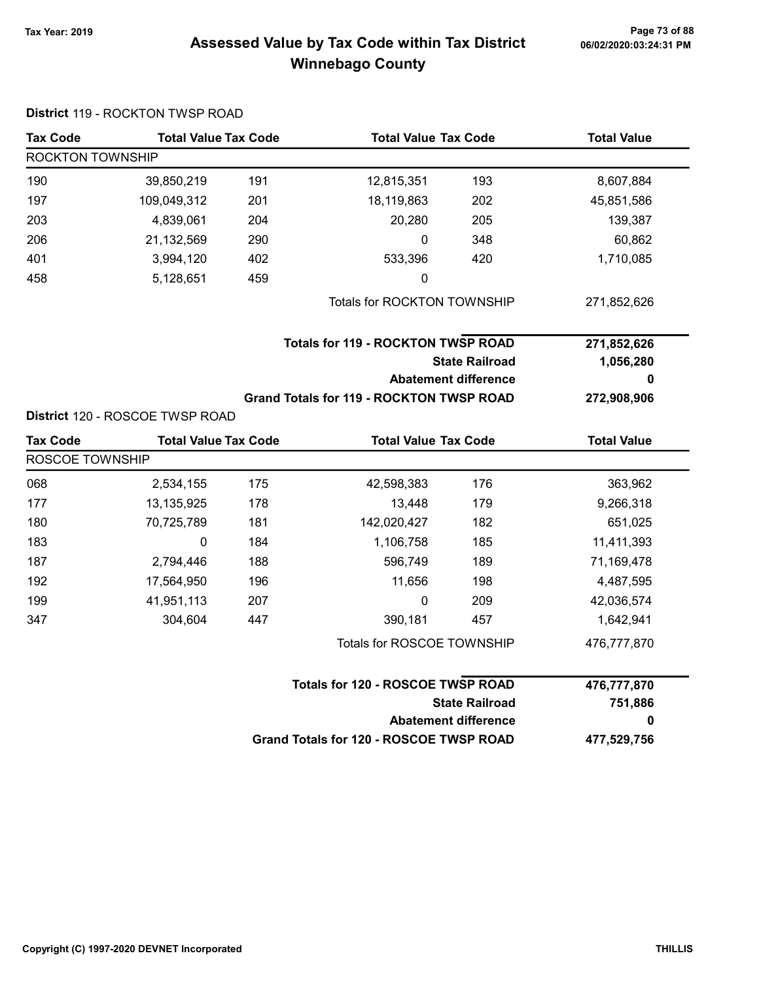# Page 73 of 88 و Tax Year: 2019 Page 73 of 88<br>Assessed Value by Tax Code within Tax District هو Assessed Value by Tax Code Winnebago County

| <b>Tax Code</b>  | <b>Total Value Tax Code</b>     |     | <b>Total Value Tax Code</b>                     |                             | <b>Total Value</b> |
|------------------|---------------------------------|-----|-------------------------------------------------|-----------------------------|--------------------|
| ROCKTON TOWNSHIP |                                 |     |                                                 |                             |                    |
| 190              | 39,850,219                      | 191 | 12,815,351                                      | 193                         | 8,607,884          |
| 197              | 109,049,312                     | 201 | 18,119,863                                      | 202                         | 45,851,586         |
| 203              | 4,839,061                       | 204 | 20,280                                          | 205                         | 139,387            |
| 206              | 21,132,569                      | 290 | 0                                               | 348                         | 60,862             |
| 401              | 3,994,120                       | 402 | 533,396                                         | 420                         | 1,710,085          |
| 458              | 5,128,651                       | 459 | 0                                               |                             |                    |
|                  |                                 |     | Totals for ROCKTON TOWNSHIP                     |                             | 271,852,626        |
|                  |                                 |     | <b>Totals for 119 - ROCKTON TWSP ROAD</b>       |                             | 271,852,626        |
|                  |                                 |     |                                                 | <b>State Railroad</b>       | 1,056,280          |
|                  |                                 |     |                                                 | <b>Abatement difference</b> | 0                  |
|                  |                                 |     | <b>Grand Totals for 119 - ROCKTON TWSP ROAD</b> |                             | 272,908,906        |
|                  | District 120 - ROSCOE TWSP ROAD |     |                                                 |                             |                    |
| <b>Tax Code</b>  | <b>Total Value Tax Code</b>     |     | <b>Total Value Tax Code</b>                     |                             | <b>Total Value</b> |
| ROSCOE TOWNSHIP  |                                 |     |                                                 |                             |                    |
| 068              | 2,534,155                       | 175 | 42,598,383                                      | 176                         | 363,962            |
| 177              | 13,135,925                      | 178 | 13,448                                          | 179                         | 9,266,318          |
| 180              | 70,725,789                      | 181 | 142,020,427                                     | 182                         | 651,025            |
| 183              | 0                               | 184 | 1,106,758                                       | 185                         | 11,411,393         |
| 187              | 2,794,446                       | 188 | 596,749                                         | 189                         | 71,169,478         |
| 192              | 17,564,950                      | 196 | 11,656                                          | 198                         | 4,487,595          |
| 199              | 41,951,113                      | 207 | 0                                               | 209                         | 42,036,574         |
| 347              | 304,604                         | 447 | 390,181                                         | 457                         | 1,642,941          |
|                  |                                 |     | Totals for ROSCOE TOWNSHIP                      |                             | 476,777,870        |
|                  |                                 |     | Totals for 120 - ROSCOE TWSP ROAD               |                             | 476,777,870        |
|                  |                                 |     |                                                 | <b>State Railroad</b>       | 751,886            |
|                  |                                 |     |                                                 | <b>Abatement difference</b> | 0                  |
|                  |                                 |     | Grand Totals for 120 - ROSCOE TWSP ROAD         |                             | 477,529,756        |

#### District 119 - ROCKTON TWSP ROAD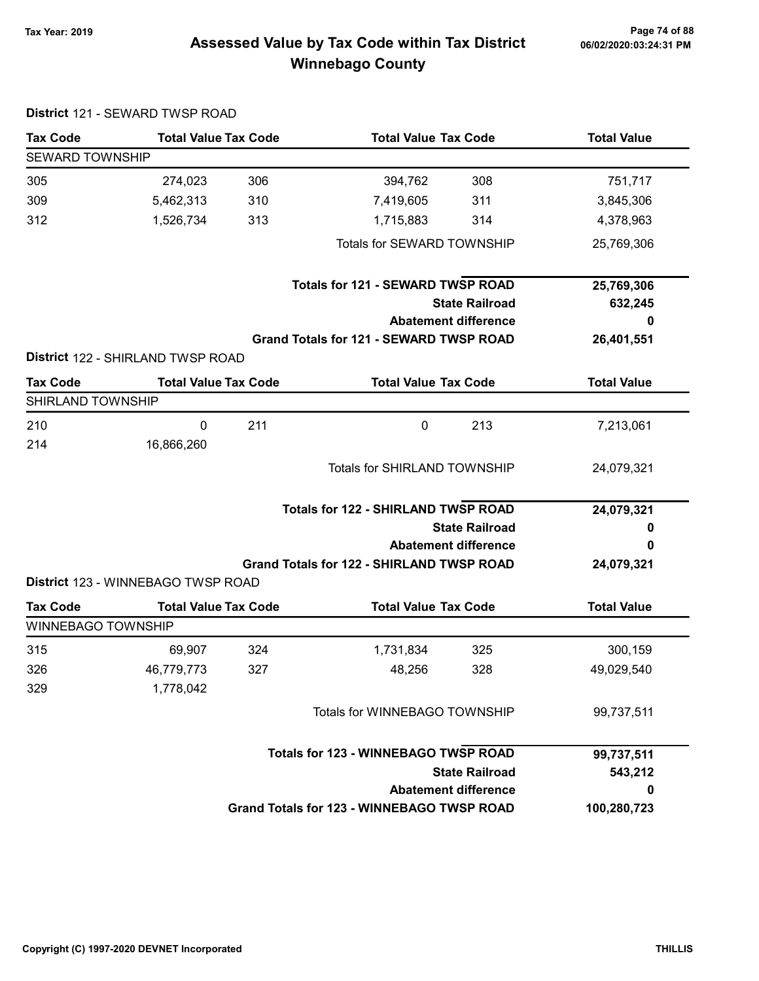# Page 74 of 88 مع Page 74 of 88<br>Assessed Value by Tax Code within Tax District مستر 16/02/2020:03:24:31 PM Winnebago County

| <b>Tax Code</b>           | <b>Total Value Tax Code</b>        |     | <b>Total Value Tax Code</b>                       |                       | <b>Total Value</b> |
|---------------------------|------------------------------------|-----|---------------------------------------------------|-----------------------|--------------------|
| <b>SEWARD TOWNSHIP</b>    |                                    |     |                                                   |                       |                    |
| 305                       | 274,023                            | 306 | 394,762                                           | 308                   | 751,717            |
| 309                       | 5,462,313                          | 310 | 7,419,605                                         | 311                   | 3,845,306          |
| 312                       | 1,526,734                          | 313 | 1,715,883                                         | 314                   | 4,378,963          |
|                           |                                    |     | Totals for SEWARD TOWNSHIP                        |                       | 25,769,306         |
|                           |                                    |     | <b>Totals for 121 - SEWARD TWSP ROAD</b>          |                       | 25,769,306         |
|                           |                                    |     |                                                   | <b>State Railroad</b> | 632,245            |
|                           |                                    |     | <b>Abatement difference</b>                       |                       | 0                  |
|                           | District 122 - SHIRLAND TWSP ROAD  |     | <b>Grand Totals for 121 - SEWARD TWSP ROAD</b>    |                       | 26,401,551         |
| <b>Tax Code</b>           | <b>Total Value Tax Code</b>        |     | <b>Total Value Tax Code</b>                       |                       | <b>Total Value</b> |
| <b>SHIRLAND TOWNSHIP</b>  |                                    |     |                                                   |                       |                    |
| 210                       | 0                                  | 211 | $\mathbf 0$                                       | 213                   | 7,213,061          |
| 214                       | 16,866,260                         |     |                                                   |                       |                    |
|                           |                                    |     | Totals for SHIRLAND TOWNSHIP                      |                       | 24,079,321         |
|                           |                                    |     | <b>Totals for 122 - SHIRLAND TWSP ROAD</b>        |                       | 24,079,321         |
|                           |                                    |     |                                                   | <b>State Railroad</b> | 0                  |
|                           |                                    |     | <b>Abatement difference</b>                       |                       | 0                  |
|                           | District 123 - WINNEBAGO TWSP ROAD |     | <b>Grand Totals for 122 - SHIRLAND TWSP ROAD</b>  |                       | 24,079,321         |
| <b>Tax Code</b>           | <b>Total Value Tax Code</b>        |     | <b>Total Value Tax Code</b>                       |                       | <b>Total Value</b> |
| <b>WINNEBAGO TOWNSHIP</b> |                                    |     |                                                   |                       |                    |
| 315                       | 69,907                             | 324 | 1,731,834                                         | 325                   | 300,159            |
| 326                       | 46,779,773                         | 327 | 48,256                                            | 328                   | 49,029,540         |
| 329                       | 1,778,042                          |     |                                                   |                       |                    |
|                           |                                    |     | Totals for WINNEBAGO TOWNSHIP                     |                       | 99,737,511         |
|                           |                                    |     | <b>Totals for 123 - WINNEBAGO TWSP ROAD</b>       |                       | 99,737,511         |
|                           |                                    |     |                                                   | <b>State Railroad</b> | 543,212            |
|                           |                                    |     | <b>Abatement difference</b>                       |                       | 0                  |
|                           |                                    |     | <b>Grand Totals for 123 - WINNEBAGO TWSP ROAD</b> |                       | 100,280,723        |
|                           |                                    |     |                                                   |                       |                    |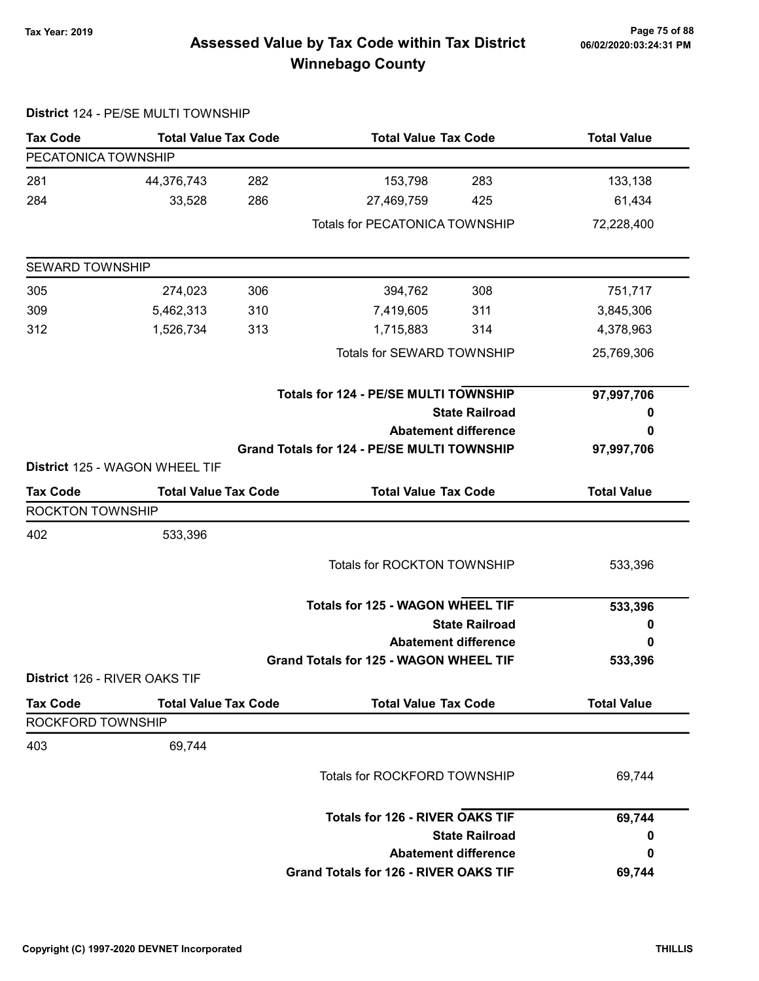# Page 75 of 88 وTax Year: 2019 Page 75 of 88<br>Assessed Value by Tax Code within Tax District هو Assessed Value by Tax Code Winnebago County

|                         | District 124 - PE/SE MULTI TOWNSHIP |     |                                                    |                             |                    |
|-------------------------|-------------------------------------|-----|----------------------------------------------------|-----------------------------|--------------------|
| <b>Tax Code</b>         | <b>Total Value Tax Code</b>         |     | <b>Total Value Tax Code</b>                        |                             | <b>Total Value</b> |
| PECATONICA TOWNSHIP     |                                     |     |                                                    |                             |                    |
| 281                     | 44,376,743                          | 282 | 153,798                                            | 283                         | 133,138            |
| 284                     | 33,528                              | 286 | 27,469,759                                         | 425                         | 61,434             |
|                         |                                     |     | Totals for PECATONICA TOWNSHIP                     |                             | 72,228,400         |
| <b>SEWARD TOWNSHIP</b>  |                                     |     |                                                    |                             |                    |
| 305                     | 274,023                             | 306 | 394,762                                            | 308                         | 751,717            |
| 309                     | 5,462,313                           | 310 | 7,419,605                                          | 311                         | 3,845,306          |
| 312                     | 1,526,734                           | 313 | 1,715,883                                          | 314                         | 4,378,963          |
|                         |                                     |     | Totals for SEWARD TOWNSHIP                         |                             | 25,769,306         |
|                         |                                     |     | <b>Totals for 124 - PE/SE MULTI TOWNSHIP</b>       |                             | 97,997,706         |
|                         |                                     |     |                                                    | <b>State Railroad</b>       | 0                  |
|                         |                                     |     |                                                    | <b>Abatement difference</b> | 0                  |
|                         | District 125 - WAGON WHEEL TIF      |     | <b>Grand Totals for 124 - PE/SE MULTI TOWNSHIP</b> |                             | 97,997,706         |
| <b>Tax Code</b>         | <b>Total Value Tax Code</b>         |     | <b>Total Value Tax Code</b>                        |                             | <b>Total Value</b> |
| <b>ROCKTON TOWNSHIP</b> |                                     |     |                                                    |                             |                    |
| 402                     | 533,396                             |     |                                                    |                             |                    |
|                         |                                     |     | Totals for ROCKTON TOWNSHIP                        |                             | 533,396            |
|                         |                                     |     | <b>Totals for 125 - WAGON WHEEL TIF</b>            |                             | 533,396            |
|                         |                                     |     |                                                    | <b>State Railroad</b>       | 0                  |
|                         |                                     |     |                                                    | <b>Abatement difference</b> | 0                  |
|                         |                                     |     | Grand Totals for 125 - WAGON WHEEL TIF             |                             | 533,396            |
|                         | District 126 - RIVER OAKS TIF       |     |                                                    |                             |                    |
| <b>Tax Code</b>         | <b>Total Value Tax Code</b>         |     | <b>Total Value Tax Code</b>                        |                             | <b>Total Value</b> |
| ROCKFORD TOWNSHIP       |                                     |     |                                                    |                             |                    |
| 403                     | 69,744                              |     |                                                    |                             |                    |
|                         |                                     |     | Totals for ROCKFORD TOWNSHIP                       |                             | 69,744             |
|                         |                                     |     | <b>Totals for 126 - RIVER OAKS TIF</b>             |                             | 69,744             |
|                         |                                     |     |                                                    | <b>State Railroad</b>       | 0                  |
|                         |                                     |     |                                                    | <b>Abatement difference</b> | 0                  |
|                         |                                     |     | <b>Grand Totals for 126 - RIVER OAKS TIF</b>       |                             | 69,744             |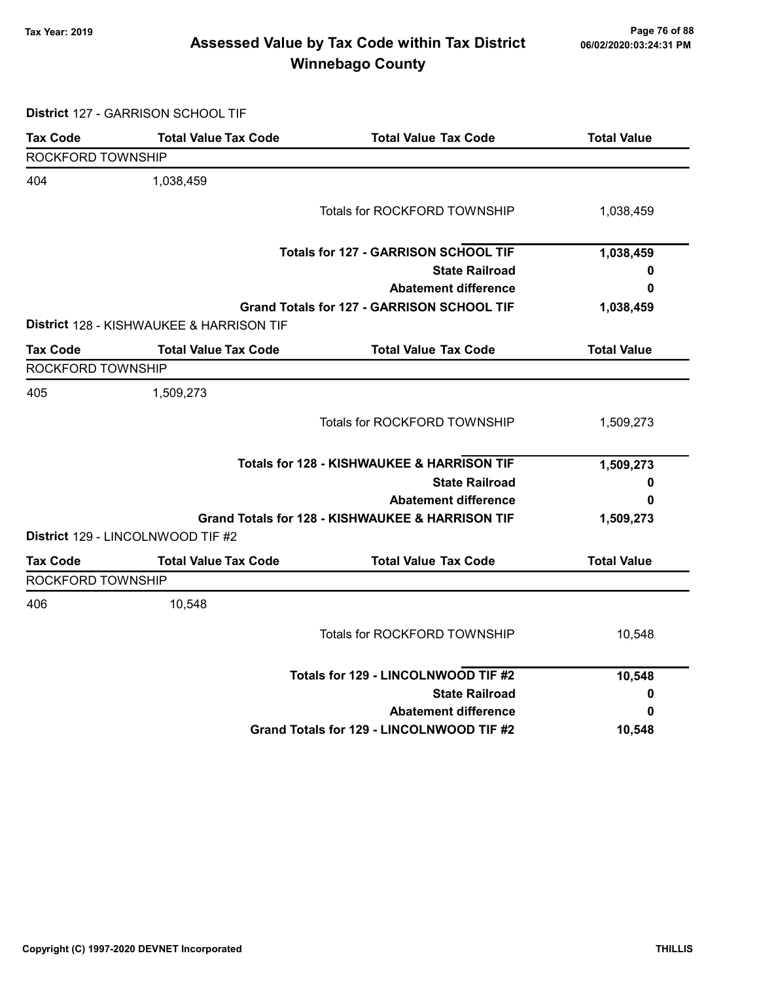# Page 76 of 88 مع Page 76 of 88<br>Assessed Value by Tax Code within Tax District مستر 16/02/2020:03:24:31 PM Winnebago County

District 127 - GARRISON SCHOOL TIF

| <b>Tax Code</b>          | <b>Total Value Tax Code</b>                         | <b>Total Value Tax Code</b>                           | <b>Total Value</b> |
|--------------------------|-----------------------------------------------------|-------------------------------------------------------|--------------------|
| <b>ROCKFORD TOWNSHIP</b> |                                                     |                                                       |                    |
| 404                      | 1,038,459                                           |                                                       |                    |
|                          |                                                     | Totals for ROCKFORD TOWNSHIP                          | 1,038,459          |
|                          |                                                     | <b>Totals for 127 - GARRISON SCHOOL TIF</b>           | 1,038,459          |
|                          |                                                     | <b>State Railroad</b>                                 | 0                  |
|                          |                                                     | <b>Abatement difference</b>                           | 0                  |
|                          | <b>District 128 - KISHWAUKEE &amp; HARRISON TIF</b> | Grand Totals for 127 - GARRISON SCHOOL TIF            | 1,038,459          |
| <b>Tax Code</b>          | <b>Total Value Tax Code</b>                         | <b>Total Value Tax Code</b>                           | <b>Total Value</b> |
| <b>ROCKFORD TOWNSHIP</b> |                                                     |                                                       |                    |
| 405                      | 1,509,273                                           |                                                       |                    |
|                          |                                                     | Totals for ROCKFORD TOWNSHIP                          | 1,509,273          |
|                          |                                                     | <b>Totals for 128 - KISHWAUKEE &amp; HARRISON TIF</b> | 1,509,273          |
|                          |                                                     | <b>State Railroad</b>                                 | 0                  |
|                          |                                                     | <b>Abatement difference</b>                           | 0                  |
|                          |                                                     | Grand Totals for 128 - KISHWAUKEE & HARRISON TIF      | 1,509,273          |
|                          | District 129 - LINCOLNWOOD TIF #2                   |                                                       |                    |
| <b>Tax Code</b>          | <b>Total Value Tax Code</b>                         | <b>Total Value Tax Code</b>                           | <b>Total Value</b> |
| ROCKFORD TOWNSHIP        |                                                     |                                                       |                    |
| 406                      | 10,548                                              |                                                       |                    |
|                          |                                                     | Totals for ROCKFORD TOWNSHIP                          | 10,548             |
|                          |                                                     | Totals for 129 - LINCOLNWOOD TIF #2                   | 10,548             |
|                          |                                                     | <b>State Railroad</b>                                 | 0                  |
|                          |                                                     | <b>Abatement difference</b>                           | 0                  |
|                          |                                                     | Grand Totals for 129 - LINCOLNWOOD TIF #2             | 10,548             |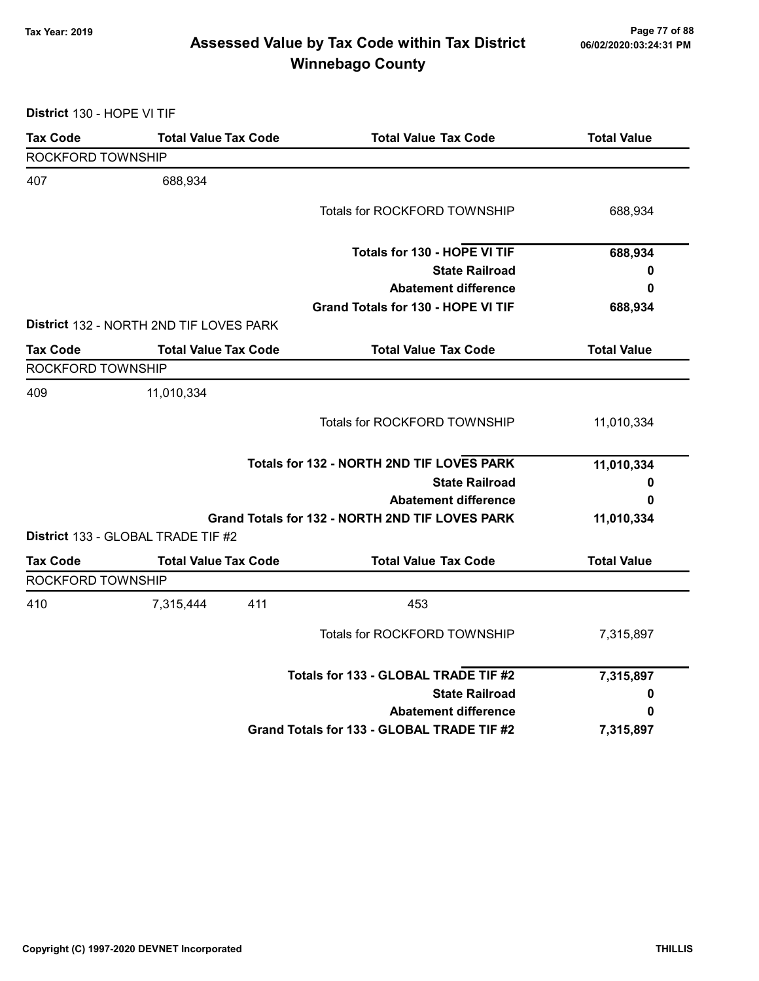# Page 77 of 88 مسلم Page 77 of 88<br>Assessed Value by Tax Code within Tax District مسلم Assessed Value by Tax Code within Tax District Winnebago County

District 130 - HOPE VI TIF

| <b>Tax Code</b>   | <b>Total Value Tax Code</b>             | <b>Total Value Tax Code</b>                     | <b>Total Value</b> |
|-------------------|-----------------------------------------|-------------------------------------------------|--------------------|
| ROCKFORD TOWNSHIP |                                         |                                                 |                    |
| 407               | 688,934                                 |                                                 |                    |
|                   |                                         | Totals for ROCKFORD TOWNSHIP                    | 688,934            |
|                   |                                         | Totals for 130 - HOPE VI TIF                    | 688,934            |
|                   |                                         | <b>State Railroad</b>                           | 0                  |
|                   |                                         | <b>Abatement difference</b>                     | 0                  |
|                   |                                         | Grand Totals for 130 - HOPE VI TIF              | 688,934            |
|                   | District 132 - NORTH 2ND TIF LOVES PARK |                                                 |                    |
| <b>Tax Code</b>   | <b>Total Value Tax Code</b>             | <b>Total Value Tax Code</b>                     | <b>Total Value</b> |
| ROCKFORD TOWNSHIP |                                         |                                                 |                    |
| 409               | 11,010,334                              |                                                 |                    |
|                   |                                         | Totals for ROCKFORD TOWNSHIP                    | 11,010,334         |
|                   |                                         | Totals for 132 - NORTH 2ND TIF LOVES PARK       | 11,010,334         |
|                   |                                         | <b>State Railroad</b>                           | 0                  |
|                   |                                         | <b>Abatement difference</b>                     | 0                  |
|                   | District 133 - GLOBAL TRADE TIF #2      | Grand Totals for 132 - NORTH 2ND TIF LOVES PARK | 11,010,334         |
| <b>Tax Code</b>   | <b>Total Value Tax Code</b>             | <b>Total Value Tax Code</b>                     | <b>Total Value</b> |
| ROCKFORD TOWNSHIP |                                         |                                                 |                    |
| 410               | 7,315,444<br>411                        | 453                                             |                    |
|                   |                                         | Totals for ROCKFORD TOWNSHIP                    | 7,315,897          |
|                   |                                         | Totals for 133 - GLOBAL TRADE TIF #2            | 7,315,897          |
|                   |                                         | <b>State Railroad</b>                           | 0                  |
|                   |                                         | <b>Abatement difference</b>                     | 0                  |
|                   |                                         | Grand Totals for 133 - GLOBAL TRADE TIF #2      | 7,315,897          |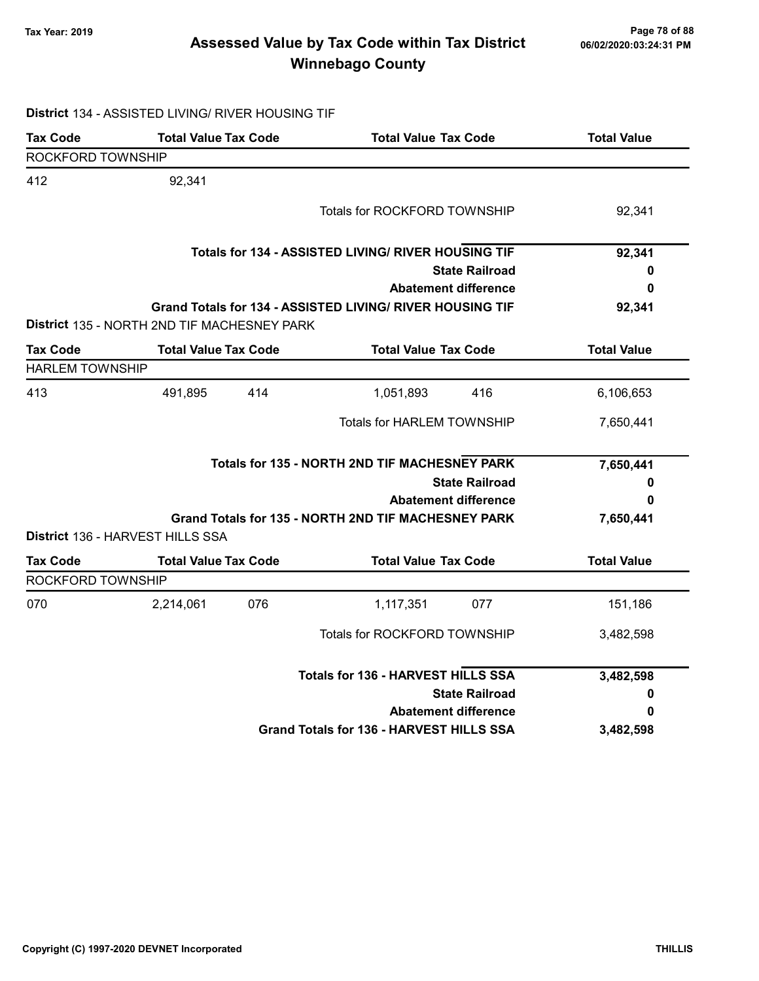# Page 78 of 88 وTax Year: 2019 Page 78 of 88<br>Assessed Value by Tax Code within Tax District of the 16/02/2020:03:24:31 PM Winnebago County

# District 134 - ASSISTED LIVING/ RIVER HOUSING TIF

| <b>Tax Code</b>        | <b>Total Value Tax Code</b>                 |     | <b>Total Value Tax Code</b>                               |                             | <b>Total Value</b> |
|------------------------|---------------------------------------------|-----|-----------------------------------------------------------|-----------------------------|--------------------|
| ROCKFORD TOWNSHIP      |                                             |     |                                                           |                             |                    |
| 412                    | 92,341                                      |     |                                                           |                             |                    |
|                        |                                             |     | <b>Totals for ROCKFORD TOWNSHIP</b>                       |                             | 92,341             |
|                        |                                             |     | Totals for 134 - ASSISTED LIVING/ RIVER HOUSING TIF       |                             | 92,341             |
|                        |                                             |     |                                                           | <b>State Railroad</b>       | 0                  |
|                        |                                             |     |                                                           | <b>Abatement difference</b> | 0                  |
|                        | District 135 - NORTH 2ND TIF MACHESNEY PARK |     | Grand Totals for 134 - ASSISTED LIVING/ RIVER HOUSING TIF |                             | 92,341             |
| <b>Tax Code</b>        | <b>Total Value Tax Code</b>                 |     | <b>Total Value Tax Code</b>                               |                             | <b>Total Value</b> |
| <b>HARLEM TOWNSHIP</b> |                                             |     |                                                           |                             |                    |
| 413                    | 491,895                                     | 414 | 1,051,893                                                 | 416                         | 6,106,653          |
|                        |                                             |     | <b>Totals for HARLEM TOWNSHIP</b>                         |                             | 7,650,441          |
|                        |                                             |     | Totals for 135 - NORTH 2ND TIF MACHESNEY PARK             |                             | 7,650,441          |
|                        |                                             |     |                                                           | <b>State Railroad</b>       | 0                  |
|                        |                                             |     |                                                           | <b>Abatement difference</b> | 0                  |
|                        |                                             |     | Grand Totals for 135 - NORTH 2ND TIF MACHESNEY PARK       |                             | 7,650,441          |
|                        | District 136 - HARVEST HILLS SSA            |     |                                                           |                             |                    |
| <b>Tax Code</b>        | <b>Total Value Tax Code</b>                 |     | <b>Total Value Tax Code</b>                               |                             | <b>Total Value</b> |
| ROCKFORD TOWNSHIP      |                                             |     |                                                           |                             |                    |
| 070                    | 2,214,061                                   | 076 | 1,117,351                                                 | 077                         | 151,186            |
|                        |                                             |     | <b>Totals for ROCKFORD TOWNSHIP</b>                       |                             | 3,482,598          |
|                        |                                             |     | <b>Totals for 136 - HARVEST HILLS SSA</b>                 |                             | 3,482,598          |
|                        |                                             |     |                                                           | <b>State Railroad</b>       | 0                  |
|                        |                                             |     |                                                           | <b>Abatement difference</b> | 0                  |
|                        |                                             |     | Grand Totals for 136 - HARVEST HILLS SSA                  |                             | 3,482,598          |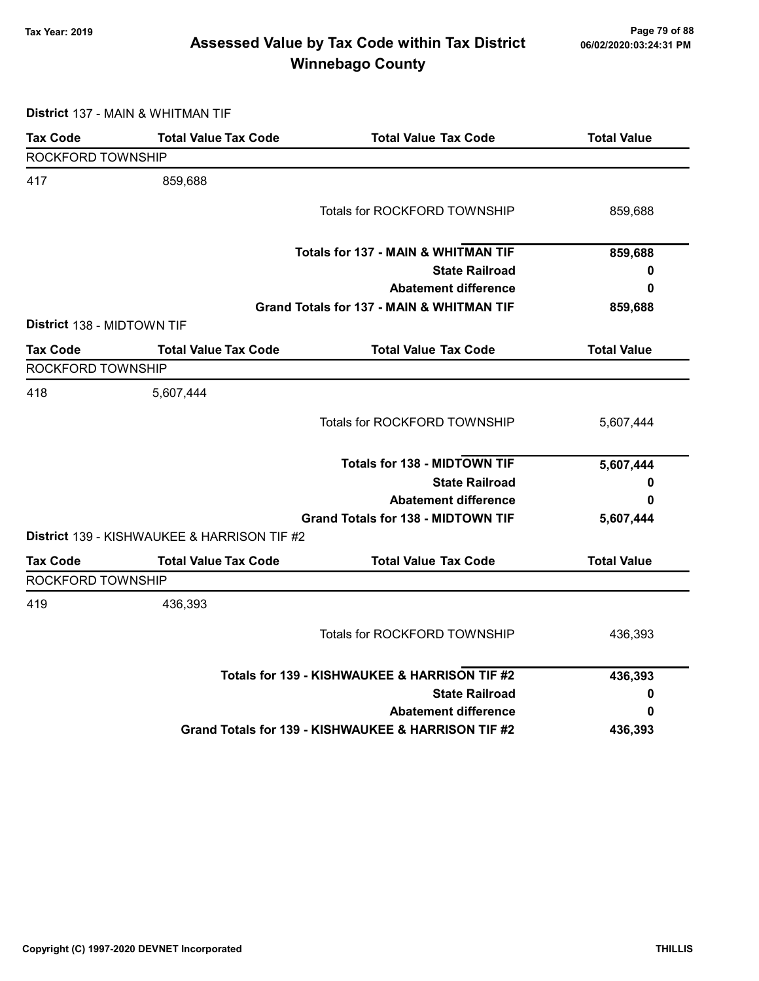# Page 79 of 88 مع Page 79 of 88<br>Assessed Value by Tax Code within Tax District مستر 19/2020202013:24:31 PM Winnebago County

District 137 - MAIN & WHITMAN TIF

| <b>Tax Code</b>            | <b>Total Value Tax Code</b>                 | <b>Total Value Tax Code</b>                          | <b>Total Value</b> |
|----------------------------|---------------------------------------------|------------------------------------------------------|--------------------|
| ROCKFORD TOWNSHIP          |                                             |                                                      |                    |
| 417                        | 859,688                                     |                                                      |                    |
|                            |                                             | Totals for ROCKFORD TOWNSHIP                         | 859,688            |
|                            |                                             | <b>Totals for 137 - MAIN &amp; WHITMAN TIF</b>       | 859,688            |
|                            |                                             | <b>State Railroad</b>                                | 0                  |
|                            |                                             | <b>Abatement difference</b>                          | 0                  |
|                            |                                             | <b>Grand Totals for 137 - MAIN &amp; WHITMAN TIF</b> | 859,688            |
| District 138 - MIDTOWN TIF |                                             |                                                      |                    |
| <b>Tax Code</b>            | <b>Total Value Tax Code</b>                 | <b>Total Value Tax Code</b>                          | <b>Total Value</b> |
| ROCKFORD TOWNSHIP          |                                             |                                                      |                    |
| 418                        | 5,607,444                                   |                                                      |                    |
|                            |                                             | Totals for ROCKFORD TOWNSHIP                         | 5,607,444          |
|                            |                                             | <b>Totals for 138 - MIDTOWN TIF</b>                  | 5,607,444          |
|                            |                                             | <b>State Railroad</b>                                | 0                  |
|                            |                                             | <b>Abatement difference</b>                          | 0                  |
|                            |                                             | <b>Grand Totals for 138 - MIDTOWN TIF</b>            | 5,607,444          |
|                            | District 139 - KISHWAUKEE & HARRISON TIF #2 |                                                      |                    |
| <b>Tax Code</b>            | <b>Total Value Tax Code</b>                 | <b>Total Value Tax Code</b>                          | <b>Total Value</b> |
| ROCKFORD TOWNSHIP          |                                             |                                                      |                    |
| 419                        | 436,393                                     |                                                      |                    |
|                            |                                             | Totals for ROCKFORD TOWNSHIP                         | 436,393            |
|                            |                                             | Totals for 139 - KISHWAUKEE & HARRISON TIF #2        | 436,393            |
|                            |                                             | <b>State Railroad</b>                                | 0                  |
|                            |                                             | <b>Abatement difference</b>                          | 0                  |
|                            |                                             | Grand Totals for 139 - KISHWAUKEE & HARRISON TIF #2  | 436,393            |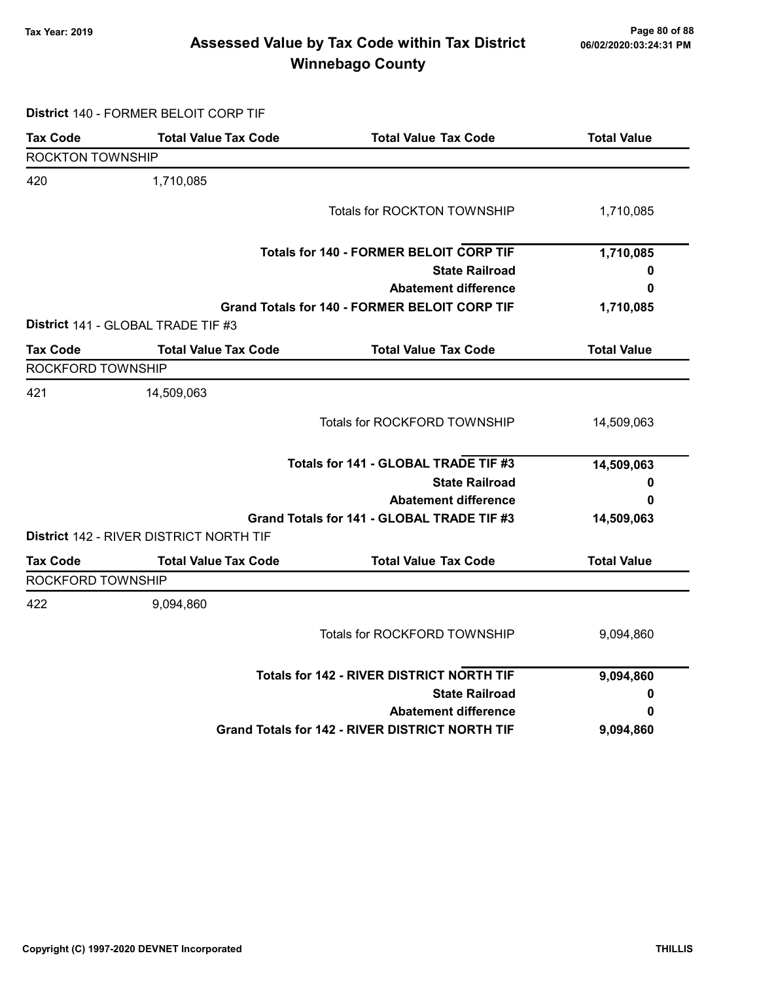# Page 80 of 88 وTax Year: 2019 Page 80 of 88<br>Assessed Value by Tax Code within Tax District هو Assessed Value by Tax Code Winnebago County

District 140 - FORMER BELOIT CORP TIF

| <b>Tax Code</b>          | <b>Total Value Tax Code</b>                    | <b>Total Value Tax Code</b>                            | <b>Total Value</b> |
|--------------------------|------------------------------------------------|--------------------------------------------------------|--------------------|
| <b>ROCKTON TOWNSHIP</b>  |                                                |                                                        |                    |
| 420                      | 1,710,085                                      |                                                        |                    |
|                          |                                                | Totals for ROCKTON TOWNSHIP                            | 1,710,085          |
|                          |                                                | <b>Totals for 140 - FORMER BELOIT CORP TIF</b>         | 1,710,085          |
|                          |                                                | <b>State Railroad</b>                                  | 0                  |
|                          |                                                | <b>Abatement difference</b>                            | 0                  |
|                          |                                                | <b>Grand Totals for 140 - FORMER BELOIT CORP TIF</b>   | 1,710,085          |
|                          | District 141 - GLOBAL TRADE TIF #3             |                                                        |                    |
| <b>Tax Code</b>          | <b>Total Value Tax Code</b>                    | <b>Total Value Tax Code</b>                            | <b>Total Value</b> |
| <b>ROCKFORD TOWNSHIP</b> |                                                |                                                        |                    |
| 421                      | 14,509,063                                     |                                                        |                    |
|                          |                                                | Totals for ROCKFORD TOWNSHIP                           | 14,509,063         |
|                          |                                                | Totals for 141 - GLOBAL TRADE TIF #3                   | 14,509,063         |
|                          |                                                | <b>State Railroad</b>                                  | 0                  |
|                          |                                                | <b>Abatement difference</b>                            | 0                  |
|                          |                                                | Grand Totals for 141 - GLOBAL TRADE TIF #3             | 14,509,063         |
|                          | <b>District 142 - RIVER DISTRICT NORTH TIF</b> |                                                        |                    |
| <b>Tax Code</b>          | <b>Total Value Tax Code</b>                    | <b>Total Value Tax Code</b>                            | <b>Total Value</b> |
| ROCKFORD TOWNSHIP        |                                                |                                                        |                    |
| 422                      | 9,094,860                                      |                                                        |                    |
|                          |                                                | Totals for ROCKFORD TOWNSHIP                           | 9,094,860          |
|                          |                                                | Totals for 142 - RIVER DISTRICT NORTH TIF              | 9,094,860          |
|                          |                                                | <b>State Railroad</b>                                  | 0                  |
|                          |                                                | <b>Abatement difference</b>                            | 0                  |
|                          |                                                | <b>Grand Totals for 142 - RIVER DISTRICT NORTH TIF</b> | 9,094,860          |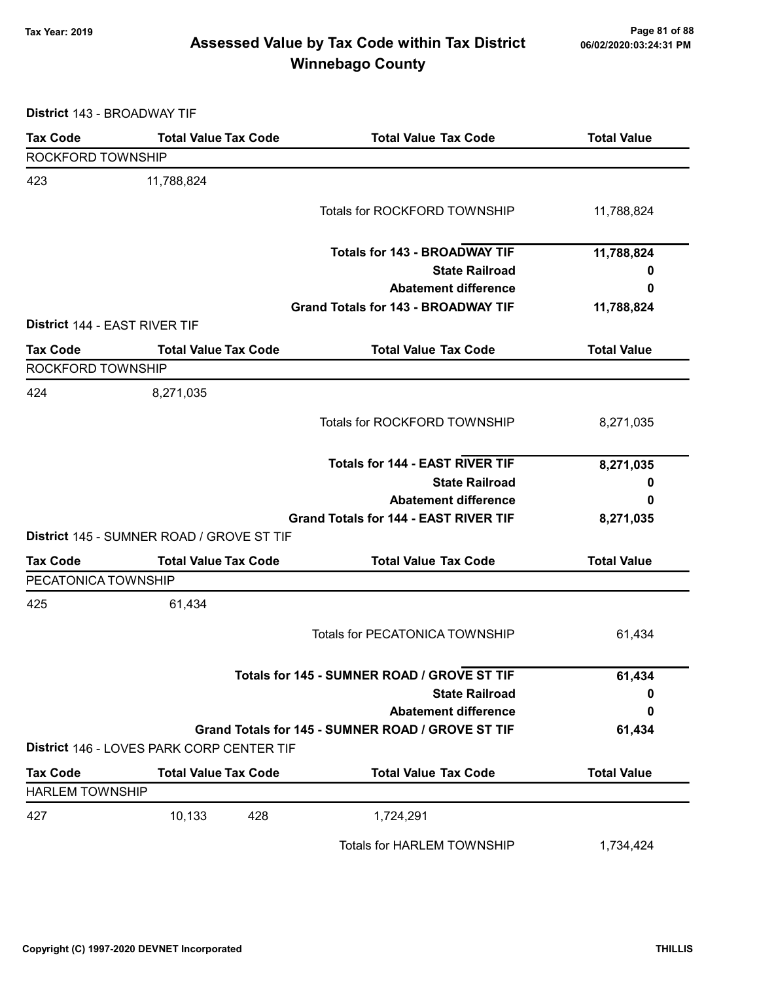# Page 81 of 88 وTax Year: 2019 Page 81 of 88<br>Assessed Value by Tax Code within Tax District هو Assessed Value by Tax Code Winnebago County

District 143 - BROADWAY TIF

| <b>Tax Code</b>                      | <b>Total Value Tax Code</b>               | <b>Total Value Tax Code</b>                       | <b>Total Value</b> |
|--------------------------------------|-------------------------------------------|---------------------------------------------------|--------------------|
| <b>ROCKFORD TOWNSHIP</b>             |                                           |                                                   |                    |
| 423                                  | 11,788,824                                |                                                   |                    |
|                                      |                                           | Totals for ROCKFORD TOWNSHIP                      | 11,788,824         |
|                                      |                                           |                                                   |                    |
|                                      |                                           | <b>Totals for 143 - BROADWAY TIF</b>              | 11,788,824         |
|                                      |                                           | <b>State Railroad</b>                             | 0                  |
|                                      |                                           | <b>Abatement difference</b>                       | 0                  |
|                                      |                                           | <b>Grand Totals for 143 - BROADWAY TIF</b>        | 11,788,824         |
| <b>District 144 - EAST RIVER TIF</b> |                                           |                                                   |                    |
| <b>Tax Code</b>                      | <b>Total Value Tax Code</b>               | <b>Total Value Tax Code</b>                       | <b>Total Value</b> |
| ROCKFORD TOWNSHIP                    |                                           |                                                   |                    |
| 424                                  | 8,271,035                                 |                                                   |                    |
|                                      |                                           | Totals for ROCKFORD TOWNSHIP                      | 8,271,035          |
|                                      |                                           |                                                   |                    |
|                                      |                                           | <b>Totals for 144 - EAST RIVER TIF</b>            | 8,271,035          |
|                                      |                                           | <b>State Railroad</b>                             | 0                  |
|                                      |                                           | <b>Abatement difference</b>                       | 0                  |
|                                      |                                           | <b>Grand Totals for 144 - EAST RIVER TIF</b>      | 8,271,035          |
|                                      | District 145 - SUMNER ROAD / GROVE ST TIF |                                                   |                    |
| <b>Tax Code</b>                      | <b>Total Value Tax Code</b>               | <b>Total Value Tax Code</b>                       | <b>Total Value</b> |
| PECATONICA TOWNSHIP                  |                                           |                                                   |                    |
| 425                                  | 61,434                                    |                                                   |                    |
|                                      |                                           | <b>Totals for PECATONICA TOWNSHIP</b>             | 61,434             |
|                                      |                                           |                                                   |                    |
|                                      |                                           | Totals for 145 - SUMNER ROAD / GROVE ST TIF       | 61,434             |
|                                      |                                           | <b>State Railroad</b>                             | 0                  |
|                                      |                                           | <b>Abatement difference</b>                       | 0                  |
|                                      |                                           | Grand Totals for 145 - SUMNER ROAD / GROVE ST TIF | 61,434             |
|                                      | District 146 - LOVES PARK CORP CENTER TIF |                                                   |                    |
| <b>Tax Code</b>                      | <b>Total Value Tax Code</b>               | <b>Total Value Tax Code</b>                       | <b>Total Value</b> |
| <b>HARLEM TOWNSHIP</b>               |                                           |                                                   |                    |
| 427                                  | 10,133<br>428                             | 1,724,291                                         |                    |
|                                      |                                           | Totals for HARLEM TOWNSHIP                        | 1,734,424          |
|                                      |                                           |                                                   |                    |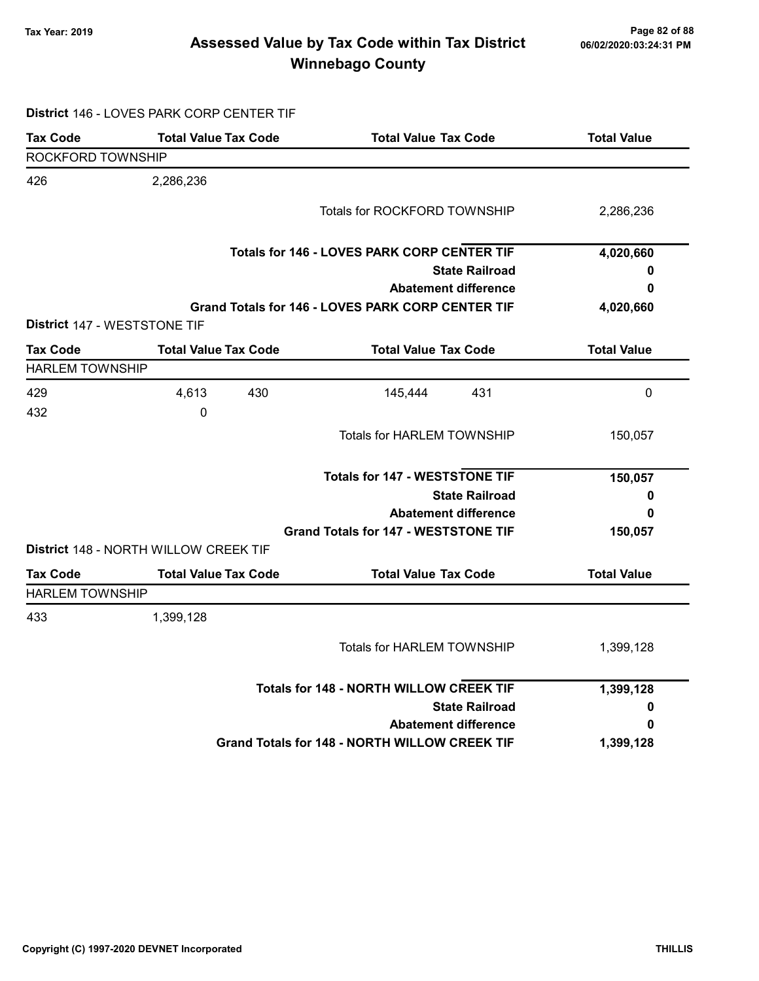# Page 82 of 88 مسمح Page 82 of 88<br>Assessed Value by Tax Code within Tax District مسموع Assessed Value by Tax Code within Tax District Winnebago County

|  | District 146 - LOVES PARK CORP CENTER TIF |
|--|-------------------------------------------|
|  |                                           |

| <b>Tax Code</b>        | <b>Total Value Tax Code</b>           | <b>Total Value Tax Code</b>                              | <b>Total Value</b> |
|------------------------|---------------------------------------|----------------------------------------------------------|--------------------|
| ROCKFORD TOWNSHIP      |                                       |                                                          |                    |
| 426                    | 2,286,236                             |                                                          |                    |
|                        |                                       | Totals for ROCKFORD TOWNSHIP                             | 2,286,236          |
|                        |                                       | Totals for 146 - LOVES PARK CORP CENTER TIF              | 4,020,660          |
|                        |                                       | <b>State Railroad</b>                                    | 0                  |
|                        |                                       | <b>Abatement difference</b>                              | 0                  |
|                        |                                       | <b>Grand Totals for 146 - LOVES PARK CORP CENTER TIF</b> | 4,020,660          |
|                        | <b>District 147 - WESTSTONE TIF</b>   |                                                          |                    |
| <b>Tax Code</b>        | <b>Total Value Tax Code</b>           | <b>Total Value Tax Code</b>                              | <b>Total Value</b> |
| <b>HARLEM TOWNSHIP</b> |                                       |                                                          |                    |
| 429                    | 4,613<br>430                          | 145,444<br>431                                           | $\mathbf 0$        |
| 432                    | 0                                     |                                                          |                    |
|                        |                                       | Totals for HARLEM TOWNSHIP                               | 150,057            |
|                        |                                       | <b>Totals for 147 - WESTSTONE TIF</b>                    | 150,057            |
|                        |                                       | <b>State Railroad</b>                                    | 0                  |
|                        |                                       | <b>Abatement difference</b>                              | 0                  |
|                        | District 148 - NORTH WILLOW CREEK TIF | <b>Grand Totals for 147 - WESTSTONE TIF</b>              | 150,057            |
| <b>Tax Code</b>        | <b>Total Value Tax Code</b>           | <b>Total Value Tax Code</b>                              | <b>Total Value</b> |
| <b>HARLEM TOWNSHIP</b> |                                       |                                                          |                    |
| 433                    | 1,399,128                             |                                                          |                    |
|                        |                                       | <b>Totals for HARLEM TOWNSHIP</b>                        | 1,399,128          |
|                        |                                       | <b>Totals for 148 - NORTH WILLOW CREEK TIF</b>           | 1,399,128          |
|                        |                                       | <b>State Railroad</b>                                    | 0                  |
|                        |                                       | <b>Abatement difference</b>                              | 0                  |
|                        |                                       | Grand Totals for 148 - NORTH WILLOW CREEK TIF            | 1,399,128          |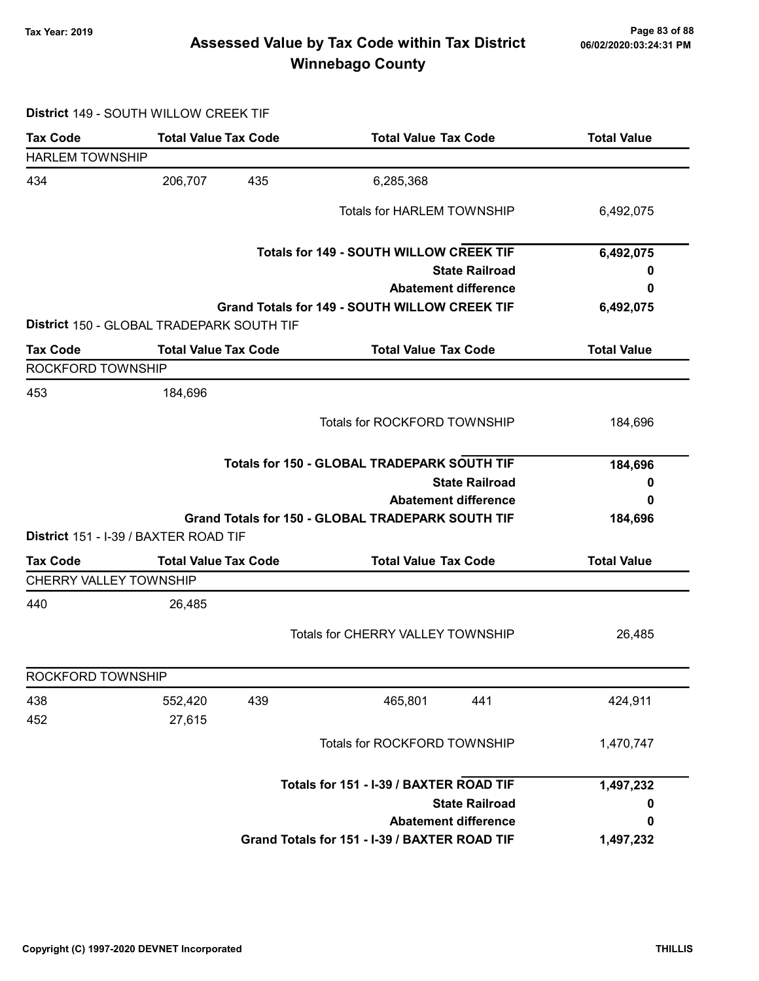# Page 83 of 88 مسلم Page 83 of 88<br>Assessed Value by Tax Code within Tax District مسلم Assessed Value by Tax Code within Tax District Winnebago County

#### District 149 - SOUTH WILLOW CREEK TIF

| <b>Tax Code</b>                           | <b>Total Value Tax Code</b>               | <b>Total Value Tax Code</b>                       | <b>Total Value</b> |  |
|-------------------------------------------|-------------------------------------------|---------------------------------------------------|--------------------|--|
| <b>HARLEM TOWNSHIP</b>                    |                                           |                                                   |                    |  |
| 434                                       | 206,707<br>435                            | 6,285,368                                         |                    |  |
|                                           |                                           | <b>Totals for HARLEM TOWNSHIP</b>                 | 6,492,075          |  |
|                                           |                                           | <b>Totals for 149 - SOUTH WILLOW CREEK TIF</b>    | 6,492,075          |  |
|                                           |                                           | <b>State Railroad</b>                             |                    |  |
|                                           |                                           | <b>Abatement difference</b>                       | 0                  |  |
|                                           | District 150 - GLOBAL TRADEPARK SOUTH TIF | Grand Totals for 149 - SOUTH WILLOW CREEK TIF     | 6,492,075          |  |
| <b>Tax Code</b>                           | <b>Total Value Tax Code</b>               | <b>Total Value Tax Code</b>                       | <b>Total Value</b> |  |
| ROCKFORD TOWNSHIP                         |                                           |                                                   |                    |  |
| 453                                       | 184,696                                   |                                                   |                    |  |
|                                           |                                           | <b>Totals for ROCKFORD TOWNSHIP</b>               | 184,696            |  |
|                                           |                                           | Totals for 150 - GLOBAL TRADEPARK SOUTH TIF       | 184,696            |  |
|                                           |                                           | <b>State Railroad</b>                             | 0                  |  |
|                                           |                                           | <b>Abatement difference</b>                       | 0                  |  |
|                                           |                                           | Grand Totals for 150 - GLOBAL TRADEPARK SOUTH TIF | 184,696            |  |
|                                           | District 151 - I-39 / BAXTER ROAD TIF     |                                                   |                    |  |
| <b>Tax Code</b><br>CHERRY VALLEY TOWNSHIP | <b>Total Value Tax Code</b>               | <b>Total Value Tax Code</b>                       | <b>Total Value</b> |  |
| 440                                       | 26,485                                    |                                                   |                    |  |
|                                           |                                           | Totals for CHERRY VALLEY TOWNSHIP                 | 26,485             |  |
| ROCKFORD TOWNSHIP                         |                                           |                                                   |                    |  |
| 438                                       | 439<br>552,420                            | 465,801<br>441                                    | 424,911            |  |
| 452                                       | 27,615                                    |                                                   |                    |  |
|                                           |                                           | Totals for ROCKFORD TOWNSHIP                      | 1,470,747          |  |
|                                           |                                           | Totals for 151 - I-39 / BAXTER ROAD TIF           | 1,497,232          |  |
|                                           |                                           | <b>State Railroad</b>                             | 0                  |  |
|                                           |                                           | <b>Abatement difference</b>                       | 0                  |  |
|                                           |                                           | Grand Totals for 151 - I-39 / BAXTER ROAD TIF     | 1,497,232          |  |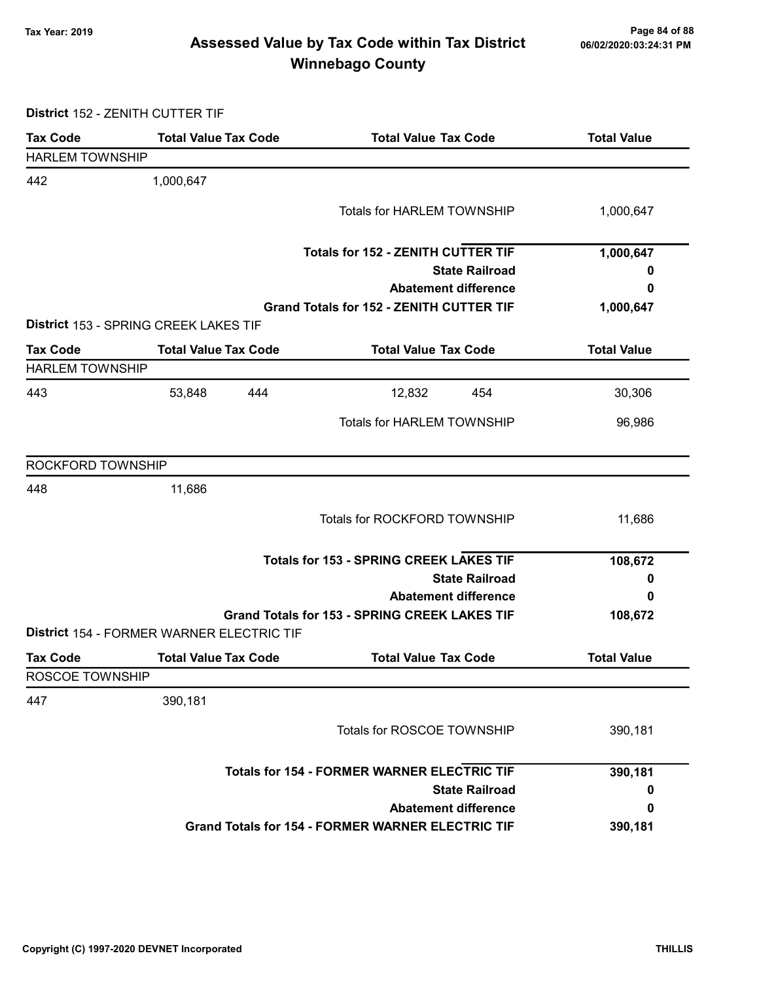# Page 84 of 88 مع Page 84 of 88<br>Assessed Value by Tax Code within Tax District مof/22020:03:24:31 PM Winnebago County

District 152 - ZENITH CUTTER TIF

| <b>Tax Code</b>        | <b>Total Value Tax Code</b>                        | <b>Total Value Tax Code</b>                              | <b>Total Value</b> |
|------------------------|----------------------------------------------------|----------------------------------------------------------|--------------------|
| <b>HARLEM TOWNSHIP</b> |                                                    |                                                          |                    |
| 442                    | 1,000,647                                          |                                                          |                    |
|                        |                                                    | <b>Totals for HARLEM TOWNSHIP</b>                        | 1,000,647          |
|                        |                                                    |                                                          |                    |
|                        |                                                    | <b>Totals for 152 - ZENITH CUTTER TIF</b>                | 1,000,647          |
|                        |                                                    | <b>State Railroad</b>                                    | 0                  |
|                        |                                                    | <b>Abatement difference</b>                              | 0                  |
|                        |                                                    | <b>Grand Totals for 152 - ZENITH CUTTER TIF</b>          | 1,000,647          |
|                        | District 153 - SPRING CREEK LAKES TIF              |                                                          |                    |
| <b>Tax Code</b>        | <b>Total Value Tax Code</b>                        | <b>Total Value Tax Code</b>                              | <b>Total Value</b> |
| <b>HARLEM TOWNSHIP</b> |                                                    |                                                          |                    |
| 443                    | 53,848<br>444                                      | 12,832<br>454                                            | 30,306             |
|                        |                                                    | <b>Totals for HARLEM TOWNSHIP</b>                        | 96,986             |
|                        |                                                    |                                                          |                    |
| ROCKFORD TOWNSHIP      |                                                    |                                                          |                    |
| 448                    | 11,686                                             |                                                          |                    |
|                        |                                                    | Totals for ROCKFORD TOWNSHIP                             | 11,686             |
|                        |                                                    |                                                          |                    |
|                        |                                                    | <b>Totals for 153 - SPRING CREEK LAKES TIF</b>           |                    |
|                        |                                                    | <b>State Railroad</b>                                    |                    |
|                        |                                                    | <b>Abatement difference</b>                              | 0                  |
|                        |                                                    | Grand Totals for 153 - SPRING CREEK LAKES TIF            | 108,672            |
|                        | District 154 - FORMER WARNER ELECTRIC TIF          |                                                          |                    |
| <b>Tax Code</b>        | <b>Total Value Tax Code</b>                        | <b>Total Value Tax Code</b>                              | <b>Total Value</b> |
| ROSCOE TOWNSHIP        |                                                    |                                                          |                    |
| 447                    | 390,181                                            |                                                          |                    |
|                        |                                                    | Totals for ROSCOE TOWNSHIP                               | 390,181            |
|                        |                                                    |                                                          |                    |
|                        | <b>Totals for 154 - FORMER WARNER ELECTRIC TIF</b> |                                                          | 390,181            |
|                        |                                                    | <b>State Railroad</b>                                    | 0                  |
|                        |                                                    | <b>Abatement difference</b>                              | 0                  |
|                        |                                                    | <b>Grand Totals for 154 - FORMER WARNER ELECTRIC TIF</b> | 390,181            |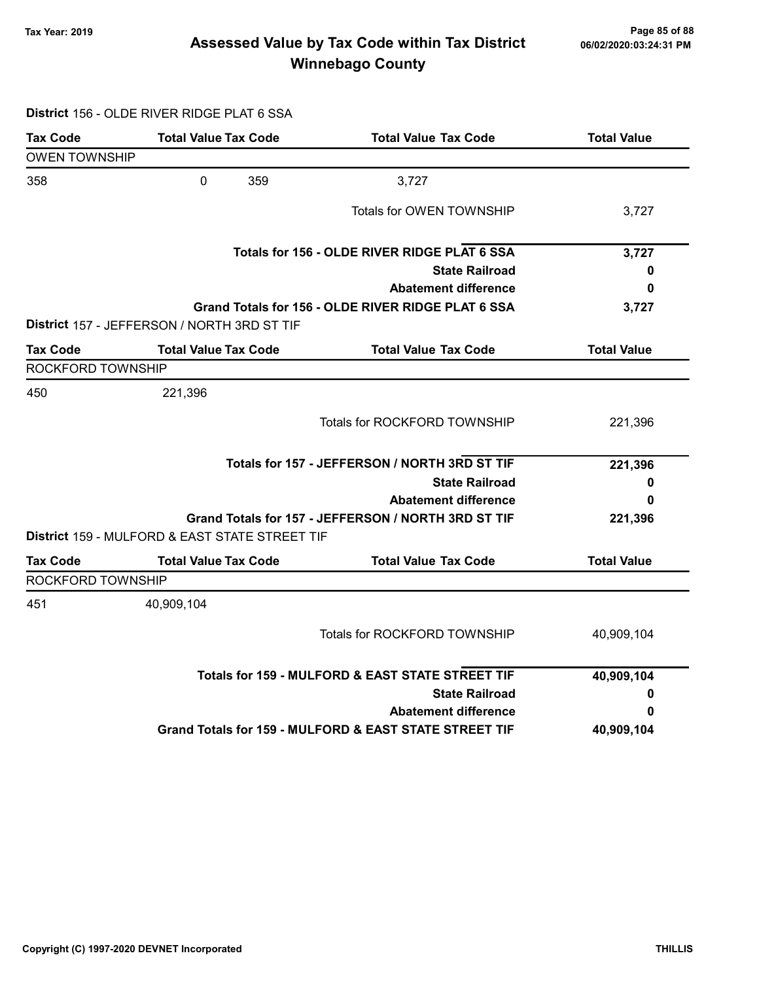# Page 85 of 88 وTax Year: 2019 Page 85 of 88<br>Assessed Value by Tax Code within Tax District هو Assessed Value by Tax Code Winnebago County

#### District 156 - OLDE RIVER RIDGE PLAT 6 SSA

| Tax Code             | <b>Total Value Tax Code</b>                               | <b>Total Value Tax Code</b>                            | <b>Total Value</b> |
|----------------------|-----------------------------------------------------------|--------------------------------------------------------|--------------------|
| <b>OWEN TOWNSHIP</b> |                                                           |                                                        |                    |
| 358                  | $\mathbf 0$<br>359                                        | 3,727                                                  |                    |
|                      |                                                           | Totals for OWEN TOWNSHIP                               | 3,727              |
|                      |                                                           | Totals for 156 - OLDE RIVER RIDGE PLAT 6 SSA           | 3,727              |
|                      |                                                           | <b>State Railroad</b>                                  | 0                  |
|                      |                                                           | <b>Abatement difference</b>                            | 0                  |
|                      | District 157 - JEFFERSON / NORTH 3RD ST TIF               | Grand Totals for 156 - OLDE RIVER RIDGE PLAT 6 SSA     | 3,727              |
| <b>Tax Code</b>      | <b>Total Value Tax Code</b>                               | <b>Total Value Tax Code</b>                            | <b>Total Value</b> |
| ROCKFORD TOWNSHIP    |                                                           |                                                        |                    |
| 450                  | 221,396                                                   |                                                        |                    |
|                      |                                                           | <b>Totals for ROCKFORD TOWNSHIP</b>                    | 221,396            |
|                      |                                                           | Totals for 157 - JEFFERSON / NORTH 3RD ST TIF          | 221,396            |
|                      |                                                           | <b>State Railroad</b>                                  | 0                  |
|                      |                                                           | <b>Abatement difference</b>                            | 0                  |
|                      | <b>District 159 - MULFORD &amp; EAST STATE STREET TIF</b> | Grand Totals for 157 - JEFFERSON / NORTH 3RD ST TIF    | 221,396            |
| <b>Tax Code</b>      | <b>Total Value Tax Code</b>                               | <b>Total Value Tax Code</b>                            | <b>Total Value</b> |
| ROCKFORD TOWNSHIP    |                                                           |                                                        |                    |
| 451                  | 40,909,104                                                |                                                        |                    |
|                      |                                                           | <b>Totals for ROCKFORD TOWNSHIP</b>                    | 40,909,104         |
|                      |                                                           | Totals for 159 - MULFORD & EAST STATE STREET TIF       | 40,909,104         |
|                      |                                                           | <b>State Railroad</b>                                  | 0                  |
|                      |                                                           | <b>Abatement difference</b>                            | 0                  |
|                      |                                                           | Grand Totals for 159 - MULFORD & EAST STATE STREET TIF | 40,909,104         |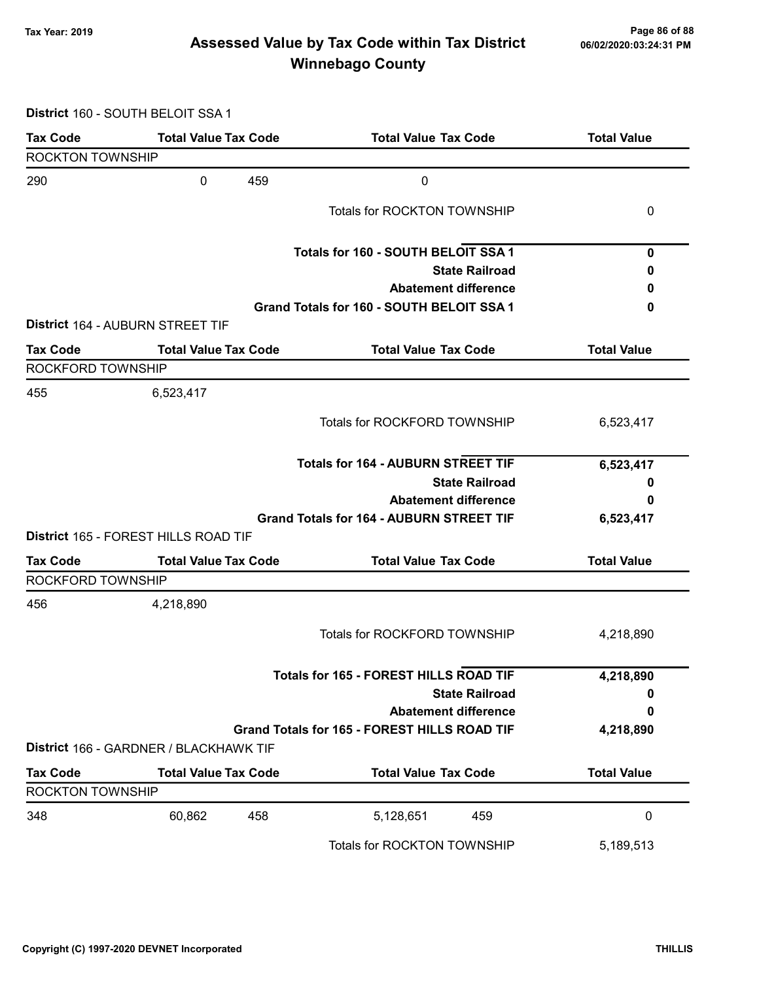# Page 86 of 88 مع Page 86 of 88<br>Assessed Value by Tax Code within Tax District مof/22020:03:24:31 PM Winnebago County

District 160 - SOUTH BELOIT SSA 1

| <b>Tax Code</b>         | <b>Total Value Tax Code</b>            | <b>Total Value Tax Code</b>                         | <b>Total Value</b> |
|-------------------------|----------------------------------------|-----------------------------------------------------|--------------------|
| <b>ROCKTON TOWNSHIP</b> |                                        |                                                     |                    |
| 290                     | 459<br>0                               | $\boldsymbol{0}$                                    |                    |
|                         |                                        | Totals for ROCKTON TOWNSHIP                         | 0                  |
|                         |                                        | Totals for 160 - SOUTH BELOIT SSA 1                 | 0                  |
|                         |                                        | <b>State Railroad</b>                               | 0                  |
|                         |                                        | <b>Abatement difference</b>                         | 0                  |
|                         |                                        | Grand Totals for 160 - SOUTH BELOIT SSA 1           | 0                  |
|                         | District 164 - AUBURN STREET TIF       |                                                     |                    |
| <b>Tax Code</b>         | <b>Total Value Tax Code</b>            | <b>Total Value Tax Code</b>                         | <b>Total Value</b> |
| ROCKFORD TOWNSHIP       |                                        |                                                     |                    |
| 455                     | 6,523,417                              |                                                     |                    |
|                         |                                        | <b>Totals for ROCKFORD TOWNSHIP</b>                 | 6,523,417          |
|                         |                                        | <b>Totals for 164 - AUBURN STREET TIF</b>           | 6,523,417          |
|                         |                                        | <b>State Railroad</b>                               | 0                  |
|                         |                                        | <b>Abatement difference</b>                         | 0                  |
|                         |                                        | <b>Grand Totals for 164 - AUBURN STREET TIF</b>     | 6,523,417          |
|                         | District 165 - FOREST HILLS ROAD TIF   |                                                     |                    |
| <b>Tax Code</b>         | <b>Total Value Tax Code</b>            | <b>Total Value Tax Code</b>                         | <b>Total Value</b> |
| ROCKFORD TOWNSHIP       |                                        |                                                     |                    |
| 456                     | 4,218,890                              |                                                     |                    |
|                         |                                        | Totals for ROCKFORD TOWNSHIP                        | 4,218,890          |
|                         |                                        | <b>Totals for 165 - FOREST HILLS ROAD TIF</b>       | 4,218,890          |
|                         |                                        | <b>State Railroad</b>                               | 0                  |
|                         |                                        | <b>Abatement difference</b>                         | 0                  |
|                         |                                        | <b>Grand Totals for 165 - FOREST HILLS ROAD TIF</b> | 4,218,890          |
|                         | District 166 - GARDNER / BLACKHAWK TIF |                                                     |                    |
| <b>Tax Code</b>         | <b>Total Value Tax Code</b>            | <b>Total Value Tax Code</b>                         | <b>Total Value</b> |
| <b>ROCKTON TOWNSHIP</b> |                                        |                                                     |                    |
| 348                     | 60,862<br>458                          | 459<br>5,128,651                                    | 0                  |
|                         |                                        | Totals for ROCKTON TOWNSHIP                         | 5,189,513          |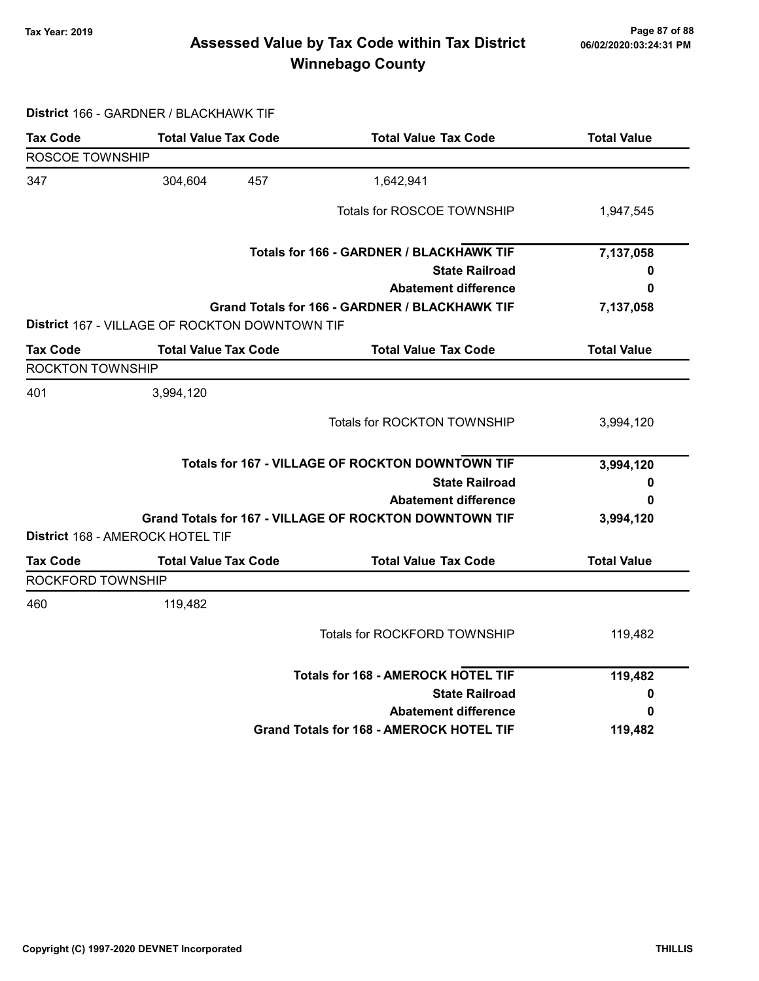# Page 87 of 88 وTax Year: 2019 Page 87 of 88<br>Assessed Value by Tax Code within Tax District هو Assessed Value by Tax Code Winnebago County

#### District 166 - GARDNER / BLACKHAWK TIF

| ROSCOE TOWNSHIP<br>304,604<br>457<br>1,642,941<br>Totals for ROSCOE TOWNSHIP<br>1,947,545<br>Totals for 166 - GARDNER / BLACKHAWK TIF<br>7,137,058<br><b>State Railroad</b><br>0<br><b>Abatement difference</b><br>0<br>Grand Totals for 166 - GARDNER / BLACKHAWK TIF<br>7,137,058<br><b>District 167 - VILLAGE OF ROCKTON DOWNTOWN TIF</b><br><b>Total Value Tax Code</b><br><b>Total Value Tax Code</b><br><b>Total Value</b><br><b>ROCKTON TOWNSHIP</b><br>3,994,120<br>Totals for ROCKTON TOWNSHIP<br>3,994,120<br><b>Totals for 167 - VILLAGE OF ROCKTON DOWNTOWN TIF</b><br>3,994,120<br><b>State Railroad</b><br>0<br><b>Abatement difference</b><br>0<br>Grand Totals for 167 - VILLAGE OF ROCKTON DOWNTOWN TIF<br>3,994,120<br>District 168 - AMEROCK HOTEL TIF<br><b>Total Value Tax Code</b><br><b>Total Value Tax Code</b><br><b>Total Value</b><br><b>Tax Code</b><br>ROCKFORD TOWNSHIP<br>119,482<br>Totals for ROCKFORD TOWNSHIP<br>119,482<br><b>Totals for 168 - AMEROCK HOTEL TIF</b><br>119,482<br><b>State Railroad</b><br>0<br><b>Abatement difference</b><br>0<br><b>Grand Totals for 168 - AMEROCK HOTEL TIF</b><br>119,482 | <b>Tax Code</b> | <b>Total Value Tax Code</b> | <b>Total Value Tax Code</b> | <b>Total Value</b> |
|-----------------------------------------------------------------------------------------------------------------------------------------------------------------------------------------------------------------------------------------------------------------------------------------------------------------------------------------------------------------------------------------------------------------------------------------------------------------------------------------------------------------------------------------------------------------------------------------------------------------------------------------------------------------------------------------------------------------------------------------------------------------------------------------------------------------------------------------------------------------------------------------------------------------------------------------------------------------------------------------------------------------------------------------------------------------------------------------------------------------------------------------------------|-----------------|-----------------------------|-----------------------------|--------------------|
|                                                                                                                                                                                                                                                                                                                                                                                                                                                                                                                                                                                                                                                                                                                                                                                                                                                                                                                                                                                                                                                                                                                                                     |                 |                             |                             |                    |
|                                                                                                                                                                                                                                                                                                                                                                                                                                                                                                                                                                                                                                                                                                                                                                                                                                                                                                                                                                                                                                                                                                                                                     | 347             |                             |                             |                    |
|                                                                                                                                                                                                                                                                                                                                                                                                                                                                                                                                                                                                                                                                                                                                                                                                                                                                                                                                                                                                                                                                                                                                                     |                 |                             |                             |                    |
|                                                                                                                                                                                                                                                                                                                                                                                                                                                                                                                                                                                                                                                                                                                                                                                                                                                                                                                                                                                                                                                                                                                                                     |                 |                             |                             |                    |
|                                                                                                                                                                                                                                                                                                                                                                                                                                                                                                                                                                                                                                                                                                                                                                                                                                                                                                                                                                                                                                                                                                                                                     |                 |                             |                             |                    |
|                                                                                                                                                                                                                                                                                                                                                                                                                                                                                                                                                                                                                                                                                                                                                                                                                                                                                                                                                                                                                                                                                                                                                     |                 |                             |                             |                    |
|                                                                                                                                                                                                                                                                                                                                                                                                                                                                                                                                                                                                                                                                                                                                                                                                                                                                                                                                                                                                                                                                                                                                                     |                 |                             |                             |                    |
|                                                                                                                                                                                                                                                                                                                                                                                                                                                                                                                                                                                                                                                                                                                                                                                                                                                                                                                                                                                                                                                                                                                                                     | <b>Tax Code</b> |                             |                             |                    |
|                                                                                                                                                                                                                                                                                                                                                                                                                                                                                                                                                                                                                                                                                                                                                                                                                                                                                                                                                                                                                                                                                                                                                     |                 |                             |                             |                    |
|                                                                                                                                                                                                                                                                                                                                                                                                                                                                                                                                                                                                                                                                                                                                                                                                                                                                                                                                                                                                                                                                                                                                                     | 401             |                             |                             |                    |
|                                                                                                                                                                                                                                                                                                                                                                                                                                                                                                                                                                                                                                                                                                                                                                                                                                                                                                                                                                                                                                                                                                                                                     |                 |                             |                             |                    |
|                                                                                                                                                                                                                                                                                                                                                                                                                                                                                                                                                                                                                                                                                                                                                                                                                                                                                                                                                                                                                                                                                                                                                     |                 |                             |                             |                    |
|                                                                                                                                                                                                                                                                                                                                                                                                                                                                                                                                                                                                                                                                                                                                                                                                                                                                                                                                                                                                                                                                                                                                                     |                 |                             |                             |                    |
|                                                                                                                                                                                                                                                                                                                                                                                                                                                                                                                                                                                                                                                                                                                                                                                                                                                                                                                                                                                                                                                                                                                                                     |                 |                             |                             |                    |
|                                                                                                                                                                                                                                                                                                                                                                                                                                                                                                                                                                                                                                                                                                                                                                                                                                                                                                                                                                                                                                                                                                                                                     |                 |                             |                             |                    |
|                                                                                                                                                                                                                                                                                                                                                                                                                                                                                                                                                                                                                                                                                                                                                                                                                                                                                                                                                                                                                                                                                                                                                     |                 |                             |                             |                    |
|                                                                                                                                                                                                                                                                                                                                                                                                                                                                                                                                                                                                                                                                                                                                                                                                                                                                                                                                                                                                                                                                                                                                                     |                 |                             |                             |                    |
|                                                                                                                                                                                                                                                                                                                                                                                                                                                                                                                                                                                                                                                                                                                                                                                                                                                                                                                                                                                                                                                                                                                                                     |                 |                             |                             |                    |
|                                                                                                                                                                                                                                                                                                                                                                                                                                                                                                                                                                                                                                                                                                                                                                                                                                                                                                                                                                                                                                                                                                                                                     | 460             |                             |                             |                    |
|                                                                                                                                                                                                                                                                                                                                                                                                                                                                                                                                                                                                                                                                                                                                                                                                                                                                                                                                                                                                                                                                                                                                                     |                 |                             |                             |                    |
|                                                                                                                                                                                                                                                                                                                                                                                                                                                                                                                                                                                                                                                                                                                                                                                                                                                                                                                                                                                                                                                                                                                                                     |                 |                             |                             |                    |
|                                                                                                                                                                                                                                                                                                                                                                                                                                                                                                                                                                                                                                                                                                                                                                                                                                                                                                                                                                                                                                                                                                                                                     |                 |                             |                             |                    |
|                                                                                                                                                                                                                                                                                                                                                                                                                                                                                                                                                                                                                                                                                                                                                                                                                                                                                                                                                                                                                                                                                                                                                     |                 |                             |                             |                    |
|                                                                                                                                                                                                                                                                                                                                                                                                                                                                                                                                                                                                                                                                                                                                                                                                                                                                                                                                                                                                                                                                                                                                                     |                 |                             |                             |                    |